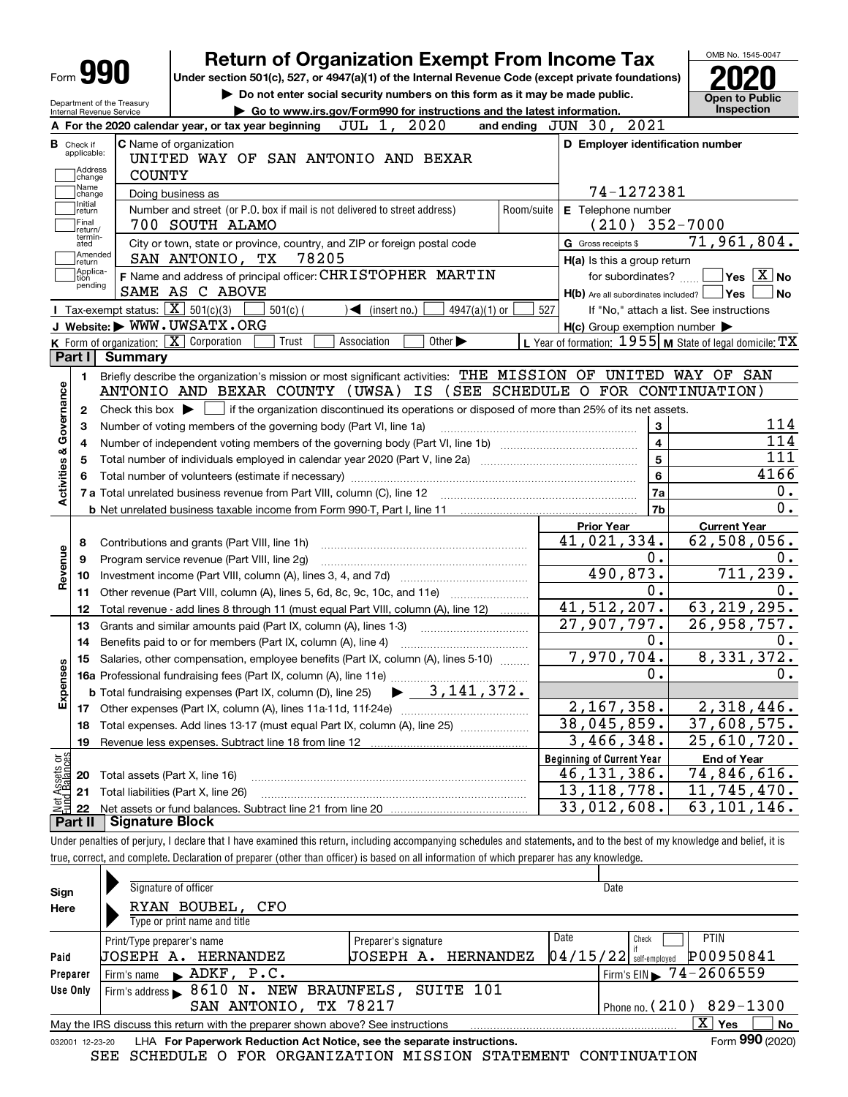|                                                        |                                                   |                                                                                                              | <b>Return of Organization Exempt From Income Tax</b>                        |                                   |                                                                                                                                             |                 |            |     |                                       |                   |                         |                                                                                                                  |                                                                 |
|--------------------------------------------------------|---------------------------------------------------|--------------------------------------------------------------------------------------------------------------|-----------------------------------------------------------------------------|-----------------------------------|---------------------------------------------------------------------------------------------------------------------------------------------|-----------------|------------|-----|---------------------------------------|-------------------|-------------------------|------------------------------------------------------------------------------------------------------------------|-----------------------------------------------------------------|
| Form 990                                               |                                                   | Under section 501(c), 527, or 4947(a)(1) of the Internal Revenue Code (except private foundations)           |                                                                             |                                   |                                                                                                                                             |                 |            |     |                                       |                   |                         |                                                                                                                  |                                                                 |
|                                                        |                                                   |                                                                                                              | Do not enter social security numbers on this form as it may be made public. |                                   |                                                                                                                                             |                 |            |     |                                       |                   |                         | <b>Open to Public</b>                                                                                            |                                                                 |
| Department of the Treasury<br>Internal Revenue Service |                                                   |                                                                                                              | Go to www.irs.gov/Form990 for instructions and the latest information.      |                                   |                                                                                                                                             |                 |            |     |                                       |                   |                         |                                                                                                                  | <b>Inspection</b>                                               |
|                                                        |                                                   | A For the 2020 calendar year, or tax year beginning                                                          |                                                                             | JUL 1, 2020                       |                                                                                                                                             |                 |            |     | and ending $JUN$ 30,                  | 2021              |                         |                                                                                                                  |                                                                 |
| <b>B</b> Check if<br>applicable:                       |                                                   | C Name of organization                                                                                       |                                                                             |                                   |                                                                                                                                             |                 |            |     |                                       |                   |                         | D Employer identification number                                                                                 |                                                                 |
| Address                                                |                                                   | UNITED WAY OF SAN ANTONIO AND BEXAR                                                                          |                                                                             |                                   |                                                                                                                                             |                 |            |     |                                       |                   |                         |                                                                                                                  |                                                                 |
| change<br>Name                                         | <b>COUNTY</b>                                     |                                                                                                              |                                                                             |                                   |                                                                                                                                             |                 |            |     |                                       |                   |                         |                                                                                                                  |                                                                 |
| change<br>Initial                                      |                                                   | Doing business as                                                                                            |                                                                             |                                   |                                                                                                                                             |                 |            |     |                                       | 74-1272381        |                         |                                                                                                                  |                                                                 |
| return                                                 |                                                   | Number and street (or P.O. box if mail is not delivered to street address)                                   |                                                                             |                                   |                                                                                                                                             |                 | Room/suite |     | E Telephone number                    |                   |                         |                                                                                                                  |                                                                 |
| Final<br>return/<br>termin-                            |                                                   | 700 SOUTH ALAMO                                                                                              |                                                                             |                                   |                                                                                                                                             |                 |            |     |                                       |                   |                         | $(210)$ 352-7000                                                                                                 |                                                                 |
| ated<br>Amended                                        |                                                   | City or town, state or province, country, and ZIP or foreign postal code                                     |                                                                             |                                   |                                                                                                                                             |                 |            |     | G Gross receipts \$                   |                   |                         | 71,961,804.                                                                                                      |                                                                 |
| return<br> Applica-                                    |                                                   | SAN ANTONIO, TX                                                                                              | 78205                                                                       |                                   |                                                                                                                                             |                 |            |     | H(a) Is this a group return           |                   |                         |                                                                                                                  |                                                                 |
| tion<br>pending                                        |                                                   | F Name and address of principal officer: CHRISTOPHER MARTIN                                                  |                                                                             |                                   |                                                                                                                                             |                 |            |     |                                       | for subordinates? |                         |                                                                                                                  | $\overline{\mathsf{Yes}}$ $\overline{\mathsf{X}}$ No            |
|                                                        | Tax-exempt status: $\boxed{\mathbf{X}}$ 501(c)(3) | SAME AS C ABOVE                                                                                              |                                                                             |                                   |                                                                                                                                             |                 |            |     | $H(b)$ Are all subordinates included? |                   |                         | ∣Yes                                                                                                             | No                                                              |
|                                                        |                                                   | J Website: WWW.UWSATX.ORG                                                                                    | $501(c)$ (                                                                  | $\sqrt{\frac{1}{1}}$ (insert no.) |                                                                                                                                             | $4947(a)(1)$ or |            | 527 |                                       |                   |                         | If "No," attach a list. See instructions                                                                         |                                                                 |
|                                                        |                                                   | K Form of organization: X Corporation                                                                        | Trust                                                                       | Association                       | Other $\blacktriangleright$                                                                                                                 |                 |            |     |                                       |                   |                         | $H(c)$ Group exemption number $\blacktriangleright$<br>L Year of formation: $1955$ M State of legal domicile: TX |                                                                 |
| Part I                                                 | <b>Summary</b>                                    |                                                                                                              |                                                                             |                                   |                                                                                                                                             |                 |            |     |                                       |                   |                         |                                                                                                                  |                                                                 |
| 1.                                                     |                                                   | Briefly describe the organization's mission or most significant activities: THE MISSION OF UNITED WAY OF SAN |                                                                             |                                   |                                                                                                                                             |                 |            |     |                                       |                   |                         |                                                                                                                  |                                                                 |
|                                                        |                                                   | ANTONIO AND BEXAR COUNTY (UWSA) IS (SEE SCHEDULE O FOR CONTINUATION)                                         |                                                                             |                                   |                                                                                                                                             |                 |            |     |                                       |                   |                         |                                                                                                                  |                                                                 |
|                                                        |                                                   |                                                                                                              |                                                                             |                                   |                                                                                                                                             |                 |            |     |                                       |                   |                         |                                                                                                                  |                                                                 |
| 2                                                      |                                                   |                                                                                                              |                                                                             |                                   |                                                                                                                                             |                 |            |     |                                       |                   |                         |                                                                                                                  |                                                                 |
|                                                        |                                                   |                                                                                                              |                                                                             |                                   | Check this box $\blacktriangleright$ $\Box$ if the organization discontinued its operations or disposed of more than 25% of its net assets. |                 |            |     |                                       |                   |                         |                                                                                                                  |                                                                 |
| з                                                      |                                                   | Number of voting members of the governing body (Part VI, line 1a)                                            |                                                                             |                                   |                                                                                                                                             |                 |            |     |                                       |                   | 3                       |                                                                                                                  |                                                                 |
| 4                                                      |                                                   |                                                                                                              |                                                                             |                                   |                                                                                                                                             |                 |            |     |                                       |                   | $\overline{\mathbf{4}}$ |                                                                                                                  |                                                                 |
| 5                                                      |                                                   |                                                                                                              |                                                                             |                                   |                                                                                                                                             |                 |            |     |                                       |                   | 5                       |                                                                                                                  |                                                                 |
| Governance                                             |                                                   |                                                                                                              |                                                                             |                                   |                                                                                                                                             |                 |            |     |                                       |                   | 6                       |                                                                                                                  |                                                                 |
| <b>Activities &amp;</b>                                |                                                   |                                                                                                              |                                                                             |                                   |                                                                                                                                             |                 |            |     |                                       |                   | 7a                      |                                                                                                                  |                                                                 |
|                                                        |                                                   |                                                                                                              |                                                                             |                                   |                                                                                                                                             |                 |            |     |                                       |                   | 7b                      |                                                                                                                  |                                                                 |
|                                                        |                                                   |                                                                                                              |                                                                             |                                   |                                                                                                                                             |                 |            |     | <b>Prior Year</b>                     |                   |                         | <b>Current Year</b>                                                                                              |                                                                 |
| 8                                                      |                                                   | Contributions and grants (Part VIII, line 1h)                                                                |                                                                             |                                   |                                                                                                                                             |                 |            |     | 41,021,334.                           |                   |                         | 62,508,056.                                                                                                      |                                                                 |
| 9                                                      |                                                   | Program service revenue (Part VIII, line 2g)                                                                 |                                                                             |                                   |                                                                                                                                             |                 |            |     |                                       |                   | О.                      |                                                                                                                  |                                                                 |
| 10                                                     |                                                   |                                                                                                              |                                                                             |                                   |                                                                                                                                             |                 |            |     |                                       | 490,873.          |                         |                                                                                                                  |                                                                 |
| 11                                                     |                                                   | Other revenue (Part VIII, column (A), lines 5, 6d, 8c, 9c, 10c, and 11e)                                     |                                                                             |                                   |                                                                                                                                             |                 |            |     |                                       |                   | 0.                      |                                                                                                                  |                                                                 |
| 12                                                     |                                                   | Total revenue - add lines 8 through 11 (must equal Part VIII, column (A), line 12)                           |                                                                             |                                   |                                                                                                                                             |                 |            |     | 41, 512, 207.                         |                   |                         | 63, 219, 295.                                                                                                    |                                                                 |
| 13                                                     |                                                   | Grants and similar amounts paid (Part IX, column (A), lines 1-3)                                             |                                                                             |                                   |                                                                                                                                             |                 |            |     | $\overline{27,907,797.}$              |                   |                         | 26,958,757.                                                                                                      |                                                                 |
| 14                                                     |                                                   | Benefits paid to or for members (Part IX, column (A), line 4)                                                |                                                                             |                                   |                                                                                                                                             |                 |            |     |                                       |                   | О.                      |                                                                                                                  |                                                                 |
| 15                                                     |                                                   | Salaries, other compensation, employee benefits (Part IX, column (A), lines 5-10)                            |                                                                             |                                   |                                                                                                                                             |                 |            |     | 7,970,704.                            |                   |                         | 8,331,372.                                                                                                       |                                                                 |
|                                                        |                                                   |                                                                                                              |                                                                             |                                   |                                                                                                                                             |                 |            |     |                                       |                   | Ο.                      |                                                                                                                  |                                                                 |
| Revenue<br>89                                          |                                                   | <b>b</b> Total fundraising expenses (Part IX, column (D), line 25)                                           |                                                                             |                                   | 3,141,372.                                                                                                                                  |                 |            |     |                                       |                   |                         |                                                                                                                  |                                                                 |
| Expense<br>17                                          |                                                   |                                                                                                              |                                                                             |                                   |                                                                                                                                             |                 |            |     | 2,167,358.                            |                   |                         | 2,318,446.                                                                                                       |                                                                 |
| 18                                                     |                                                   | Total expenses. Add lines 13-17 (must equal Part IX, column (A), line 25)                                    |                                                                             |                                   |                                                                                                                                             |                 |            |     | 38,045,859.                           |                   |                         | 37,608,575.                                                                                                      |                                                                 |
| 19                                                     |                                                   |                                                                                                              |                                                                             |                                   |                                                                                                                                             |                 |            |     |                                       | 3,466,348.        |                         | 25,610,720.                                                                                                      |                                                                 |
|                                                        |                                                   |                                                                                                              |                                                                             |                                   |                                                                                                                                             |                 |            |     | <b>Beginning of Current Year</b>      |                   |                         | <b>End of Year</b>                                                                                               |                                                                 |
| 20                                                     |                                                   | Total assets (Part X, line 16)                                                                               |                                                                             |                                   |                                                                                                                                             |                 |            |     | 46, 131, 386.                         |                   |                         | 74,846,616.                                                                                                      |                                                                 |
| t Assets or<br>d Balances<br>21                        |                                                   | Total liabilities (Part X, line 26)                                                                          |                                                                             |                                   |                                                                                                                                             |                 |            |     | 13,118,778.                           |                   |                         | 11,745,470.                                                                                                      | 114<br>114<br>111<br>4166<br>0.<br>$\overline{0}$ .<br>711,239. |
| 22<br>Part II                                          | <b>Signature Block</b>                            |                                                                                                              |                                                                             |                                   |                                                                                                                                             |                 |            |     | 33,012,608.                           |                   |                         | 63,101,146.                                                                                                      |                                                                 |

| Sign            | Signature of officer                                                            |                        | Date                                         |
|-----------------|---------------------------------------------------------------------------------|------------------------|----------------------------------------------|
| Here            | RYAN BOUBEL,<br>CFO                                                             |                        |                                              |
|                 | Type or print name and title                                                    |                        |                                              |
|                 | Print/Type preparer's name                                                      | Preparer's signature   | Date<br><b>PTIN</b><br>Check                 |
| Paid            | HERNANDEZ<br>JOSEPH A.                                                          | HERNANDEZ<br>JOSEPH A. | P00950841<br>$04/15/22$ self-employed        |
| Preparer        | $\blacktriangleright$ ADKF, P.C.<br>Firm's name                                 |                        | $1$ Firm's EIN $\triangleright$ 74 - 2606559 |
| Use Only        | Firm's address > 8610 N. NEW BRAUNFELS, SUITE 101                               |                        |                                              |
|                 | SAN ANTONIO,                                                                    | TX 78217               | Phone no. $(210)$ 829-1300                   |
|                 | May the IRS discuss this return with the preparer shown above? See instructions |                        | $\mathbf{x}$<br><b>No</b><br>Yes             |
| 032001 12-23-20 | LHA For Paperwork Reduction Act Notice, see the separate instructions.          |                        | Form 990 (2020)                              |

SEE SCHEDULE O FOR ORGANIZATION MISSION STATEMENT CONTINUATION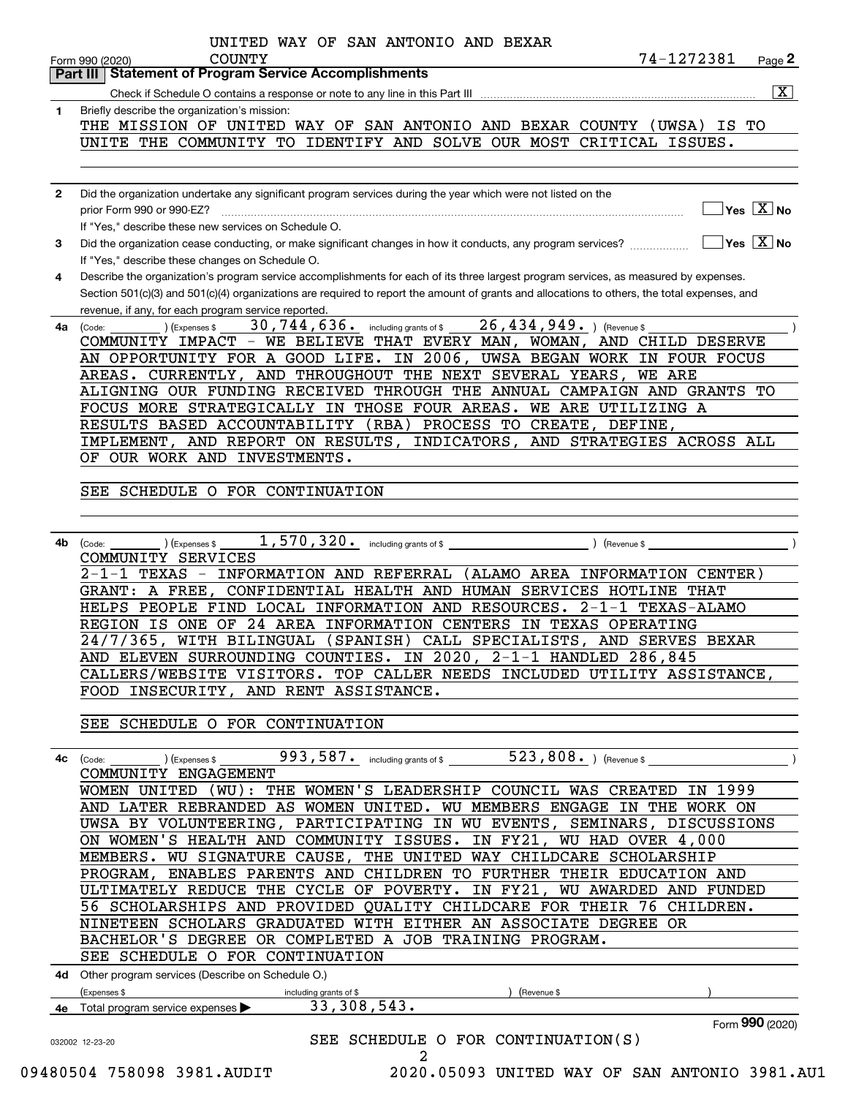|              | Part III   Statement of Program Service Accomplishments                                                                                                                                                                |
|--------------|------------------------------------------------------------------------------------------------------------------------------------------------------------------------------------------------------------------------|
|              | $\overline{\mathbf{X}}$                                                                                                                                                                                                |
| 1.           | Briefly describe the organization's mission:<br>THE MISSION OF UNITED WAY OF SAN ANTONIO AND BEXAR COUNTY (UWSA) IS TO                                                                                                 |
|              | UNITE THE COMMUNITY TO IDENTIFY AND SOLVE OUR MOST CRITICAL ISSUES.                                                                                                                                                    |
|              |                                                                                                                                                                                                                        |
| $\mathbf{2}$ | Did the organization undertake any significant program services during the year which were not listed on the                                                                                                           |
|              | $\blacksquare$ Yes $\boxed{\mathrm{X}}$ No<br>prior Form 990 or 990-EZ?                                                                                                                                                |
|              | If "Yes," describe these new services on Schedule O.                                                                                                                                                                   |
| 3            | Did the organization cease conducting, or make significant changes in how it conducts, any program services? $\ldots$ $\ldots$ $\ldots$ $\blacksquare$ Yes $[X]$ No<br>If "Yes," describe these changes on Schedule O. |
| 4            | Describe the organization's program service accomplishments for each of its three largest program services, as measured by expenses.                                                                                   |
|              | Section 501(c)(3) and 501(c)(4) organizations are required to report the amount of grants and allocations to others, the total expenses, and<br>revenue, if any, for each program service reported.                    |
| 4a           | 30,744,636. including grants of \$26,434,949. ) (Revenue \$<br>) (Expenses \$<br>(Code:                                                                                                                                |
|              | COMMUNITY IMPACT - WE BELIEVE THAT EVERY MAN, WOMAN, AND CHILD DESERVE                                                                                                                                                 |
|              | AN OPPORTUNITY FOR A GOOD LIFE. IN 2006, UWSA BEGAN WORK IN FOUR FOCUS                                                                                                                                                 |
|              | AREAS. CURRENTLY, AND THROUGHOUT THE NEXT SEVERAL YEARS, WE ARE                                                                                                                                                        |
|              | ALIGNING OUR FUNDING RECEIVED THROUGH THE ANNUAL CAMPAIGN AND GRANTS TO                                                                                                                                                |
|              | FOCUS MORE STRATEGICALLY IN THOSE FOUR AREAS. WE ARE UTILIZING A                                                                                                                                                       |
|              | RESULTS BASED ACCOUNTABILITY (RBA) PROCESS TO CREATE, DEFINE,                                                                                                                                                          |
|              | IMPLEMENT, AND REPORT ON RESULTS, INDICATORS, AND STRATEGIES ACROSS ALL<br>OF OUR WORK AND INVESTMENTS.                                                                                                                |
|              |                                                                                                                                                                                                                        |
|              | SEE SCHEDULE O FOR CONTINUATION                                                                                                                                                                                        |
|              |                                                                                                                                                                                                                        |
| 4b           | (Expenses \$<br>(Code:                                                                                                                                                                                                 |
|              | COMMUNITY SERVICES                                                                                                                                                                                                     |
|              | 2-1-1 TEXAS - INFORMATION AND REFERRAL (ALAMO AREA INFORMATION CENTER)                                                                                                                                                 |
|              | GRANT: A FREE, CONFIDENTIAL HEALTH AND HUMAN SERVICES HOTLINE THAT<br>HELPS PEOPLE FIND LOCAL INFORMATION AND RESOURCES. 2-1-1 TEXAS-ALAMO                                                                             |
|              | REGION IS ONE OF 24 AREA INFORMATION CENTERS IN TEXAS OPERATING                                                                                                                                                        |
|              | 24/7/365, WITH BILINGUAL (SPANISH) CALL SPECIALISTS, AND SERVES BEXAR                                                                                                                                                  |
|              | AND ELEVEN SURROUNDING COUNTIES. IN 2020, 2-1-1 HANDLED 286,845                                                                                                                                                        |
|              | CALLERS/WEBSITE VISITORS. TOP CALLER NEEDS INCLUDED UTILITY ASSISTANCE,                                                                                                                                                |
|              | FOOD INSECURITY, AND RENT ASSISTANCE.                                                                                                                                                                                  |
|              | SEE SCHEDULE O FOR CONTINUATION                                                                                                                                                                                        |
| 4c           | 993, 587. including grants of \$ 523, 808. ) (Revenue \$<br>(Expenses \$<br>(Code:                                                                                                                                     |
|              | COMMUNITY ENGAGEMENT                                                                                                                                                                                                   |
|              | WOMEN UNITED (WU): THE WOMEN'S LEADERSHIP COUNCIL WAS CREATED IN 1999                                                                                                                                                  |
|              | AND LATER REBRANDED AS WOMEN UNITED. WU MEMBERS ENGAGE IN THE WORK ON                                                                                                                                                  |
|              | UWSA BY VOLUNTEERING, PARTICIPATING IN WU EVENTS, SEMINARS, DISCUSSIONS                                                                                                                                                |
|              |                                                                                                                                                                                                                        |
|              | ON WOMEN'S HEALTH AND COMMUNITY ISSUES. IN FY21, WU HAD OVER 4,000                                                                                                                                                     |
|              | MEMBERS. WU SIGNATURE CAUSE, THE UNITED WAY CHILDCARE SCHOLARSHIP                                                                                                                                                      |
|              | PROGRAM, ENABLES PARENTS AND CHILDREN TO FURTHER THEIR EDUCATION AND                                                                                                                                                   |
|              | ULTIMATELY REDUCE THE CYCLE OF POVERTY. IN FY21, WU AWARDED AND FUNDED                                                                                                                                                 |
|              | 56 SCHOLARSHIPS AND PROVIDED QUALITY CHILDCARE FOR THEIR 76 CHILDREN.                                                                                                                                                  |
|              | NINETEEN SCHOLARS GRADUATED WITH EITHER AN ASSOCIATE DEGREE OR                                                                                                                                                         |
|              | BACHELOR'S DEGREE OR COMPLETED A JOB TRAINING PROGRAM.<br>SEE SCHEDULE O FOR CONTINUATION                                                                                                                              |
|              | 4d Other program services (Describe on Schedule O.)                                                                                                                                                                    |
|              | (Expenses \$<br>(Revenue \$<br>including grants of \$                                                                                                                                                                  |
|              | 33, 308, 543.<br>4e Total program service expenses $\blacktriangleright$<br>Form 990 (2020)<br>SEE SCHEDULE O FOR CONTINUATION(S)                                                                                      |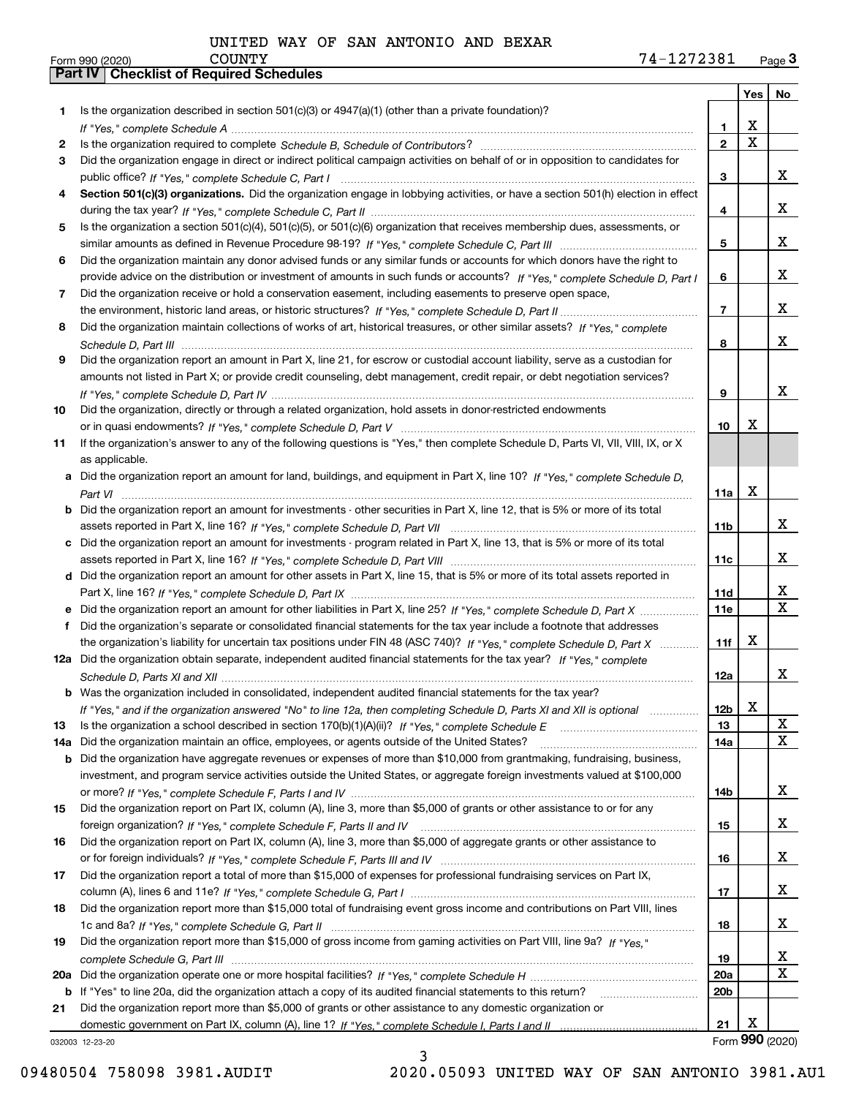|     |                                                                                                                                                                                                                                                           |                 | Yes                     | No                      |
|-----|-----------------------------------------------------------------------------------------------------------------------------------------------------------------------------------------------------------------------------------------------------------|-----------------|-------------------------|-------------------------|
| 1   | Is the organization described in section $501(c)(3)$ or $4947(a)(1)$ (other than a private foundation)?                                                                                                                                                   |                 |                         |                         |
|     |                                                                                                                                                                                                                                                           | 1               | X                       |                         |
| 2   |                                                                                                                                                                                                                                                           | $\overline{2}$  | $\overline{\mathbf{x}}$ |                         |
| 3   | Did the organization engage in direct or indirect political campaign activities on behalf of or in opposition to candidates for                                                                                                                           |                 |                         |                         |
|     |                                                                                                                                                                                                                                                           | 3               |                         | x                       |
| 4   | Section 501(c)(3) organizations. Did the organization engage in lobbying activities, or have a section 501(h) election in effect                                                                                                                          |                 |                         |                         |
|     |                                                                                                                                                                                                                                                           | 4               |                         | x                       |
| 5   | Is the organization a section 501(c)(4), 501(c)(5), or 501(c)(6) organization that receives membership dues, assessments, or                                                                                                                              | 5               |                         | x                       |
| 6   |                                                                                                                                                                                                                                                           |                 |                         |                         |
|     | Did the organization maintain any donor advised funds or any similar funds or accounts for which donors have the right to<br>provide advice on the distribution or investment of amounts in such funds or accounts? If "Yes," complete Schedule D, Part I | 6               |                         | x                       |
| 7   | Did the organization receive or hold a conservation easement, including easements to preserve open space,                                                                                                                                                 |                 |                         |                         |
|     |                                                                                                                                                                                                                                                           | $\overline{7}$  |                         | X                       |
| 8   | Did the organization maintain collections of works of art, historical treasures, or other similar assets? If "Yes," complete                                                                                                                              |                 |                         |                         |
|     |                                                                                                                                                                                                                                                           | 8               |                         | X                       |
| 9   | Did the organization report an amount in Part X, line 21, for escrow or custodial account liability, serve as a custodian for                                                                                                                             |                 |                         |                         |
|     | amounts not listed in Part X; or provide credit counseling, debt management, credit repair, or debt negotiation services?                                                                                                                                 |                 |                         |                         |
|     |                                                                                                                                                                                                                                                           | 9               |                         | x                       |
| 10  | Did the organization, directly or through a related organization, hold assets in donor-restricted endowments                                                                                                                                              |                 |                         |                         |
|     |                                                                                                                                                                                                                                                           | 10              | x                       |                         |
| 11  | If the organization's answer to any of the following questions is "Yes," then complete Schedule D, Parts VI, VII, VIII, IX, or X                                                                                                                          |                 |                         |                         |
|     | as applicable.                                                                                                                                                                                                                                            |                 |                         |                         |
| a   | Did the organization report an amount for land, buildings, and equipment in Part X, line 10? If "Yes," complete Schedule D.                                                                                                                               |                 |                         |                         |
|     |                                                                                                                                                                                                                                                           | 11a             | X                       |                         |
| b   | Did the organization report an amount for investments - other securities in Part X, line 12, that is 5% or more of its total                                                                                                                              |                 |                         |                         |
|     |                                                                                                                                                                                                                                                           | 11b             |                         | x                       |
| c   | Did the organization report an amount for investments - program related in Part X, line 13, that is 5% or more of its total                                                                                                                               |                 |                         |                         |
|     |                                                                                                                                                                                                                                                           | 11c             |                         | x                       |
|     | d Did the organization report an amount for other assets in Part X, line 15, that is 5% or more of its total assets reported in                                                                                                                           |                 |                         |                         |
|     |                                                                                                                                                                                                                                                           | 11d             |                         | х                       |
| е   | Did the organization report an amount for other liabilities in Part X, line 25? If "Yes," complete Schedule D, Part X                                                                                                                                     | 11e             |                         | $\overline{\mathbf{X}}$ |
| f   | Did the organization's separate or consolidated financial statements for the tax year include a footnote that addresses                                                                                                                                   |                 |                         |                         |
|     | the organization's liability for uncertain tax positions under FIN 48 (ASC 740)? If "Yes," complete Schedule D, Part X                                                                                                                                    | 11f             | x                       |                         |
|     | 12a Did the organization obtain separate, independent audited financial statements for the tax year? If "Yes," complete                                                                                                                                   |                 |                         | X                       |
|     | <b>b</b> Was the organization included in consolidated, independent audited financial statements for the tax year?                                                                                                                                        | 12a             |                         |                         |
|     | If "Yes," and if the organization answered "No" to line 12a, then completing Schedule D, Parts XI and XII is optional                                                                                                                                     | 12 <sub>b</sub> | X                       |                         |
| 13  |                                                                                                                                                                                                                                                           | 13              |                         | X                       |
| 14a | Did the organization maintain an office, employees, or agents outside of the United States?                                                                                                                                                               | 14a             |                         | X                       |
| b   | Did the organization have aggregate revenues or expenses of more than \$10,000 from grantmaking, fundraising, business,                                                                                                                                   |                 |                         |                         |
|     | investment, and program service activities outside the United States, or aggregate foreign investments valued at \$100,000                                                                                                                                |                 |                         |                         |
|     |                                                                                                                                                                                                                                                           | 14b             |                         | x                       |
| 15  | Did the organization report on Part IX, column (A), line 3, more than \$5,000 of grants or other assistance to or for any                                                                                                                                 |                 |                         |                         |
|     |                                                                                                                                                                                                                                                           | 15              |                         | x                       |
| 16  | Did the organization report on Part IX, column (A), line 3, more than \$5,000 of aggregate grants or other assistance to                                                                                                                                  |                 |                         |                         |
|     |                                                                                                                                                                                                                                                           | 16              |                         | x                       |
| 17  | Did the organization report a total of more than \$15,000 of expenses for professional fundraising services on Part IX,                                                                                                                                   |                 |                         |                         |
|     |                                                                                                                                                                                                                                                           | 17              |                         | x                       |
| 18  | Did the organization report more than \$15,000 total of fundraising event gross income and contributions on Part VIII, lines                                                                                                                              |                 |                         |                         |
|     |                                                                                                                                                                                                                                                           | 18              |                         | x                       |
| 19  | Did the organization report more than \$15,000 of gross income from gaming activities on Part VIII, line 9a? If "Yes."                                                                                                                                    |                 |                         |                         |
|     |                                                                                                                                                                                                                                                           | 19              |                         | X                       |
| 20a |                                                                                                                                                                                                                                                           | 20a             |                         | X                       |
|     | b If "Yes" to line 20a, did the organization attach a copy of its audited financial statements to this return?                                                                                                                                            | 20 <sub>b</sub> |                         |                         |
| 21  | Did the organization report more than \$5,000 of grants or other assistance to any domestic organization or                                                                                                                                               |                 |                         |                         |
|     |                                                                                                                                                                                                                                                           | 21              | Х                       |                         |
|     | 032003 12-23-20                                                                                                                                                                                                                                           |                 |                         | Form 990 (2020)         |

3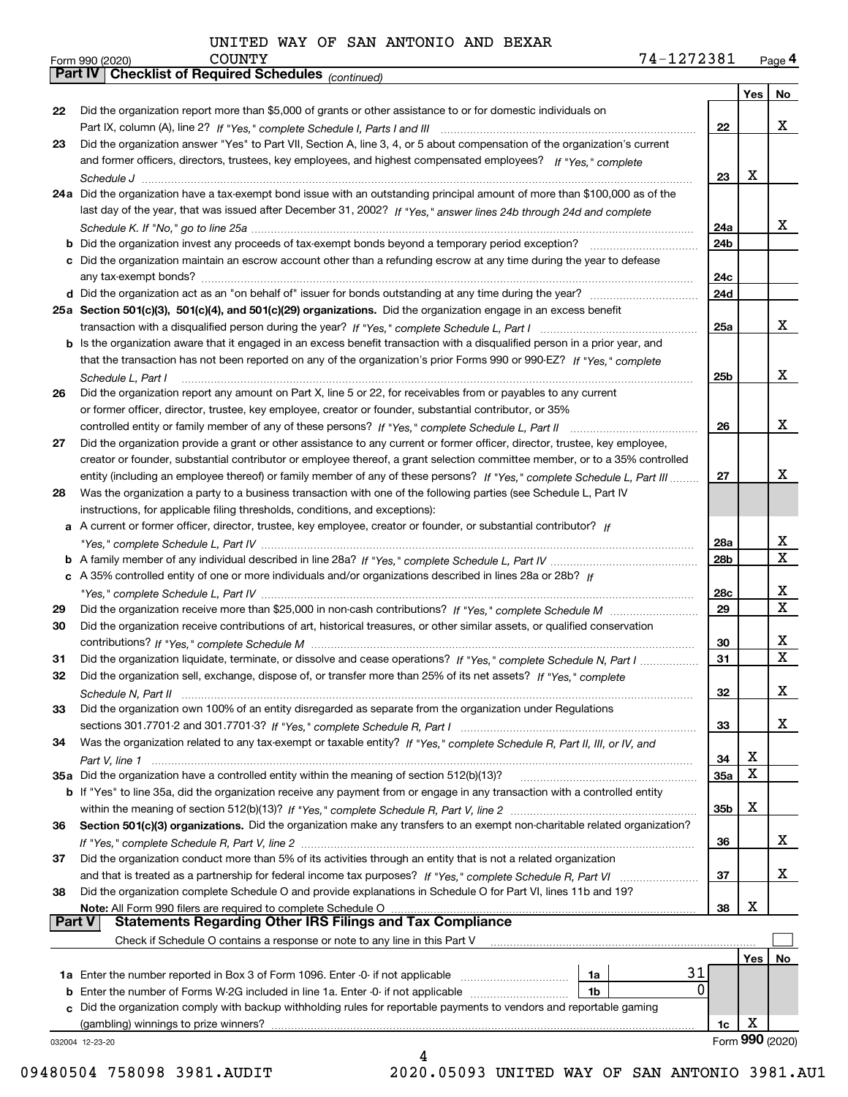|               | Parl IV  <br>Crieckist of Required Scriedules (continued)                                                                          |                 |     |                 |
|---------------|------------------------------------------------------------------------------------------------------------------------------------|-----------------|-----|-----------------|
|               |                                                                                                                                    |                 | Yes | No              |
| 22            | Did the organization report more than \$5,000 of grants or other assistance to or for domestic individuals on                      |                 |     |                 |
|               |                                                                                                                                    | 22              |     | x               |
| 23            | Did the organization answer "Yes" to Part VII, Section A, line 3, 4, or 5 about compensation of the organization's current         |                 |     |                 |
|               | and former officers, directors, trustees, key employees, and highest compensated employees? If "Yes," complete                     |                 |     |                 |
|               |                                                                                                                                    | 23              | х   |                 |
|               | 24a Did the organization have a tax-exempt bond issue with an outstanding principal amount of more than \$100,000 as of the        |                 |     |                 |
|               | last day of the year, that was issued after December 31, 2002? If "Yes," answer lines 24b through 24d and complete                 |                 |     |                 |
|               |                                                                                                                                    | 24a             |     | X.              |
|               | <b>b</b> Did the organization invest any proceeds of tax-exempt bonds beyond a temporary period exception?                         | 24b             |     |                 |
|               | c Did the organization maintain an escrow account other than a refunding escrow at any time during the year to defease             |                 |     |                 |
|               |                                                                                                                                    | 24c             |     |                 |
|               |                                                                                                                                    | 24d             |     |                 |
|               | 25a Section 501(c)(3), 501(c)(4), and 501(c)(29) organizations. Did the organization engage in an excess benefit                   |                 |     |                 |
|               |                                                                                                                                    | 25a             |     | x               |
|               | b Is the organization aware that it engaged in an excess benefit transaction with a disqualified person in a prior year, and       |                 |     |                 |
|               | that the transaction has not been reported on any of the organization's prior Forms 990 or 990-EZ? If "Yes," complete              |                 |     |                 |
|               | Schedule L, Part I                                                                                                                 | 25b             |     | x               |
| 26            | Did the organization report any amount on Part X, line 5 or 22, for receivables from or payables to any current                    |                 |     |                 |
|               | or former officer, director, trustee, key employee, creator or founder, substantial contributor, or 35%                            |                 |     |                 |
|               |                                                                                                                                    | 26              |     | x               |
| 27            | Did the organization provide a grant or other assistance to any current or former officer, director, trustee, key employee,        |                 |     |                 |
|               | creator or founder, substantial contributor or employee thereof, a grant selection committee member, or to a 35% controlled        |                 |     |                 |
|               | entity (including an employee thereof) or family member of any of these persons? If "Yes," complete Schedule L, Part III           | 27              |     | x               |
| 28            | Was the organization a party to a business transaction with one of the following parties (see Schedule L, Part IV                  |                 |     |                 |
|               | instructions, for applicable filing thresholds, conditions, and exceptions):                                                       |                 |     |                 |
|               | a A current or former officer, director, trustee, key employee, creator or founder, or substantial contributor? If                 |                 |     |                 |
|               |                                                                                                                                    | 28a             |     | x               |
|               |                                                                                                                                    | 28 <sub>b</sub> |     | X               |
|               | c A 35% controlled entity of one or more individuals and/or organizations described in lines 28a or 28b? If                        |                 |     |                 |
|               |                                                                                                                                    | 28c             |     | x               |
| 29            |                                                                                                                                    | 29              |     | X               |
| 30            | Did the organization receive contributions of art, historical treasures, or other similar assets, or qualified conservation        |                 |     |                 |
|               |                                                                                                                                    | 30              |     | х               |
| 31            | Did the organization liquidate, terminate, or dissolve and cease operations? If "Yes," complete Schedule N, Part I                 | 31              |     | х               |
| 32            | Did the organization sell, exchange, dispose of, or transfer more than 25% of its net assets? If "Yes," complete                   |                 |     |                 |
|               | Schedule N. Part II                                                                                                                | 32              |     | х               |
| 33            | Did the organization own 100% of an entity disregarded as separate from the organization under Regulations                         |                 |     |                 |
|               |                                                                                                                                    | 33              |     | x               |
| 34            | Was the organization related to any tax-exempt or taxable entity? If "Yes," complete Schedule R, Part II, III, or IV, and          |                 |     |                 |
|               |                                                                                                                                    | 34              | х   |                 |
|               | 35a Did the organization have a controlled entity within the meaning of section 512(b)(13)?                                        | 35a             | х   |                 |
|               | <b>b</b> If "Yes" to line 35a, did the organization receive any payment from or engage in any transaction with a controlled entity |                 |     |                 |
|               |                                                                                                                                    | 35b             | х   |                 |
| 36            | Section 501(c)(3) organizations. Did the organization make any transfers to an exempt non-charitable related organization?         |                 |     |                 |
|               |                                                                                                                                    | 36              |     | x               |
| 37            | Did the organization conduct more than 5% of its activities through an entity that is not a related organization                   |                 |     |                 |
|               | and that is treated as a partnership for federal income tax purposes? If "Yes," complete Schedule R, Part VI                       | 37              |     | x               |
| 38            | Did the organization complete Schedule O and provide explanations in Schedule O for Part VI, lines 11b and 19?                     |                 |     |                 |
|               | Note: All Form 990 filers are required to complete Schedule O                                                                      | 38              | х   |                 |
| <b>Part V</b> | <b>Statements Regarding Other IRS Filings and Tax Compliance</b>                                                                   |                 |     |                 |
|               | Check if Schedule O contains a response or note to any line in this Part V                                                         |                 |     |                 |
|               |                                                                                                                                    |                 | Yes | No              |
|               | 31<br>1a                                                                                                                           |                 |     |                 |
|               | 0<br><b>b</b> Enter the number of Forms W-2G included in line 1a. Enter -0- if not applicable<br>1b                                |                 |     |                 |
|               | c Did the organization comply with backup withholding rules for reportable payments to vendors and reportable gaming               |                 |     |                 |
|               | (gambling) winnings to prize winners?                                                                                              | 1c              | Χ   |                 |
|               | 032004 12-23-20                                                                                                                    |                 |     | Form 990 (2020) |
|               |                                                                                                                                    |                 |     |                 |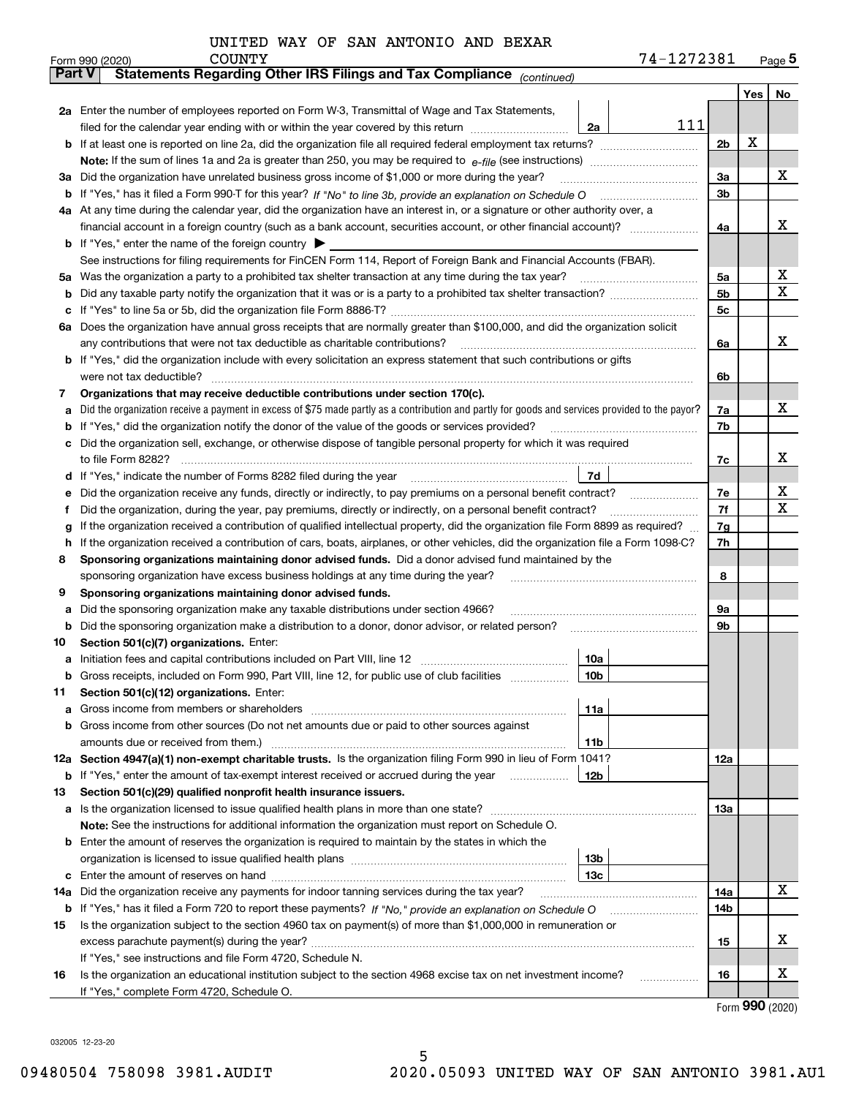| UNITED WAY OF SAN ANTONIO AND BEXAR |  |
|-------------------------------------|--|
|-------------------------------------|--|

|               | 74-1272381<br><b>COUNTY</b><br>Form 990 (2020)                                                                                                  |     |     | $_{\text{Page}}$ 5 |
|---------------|-------------------------------------------------------------------------------------------------------------------------------------------------|-----|-----|--------------------|
| <b>Part V</b> | Statements Regarding Other IRS Filings and Tax Compliance (continued)                                                                           |     |     |                    |
|               |                                                                                                                                                 |     | Yes | No                 |
|               | 2a Enter the number of employees reported on Form W-3, Transmittal of Wage and Tax Statements,                                                  |     |     |                    |
|               | 111<br>filed for the calendar year ending with or within the year covered by this return<br>2a                                                  |     |     |                    |
|               |                                                                                                                                                 | 2b  | х   |                    |
|               |                                                                                                                                                 |     |     |                    |
|               | 3a Did the organization have unrelated business gross income of \$1,000 or more during the year?                                                | 3a  |     | x                  |
|               |                                                                                                                                                 | 3b  |     |                    |
|               | 4a At any time during the calendar year, did the organization have an interest in, or a signature or other authority over, a                    |     |     |                    |
|               |                                                                                                                                                 | 4a  |     | x                  |
|               | <b>b</b> If "Yes," enter the name of the foreign country $\blacktriangleright$                                                                  |     |     |                    |
|               | See instructions for filing requirements for FinCEN Form 114, Report of Foreign Bank and Financial Accounts (FBAR).                             |     |     |                    |
|               | 5a Was the organization a party to a prohibited tax shelter transaction at any time during the tax year?                                        | 5a  |     | х                  |
| b             |                                                                                                                                                 | 5b  |     | X                  |
|               |                                                                                                                                                 | 5c  |     |                    |
| c             |                                                                                                                                                 |     |     |                    |
|               | 6a Does the organization have annual gross receipts that are normally greater than \$100,000, and did the organization solicit                  |     |     | х                  |
|               |                                                                                                                                                 | 6a  |     |                    |
|               | <b>b</b> If "Yes," did the organization include with every solicitation an express statement that such contributions or gifts                   |     |     |                    |
|               | were not tax deductible?                                                                                                                        | 6b  |     |                    |
| 7             | Organizations that may receive deductible contributions under section 170(c).                                                                   |     |     |                    |
| а             | Did the organization receive a payment in excess of \$75 made partly as a contribution and partly for goods and services provided to the payor? | 7a  |     | x                  |
| b             | If "Yes," did the organization notify the donor of the value of the goods or services provided?                                                 | 7b  |     |                    |
|               | c Did the organization sell, exchange, or otherwise dispose of tangible personal property for which it was required                             |     |     |                    |
|               |                                                                                                                                                 | 7c  |     | х                  |
|               | 7d                                                                                                                                              |     |     |                    |
| е             | Did the organization receive any funds, directly or indirectly, to pay premiums on a personal benefit contract?                                 | 7e  |     | х                  |
| f             | Did the organization, during the year, pay premiums, directly or indirectly, on a personal benefit contract?                                    | 7f  |     | х                  |
| g             | If the organization received a contribution of qualified intellectual property, did the organization file Form 8899 as required?                | 7g  |     |                    |
| h.            | If the organization received a contribution of cars, boats, airplanes, or other vehicles, did the organization file a Form 1098-C?              | 7h  |     |                    |
| 8             | Sponsoring organizations maintaining donor advised funds. Did a donor advised fund maintained by the                                            |     |     |                    |
|               | sponsoring organization have excess business holdings at any time during the year?                                                              | 8   |     |                    |
| 9             | Sponsoring organizations maintaining donor advised funds.                                                                                       |     |     |                    |
| а             | Did the sponsoring organization make any taxable distributions under section 4966?                                                              | 9а  |     |                    |
| b             | Did the sponsoring organization make a distribution to a donor, donor advisor, or related person?                                               | 9b  |     |                    |
| 10            | Section 501(c)(7) organizations. Enter:                                                                                                         |     |     |                    |
|               | 10a                                                                                                                                             |     |     |                    |
|               | 10 <sub>b</sub>  <br>Gross receipts, included on Form 990, Part VIII, line 12, for public use of club facilities                                |     |     |                    |
| 11            | Section 501(c)(12) organizations. Enter:                                                                                                        |     |     |                    |
| a             | 11a                                                                                                                                             |     |     |                    |
|               | b Gross income from other sources (Do not net amounts due or paid to other sources against                                                      |     |     |                    |
|               | <b>11b</b>                                                                                                                                      |     |     |                    |
|               | 12a Section 4947(a)(1) non-exempt charitable trusts. Is the organization filing Form 990 in lieu of Form 1041?                                  | 12a |     |                    |
|               | 12b<br><b>b</b> If "Yes," enter the amount of tax-exempt interest received or accrued during the year <i>manument</i>                           |     |     |                    |
| 13            | Section 501(c)(29) qualified nonprofit health insurance issuers.                                                                                |     |     |                    |
|               | a Is the organization licensed to issue qualified health plans in more than one state?                                                          | 13a |     |                    |
|               | Note: See the instructions for additional information the organization must report on Schedule O.                                               |     |     |                    |
|               |                                                                                                                                                 |     |     |                    |
|               | <b>b</b> Enter the amount of reserves the organization is required to maintain by the states in which the                                       |     |     |                    |
|               | 13b                                                                                                                                             |     |     |                    |
|               | 13с                                                                                                                                             |     |     |                    |
| 14a           | Did the organization receive any payments for indoor tanning services during the tax year?                                                      | 14a |     | х                  |
|               | <b>b</b> If "Yes," has it filed a Form 720 to report these payments? If "No," provide an explanation on Schedule O                              | 14b |     |                    |
| 15            | Is the organization subject to the section 4960 tax on payment(s) of more than \$1,000,000 in remuneration or                                   |     |     |                    |
|               |                                                                                                                                                 | 15  |     | x                  |
|               | If "Yes," see instructions and file Form 4720, Schedule N.                                                                                      |     |     |                    |
| 16            | Is the organization an educational institution subject to the section 4968 excise tax on net investment income?                                 | 16  |     | х                  |
|               | If "Yes," complete Form 4720, Schedule O.                                                                                                       |     |     |                    |

Form (2020) **990**

032005 12-23-20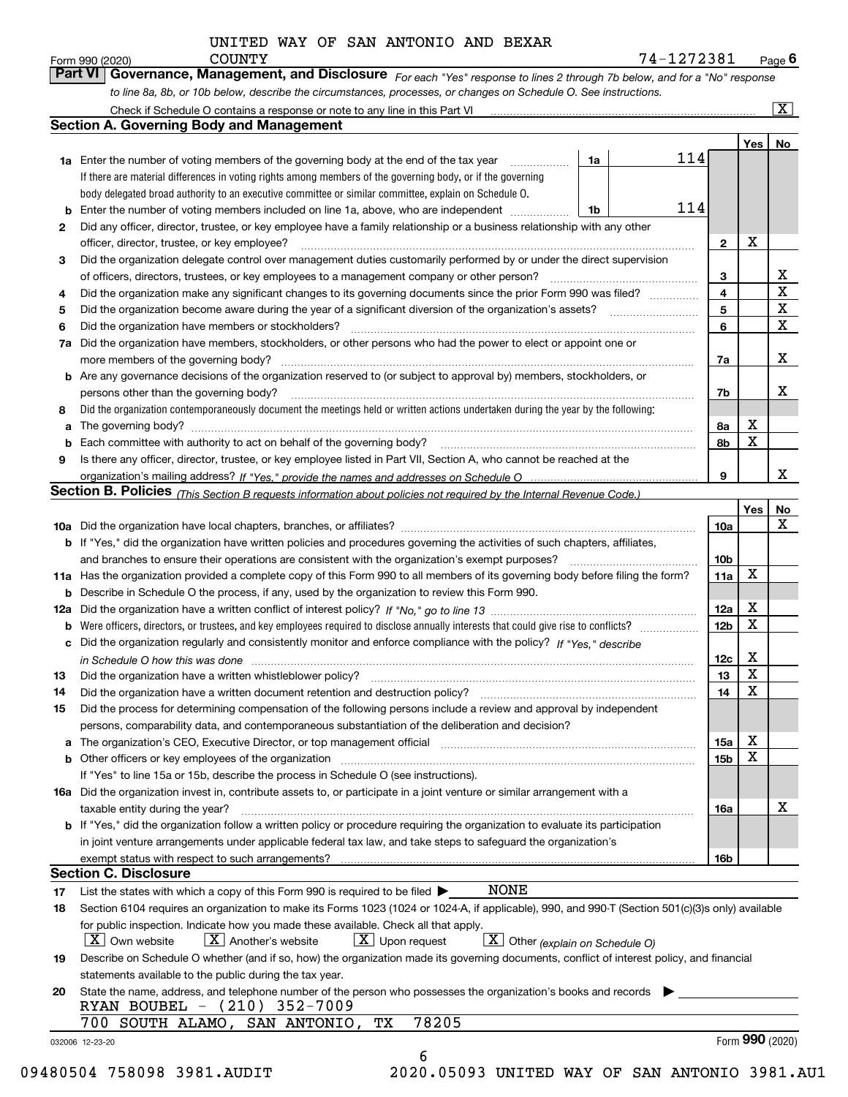| UNITED WAY OF SAN ANTONIO AND BEXAR |  |
|-------------------------------------|--|
|-------------------------------------|--|

*For each "Yes" response to lines 2 through 7b below, and for a "No" response to line 8a, 8b, or 10b below, describe the circumstances, processes, or changes on Schedule O. See instructions.* Form 990 (2020) **COUNTY**<br>**Part VI** | Governance, Management, and Disclosure *For each* "Yes" response to lines 2 through 7b below, and for a "No" response

|     |                                                                                                                                                                                                                                |    |     |                 | Yes   No    |             |
|-----|--------------------------------------------------------------------------------------------------------------------------------------------------------------------------------------------------------------------------------|----|-----|-----------------|-------------|-------------|
|     | <b>1a</b> Enter the number of voting members of the governing body at the end of the tax year <i>manumum</i>                                                                                                                   | 1a | 114 |                 |             |             |
|     | If there are material differences in voting rights among members of the governing body, or if the governing                                                                                                                    |    |     |                 |             |             |
|     | body delegated broad authority to an executive committee or similar committee, explain on Schedule O.                                                                                                                          |    |     |                 |             |             |
|     | Enter the number of voting members included on line 1a, above, who are independent                                                                                                                                             | 1b | 114 |                 |             |             |
| 2   | Did any officer, director, trustee, or key employee have a family relationship or a business relationship with any other                                                                                                       |    |     |                 |             |             |
|     | officer, director, trustee, or key employee?                                                                                                                                                                                   |    |     | $\overline{2}$  | X           |             |
| 3   | Did the organization delegate control over management duties customarily performed by or under the direct supervision                                                                                                          |    |     |                 |             |             |
|     |                                                                                                                                                                                                                                |    |     | 3               |             | х           |
| 4   | Did the organization make any significant changes to its governing documents since the prior Form 990 was filed?                                                                                                               |    |     | 4               |             | $\mathbf X$ |
| 5   |                                                                                                                                                                                                                                |    |     | 5               |             | X           |
| 6   | Did the organization have members or stockholders?                                                                                                                                                                             |    |     | 6               |             | $\mathbf X$ |
| 7a  | Did the organization have members, stockholders, or other persons who had the power to elect or appoint one or                                                                                                                 |    |     |                 |             |             |
|     |                                                                                                                                                                                                                                |    |     | 7a              |             | Х           |
|     | <b>b</b> Are any governance decisions of the organization reserved to (or subject to approval by) members, stockholders, or                                                                                                    |    |     |                 |             |             |
|     | persons other than the governing body?                                                                                                                                                                                         |    |     | 7b              |             | х           |
| 8   | Did the organization contemporaneously document the meetings held or written actions undertaken during the year by the following:                                                                                              |    |     |                 |             |             |
| a   |                                                                                                                                                                                                                                |    |     | 8а              | х           |             |
|     |                                                                                                                                                                                                                                |    |     | 8b              | $\mathbf X$ |             |
| 9   | Is there any officer, director, trustee, or key employee listed in Part VII, Section A, who cannot be reached at the                                                                                                           |    |     |                 |             |             |
|     |                                                                                                                                                                                                                                |    |     | 9               |             | х           |
|     | Section B. Policies (This Section B requests information about policies not required by the Internal Revenue Code.)                                                                                                            |    |     |                 |             |             |
|     |                                                                                                                                                                                                                                |    |     |                 | Yes         | <u>No</u>   |
|     |                                                                                                                                                                                                                                |    |     | <b>10a</b>      |             | X           |
|     | <b>b</b> If "Yes," did the organization have written policies and procedures governing the activities of such chapters, affiliates,                                                                                            |    |     |                 |             |             |
|     |                                                                                                                                                                                                                                |    |     | 10 <sub>b</sub> |             |             |
|     | 11a Has the organization provided a complete copy of this Form 990 to all members of its governing body before filing the form?                                                                                                |    |     | 11a             | X           |             |
|     | <b>b</b> Describe in Schedule O the process, if any, used by the organization to review this Form 990.                                                                                                                         |    |     |                 |             |             |
| 12a |                                                                                                                                                                                                                                |    |     | 12a             | х           |             |
| b   |                                                                                                                                                                                                                                |    |     | 12 <sub>b</sub> | $\mathbf X$ |             |
|     | c Did the organization regularly and consistently monitor and enforce compliance with the policy? If "Yes," describe                                                                                                           |    |     |                 |             |             |
|     | in Schedule O how this was done continuous contract the control of the state of the control of the control of                                                                                                                  |    |     | 12c             | х           |             |
| 13  | Did the organization have a written whistleblower policy?<br>The content of the content of the content of the content of the content of the content of the content of the c                                                    |    |     | 13              | $\mathbf X$ |             |
| 14  | Did the organization have a written document retention and destruction policy? manufactured and the organization have a written document retention and destruction policy?                                                     |    |     | 14              | $\mathbf X$ |             |
| 15  | Did the process for determining compensation of the following persons include a review and approval by independent                                                                                                             |    |     |                 |             |             |
|     | persons, comparability data, and contemporaneous substantiation of the deliberation and decision?                                                                                                                              |    |     |                 |             |             |
|     | a The organization's CEO, Executive Director, or top management official [11] [12] The organization's CEO, Executive Director, or top management official [12] [12] [12] [12] The organization's CEO, Executive Director, or t |    |     | 15a             | х           |             |
|     |                                                                                                                                                                                                                                |    |     | <b>15b</b>      | $\mathbf X$ |             |
|     | <b>b</b> Other officers or key employees of the organization<br>If "Yes" to line 15a or 15b, describe the process in Schedule O (see instructions).                                                                            |    |     |                 |             |             |
|     | 16a Did the organization invest in, contribute assets to, or participate in a joint venture or similar arrangement with a                                                                                                      |    |     |                 |             |             |
|     | taxable entity during the year?                                                                                                                                                                                                |    |     | 16a             |             | x           |
|     | b If "Yes," did the organization follow a written policy or procedure requiring the organization to evaluate its participation                                                                                                 |    |     |                 |             |             |
|     | in joint venture arrangements under applicable federal tax law, and take steps to safeguard the organization's                                                                                                                 |    |     |                 |             |             |
|     |                                                                                                                                                                                                                                |    |     | <b>16b</b>      |             |             |
|     | exempt status with respect to such arrangements?<br><b>Section C. Disclosure</b>                                                                                                                                               |    |     |                 |             |             |
| 17  | <b>NONE</b><br>List the states with which a copy of this Form 990 is required to be filed $\blacktriangleright$                                                                                                                |    |     |                 |             |             |
| 18  | Section 6104 requires an organization to make its Forms 1023 (1024 or 1024-A, if applicable), 990, and 990-T (Section 501(c)(3)s only) available                                                                               |    |     |                 |             |             |
|     | for public inspection. Indicate how you made these available. Check all that apply.                                                                                                                                            |    |     |                 |             |             |
|     | $ X $ Own website<br>$X$ Another's website<br>$\boxed{\text{X}}$ Upon request<br>$\boxed{\textbf{X}}$ Other (explain on Schedule O)                                                                                            |    |     |                 |             |             |
|     |                                                                                                                                                                                                                                |    |     |                 |             |             |
| 19  | Describe on Schedule O whether (and if so, how) the organization made its governing documents, conflict of interest policy, and financial                                                                                      |    |     |                 |             |             |
|     | statements available to the public during the tax year.                                                                                                                                                                        |    |     |                 |             |             |
| 20  | State the name, address, and telephone number of the person who possesses the organization's books and records<br>RYAN BOUBEL - (210) 352-7009                                                                                 |    |     |                 |             |             |
|     | 78205<br>700 SOUTH ALAMO, SAN ANTONIO,<br>TХ                                                                                                                                                                                   |    |     |                 |             |             |
|     |                                                                                                                                                                                                                                |    |     |                 |             |             |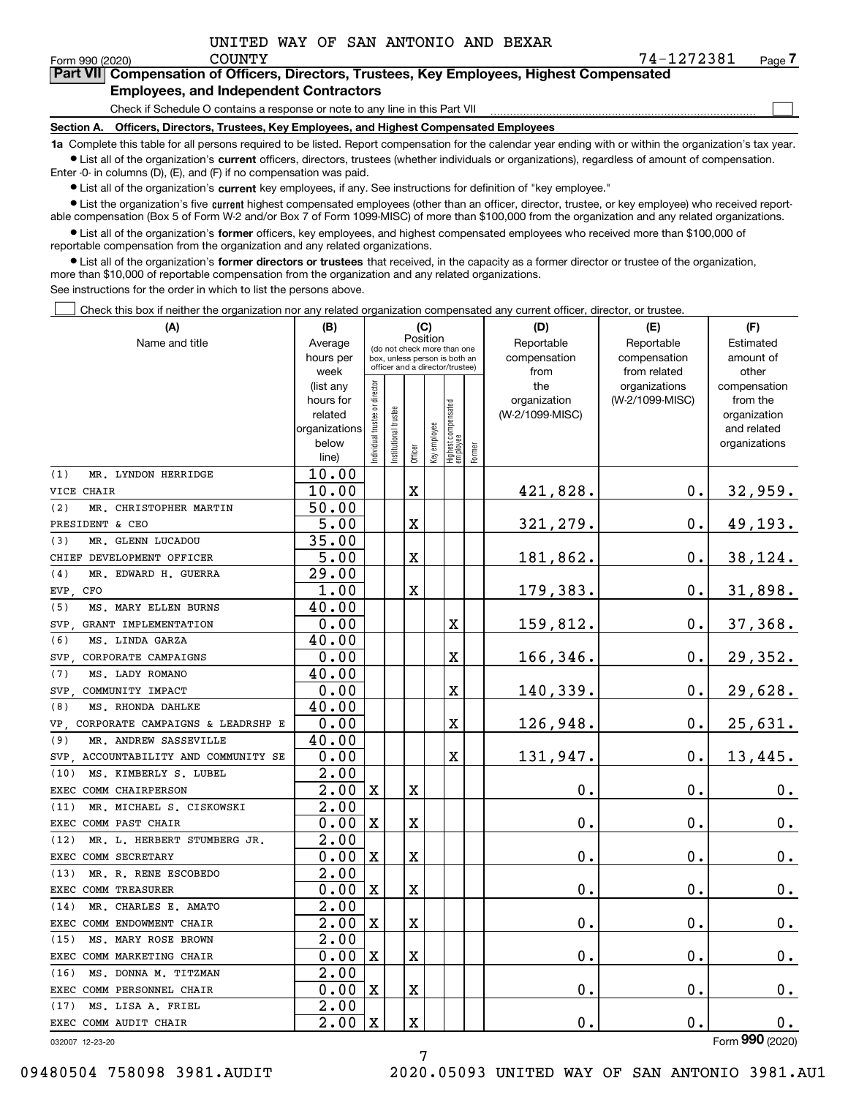$\mathcal{L}^{\text{max}}$ 

| orm 990 (2020) <sup>.</sup> | COUNTY                                        | 74-1272381                                                                                 | Page <i>I</i> |
|-----------------------------|-----------------------------------------------|--------------------------------------------------------------------------------------------|---------------|
|                             |                                               | Part VII Compensation of Officers, Directors, Trustees, Key Employees, Highest Compensated |               |
|                             | <b>Employees, and Independent Contractors</b> |                                                                                            |               |

Check if Schedule O contains a response or note to any line in this Part VII

**Section A. Officers, Directors, Trustees, Key Employees, and Highest Compensated Employees**

**1a**  Complete this table for all persons required to be listed. Report compensation for the calendar year ending with or within the organization's tax year. **•** List all of the organization's current officers, directors, trustees (whether individuals or organizations), regardless of amount of compensation.

Enter -0- in columns (D), (E), and (F) if no compensation was paid.

 $\bullet$  List all of the organization's  $\,$ current key employees, if any. See instructions for definition of "key employee."

**•** List the organization's five current highest compensated employees (other than an officer, director, trustee, or key employee) who received reportable compensation (Box 5 of Form W-2 and/or Box 7 of Form 1099-MISC) of more than \$100,000 from the organization and any related organizations.

**•** List all of the organization's former officers, key employees, and highest compensated employees who received more than \$100,000 of reportable compensation from the organization and any related organizations.

**former directors or trustees**  ¥ List all of the organization's that received, in the capacity as a former director or trustee of the organization, more than \$10,000 of reportable compensation from the organization and any related organizations.

See instructions for the order in which to list the persons above.

Check this box if neither the organization nor any related organization compensated any current officer, director, or trustee.  $\mathcal{L}^{\text{max}}$ 

| (A)                                     | (B)                    |                                                                          |                      |         | (C)          |                                   |        | (D)                 | (E)                              | (F)                      |
|-----------------------------------------|------------------------|--------------------------------------------------------------------------|----------------------|---------|--------------|-----------------------------------|--------|---------------------|----------------------------------|--------------------------|
| Name and title                          | Average                | Position<br>(do not check more than one<br>box, unless person is both an |                      |         |              |                                   |        | Reportable          | Reportable                       | Estimated                |
|                                         | hours per              |                                                                          |                      |         |              | officer and a director/trustee)   |        | compensation        | compensation                     | amount of                |
|                                         | week                   |                                                                          |                      |         |              |                                   |        | from                | from related                     | other                    |
|                                         | (list any<br>hours for |                                                                          |                      |         |              |                                   |        | the<br>organization | organizations<br>(W-2/1099-MISC) | compensation<br>from the |
|                                         | related                |                                                                          |                      |         |              |                                   |        | (W-2/1099-MISC)     |                                  | organization             |
|                                         | organizations          |                                                                          |                      |         |              |                                   |        |                     |                                  | and related              |
|                                         | below                  | ndividual trustee or director                                            | nstitutional trustee |         | key employee |                                   |        |                     |                                  | organizations            |
|                                         | line)                  |                                                                          |                      | Officer |              | Highest compensated<br>  employee | Former |                     |                                  |                          |
| (1)<br>MR. LYNDON HERRIDGE              | 10.00                  |                                                                          |                      |         |              |                                   |        |                     |                                  |                          |
| VICE CHAIR                              | 10.00                  |                                                                          |                      | X       |              |                                   |        | 421,828.            | $\mathbf 0$ .                    | 32,959.                  |
| (2)<br>MR. CHRISTOPHER MARTIN           | 50.00                  |                                                                          |                      |         |              |                                   |        |                     |                                  |                          |
| PRESIDENT & CEO                         | 5.00                   |                                                                          |                      | X       |              |                                   |        | 321,279.            | $\mathbf 0$ .                    | 49,193.                  |
| (3)<br>MR. GLENN LUCADOU                | 35.00                  |                                                                          |                      |         |              |                                   |        |                     |                                  |                          |
| CHIEF DEVELOPMENT OFFICER               | 5.00                   |                                                                          |                      | X       |              |                                   |        | 181,862.            | 0.                               | 38,124.                  |
| (4)<br>MR. EDWARD H. GUERRA             | 29.00                  |                                                                          |                      |         |              |                                   |        |                     |                                  |                          |
| EVP, CFO                                | 1.00                   |                                                                          |                      | X       |              |                                   |        | 179,383.            | $\mathbf{0}$ .                   | 31,898.                  |
| MS. MARY ELLEN BURNS<br>(5)             | 40.00                  |                                                                          |                      |         |              |                                   |        |                     |                                  |                          |
| SVP.<br>GRANT IMPLEMENTATION            | 0.00                   |                                                                          |                      |         |              | X                                 |        | 159,812.            | Ο.                               | 37,368.                  |
| (6)<br>MS. LINDA GARZA                  | 40.00                  |                                                                          |                      |         |              |                                   |        |                     |                                  |                          |
| CORPORATE CAMPAIGNS<br>SVP.             | 0.00                   |                                                                          |                      |         |              | X                                 |        | 166,346.            | $\mathbf{0}$ .                   | 29,352.                  |
| MS. LADY ROMANO<br>(7)                  | 40.00                  |                                                                          |                      |         |              |                                   |        |                     |                                  |                          |
| SVP.<br>COMMUNITY IMPACT                | 0.00                   |                                                                          |                      |         |              | X                                 |        | 140,339.            | 0.                               | 29,628.                  |
| (8)<br>MS. RHONDA DAHLKE                | 40.00                  |                                                                          |                      |         |              |                                   |        |                     |                                  |                          |
| VP CORPORATE CAMPAIGNS & LEADRSHP E     | 0.00                   |                                                                          |                      |         |              | X                                 |        | 126,948.            | $\mathbf 0$ .                    | 25,631.                  |
| MR. ANDREW SASSEVILLE<br>(9)            | 40.00                  |                                                                          |                      |         |              |                                   |        |                     |                                  |                          |
| ACCOUNTABILITY AND COMMUNITY SE<br>SVP. | 0.00                   |                                                                          |                      |         |              | X                                 |        | 131,947.            | 0.                               | 13,445.                  |
| MS. KIMBERLY S. LUBEL<br>(10)           | 2.00                   |                                                                          |                      |         |              |                                   |        |                     |                                  |                          |
| EXEC COMM CHAIRPERSON                   | 2.00                   | $\mathbf X$                                                              |                      | X       |              |                                   |        | 0.                  | 0.                               | 0.                       |
| MR. MICHAEL S. CISKOWSKI<br>(11)        | 2.00                   |                                                                          |                      |         |              |                                   |        |                     |                                  |                          |
| <b>EXEC</b><br>COMM PAST CHAIR          | 0.00                   | $\mathbf X$                                                              |                      | X       |              |                                   |        | 0.                  | $\mathbf 0$ .                    | $0_{.}$                  |
| (12)<br>MR. L. HERBERT STUMBERG JR.     | 2.00                   |                                                                          |                      |         |              |                                   |        |                     |                                  |                          |
| EXEC COMM SECRETARY                     | 0.00                   | $\mathbf x$                                                              |                      | X       |              |                                   |        | 0.                  | $\mathbf 0$ .                    | $0_{.}$                  |
| MR. R. RENE ESCOBEDO<br>(13)            | 2.00                   |                                                                          |                      |         |              |                                   |        |                     |                                  |                          |
| EXEC COMM TREASURER                     | 0.00                   | $\mathbf x$                                                              |                      | X       |              |                                   |        | $\mathbf 0$ .       | $\mathbf 0$ .                    | $\mathbf 0$ .            |
| (14)<br>MR. CHARLES E. AMATO            | 2.00                   |                                                                          |                      |         |              |                                   |        |                     |                                  |                          |
| EXEC COMM ENDOWMENT CHAIR               | 2.00                   | $\mathbf X$                                                              |                      | X       |              |                                   |        | 0.                  | $\mathbf 0$ .                    | $\mathbf 0$ .            |
| (15)<br>MS. MARY ROSE BROWN             | 2.00                   |                                                                          |                      |         |              |                                   |        |                     |                                  |                          |
| EXEC COMM MARKETING CHAIR               | 0.00                   | $\mathbf x$                                                              |                      | X       |              |                                   |        | 0.                  | $\mathbf 0$ .                    | 0.                       |
| (16)<br>MS. DONNA M. TITZMAN            | 2.00                   |                                                                          |                      |         |              |                                   |        |                     |                                  |                          |
| EXEC COMM PERSONNEL CHAIR               | 0.00                   | $\mathbf X$                                                              |                      | X       |              |                                   |        | 0.                  | $\mathbf 0$ .                    | 0.                       |
| (17)<br>MS. LISA A. FRIEL               | $\overline{2.00}$      |                                                                          |                      |         |              |                                   |        |                     |                                  |                          |
| EXEC COMM AUDIT CHAIR                   | 2.00                   | $\mathbf x$                                                              |                      | X       |              |                                   |        | 0.                  | $\mathbf 0$ .                    | $\mathbf 0$ .            |

7

032007 12-23-20

Form (2020) **990**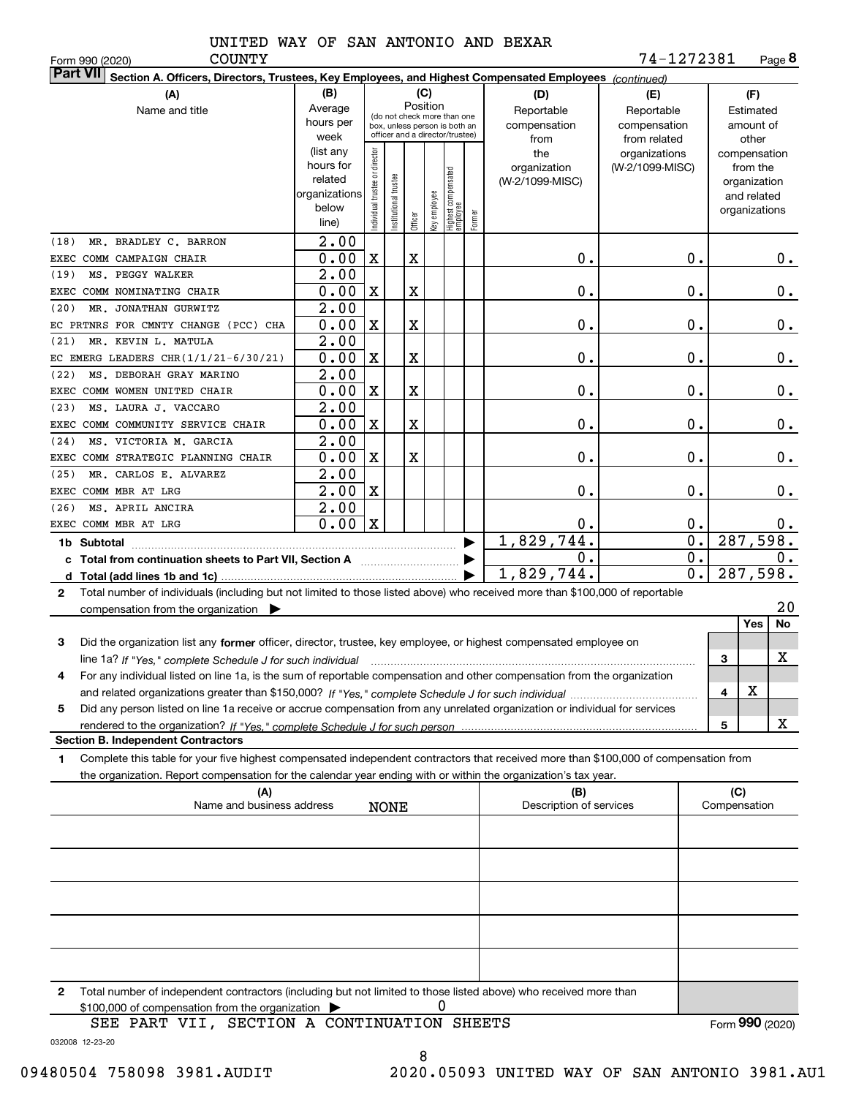COUNTY

Form 990 (2020) COUNTY 7 4-1 2 7 2 3 8 1 Page **8**

| $\vert$ Part VII $\vert$ Section A. Officers, Directors, Trustees, Key Employees, and Highest Compensated Employees $\vert$ $_{\rm {Continued)}}$                                                                                                            |                   |                                |                       |             |              |                                                                  |        |                         |                               |                       |
|--------------------------------------------------------------------------------------------------------------------------------------------------------------------------------------------------------------------------------------------------------------|-------------------|--------------------------------|-----------------------|-------------|--------------|------------------------------------------------------------------|--------|-------------------------|-------------------------------|-----------------------|
| (A)                                                                                                                                                                                                                                                          | (B)<br>(C)        |                                |                       |             |              |                                                                  |        | (D)                     | (E)                           | (F)                   |
| Name and title                                                                                                                                                                                                                                               | Average           |                                |                       |             | Position     | (do not check more than one                                      |        | Reportable              | Reportable                    | Estimated             |
|                                                                                                                                                                                                                                                              | hours per<br>week |                                |                       |             |              | box, unless person is both an<br>officer and a director/trustee) |        | compensation            | compensation                  | amount of             |
|                                                                                                                                                                                                                                                              | (list any         |                                |                       |             |              |                                                                  |        | from<br>the             | from related<br>organizations | other<br>compensation |
|                                                                                                                                                                                                                                                              | hours for         |                                |                       |             |              |                                                                  |        | organization            | (W-2/1099-MISC)               | from the              |
|                                                                                                                                                                                                                                                              | related           |                                |                       |             |              |                                                                  |        | (W-2/1099-MISC)         |                               | organization          |
|                                                                                                                                                                                                                                                              | organizations     |                                |                       |             |              |                                                                  |        |                         |                               | and related           |
|                                                                                                                                                                                                                                                              | below             | Individual trustee or director | Institutional trustee |             | key employee | Highest compensated<br> employee                                 | Former |                         |                               | organizations         |
|                                                                                                                                                                                                                                                              | line)             |                                |                       | Officer     |              |                                                                  |        |                         |                               |                       |
| MR. BRADLEY C. BARRON<br>(18)                                                                                                                                                                                                                                | $\overline{2.00}$ |                                |                       |             |              |                                                                  |        |                         |                               |                       |
| EXEC COMM CAMPAIGN CHAIR                                                                                                                                                                                                                                     | 0.00              | $\mathbf X$                    |                       | $\mathbf X$ |              |                                                                  |        | 0.                      | 0.                            | 0.                    |
| MS. PEGGY WALKER<br>(19)                                                                                                                                                                                                                                     | 2.00              |                                |                       |             |              |                                                                  |        |                         |                               |                       |
| EXEC COMM NOMINATING CHAIR                                                                                                                                                                                                                                   | 0.00              | X                              |                       | X           |              |                                                                  |        | 0.                      | 0.                            | $0$ .                 |
| MR. JONATHAN GURWITZ<br>(20)                                                                                                                                                                                                                                 | 2.00              |                                |                       |             |              |                                                                  |        |                         |                               |                       |
| EC PRTNRS FOR CMNTY CHANGE (PCC) CHA                                                                                                                                                                                                                         | 0.00              | X                              |                       | X           |              |                                                                  |        | 0.                      | 0.                            | $0$ .                 |
| MR. KEVIN L. MATULA<br>(21)                                                                                                                                                                                                                                  | 2.00              |                                |                       |             |              |                                                                  |        |                         |                               |                       |
| EC EMERG LEADERS CHR $(1/1/21-6/30/21)$                                                                                                                                                                                                                      | 0.00              | X                              |                       | $\mathbf X$ |              |                                                                  |        | 0.                      | 0.                            | $0$ .                 |
| MS. DEBORAH GRAY MARINO<br>(22)                                                                                                                                                                                                                              | $\overline{2.00}$ |                                |                       |             |              |                                                                  |        |                         |                               |                       |
| EXEC COMM WOMEN UNITED CHAIR                                                                                                                                                                                                                                 | 0.00              | X                              |                       | Χ           |              |                                                                  |        | 0.                      | 0.                            | 0.                    |
| MS. LAURA J. VACCARO<br>(23)                                                                                                                                                                                                                                 | 2.00              |                                |                       |             |              |                                                                  |        |                         |                               |                       |
| EXEC COMM COMMUNITY SERVICE CHAIR                                                                                                                                                                                                                            | 0.00              | X                              |                       | $\mathbf X$ |              |                                                                  |        | 0.                      | 0.                            | $0$ .                 |
| MS. VICTORIA M. GARCIA<br>(24)                                                                                                                                                                                                                               | 2.00              |                                |                       |             |              |                                                                  |        |                         |                               |                       |
| EXEC COMM STRATEGIC PLANNING CHAIR                                                                                                                                                                                                                           | 0.00              | X                              |                       | Χ           |              |                                                                  |        | 0.                      | 0.                            | $0$ .                 |
| MR. CARLOS E. ALVAREZ<br>(25)                                                                                                                                                                                                                                | 2.00              |                                |                       |             |              |                                                                  |        |                         |                               |                       |
| EXEC COMM MBR AT LRG                                                                                                                                                                                                                                         | $\overline{2.00}$ | X                              |                       |             |              |                                                                  |        | 0.                      | 0.                            | $0$ .                 |
| MS. APRIL ANCIRA<br>(26)                                                                                                                                                                                                                                     | 2.00              |                                |                       |             |              |                                                                  |        |                         |                               |                       |
| EXEC COMM MBR AT LRG                                                                                                                                                                                                                                         | 0.00              | $\mathbf X$                    |                       |             |              |                                                                  |        | 0.                      | 0.                            | $0$ .                 |
|                                                                                                                                                                                                                                                              |                   |                                |                       |             |              |                                                                  | ▶      | 1,829,744.              | $\overline{\mathbf{0}}$ .     | 287,598.              |
| c Total from continuation sheets to Part VII, Section A manufactured by                                                                                                                                                                                      |                   |                                |                       |             |              |                                                                  |        | 0.                      | $\overline{0}$ .              | 0.                    |
|                                                                                                                                                                                                                                                              |                   |                                |                       |             |              |                                                                  |        | 1,829,744.              | $\overline{0}$ .              | 287,598.              |
| Total number of individuals (including but not limited to those listed above) who received more than \$100,000 of reportable<br>$\mathbf{2}$                                                                                                                 |                   |                                |                       |             |              |                                                                  |        |                         |                               |                       |
| compensation from the organization $\blacktriangleright$                                                                                                                                                                                                     |                   |                                |                       |             |              |                                                                  |        |                         |                               | 20                    |
|                                                                                                                                                                                                                                                              |                   |                                |                       |             |              |                                                                  |        |                         |                               | Yes<br>No             |
| Did the organization list any former officer, director, trustee, key employee, or highest compensated employee on<br>3                                                                                                                                       |                   |                                |                       |             |              |                                                                  |        |                         |                               |                       |
|                                                                                                                                                                                                                                                              |                   |                                |                       |             |              |                                                                  |        |                         |                               | X<br>3                |
| For any individual listed on line 1a, is the sum of reportable compensation and other compensation from the organization<br>4                                                                                                                                |                   |                                |                       |             |              |                                                                  |        |                         |                               | Χ                     |
|                                                                                                                                                                                                                                                              |                   |                                |                       |             |              |                                                                  |        |                         |                               | 4                     |
| Did any person listed on line 1a receive or accrue compensation from any unrelated organization or individual for services<br>5                                                                                                                              |                   |                                |                       |             |              |                                                                  |        |                         |                               | x                     |
| <b>Section B. Independent Contractors</b>                                                                                                                                                                                                                    |                   |                                |                       |             |              |                                                                  |        |                         |                               | 5                     |
|                                                                                                                                                                                                                                                              |                   |                                |                       |             |              |                                                                  |        |                         |                               |                       |
| Complete this table for your five highest compensated independent contractors that received more than \$100,000 of compensation from<br>1.<br>the organization. Report compensation for the calendar year ending with or within the organization's tax year. |                   |                                |                       |             |              |                                                                  |        |                         |                               |                       |
| (A)                                                                                                                                                                                                                                                          |                   |                                |                       |             |              |                                                                  |        | (B)                     |                               | (C)                   |
| Name and business address                                                                                                                                                                                                                                    |                   |                                | NONE                  |             |              |                                                                  |        | Description of services |                               | Compensation          |
|                                                                                                                                                                                                                                                              |                   |                                |                       |             |              |                                                                  |        |                         |                               |                       |
|                                                                                                                                                                                                                                                              |                   |                                |                       |             |              |                                                                  |        |                         |                               |                       |
|                                                                                                                                                                                                                                                              |                   |                                |                       |             |              |                                                                  |        |                         |                               |                       |
|                                                                                                                                                                                                                                                              |                   |                                |                       |             |              |                                                                  |        |                         |                               |                       |
|                                                                                                                                                                                                                                                              |                   |                                |                       |             |              |                                                                  |        |                         |                               |                       |
|                                                                                                                                                                                                                                                              |                   |                                |                       |             |              |                                                                  |        |                         |                               |                       |
|                                                                                                                                                                                                                                                              |                   |                                |                       |             |              |                                                                  |        |                         |                               |                       |
|                                                                                                                                                                                                                                                              |                   |                                |                       |             |              |                                                                  |        |                         |                               |                       |
|                                                                                                                                                                                                                                                              |                   |                                |                       |             |              |                                                                  |        |                         |                               |                       |
|                                                                                                                                                                                                                                                              |                   |                                |                       |             |              |                                                                  |        |                         |                               |                       |
| Total number of independent contractors (including but not limited to those listed above) who received more than<br>$\mathbf{2}$                                                                                                                             |                   |                                |                       |             |              |                                                                  |        |                         |                               |                       |
| \$100,000 of compensation from the organization                                                                                                                                                                                                              |                   |                                |                       |             |              | 0                                                                |        |                         |                               |                       |
| SEE PART VII, SECTION A CONTINUATION SHEETS                                                                                                                                                                                                                  |                   |                                |                       |             |              |                                                                  |        |                         |                               | Form 990 (2020)       |
| 032008 12-23-20                                                                                                                                                                                                                                              |                   |                                |                       |             |              |                                                                  |        |                         |                               |                       |

8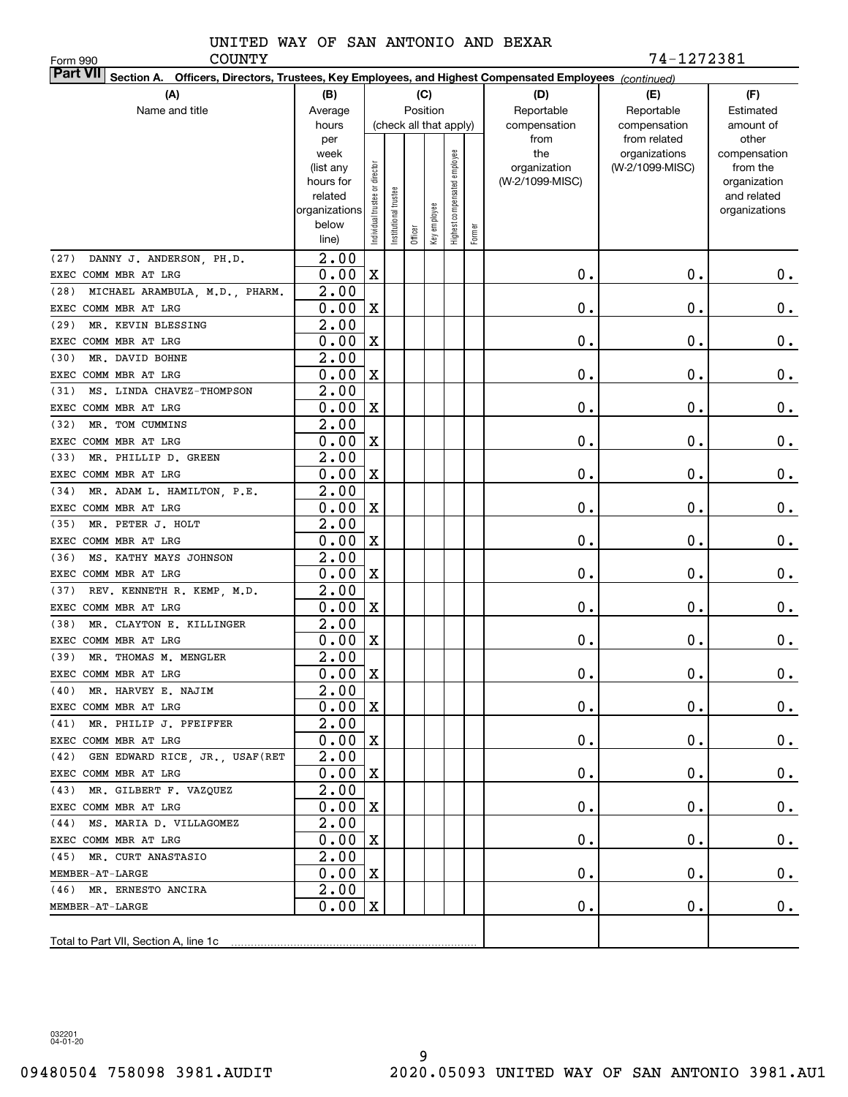Form 990

COUNTY 74-1272381

| <b>Part VII</b> Section A. Officers, Directors, Trustees, Key Employees, and Highest Compensated Employees (continued) |                   |                                |                      |         |                        |                              |        |                 |                               |                       |  |  |
|------------------------------------------------------------------------------------------------------------------------|-------------------|--------------------------------|----------------------|---------|------------------------|------------------------------|--------|-----------------|-------------------------------|-----------------------|--|--|
| (A)                                                                                                                    | (B)               |                                |                      |         | (C)                    |                              |        | (D)             | (E)                           | (F)                   |  |  |
| Name and title                                                                                                         | Average           |                                |                      |         | Position               |                              |        | Reportable      | Reportable                    | Estimated             |  |  |
|                                                                                                                        | hours             |                                |                      |         | (check all that apply) |                              |        | compensation    | compensation                  | amount of             |  |  |
|                                                                                                                        | per<br>week       |                                |                      |         |                        |                              |        | from<br>the     | from related<br>organizations | other<br>compensation |  |  |
|                                                                                                                        | (list any         |                                |                      |         |                        |                              |        | organization    | (W-2/1099-MISC)               | from the              |  |  |
|                                                                                                                        | hours for         |                                |                      |         |                        |                              |        | (W-2/1099-MISC) |                               | organization          |  |  |
|                                                                                                                        | related           |                                |                      |         |                        |                              |        |                 |                               | and related           |  |  |
|                                                                                                                        | organizations     |                                |                      |         |                        |                              |        |                 |                               | organizations         |  |  |
|                                                                                                                        | below             | Individual trustee or director | nstitutional trustee | Officer | Key employee           | Highest compensated employee | Former |                 |                               |                       |  |  |
|                                                                                                                        | line)             |                                |                      |         |                        |                              |        |                 |                               |                       |  |  |
| DANNY J. ANDERSON, PH.D.<br>(27)                                                                                       | $\overline{2.00}$ |                                |                      |         |                        |                              |        |                 |                               |                       |  |  |
| EXEC COMM MBR AT LRG                                                                                                   | 0.00              | $\mathbf X$                    |                      |         |                        |                              |        | 0.              | 0.                            | 0.                    |  |  |
| (28)<br>MICHAEL ARAMBULA, M.D., PHARM.                                                                                 | $\overline{2.00}$ |                                |                      |         |                        |                              |        |                 |                               |                       |  |  |
| EXEC COMM MBR AT LRG                                                                                                   | 0.00              | $\mathbf X$                    |                      |         |                        |                              |        | 0.              | 0.                            | 0.                    |  |  |
| (29)<br>MR. KEVIN BLESSING                                                                                             | $\overline{2.00}$ |                                |                      |         |                        |                              |        |                 |                               |                       |  |  |
| EXEC COMM MBR AT LRG                                                                                                   | 0.00              | $\mathbf X$                    |                      |         |                        |                              |        | 0.              | 0.                            | 0.                    |  |  |
| (30)<br>MR. DAVID BOHNE                                                                                                | 2.00              |                                |                      |         |                        |                              |        |                 |                               |                       |  |  |
| EXEC COMM MBR AT LRG                                                                                                   | 0.00              | $\mathbf X$                    |                      |         |                        |                              |        | 0.              | 0.                            | $0$ .                 |  |  |
| MS. LINDA CHAVEZ-THOMPSON<br>(31)                                                                                      | $\overline{2.00}$ |                                |                      |         |                        |                              |        |                 |                               |                       |  |  |
| EXEC COMM MBR AT LRG                                                                                                   | 0.00              | $\mathbf X$                    |                      |         |                        |                              |        | 0.              | 0.                            | $0$ .                 |  |  |
| (32)<br>MR. TOM CUMMINS                                                                                                | $\overline{2.00}$ |                                |                      |         |                        |                              |        |                 |                               |                       |  |  |
| EXEC COMM MBR AT LRG                                                                                                   | 0.00              | $\mathbf X$                    |                      |         |                        |                              |        | 0.              | 0.                            | $\mathbf 0$ .         |  |  |
| (33)<br>MR. PHILLIP D. GREEN                                                                                           | 2.00              |                                |                      |         |                        |                              |        |                 |                               |                       |  |  |
| EXEC COMM MBR AT LRG                                                                                                   | 0.00              | $\mathbf X$                    |                      |         |                        |                              |        | 0.              | 0.                            | $\mathbf 0$ .         |  |  |
| MR. ADAM L. HAMILTON, P.E.<br>(34)                                                                                     | $\overline{2.00}$ |                                |                      |         |                        |                              |        |                 |                               |                       |  |  |
| EXEC COMM MBR AT LRG                                                                                                   | 0.00              | $\mathbf X$                    |                      |         |                        |                              |        | 0.              | 0.                            | $0$ .                 |  |  |
| (35)<br>MR. PETER J. HOLT                                                                                              | $\overline{2.00}$ |                                |                      |         |                        |                              |        |                 |                               |                       |  |  |
| EXEC COMM MBR AT LRG                                                                                                   | 0.00              | $\mathbf X$                    |                      |         |                        |                              |        | 0.              | 0.                            | $0$ .                 |  |  |
| (36)<br>MS. KATHY MAYS JOHNSON                                                                                         | $\overline{2.00}$ |                                |                      |         |                        |                              |        |                 |                               |                       |  |  |
| EXEC COMM MBR AT LRG                                                                                                   | 0.00              | $\mathbf X$                    |                      |         |                        |                              |        | 0.              | 0.                            | 0.                    |  |  |
| REV. KENNETH R. KEMP, M.D.<br>(37)                                                                                     | $\overline{2.00}$ |                                |                      |         |                        |                              |        |                 |                               |                       |  |  |
| EXEC COMM MBR AT LRG                                                                                                   | 0.00              | $\mathbf X$                    |                      |         |                        |                              |        | 0.              | 0.                            | 0.                    |  |  |
| (38)<br>MR. CLAYTON E. KILLINGER                                                                                       | $\overline{2.00}$ |                                |                      |         |                        |                              |        |                 |                               |                       |  |  |
| EXEC COMM MBR AT LRG                                                                                                   | 0.00              | $\mathbf X$                    |                      |         |                        |                              |        | 0.              | 0.                            | 0.                    |  |  |
| (39)<br>MR. THOMAS M. MENGLER                                                                                          | $\overline{2.00}$ |                                |                      |         |                        |                              |        |                 |                               |                       |  |  |
| EXEC COMM MBR AT LRG                                                                                                   | 0.00              | $\mathbf X$                    |                      |         |                        |                              |        | 0.              | 0.                            | 0.                    |  |  |
| (40) MR. HARVEY E. NAJIM                                                                                               | $\overline{2.00}$ |                                |                      |         |                        |                              |        |                 |                               |                       |  |  |
| EXEC COMM MBR AT LRG                                                                                                   | 0.00              | $\mathbf{x}$                   |                      |         |                        |                              |        | 0.              | $\mathbf 0$ .                 | $0_{\cdot}$           |  |  |
| (41) MR. PHILIP J. PFEIFFER                                                                                            | 2.00              |                                |                      |         |                        |                              |        |                 |                               |                       |  |  |
| EXEC COMM MBR AT LRG                                                                                                   | 0.00              | $\mathbf x$                    |                      |         |                        |                              |        | $\mathbf 0$ .   | 0.                            | $0_{.}$               |  |  |
| (42) GEN EDWARD RICE, JR., USAF (RET                                                                                   | 2.00              |                                |                      |         |                        |                              |        |                 |                               |                       |  |  |
| EXEC COMM MBR AT LRG                                                                                                   | 0.00              | X                              |                      |         |                        |                              |        | 0.              | 0.                            | $0_{.}$               |  |  |
| (43) MR. GILBERT F. VAZQUEZ                                                                                            | $\overline{2.00}$ |                                |                      |         |                        |                              |        |                 |                               |                       |  |  |
| EXEC COMM MBR AT LRG                                                                                                   | 0.00              | X                              |                      |         |                        |                              |        | 0.              | 0.                            | $0_{.}$               |  |  |
| (44) MS. MARIA D. VILLAGOMEZ                                                                                           | 2.00              |                                |                      |         |                        |                              |        |                 |                               |                       |  |  |
| EXEC COMM MBR AT LRG                                                                                                   | 0.00              | X                              |                      |         |                        |                              |        | 0.              | 0.                            | $0_{.}$               |  |  |
| (45) MR. CURT ANASTASIO                                                                                                | 2.00              |                                |                      |         |                        |                              |        |                 |                               |                       |  |  |
| MEMBER-AT-LARGE                                                                                                        | 0.00              | X                              |                      |         |                        |                              |        | 0.              | 0.                            | $0_{.}$               |  |  |
| (46) MR. ERNESTO ANCIRA                                                                                                | 2.00              |                                |                      |         |                        |                              |        |                 |                               |                       |  |  |
| MEMBER-AT-LARGE                                                                                                        | 0.00              | X                              |                      |         |                        |                              |        | 0.              | 0.                            | 0.                    |  |  |
|                                                                                                                        |                   |                                |                      |         |                        |                              |        |                 |                               |                       |  |  |
|                                                                                                                        |                   |                                |                      |         |                        |                              |        |                 |                               |                       |  |  |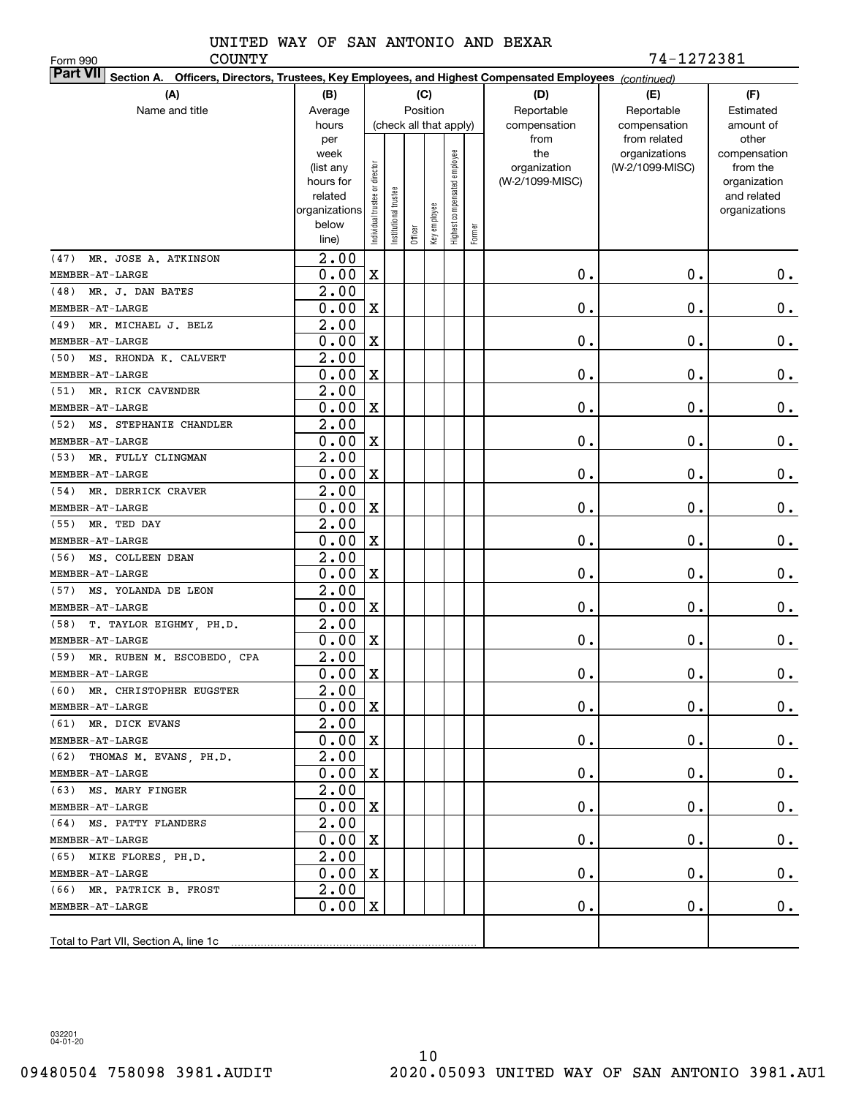Form 990

COUNTY 74-1272381

| <b>Part VII</b> Section A. Officers, Directors, Trustees, Key Employees, and Highest Compensated Employees (continued) |                    |                                |                      |                        |              |                              |        |                     |                                  |                          |  |  |
|------------------------------------------------------------------------------------------------------------------------|--------------------|--------------------------------|----------------------|------------------------|--------------|------------------------------|--------|---------------------|----------------------------------|--------------------------|--|--|
| (A)                                                                                                                    | (B)                |                                |                      |                        | (C)          |                              |        | (D)                 | (E)                              | (F)                      |  |  |
| Name and title                                                                                                         | Average            |                                |                      | Position               |              |                              |        | Reportable          | Reportable                       | Estimated                |  |  |
|                                                                                                                        | hours              |                                |                      | (check all that apply) |              |                              |        | compensation        | compensation                     | amount of                |  |  |
|                                                                                                                        | per                |                                |                      |                        |              |                              |        | from                | from related                     | other                    |  |  |
|                                                                                                                        | week<br>(list any  |                                |                      |                        |              |                              |        | the<br>organization | organizations<br>(W-2/1099-MISC) | compensation<br>from the |  |  |
|                                                                                                                        | hours for          |                                |                      |                        |              |                              |        | (W-2/1099-MISC)     |                                  | organization             |  |  |
|                                                                                                                        | related            |                                |                      |                        |              |                              |        |                     |                                  | and related              |  |  |
|                                                                                                                        | organizations      |                                |                      |                        |              |                              |        |                     |                                  | organizations            |  |  |
|                                                                                                                        | below              | Individual trustee or director | nstitutional trustee | Officer                | Key employee | Highest compensated employee | Former |                     |                                  |                          |  |  |
|                                                                                                                        | line)              |                                |                      |                        |              |                              |        |                     |                                  |                          |  |  |
| MR. JOSE A. ATKINSON<br>(47)                                                                                           | $\overline{2}$ .00 |                                |                      |                        |              |                              |        |                     |                                  |                          |  |  |
| MEMBER-AT-LARGE                                                                                                        | 0.00               | $\mathbf X$                    |                      |                        |              |                              |        | 0.                  | $\mathbf 0$ .                    | 0.                       |  |  |
| (48) MR. J. DAN BATES                                                                                                  | 2.00               |                                |                      |                        |              |                              |        |                     |                                  |                          |  |  |
| MEMBER-AT-LARGE                                                                                                        | 0.00               | $\mathbf X$                    |                      |                        |              |                              |        | 0.                  | $\mathbf 0$ .                    | $0$ .                    |  |  |
| MR. MICHAEL J. BELZ<br>(49)                                                                                            | 2.00               |                                |                      |                        |              |                              |        |                     |                                  |                          |  |  |
| MEMBER-AT-LARGE                                                                                                        | 0.00               | $\mathbf X$                    |                      |                        |              |                              |        | 0.                  | $\mathbf 0$ .                    | $0$ .                    |  |  |
| MS. RHONDA K. CALVERT<br>(50)                                                                                          | 2.00               |                                |                      |                        |              |                              |        |                     |                                  |                          |  |  |
| MEMBER-AT-LARGE                                                                                                        | 0.00               | $\mathbf X$                    |                      |                        |              |                              |        | 0.                  | $\mathbf 0$ .                    | $\mathbf 0$ .            |  |  |
| MR. RICK CAVENDER<br>(51)                                                                                              | 2.00               |                                |                      |                        |              |                              |        |                     |                                  |                          |  |  |
| MEMBER-AT-LARGE                                                                                                        | 0.00               | $\mathbf X$                    |                      |                        |              |                              |        | 0.                  | $\mathbf 0$ .                    | 0.                       |  |  |
| MS. STEPHANIE CHANDLER<br>(52)                                                                                         | 2.00               |                                |                      |                        |              |                              |        |                     |                                  |                          |  |  |
| MEMBER-AT-LARGE                                                                                                        | 0.00               | $\mathbf X$                    |                      |                        |              |                              |        | 0.                  | $\mathbf 0$ .                    | $\mathbf 0$ .            |  |  |
| MR. FULLY CLINGMAN<br>(53)                                                                                             | 2.00               |                                |                      |                        |              |                              |        |                     |                                  |                          |  |  |
| MEMBER-AT-LARGE                                                                                                        | 0.00               | $\mathbf X$                    |                      |                        |              |                              |        | 0.                  | $\mathbf 0$ .                    | $0$ .                    |  |  |
| MR. DERRICK CRAVER<br>(54)                                                                                             | 2.00               |                                |                      |                        |              |                              |        |                     |                                  |                          |  |  |
| MEMBER-AT-LARGE                                                                                                        | 0.00               | $\mathbf X$                    |                      |                        |              |                              |        | 0.                  | $\mathbf 0$ .                    | $\mathbf 0$ .            |  |  |
| (55) MR. TED DAY                                                                                                       | 2.00               |                                |                      |                        |              |                              |        |                     |                                  |                          |  |  |
| MEMBER-AT-LARGE                                                                                                        | 0.00               | $\mathbf X$                    |                      |                        |              |                              |        | 0.                  | $\mathbf 0$ .                    | $\mathbf 0$ .            |  |  |
| (56) MS. COLLEEN DEAN                                                                                                  | 2.00               |                                |                      |                        |              |                              |        |                     |                                  |                          |  |  |
| MEMBER-AT-LARGE                                                                                                        | 0.00               | $\mathbf X$                    |                      |                        |              |                              |        | 0.                  | $\mathbf 0$ .                    | 0.                       |  |  |
| MS. YOLANDA DE LEON<br>(57)                                                                                            | 2.00               |                                |                      |                        |              |                              |        |                     |                                  |                          |  |  |
| MEMBER-AT-LARGE                                                                                                        | 0.00               | $\mathbf X$                    |                      |                        |              |                              |        | 0.                  | $\mathbf 0$ .                    | 0.                       |  |  |
| T. TAYLOR EIGHMY, PH.D.<br>(58)                                                                                        | 2.00               |                                |                      |                        |              |                              |        |                     |                                  |                          |  |  |
| MEMBER-AT-LARGE                                                                                                        | 0.00               | $\mathbf X$                    |                      |                        |              |                              |        | 0.                  | $\mathbf 0$ .                    | 0.                       |  |  |
| (59) MR. RUBEN M. ESCOBEDO, CPA                                                                                        | 2.00               |                                |                      |                        |              |                              |        |                     |                                  |                          |  |  |
| MEMBER-AT-LARGE                                                                                                        | 0.00               | $\mathbf X$                    |                      |                        |              |                              |        | 0.                  | $\mathbf 0$ .                    | 0.                       |  |  |
| (60) MR. CHRISTOPHER EUGSTER                                                                                           | $\overline{2.00}$  |                                |                      |                        |              |                              |        |                     |                                  |                          |  |  |
| MEMBER-AT-LARGE                                                                                                        | $0.00 \,   X$      |                                |                      |                        |              |                              |        | $\mathbf 0$ .       | $\mathbf 0$ .                    | $0_{.}$                  |  |  |
| (61) MR. DICK EVANS                                                                                                    | 2.00               |                                |                      |                        |              |                              |        |                     |                                  |                          |  |  |
| MEMBER-AT-LARGE                                                                                                        | $0.00 \, \text{X}$ |                                |                      |                        |              |                              |        | $\mathbf 0$ .       | 0.                               | $0_{.}$                  |  |  |
| (62) THOMAS M. EVANS, PH.D.                                                                                            | 2.00               |                                |                      |                        |              |                              |        |                     |                                  |                          |  |  |
| MEMBER-AT-LARGE                                                                                                        | 0.00X              |                                |                      |                        |              |                              |        | $\mathbf 0$ .       | 0.                               | $0_{.}$                  |  |  |
| (63) MS. MARY FINGER                                                                                                   | 2.00               |                                |                      |                        |              |                              |        |                     |                                  |                          |  |  |
| MEMBER-AT-LARGE                                                                                                        | 0.00X              |                                |                      |                        |              |                              |        | $\mathbf 0$ .       | О.                               | $0_{.}$                  |  |  |
| (64) MS. PATTY FLANDERS                                                                                                | 2.00               |                                |                      |                        |              |                              |        |                     |                                  |                          |  |  |
| MEMBER-AT-LARGE                                                                                                        | 0.00X              |                                |                      |                        |              |                              |        | $\mathbf 0$ .       | О.                               | $0_{.}$                  |  |  |
| (65) MIKE FLORES, PH.D.                                                                                                | 2.00               |                                |                      |                        |              |                              |        |                     |                                  |                          |  |  |
| MEMBER-AT-LARGE                                                                                                        | 0.00X              |                                |                      |                        |              |                              |        | $\mathbf 0$ .       | $\mathbf 0$ .                    | $0_{.}$                  |  |  |
| (66) MR. PATRICK B. FROST                                                                                              | 2.00               |                                |                      |                        |              |                              |        |                     |                                  |                          |  |  |
| MEMBER-AT-LARGE                                                                                                        | $0.00 \, \text{X}$ |                                |                      |                        |              |                              |        | $\mathbf 0$ .       | $\mathbf 0$ .                    | 0.                       |  |  |
|                                                                                                                        |                    |                                |                      |                        |              |                              |        |                     |                                  |                          |  |  |
|                                                                                                                        |                    |                                |                      |                        |              |                              |        |                     |                                  |                          |  |  |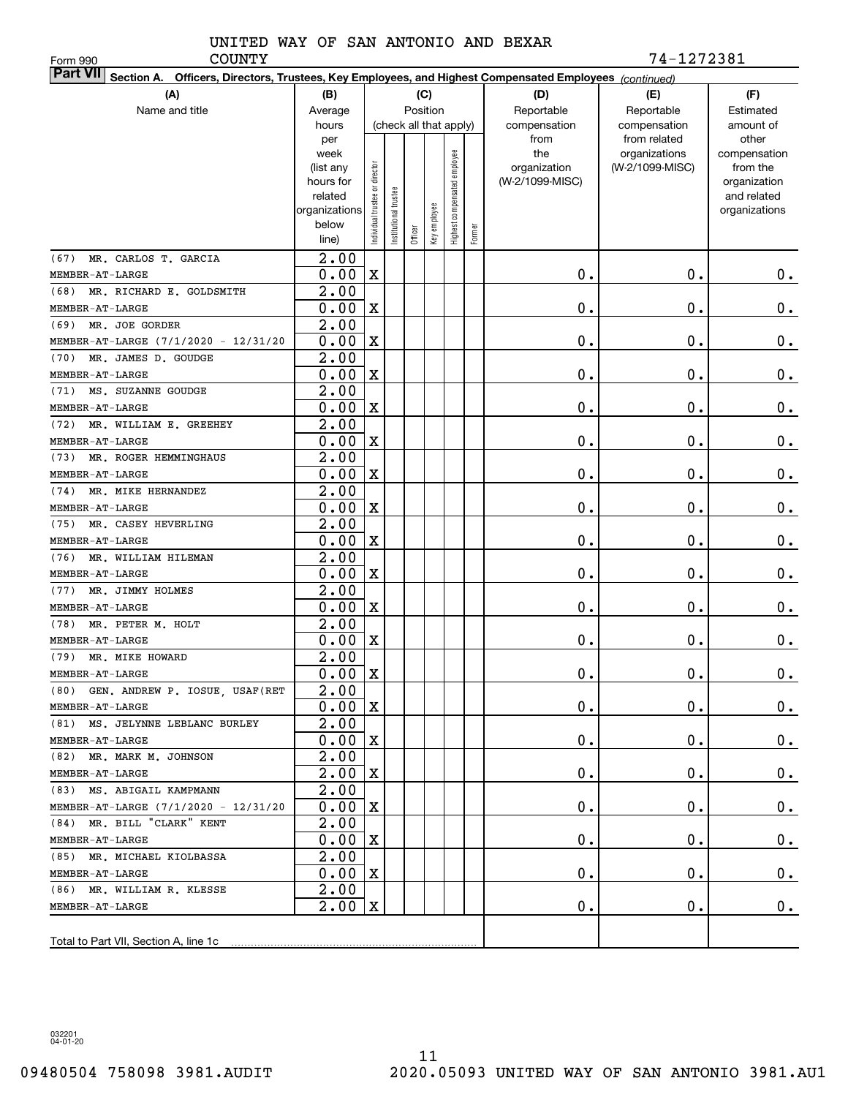Form 990

COUNTY 74-1272381

| <b>Part VII</b> Section A. Officers, Directors, Trustees, Key Employees, and Highest Compensated Employees (continued) |                          |                                |                      |                        |              |                              |        |                 |                 |                              |  |  |
|------------------------------------------------------------------------------------------------------------------------|--------------------------|--------------------------------|----------------------|------------------------|--------------|------------------------------|--------|-----------------|-----------------|------------------------------|--|--|
| (A)                                                                                                                    | (B)                      |                                |                      |                        | (C)          |                              |        | (D)             | (E)             | (F)                          |  |  |
| Name and title                                                                                                         | Average                  |                                |                      | Position               |              |                              |        | Reportable      | Reportable      | Estimated                    |  |  |
|                                                                                                                        | hours                    |                                |                      | (check all that apply) |              |                              |        | compensation    | compensation    | amount of                    |  |  |
|                                                                                                                        | per                      |                                |                      |                        |              |                              |        | from            | from related    | other                        |  |  |
|                                                                                                                        | week                     |                                |                      |                        |              |                              |        | the             | organizations   | compensation                 |  |  |
|                                                                                                                        | (list any                |                                |                      |                        |              |                              |        | organization    | (W-2/1099-MISC) | from the                     |  |  |
|                                                                                                                        | hours for                |                                |                      |                        |              |                              |        | (W-2/1099-MISC) |                 | organization                 |  |  |
|                                                                                                                        | related<br>organizations |                                |                      |                        |              |                              |        |                 |                 | and related<br>organizations |  |  |
|                                                                                                                        | below                    |                                |                      |                        |              |                              |        |                 |                 |                              |  |  |
|                                                                                                                        | line)                    | Individual trustee or director | nstitutional trustee | Officer                | Key employee | Highest compensated employee | Former |                 |                 |                              |  |  |
| MR. CARLOS T. GARCIA<br>(67)                                                                                           | $\overline{2}$ .00       |                                |                      |                        |              |                              |        |                 |                 |                              |  |  |
| MEMBER-AT-LARGE                                                                                                        | 0.00                     | $\mathbf X$                    |                      |                        |              |                              |        | 0.              | $\mathbf 0$ .   | 0.                           |  |  |
| MR. RICHARD E. GOLDSMITH<br>(68)                                                                                       | 2.00                     |                                |                      |                        |              |                              |        |                 |                 |                              |  |  |
| MEMBER-AT-LARGE                                                                                                        | 0.00                     | $\mathbf X$                    |                      |                        |              |                              |        | 0.              | $\mathbf 0$ .   | $0$ .                        |  |  |
| MR. JOE GORDER<br>(69)                                                                                                 | 2.00                     |                                |                      |                        |              |                              |        |                 |                 |                              |  |  |
| MEMBER-AT-LARGE (7/1/2020 - 12/31/20                                                                                   | 0.00                     | $\mathbf X$                    |                      |                        |              |                              |        | 0.              | $\mathbf 0$ .   | $\mathbf 0$ .                |  |  |
| (70)<br>MR. JAMES D. GOUDGE                                                                                            | 2.00                     |                                |                      |                        |              |                              |        |                 |                 |                              |  |  |
| MEMBER-AT-LARGE                                                                                                        | 0.00                     | $\mathbf X$                    |                      |                        |              |                              |        | 0.              | $\mathbf 0$ .   | $\mathbf 0$ .                |  |  |
| MS. SUZANNE GOUDGE<br>(71)                                                                                             | 2.00                     |                                |                      |                        |              |                              |        |                 |                 |                              |  |  |
| MEMBER-AT-LARGE                                                                                                        | 0.00                     | $\mathbf X$                    |                      |                        |              |                              |        | 0.              | $\mathbf 0$ .   | $0$ .                        |  |  |
| MR. WILLIAM E. GREEHEY<br>(72)                                                                                         | 2.00                     |                                |                      |                        |              |                              |        |                 |                 |                              |  |  |
| MEMBER-AT-LARGE                                                                                                        | 0.00                     | $\mathbf X$                    |                      |                        |              |                              |        | 0.              | $\mathbf 0$ .   | $\mathbf 0$ .                |  |  |
| MR. ROGER HEMMINGHAUS<br>(73)                                                                                          | 2.00                     |                                |                      |                        |              |                              |        |                 |                 |                              |  |  |
| MEMBER-AT-LARGE                                                                                                        | 0.00                     | $\mathbf X$                    |                      |                        |              |                              |        | 0.              | $\mathbf 0$ .   | $\mathbf 0$ .                |  |  |
| MR. MIKE HERNANDEZ<br>(74)                                                                                             | 2.00                     |                                |                      |                        |              |                              |        |                 |                 |                              |  |  |
| MEMBER-AT-LARGE                                                                                                        | 0.00                     | $\mathbf X$                    |                      |                        |              |                              |        | 0.              | $\mathbf 0$ .   | $\mathbf 0$ .                |  |  |
| MR. CASEY HEVERLING<br>(75)                                                                                            | 2.00                     |                                |                      |                        |              |                              |        |                 |                 |                              |  |  |
| MEMBER-AT-LARGE                                                                                                        | 0.00                     | $\mathbf X$                    |                      |                        |              |                              |        | 0.              | $\mathbf 0$ .   | $\mathbf 0$ .                |  |  |
| MR. WILLIAM HILEMAN<br>(76)                                                                                            | 2.00                     |                                |                      |                        |              |                              |        |                 |                 |                              |  |  |
| MEMBER-AT-LARGE                                                                                                        | 0.00                     | $\mathbf X$                    |                      |                        |              |                              |        | 0.              | $\mathbf 0$ .   | 0.                           |  |  |
| (77)<br>MR. JIMMY HOLMES                                                                                               | 2.00                     |                                |                      |                        |              |                              |        |                 |                 |                              |  |  |
| MEMBER-AT-LARGE                                                                                                        | 0.00                     | $\mathbf X$                    |                      |                        |              |                              |        | 0.              | $\mathbf 0$ .   | 0.                           |  |  |
| MR. PETER M. HOLT<br>(78)                                                                                              | 2.00                     |                                |                      |                        |              |                              |        |                 |                 |                              |  |  |
| MEMBER-AT-LARGE                                                                                                        | 0.00                     | $\mathbf X$                    |                      |                        |              |                              |        | 0.              | 0.              | 0.                           |  |  |
| (79)<br>MR. MIKE HOWARD                                                                                                | 2.00                     |                                |                      |                        |              |                              |        |                 |                 |                              |  |  |
| MEMBER-AT-LARGE                                                                                                        | 0.00                     | $\mathbf X$                    |                      |                        |              |                              |        | 0.              | $\mathbf 0$ .   | $\mathbf 0$ .                |  |  |
| (80) GEN. ANDREW P. IOSUE, USAF (RET                                                                                   | $\overline{2.00}$        |                                |                      |                        |              |                              |        |                 |                 |                              |  |  |
| MEMBER-AT-LARGE                                                                                                        | $0.00 \,   X$            |                                |                      |                        |              |                              |        | 0.              | 0.              | $0_{\cdot}$                  |  |  |
| (81) MS. JELYNNE LEBLANC BURLEY                                                                                        | 2.00                     |                                |                      |                        |              |                              |        |                 |                 |                              |  |  |
| MEMBER-AT-LARGE                                                                                                        | $0.00 \, \text{X}$       |                                |                      |                        |              |                              |        | $\mathbf 0$ .   | 0.              | $0_{.}$                      |  |  |
| (82) MR. MARK M. JOHNSON                                                                                               | 2.00                     |                                |                      |                        |              |                              |        |                 |                 |                              |  |  |
| MEMBER-AT-LARGE                                                                                                        | 2.00                     | $\mathbf X$                    |                      |                        |              |                              |        | 0.              | О.              | $0_{.}$                      |  |  |
| (83) MS. ABIGAIL KAMPMANN                                                                                              | 2.00                     |                                |                      |                        |              |                              |        |                 |                 |                              |  |  |
| MEMBER-AT-LARGE (7/1/2020 - 12/31/20                                                                                   | 0.00                     | $\mathbf X$                    |                      |                        |              |                              |        | 0.              | О.              | $0_{.}$                      |  |  |
| (84) MR. BILL "CLARK" KENT                                                                                             | 2.00                     |                                |                      |                        |              |                              |        |                 |                 |                              |  |  |
| MEMBER-AT-LARGE                                                                                                        | 0.00                     | $\mathbf X$                    |                      |                        |              |                              |        | 0.              | О.              | $0_{.}$                      |  |  |
| (85) MR. MICHAEL KIOLBASSA                                                                                             | 2.00<br>0.00             |                                |                      |                        |              |                              |        |                 |                 |                              |  |  |
| MEMBER-AT-LARGE<br>(86) MR. WILLIAM R. KLESSE                                                                          | 2.00                     | $\mathbf X$                    |                      |                        |              |                              |        | 0.              | О.              | $0_{.}$                      |  |  |
| MEMBER-AT-LARGE                                                                                                        | 2.00                     | X                              |                      |                        |              |                              |        | О.              | О.              | 0.                           |  |  |
|                                                                                                                        |                          |                                |                      |                        |              |                              |        |                 |                 |                              |  |  |
|                                                                                                                        |                          |                                |                      |                        |              |                              |        |                 |                 |                              |  |  |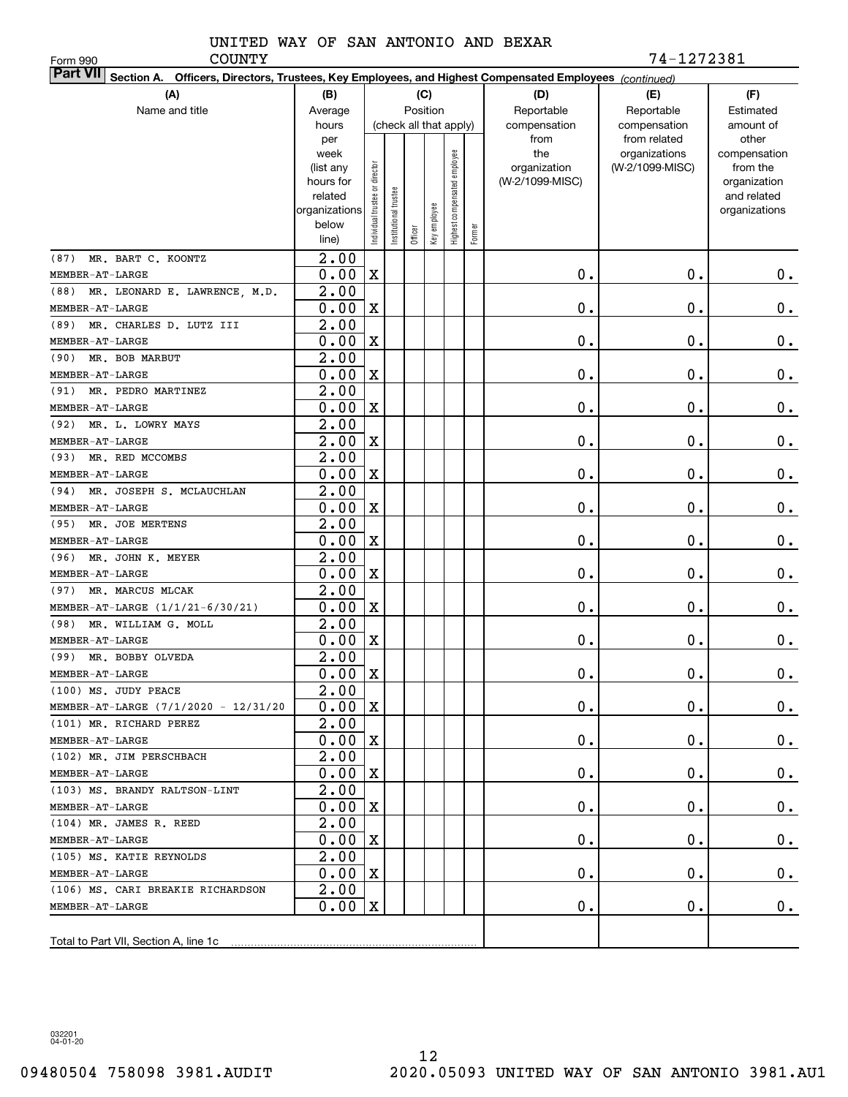Form 990

COUNTY 74-1272381

| Part VII Section A. Officers, Directors, Trustees, Key Employees, and Highest Compensated Employees (continued) |                        |                                |                        |          |              |                              |        |                                 |                 |                             |  |  |
|-----------------------------------------------------------------------------------------------------------------|------------------------|--------------------------------|------------------------|----------|--------------|------------------------------|--------|---------------------------------|-----------------|-----------------------------|--|--|
| (A)                                                                                                             | (B)                    |                                |                        |          | (C)          |                              |        | (D)                             | (E)             | (F)                         |  |  |
| Name and title                                                                                                  | Average                |                                |                        | Position |              |                              |        | Reportable                      | Reportable      | Estimated                   |  |  |
|                                                                                                                 | hours                  |                                | (check all that apply) |          |              |                              |        | compensation                    | compensation    | amount of                   |  |  |
|                                                                                                                 | per                    |                                |                        |          |              |                              |        | from                            | from related    | other                       |  |  |
|                                                                                                                 | week                   |                                |                        |          |              | Highest compensated employee |        | the                             | organizations   | compensation                |  |  |
|                                                                                                                 | (list any<br>hours for |                                |                        |          |              |                              |        | organization<br>(W-2/1099-MISC) | (W-2/1099-MISC) | from the                    |  |  |
|                                                                                                                 | related                |                                |                        |          |              |                              |        |                                 |                 | organization<br>and related |  |  |
|                                                                                                                 | organizations          |                                |                        |          |              |                              |        |                                 |                 | organizations               |  |  |
|                                                                                                                 | below                  | Individual trustee or director | nstitutional trustee   |          | Key employee |                              |        |                                 |                 |                             |  |  |
|                                                                                                                 | line)                  |                                |                        | Officer  |              |                              | Former |                                 |                 |                             |  |  |
| MR. BART C. KOONTZ<br>(87)                                                                                      | $\overline{2.00}$      |                                |                        |          |              |                              |        |                                 |                 |                             |  |  |
| MEMBER-AT-LARGE                                                                                                 | 0.00                   | $\mathbf X$                    |                        |          |              |                              |        | 0.                              | $\mathbf 0$ .   | 0.                          |  |  |
| (88) MR. LEONARD E. LAWRENCE, M.D.                                                                              | 2.00                   |                                |                        |          |              |                              |        |                                 |                 |                             |  |  |
| MEMBER-AT-LARGE                                                                                                 | 0.00                   | $\mathbf X$                    |                        |          |              |                              |        | 0.                              | $\mathbf 0$ .   | $0$ .                       |  |  |
| MR. CHARLES D. LUTZ III<br>(89)                                                                                 | 2.00                   |                                |                        |          |              |                              |        |                                 |                 |                             |  |  |
| MEMBER-AT-LARGE                                                                                                 | 0.00                   | $\mathbf X$                    |                        |          |              |                              |        | 0.                              | $\mathbf 0$ .   | $\mathbf 0$ .               |  |  |
| MR. BOB MARBUT<br>(90)                                                                                          | 2.00                   |                                |                        |          |              |                              |        |                                 |                 |                             |  |  |
| MEMBER-AT-LARGE                                                                                                 | 0.00                   | $\mathbf X$                    |                        |          |              |                              |        | 0.                              | $\mathbf 0$ .   | $\mathbf 0$ .               |  |  |
| (91)<br>MR. PEDRO MARTINEZ                                                                                      | 2.00                   |                                |                        |          |              |                              |        |                                 |                 |                             |  |  |
| MEMBER-AT-LARGE                                                                                                 | 0.00                   | $\mathbf X$                    |                        |          |              |                              |        | 0.                              | $\mathbf 0$ .   | $\mathbf 0$ .               |  |  |
| MR. L. LOWRY MAYS<br>(92)                                                                                       | 2.00                   |                                |                        |          |              |                              |        |                                 |                 |                             |  |  |
| MEMBER-AT-LARGE                                                                                                 | 2.00                   | $\mathbf X$                    |                        |          |              |                              |        | 0.                              | $\mathbf 0$ .   | $\mathbf 0$ .               |  |  |
| (93)<br>MR. RED MCCOMBS                                                                                         | 2.00                   |                                |                        |          |              |                              |        |                                 |                 |                             |  |  |
| MEMBER-AT-LARGE                                                                                                 | 0.00                   | $\mathbf X$                    |                        |          |              |                              |        | 0.                              | $\mathbf 0$ .   | $0$ .                       |  |  |
| MR. JOSEPH S. MCLAUCHLAN<br>(94)                                                                                | 2.00                   |                                |                        |          |              |                              |        |                                 |                 |                             |  |  |
| MEMBER-AT-LARGE                                                                                                 | 0.00                   | $\mathbf X$                    |                        |          |              |                              |        | 0.                              | $\mathbf 0$ .   | $\mathbf 0$ .               |  |  |
| (95) MR. JOE MERTENS                                                                                            | 2.00                   |                                |                        |          |              |                              |        |                                 |                 |                             |  |  |
| MEMBER-AT-LARGE                                                                                                 | 0.00                   | $\mathbf X$                    |                        |          |              |                              |        | 0.                              | 0.              | $\mathbf 0$ .               |  |  |
| MR. JOHN K. MEYER<br>(96)                                                                                       | 2.00                   |                                |                        |          |              |                              |        |                                 |                 |                             |  |  |
| MEMBER-AT-LARGE                                                                                                 | 0.00                   | $\mathbf X$                    |                        |          |              |                              |        | 0.                              | $\mathbf 0$ .   | $0$ .                       |  |  |
| MR. MARCUS MLCAK<br>(97)                                                                                        | 2.00                   |                                |                        |          |              |                              |        |                                 |                 |                             |  |  |
| MEMBER-AT-LARGE (1/1/21-6/30/21)                                                                                | 0.00                   | $\mathbf X$                    |                        |          |              |                              |        | 0.                              | $\mathbf 0$ .   | 0.                          |  |  |
| (98)<br>MR. WILLIAM G. MOLL                                                                                     | 2.00                   |                                |                        |          |              |                              |        |                                 |                 |                             |  |  |
| MEMBER-AT-LARGE                                                                                                 | 0.00                   | $\mathbf X$                    |                        |          |              |                              |        | 0.                              | $\mathbf 0$ .   | 0.                          |  |  |
| (99) MR. BOBBY OLVEDA                                                                                           | 2.00                   |                                |                        |          |              |                              |        |                                 |                 |                             |  |  |
| MEMBER-AT-LARGE                                                                                                 | 0.00                   | X                              |                        |          |              |                              |        | 0.                              | $\mathbf 0$ .   | 0.                          |  |  |
| (100) MS. JUDY PEACE                                                                                            | 2.00                   |                                |                        |          |              |                              |        |                                 |                 |                             |  |  |
| MEMBER-AT-LARGE (7/1/2020 - 12/31/20<br>(101) MR. RICHARD PEREZ                                                 | $0.00 \,   X$<br>2.00  |                                |                        |          |              |                              |        | 0.                              | 0.              | $0$ .                       |  |  |
|                                                                                                                 | 0.00                   | X                              |                        |          |              |                              |        | 0.                              | 0.              | $0_{.}$                     |  |  |
| MEMBER-AT-LARGE<br>(102) MR. JIM PERSCHBACH                                                                     | 2.00                   |                                |                        |          |              |                              |        |                                 |                 |                             |  |  |
| MEMBER-AT-LARGE                                                                                                 | 0.00                   | X                              |                        |          |              |                              |        | 0.                              | О.              | $0_{.}$                     |  |  |
| (103) MS. BRANDY RALTSON-LINT                                                                                   | 2.00                   |                                |                        |          |              |                              |        |                                 |                 |                             |  |  |
| MEMBER-AT-LARGE                                                                                                 | 0.00                   | X                              |                        |          |              |                              |        | 0.                              | О.              | $0_{.}$                     |  |  |
| (104) MR. JAMES R. REED                                                                                         | 2.00                   |                                |                        |          |              |                              |        |                                 |                 |                             |  |  |
| MEMBER-AT-LARGE                                                                                                 | 0.00                   | X                              |                        |          |              |                              |        | 0.                              | О.              | $0_{.}$                     |  |  |
| (105) MS. KATIE REYNOLDS                                                                                        | 2.00                   |                                |                        |          |              |                              |        |                                 |                 |                             |  |  |
| MEMBER-AT-LARGE                                                                                                 | 0.00                   | X                              |                        |          |              |                              |        | 0.                              | О.              | 0.                          |  |  |
| (106) MS. CARI BREAKIE RICHARDSON                                                                               | 2.00                   |                                |                        |          |              |                              |        |                                 |                 |                             |  |  |
| MEMBER-AT-LARGE                                                                                                 | 0.00                   | X                              |                        |          |              |                              |        | 0.                              | О.              | 0.                          |  |  |
|                                                                                                                 |                        |                                |                        |          |              |                              |        |                                 |                 |                             |  |  |
|                                                                                                                 |                        |                                |                        |          |              |                              |        |                                 |                 |                             |  |  |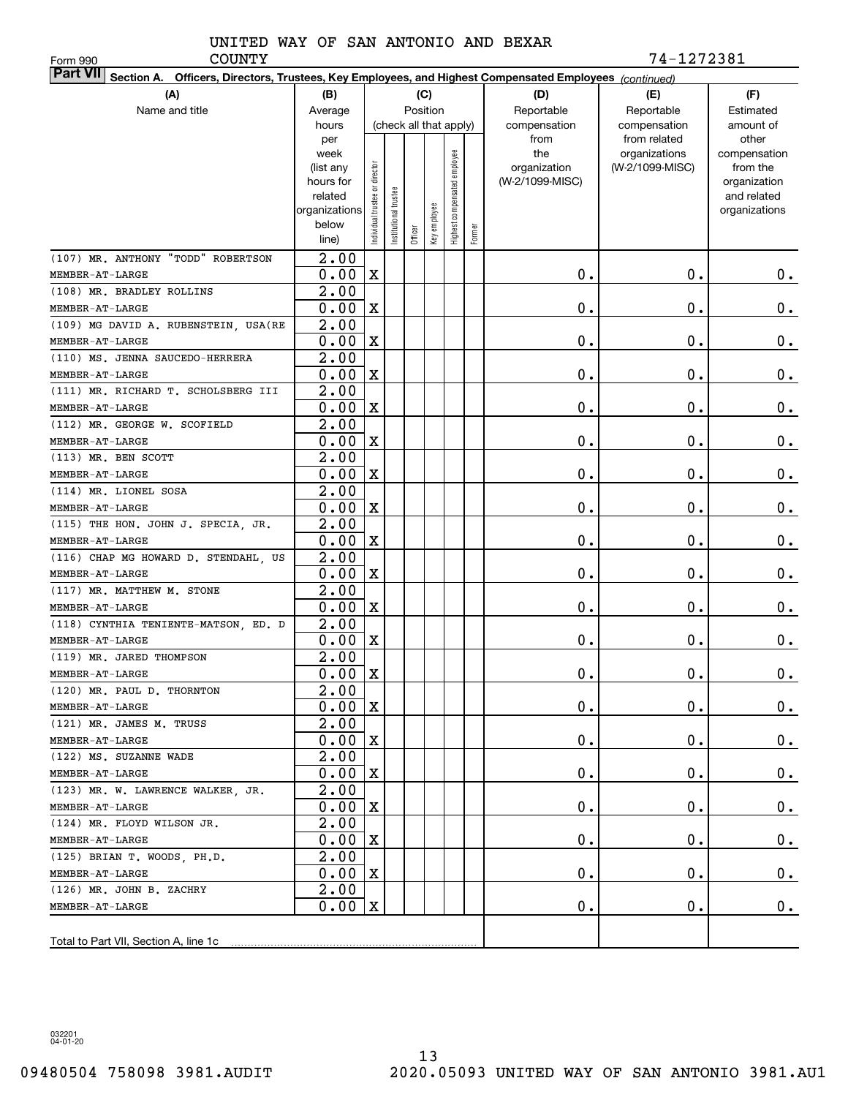Form 990

COUNTY 74-1272381

| <b>Part VII</b> Section A. Officers, Directors, Trustees, Key Employees, and Highest Compensated Employees (continued) |                        |                                |                      |         |                        |                              |        |                                 |                 |                             |
|------------------------------------------------------------------------------------------------------------------------|------------------------|--------------------------------|----------------------|---------|------------------------|------------------------------|--------|---------------------------------|-----------------|-----------------------------|
| (A)                                                                                                                    | (B)                    |                                |                      |         | (C)                    |                              |        | (D)                             | (E)             | (F)                         |
| Name and title                                                                                                         | Average                |                                |                      |         | Position               |                              |        | Reportable                      | Reportable      | Estimated                   |
|                                                                                                                        | hours                  |                                |                      |         | (check all that apply) |                              |        | compensation                    | compensation    | amount of                   |
|                                                                                                                        | per                    |                                |                      |         |                        |                              |        | from                            | from related    | other                       |
|                                                                                                                        | week                   |                                |                      |         |                        |                              |        | the                             | organizations   | compensation                |
|                                                                                                                        | (list any<br>hours for |                                |                      |         |                        |                              |        | organization<br>(W-2/1099-MISC) | (W-2/1099-MISC) | from the                    |
|                                                                                                                        | related                |                                |                      |         |                        |                              |        |                                 |                 | organization<br>and related |
|                                                                                                                        | organizations          |                                |                      |         |                        |                              |        |                                 |                 | organizations               |
|                                                                                                                        | below                  | Individual trustee or director | nstitutional trustee |         | Key employee           | Highest compensated employee |        |                                 |                 |                             |
|                                                                                                                        | line)                  |                                |                      | Officer |                        |                              | Former |                                 |                 |                             |
| (107) MR. ANTHONY "TODD" ROBERTSON                                                                                     | $\overline{2.00}$      |                                |                      |         |                        |                              |        |                                 |                 |                             |
| $\texttt{MEMBER-AT-LARGE}$                                                                                             | 0.00                   | $\mathbf X$                    |                      |         |                        |                              |        | 0.                              | $\mathbf 0$ .   | 0.                          |
| (108) MR. BRADLEY ROLLINS                                                                                              | 2.00                   |                                |                      |         |                        |                              |        |                                 |                 |                             |
| MEMBER-AT-LARGE                                                                                                        | 0.00                   | $\mathbf X$                    |                      |         |                        |                              |        | 0.                              | 0.              | 0.                          |
| (109) MG DAVID A. RUBENSTEIN, USA (RE                                                                                  | 2.00                   |                                |                      |         |                        |                              |        |                                 |                 |                             |
| MEMBER-AT-LARGE                                                                                                        | 0.00                   | $\mathbf X$                    |                      |         |                        |                              |        | 0.                              | 0.              | 0.                          |
| (110) MS. JENNA SAUCEDO-HERRERA                                                                                        | 2.00                   |                                |                      |         |                        |                              |        |                                 |                 |                             |
| MEMBER-AT-LARGE                                                                                                        | 0.00                   | $\mathbf X$                    |                      |         |                        |                              |        | 0.                              | 0.              | 0.                          |
| (111) MR. RICHARD T. SCHOLSBERG III                                                                                    | 2.00                   |                                |                      |         |                        |                              |        |                                 |                 |                             |
| MEMBER-AT-LARGE                                                                                                        | 0.00                   | $\mathbf X$                    |                      |         |                        |                              |        | 0.                              | 0.              | 0.                          |
| (112) MR. GEORGE W. SCOFIELD                                                                                           | 2.00                   |                                |                      |         |                        |                              |        |                                 |                 |                             |
| MEMBER-AT-LARGE                                                                                                        | 0.00                   | $\mathbf X$                    |                      |         |                        |                              |        | 0.                              | 0.              | 0.                          |
| (113) MR. BEN SCOTT                                                                                                    | 2.00                   |                                |                      |         |                        |                              |        |                                 |                 |                             |
| MEMBER-AT-LARGE                                                                                                        | 0.00                   | $\mathbf X$                    |                      |         |                        |                              |        | 0.                              | 0.              | 0.                          |
| (114) MR. LIONEL SOSA                                                                                                  | 2.00                   |                                |                      |         |                        |                              |        |                                 |                 |                             |
| MEMBER-AT-LARGE                                                                                                        | 0.00                   | $\mathbf X$                    |                      |         |                        |                              |        | 0.                              | $\mathbf 0$ .   | 0.                          |
| (115) THE HON. JOHN J. SPECIA, JR.                                                                                     | 2.00                   |                                |                      |         |                        |                              |        |                                 |                 |                             |
| MEMBER-AT-LARGE                                                                                                        | 0.00                   | $\mathbf X$                    |                      |         |                        |                              |        | 0.                              | $\mathbf 0$ .   | 0.                          |
| (116) CHAP MG HOWARD D. STENDAHL, US                                                                                   | 2.00                   |                                |                      |         |                        |                              |        |                                 |                 |                             |
| MEMBER-AT-LARGE                                                                                                        | 0.00                   | $\mathbf X$                    |                      |         |                        |                              |        | 0.                              | 0.              | 0.                          |
| (117) MR. MATTHEW M. STONE                                                                                             | 2.00                   |                                |                      |         |                        |                              |        |                                 |                 |                             |
| MEMBER-AT-LARGE                                                                                                        | 0.00                   | $\mathbf X$                    |                      |         |                        |                              |        | $0$ .                           | 0.              | 0.                          |
| (118) CYNTHIA TENIENTE-MATSON, ED. D                                                                                   | $\overline{2.00}$      |                                |                      |         |                        |                              |        |                                 |                 |                             |
| MEMBER-AT-LARGE                                                                                                        | 0.00                   | $\mathbf X$                    |                      |         |                        |                              |        | 0.                              | 0.              | 0.                          |
| (119) MR. JARED THOMPSON                                                                                               | 2.00                   |                                |                      |         |                        |                              |        |                                 |                 |                             |
| MEMBER-AT-LARGE                                                                                                        | 0.00                   | X                              |                      |         |                        |                              |        | 0.                              | Ο.              | 0.                          |
| (120) MR. PAUL D. THORNTON                                                                                             | $\overline{2.00}$      |                                |                      |         |                        |                              |        |                                 |                 |                             |
| MEMBER-AT-LARGE                                                                                                        | $0.00 \,   X$          |                                |                      |         |                        |                              |        | 0.                              | $\mathbf 0$ .   | $\overline{0}$ .            |
| (121) MR. JAMES M. TRUSS                                                                                               | 2.00                   |                                |                      |         |                        |                              |        |                                 |                 |                             |
| MEMBER-AT-LARGE                                                                                                        | 0.00                   | X                              |                      |         |                        |                              |        | $\mathbf 0$ .                   | О.              | $0$ .                       |
| (122) MS. SUZANNE WADE                                                                                                 | 2.00                   |                                |                      |         |                        |                              |        |                                 |                 |                             |
| MEMBER-AT-LARGE                                                                                                        | 0.00                   | X                              |                      |         |                        |                              |        | 0.                              | $\mathbf 0$ .   | $0$ .                       |
| (123) MR. W. LAWRENCE WALKER, JR.                                                                                      | 2.00                   |                                |                      |         |                        |                              |        |                                 |                 |                             |
| MEMBER-AT-LARGE                                                                                                        | 0.00                   | X                              |                      |         |                        |                              |        | 0.                              | $\mathbf 0$ .   | $0$ .                       |
| (124) MR. FLOYD WILSON JR.                                                                                             | 2.00                   |                                |                      |         |                        |                              |        |                                 |                 |                             |
| MEMBER-AT-LARGE                                                                                                        | 0.00                   | X                              |                      |         |                        |                              |        | $\mathbf 0$ .                   | $\mathbf 0$ .   | $0$ .                       |
| (125) BRIAN T. WOODS, PH.D.                                                                                            | 2.00                   |                                |                      |         |                        |                              |        |                                 |                 |                             |
| MEMBER-AT-LARGE                                                                                                        | 0.00                   | $\mathbf X$                    |                      |         |                        |                              |        | $\mathbf 0$ .                   | $\mathbf 0$ .   | $0$ .                       |
| (126) MR. JOHN B. ZACHRY                                                                                               | 2.00                   |                                |                      |         |                        |                              |        |                                 |                 |                             |
| MEMBER-AT-LARGE                                                                                                        | 0.00                   | X                              |                      |         |                        |                              |        | 0.                              | $\mathbf 0$ .   | 0.                          |
|                                                                                                                        |                        |                                |                      |         |                        |                              |        |                                 |                 |                             |
|                                                                                                                        |                        |                                |                      |         |                        |                              |        |                                 |                 |                             |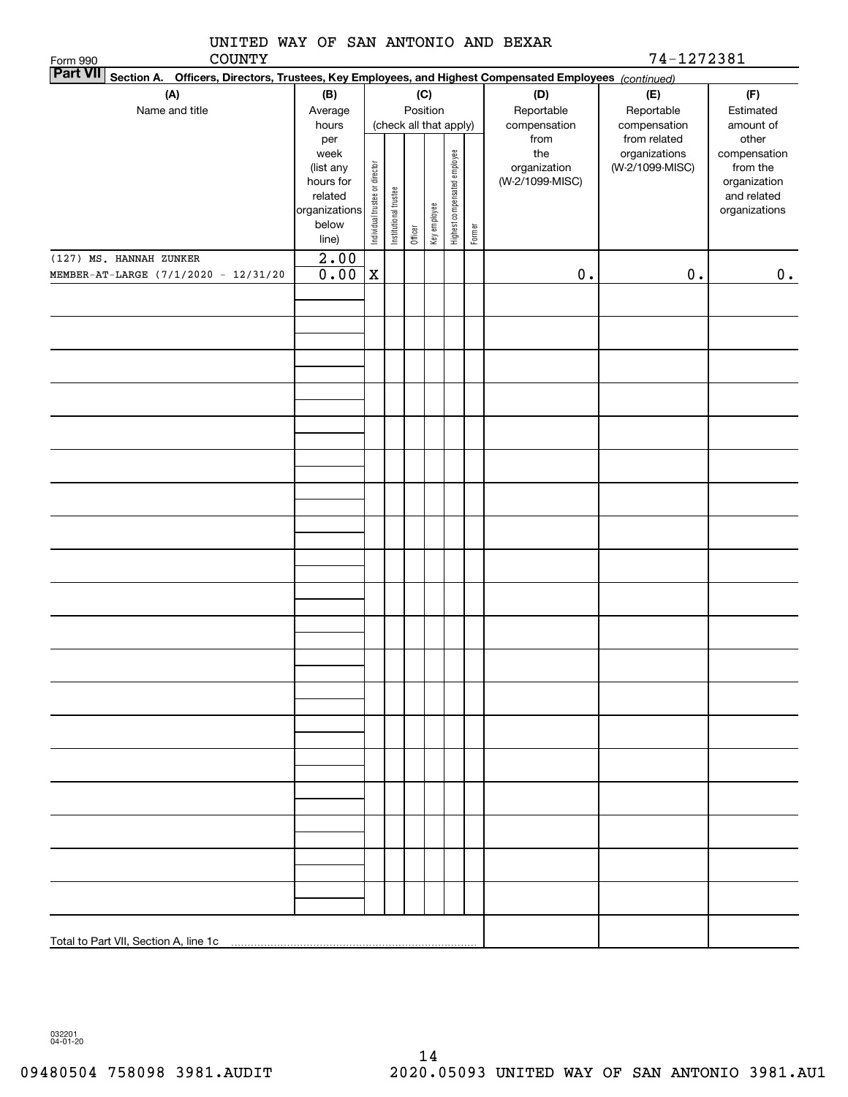| UNITED WAY OF SAN ANTONIO AND BEXAR<br><b>COUNTY</b><br>Form 990                                                          |                                                                              |                                |                        |         |              |                              |        |                                        | 74-1272381                       |                                                                          |
|---------------------------------------------------------------------------------------------------------------------------|------------------------------------------------------------------------------|--------------------------------|------------------------|---------|--------------|------------------------------|--------|----------------------------------------|----------------------------------|--------------------------------------------------------------------------|
| <b>Part VII</b><br>Section A. Officers, Directors, Trustees, Key Employees, and Highest Compensated Employees (continued) |                                                                              |                                |                        |         |              |                              |        |                                        |                                  |                                                                          |
| (A)                                                                                                                       | (B)                                                                          |                                |                        |         | (C)          |                              |        | (D)                                    | (E)                              | (F)                                                                      |
| Name and title                                                                                                            | Average                                                                      | Position                       |                        |         |              |                              |        | Reportable                             | Reportable                       | Estimated                                                                |
|                                                                                                                           | hours<br>per                                                                 |                                | (check all that apply) |         |              |                              |        | compensation<br>from                   | compensation<br>from related     | amount of<br>other                                                       |
|                                                                                                                           | week<br>(list any<br>hours for<br>related<br>organizations<br>below<br>line) | Individual trustee or director | Institutional trustee  | Officer | Key employee | Highest compensated employee | Former | the<br>organization<br>(W-2/1099-MISC) | organizations<br>(W-2/1099-MISC) | compensation<br>from the<br>organization<br>and related<br>organizations |
| (127) MS. HANNAH ZUNKER<br>MEMBER-AT-LARGE (7/1/2020 - 12/31/20                                                           | $\overline{2.00}$<br>0.00                                                    | $\mathbf X$                    |                        |         |              |                              |        | $0$ .                                  | $0$ .                            | 0.                                                                       |
|                                                                                                                           |                                                                              |                                |                        |         |              |                              |        |                                        |                                  |                                                                          |
|                                                                                                                           |                                                                              |                                |                        |         |              |                              |        |                                        |                                  |                                                                          |
|                                                                                                                           |                                                                              |                                |                        |         |              |                              |        |                                        |                                  |                                                                          |
|                                                                                                                           |                                                                              |                                |                        |         |              |                              |        |                                        |                                  |                                                                          |
|                                                                                                                           |                                                                              |                                |                        |         |              |                              |        |                                        |                                  |                                                                          |
|                                                                                                                           |                                                                              |                                |                        |         |              |                              |        |                                        |                                  |                                                                          |
|                                                                                                                           |                                                                              |                                |                        |         |              |                              |        |                                        |                                  |                                                                          |
|                                                                                                                           |                                                                              |                                |                        |         |              |                              |        |                                        |                                  |                                                                          |
|                                                                                                                           |                                                                              |                                |                        |         |              |                              |        |                                        |                                  |                                                                          |
|                                                                                                                           |                                                                              |                                |                        |         |              |                              |        |                                        |                                  |                                                                          |
|                                                                                                                           |                                                                              |                                |                        |         |              |                              |        |                                        |                                  |                                                                          |
|                                                                                                                           |                                                                              |                                |                        |         |              |                              |        |                                        |                                  |                                                                          |
|                                                                                                                           |                                                                              |                                |                        |         |              |                              |        |                                        |                                  |                                                                          |
|                                                                                                                           |                                                                              |                                |                        |         |              |                              |        |                                        |                                  |                                                                          |
|                                                                                                                           |                                                                              |                                |                        |         |              |                              |        |                                        |                                  |                                                                          |
|                                                                                                                           |                                                                              |                                |                        |         |              |                              |        |                                        |                                  |                                                                          |
|                                                                                                                           |                                                                              |                                |                        |         |              |                              |        |                                        |                                  |                                                                          |
|                                                                                                                           |                                                                              |                                |                        |         |              |                              |        |                                        |                                  |                                                                          |
|                                                                                                                           |                                                                              |                                |                        |         |              |                              |        |                                        |                                  |                                                                          |
|                                                                                                                           |                                                                              |                                |                        |         |              |                              |        |                                        |                                  |                                                                          |
|                                                                                                                           |                                                                              |                                |                        |         |              |                              |        |                                        |                                  |                                                                          |
|                                                                                                                           |                                                                              |                                |                        |         |              |                              |        |                                        |                                  |                                                                          |
|                                                                                                                           |                                                                              |                                |                        |         |              |                              |        |                                        |                                  |                                                                          |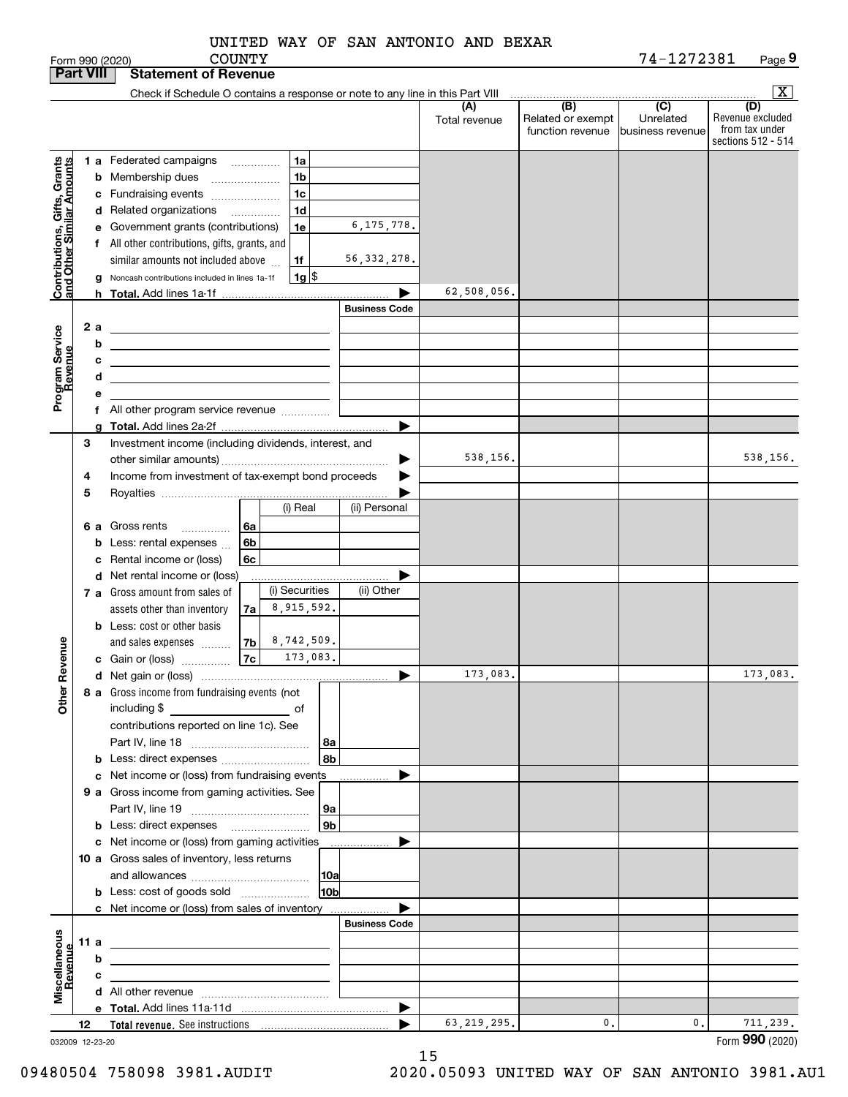|               |  | UNITED WAY OF SAN ANTONIO AND BEXAR |  |
|---------------|--|-------------------------------------|--|
| <b>COUNTY</b> |  |                                     |  |

|                                                           |      |    | <b>COUNTY</b><br>Form 990 (2020)                                                                                                                                                                                                                     |                      |                      |                                              | 74-1272381                                        | Page 9                                                          |
|-----------------------------------------------------------|------|----|------------------------------------------------------------------------------------------------------------------------------------------------------------------------------------------------------------------------------------------------------|----------------------|----------------------|----------------------------------------------|---------------------------------------------------|-----------------------------------------------------------------|
| <b>Part VIII</b>                                          |      |    | <b>Statement of Revenue</b>                                                                                                                                                                                                                          |                      |                      |                                              |                                                   |                                                                 |
|                                                           |      |    | Check if Schedule O contains a response or note to any line in this Part VIII                                                                                                                                                                        |                      |                      |                                              |                                                   | $\boxed{\textbf{X}}$                                            |
|                                                           |      |    |                                                                                                                                                                                                                                                      |                      | (A)<br>Total revenue | (B)<br>Related or exempt<br>function revenue | $\overline{(C)}$<br>Unrelated<br>business revenue | (D)<br>Revenue excluded<br>from tax under<br>sections 512 - 514 |
|                                                           |      |    | 1a<br>1 a Federated campaigns                                                                                                                                                                                                                        |                      |                      |                                              |                                                   |                                                                 |
| Contributions, Gifts, Grants<br>and Other Similar Amounts |      |    | 1 <sub>b</sub><br><b>b</b> Membership dues<br>$\ldots \ldots \ldots \ldots \ldots$                                                                                                                                                                   |                      |                      |                                              |                                                   |                                                                 |
|                                                           |      |    | 1 <sub>c</sub><br>c Fundraising events                                                                                                                                                                                                               |                      |                      |                                              |                                                   |                                                                 |
|                                                           |      |    | 1 <sub>d</sub><br>d Related organizations                                                                                                                                                                                                            |                      |                      |                                              |                                                   |                                                                 |
|                                                           |      |    | 1e<br>e Government grants (contributions)                                                                                                                                                                                                            | 6, 175, 778.         |                      |                                              |                                                   |                                                                 |
|                                                           |      |    | f All other contributions, gifts, grants, and                                                                                                                                                                                                        |                      |                      |                                              |                                                   |                                                                 |
|                                                           |      |    | similar amounts not included above<br>1f                                                                                                                                                                                                             | 56, 332, 278.        |                      |                                              |                                                   |                                                                 |
|                                                           |      |    | $1g$ \$<br>g Noncash contributions included in lines 1a-1f                                                                                                                                                                                           |                      |                      |                                              |                                                   |                                                                 |
|                                                           |      |    |                                                                                                                                                                                                                                                      |                      | 62,508,056.          |                                              |                                                   |                                                                 |
|                                                           |      |    |                                                                                                                                                                                                                                                      | <b>Business Code</b> |                      |                                              |                                                   |                                                                 |
|                                                           |      | 2a | <u> 1980 - Johann Barbara, martxa alemaniar a</u>                                                                                                                                                                                                    |                      |                      |                                              |                                                   |                                                                 |
| Program Service<br>Revenue                                |      | b  |                                                                                                                                                                                                                                                      |                      |                      |                                              |                                                   |                                                                 |
|                                                           |      | с  |                                                                                                                                                                                                                                                      |                      |                      |                                              |                                                   |                                                                 |
|                                                           |      | d  | <u> 1989 - Johann Barbara, martin amerikan basar dan berasal dalam basa dalam basar dalam basar dalam basar dala</u>                                                                                                                                 |                      |                      |                                              |                                                   |                                                                 |
|                                                           |      | е  |                                                                                                                                                                                                                                                      |                      |                      |                                              |                                                   |                                                                 |
|                                                           |      |    | f All other program service revenue                                                                                                                                                                                                                  |                      |                      |                                              |                                                   |                                                                 |
|                                                           |      |    |                                                                                                                                                                                                                                                      |                      |                      |                                              |                                                   |                                                                 |
|                                                           | 3    |    | Investment income (including dividends, interest, and                                                                                                                                                                                                |                      |                      |                                              |                                                   |                                                                 |
|                                                           |      |    |                                                                                                                                                                                                                                                      |                      | 538,156.             |                                              |                                                   | 538,156.                                                        |
|                                                           | 4    |    | Income from investment of tax-exempt bond proceeds                                                                                                                                                                                                   |                      |                      |                                              |                                                   |                                                                 |
|                                                           | 5    |    |                                                                                                                                                                                                                                                      |                      |                      |                                              |                                                   |                                                                 |
|                                                           |      |    | (i) Real                                                                                                                                                                                                                                             | (ii) Personal        |                      |                                              |                                                   |                                                                 |
|                                                           |      | 6а | Gross rents<br>l 6a                                                                                                                                                                                                                                  |                      |                      |                                              |                                                   |                                                                 |
|                                                           |      |    | 6b<br>Less: rental expenses                                                                                                                                                                                                                          |                      |                      |                                              |                                                   |                                                                 |
|                                                           |      |    | 6c<br>Rental income or (loss)                                                                                                                                                                                                                        |                      |                      |                                              |                                                   |                                                                 |
|                                                           |      |    | d Net rental income or (loss)                                                                                                                                                                                                                        |                      |                      |                                              |                                                   |                                                                 |
|                                                           |      |    | (i) Securities<br>7 a Gross amount from sales of                                                                                                                                                                                                     | (ii) Other           |                      |                                              |                                                   |                                                                 |
|                                                           |      |    | 8,915,592.<br>assets other than inventory<br>7a                                                                                                                                                                                                      |                      |                      |                                              |                                                   |                                                                 |
|                                                           |      |    | <b>b</b> Less: cost or other basis                                                                                                                                                                                                                   |                      |                      |                                              |                                                   |                                                                 |
|                                                           |      |    | 8,742,509.<br>7b<br>and sales expenses                                                                                                                                                                                                               |                      |                      |                                              |                                                   |                                                                 |
| evenue                                                    |      |    | 7c<br>173,083.<br>c Gain or (loss)                                                                                                                                                                                                                   |                      |                      |                                              |                                                   |                                                                 |
| č                                                         |      |    |                                                                                                                                                                                                                                                      |                      | 173,083.             |                                              |                                                   | 173,083.                                                        |
| Other                                                     |      |    | 8 a Gross income from fundraising events (not                                                                                                                                                                                                        |                      |                      |                                              |                                                   |                                                                 |
|                                                           |      |    | including \$<br><u>and the state of the state of the state of the state of the state of the state of the state of the state of the state of the state of the state of the state of the state of the state of the state of the state of the state</u> |                      |                      |                                              |                                                   |                                                                 |
|                                                           |      |    | contributions reported on line 1c). See<br> 8a                                                                                                                                                                                                       |                      |                      |                                              |                                                   |                                                                 |
|                                                           |      |    | 8b                                                                                                                                                                                                                                                   |                      |                      |                                              |                                                   |                                                                 |
|                                                           |      |    | c Net income or (loss) from fundraising events                                                                                                                                                                                                       |                      |                      |                                              |                                                   |                                                                 |
|                                                           |      |    | 9 a Gross income from gaming activities. See                                                                                                                                                                                                         |                      |                      |                                              |                                                   |                                                                 |
|                                                           |      |    | 9a                                                                                                                                                                                                                                                   |                      |                      |                                              |                                                   |                                                                 |
|                                                           |      |    | 9 <sub>b</sub>                                                                                                                                                                                                                                       |                      |                      |                                              |                                                   |                                                                 |
|                                                           |      |    | c Net income or (loss) from gaming activities                                                                                                                                                                                                        |                      |                      |                                              |                                                   |                                                                 |
|                                                           |      |    | 10 a Gross sales of inventory, less returns                                                                                                                                                                                                          |                      |                      |                                              |                                                   |                                                                 |
|                                                           |      |    | 10a                                                                                                                                                                                                                                                  |                      |                      |                                              |                                                   |                                                                 |
|                                                           |      |    | 10 <sub>b</sub><br><b>b</b> Less: cost of goods sold                                                                                                                                                                                                 |                      |                      |                                              |                                                   |                                                                 |
|                                                           |      |    | c Net income or (loss) from sales of inventory                                                                                                                                                                                                       |                      |                      |                                              |                                                   |                                                                 |
|                                                           |      |    |                                                                                                                                                                                                                                                      | <b>Business Code</b> |                      |                                              |                                                   |                                                                 |
| Miscellaneous<br>Revenue                                  | 11 a |    |                                                                                                                                                                                                                                                      |                      |                      |                                              |                                                   |                                                                 |
|                                                           |      | b  |                                                                                                                                                                                                                                                      |                      |                      |                                              |                                                   |                                                                 |
|                                                           |      | с  |                                                                                                                                                                                                                                                      |                      |                      |                                              |                                                   |                                                                 |
|                                                           |      |    |                                                                                                                                                                                                                                                      |                      |                      |                                              |                                                   |                                                                 |
|                                                           |      |    |                                                                                                                                                                                                                                                      | ▶                    |                      |                                              |                                                   |                                                                 |
|                                                           | 12   |    |                                                                                                                                                                                                                                                      |                      | 63, 219, 295.        | $\mathfrak{o}$ .                             | 0.                                                | 711, 239.                                                       |
| 032009 12-23-20                                           |      |    |                                                                                                                                                                                                                                                      |                      |                      |                                              |                                                   | Form 990 (2020)                                                 |

032009 12-23-20

15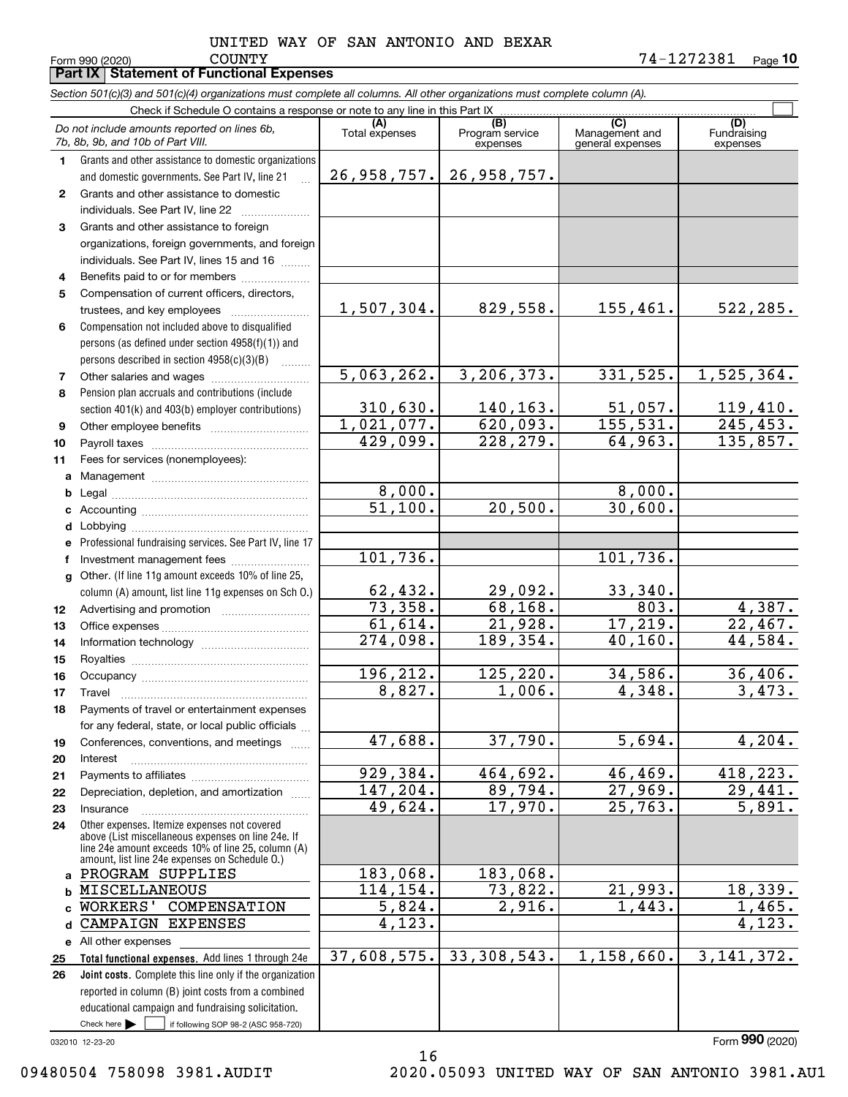**10** COUNTY 74-1272381

|              | Form 990 (2020)<br><b>COUNTY</b><br>Part IX   Statement of Functional Expenses                                             |                         |                             |                                    | 14-1212381<br>Page 10   |
|--------------|----------------------------------------------------------------------------------------------------------------------------|-------------------------|-----------------------------|------------------------------------|-------------------------|
|              | Section 501(c)(3) and 501(c)(4) organizations must complete all columns. All other organizations must complete column (A). |                         |                             |                                    |                         |
|              | Check if Schedule O contains a response or note to any line in this Part IX                                                |                         |                             |                                    |                         |
|              | Do not include amounts reported on lines 6b,                                                                               | (A)                     | (B)                         | (C)                                | (D)                     |
|              | 7b, 8b, 9b, and 10b of Part VIII.                                                                                          | Total expenses          | Program service<br>expenses | Management and<br>general expenses | Fundraising<br>expenses |
| 1.           | Grants and other assistance to domestic organizations                                                                      |                         |                             |                                    |                         |
|              | and domestic governments. See Part IV, line 21                                                                             | 26,958,757.             | 26, 958, 757.               |                                    |                         |
| $\mathbf{2}$ | Grants and other assistance to domestic                                                                                    |                         |                             |                                    |                         |
|              | individuals. See Part IV, line 22                                                                                          |                         |                             |                                    |                         |
| 3            | Grants and other assistance to foreign                                                                                     |                         |                             |                                    |                         |
|              | organizations, foreign governments, and foreign                                                                            |                         |                             |                                    |                         |
|              | individuals. See Part IV, lines 15 and 16                                                                                  |                         |                             |                                    |                         |
| 4            | Benefits paid to or for members                                                                                            |                         |                             |                                    |                         |
| 5            | Compensation of current officers, directors,                                                                               |                         |                             |                                    |                         |
|              | trustees, and key employees                                                                                                | 1,507,304.              | 829,558.                    | 155,461.                           | 522,285.                |
| 6            | Compensation not included above to disqualified                                                                            |                         |                             |                                    |                         |
|              | persons (as defined under section 4958(f)(1)) and                                                                          |                         |                             |                                    |                         |
|              | persons described in section 4958(c)(3)(B)<br>a a bhailtean                                                                | 5,063,262.              |                             |                                    |                         |
| 7            |                                                                                                                            |                         | 3, 206, 373.                | 331, 525.                          | 1,525,364.              |
| 8            | Pension plan accruals and contributions (include                                                                           | 310, 630.               | 140,163.                    |                                    | 119,410.                |
|              | section 401(k) and 403(b) employer contributions)                                                                          | 1,021,077.              | 620,093.                    | 51,057.<br>155, 531.               | 245, 453.               |
| 9            | Other employee benefits                                                                                                    | 429,099.                | 228,279.                    | 64,963.                            | 135,857.                |
| 10<br>11     | Fees for services (nonemployees):                                                                                          |                         |                             |                                    |                         |
| a            |                                                                                                                            |                         |                             |                                    |                         |
| b            |                                                                                                                            | 8,000.                  |                             | 8,000.                             |                         |
| с            |                                                                                                                            | 51,100.                 | 20,500.                     | 30,600.                            |                         |
| d            |                                                                                                                            |                         |                             |                                    |                         |
| е            | Professional fundraising services. See Part IV, line 17                                                                    |                         |                             |                                    |                         |
| f            | Investment management fees                                                                                                 | 101,736.                |                             | 101,736.                           |                         |
| g            | Other. (If line 11g amount exceeds 10% of line 25,                                                                         |                         |                             |                                    |                         |
|              | column (A) amount, list line 11g expenses on Sch O.)                                                                       | 62,432.                 | 29,092.                     | 33,340.                            |                         |
| 12           |                                                                                                                            | $\overline{73,358}$ .   | 68,168.                     | 803.                               | 4,387.                  |
| 13           |                                                                                                                            | 61,614.                 | 21,928.                     | 17,219.                            | 22,467.                 |
| 14           |                                                                                                                            | $\overline{274}$ , 098. | 189,354.                    | 40, 160.                           | 44,584.                 |
| 15           |                                                                                                                            |                         |                             |                                    |                         |
| 16           | Occupancy                                                                                                                  | 196,212.                | 125,220.                    | 34,586.                            | 36,406.                 |
| 17           | Travel                                                                                                                     | 8,827.                  | 1,006.                      | 4,348.                             | 3,473.                  |
| 18           | Payments of travel or entertainment expenses                                                                               |                         |                             |                                    |                         |
|              | for any federal, state, or local public officials                                                                          | 47,688.                 | 37,790.                     | 5,694.                             | 4,204.                  |
| 19           | Conferences, conventions, and meetings                                                                                     |                         |                             |                                    |                         |
| 20           | Interest                                                                                                                   | 929,384.                | 464,692.                    | 46,469.                            | 418, 223.               |
| 21<br>22     | Depreciation, depletion, and amortization                                                                                  | 147,204.                | 89,794.                     | 27,969.                            | 29,441.                 |
| 23           | Insurance                                                                                                                  | 49,624.                 | 17,970.                     | 25,763.                            | 5,891.                  |
| 24           | Other expenses. Itemize expenses not covered                                                                               |                         |                             |                                    |                         |
|              | above (List miscellaneous expenses on line 24e. If                                                                         |                         |                             |                                    |                         |
|              | line 24e amount exceeds 10% of line 25, column (A)<br>amount, list line 24e expenses on Schedule O.)                       |                         |                             |                                    |                         |
| a            | PROGRAM SUPPLIES                                                                                                           | 183,068.                | 183,068.                    |                                    |                         |
| b            | MISCELLANEOUS                                                                                                              | 114,154.                | 73,822.                     | 21,993.                            | 18,339.                 |
| c            | WORKERS' COMPENSATION                                                                                                      | 5,824.                  | 2,916.                      | 1,443.                             | 1,465.                  |
| d            | CAMPAIGN EXPENSES                                                                                                          | $\overline{4}$ , 123.   |                             |                                    | 4,123.                  |
|              | e All other expenses                                                                                                       |                         |                             |                                    |                         |
| 25           | Total functional expenses. Add lines 1 through 24e                                                                         | 37,608,575.             | 33, 308, 543.               | 1,158,660.                         | 3,141,372.              |
| 26           | Joint costs. Complete this line only if the organization                                                                   |                         |                             |                                    |                         |
|              | reported in column (B) joint costs from a combined                                                                         |                         |                             |                                    |                         |
|              | educational campaign and fundraising solicitation.                                                                         |                         |                             |                                    |                         |

032010 12-23-20

Check here

Check here  $\bullet$  if following SOP 98-2 (ASC 958-720)

16 09480504 758098 3981.AUDIT 2020.05093 UNITED WAY OF SAN ANTONIO 3981.AU1

Form (2020) **990**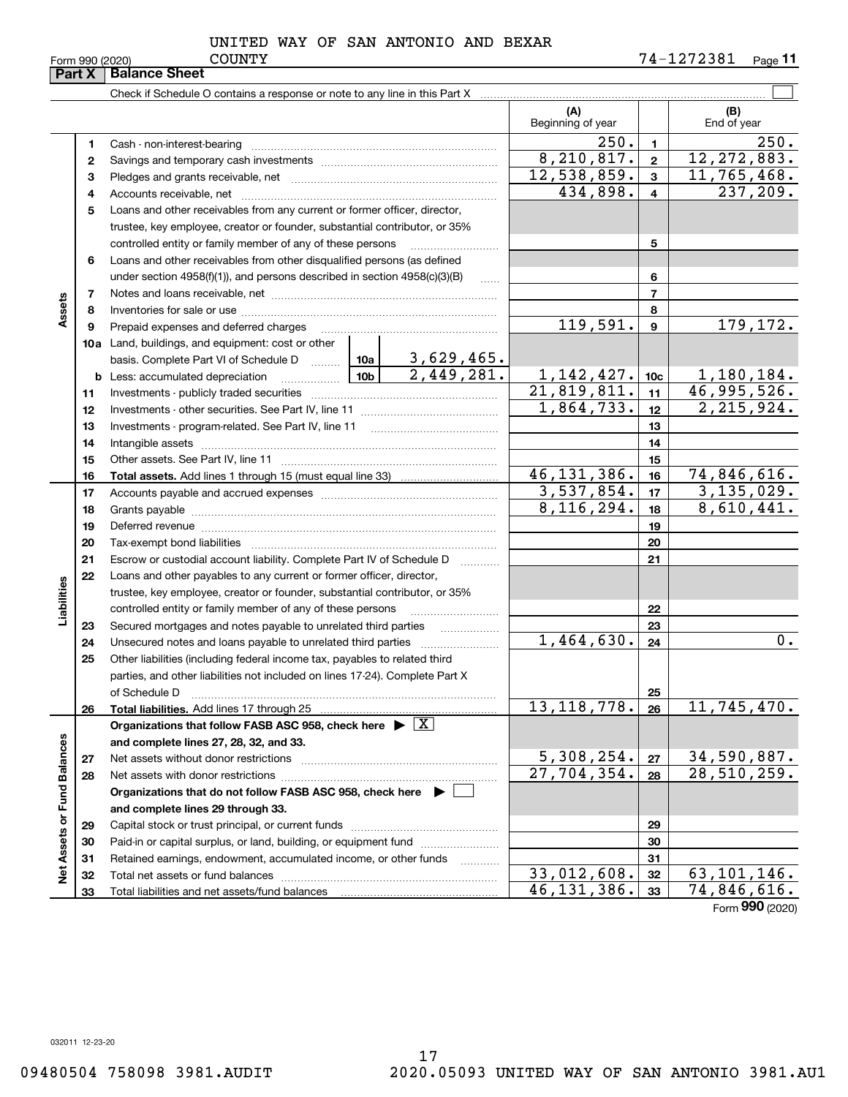|                             | Part X   | <b>Balance Sheet</b>                                                                                                                                                                                                           |                 |                          |                           |                 |                           |
|-----------------------------|----------|--------------------------------------------------------------------------------------------------------------------------------------------------------------------------------------------------------------------------------|-----------------|--------------------------|---------------------------|-----------------|---------------------------|
|                             |          |                                                                                                                                                                                                                                |                 |                          |                           |                 |                           |
|                             |          |                                                                                                                                                                                                                                |                 |                          | (A)<br>Beginning of year  |                 | (B)<br>End of year        |
|                             | 1        |                                                                                                                                                                                                                                |                 |                          | 250.                      | $\blacksquare$  | 250.                      |
|                             | 2        |                                                                                                                                                                                                                                |                 |                          | 8, 210, 817.              | $\mathbf{2}$    | 12, 272, 883.             |
|                             | з        |                                                                                                                                                                                                                                |                 |                          | 12,538,859.               | 3               | 11,765,468.               |
|                             | 4        |                                                                                                                                                                                                                                |                 |                          | 434,898.                  | $\overline{4}$  | 237, 209.                 |
|                             | 5        | Loans and other receivables from any current or former officer, director,                                                                                                                                                      |                 |                          |                           |                 |                           |
|                             |          | trustee, key employee, creator or founder, substantial contributor, or 35%                                                                                                                                                     |                 |                          |                           |                 |                           |
|                             |          | controlled entity or family member of any of these persons                                                                                                                                                                     |                 |                          |                           | 5               |                           |
|                             | 6        | Loans and other receivables from other disqualified persons (as defined                                                                                                                                                        |                 |                          |                           |                 |                           |
|                             |          | under section $4958(f)(1)$ , and persons described in section $4958(c)(3)(B)$                                                                                                                                                  |                 | 1.1.1.1                  |                           | 6               |                           |
|                             | 7        |                                                                                                                                                                                                                                |                 |                          |                           | $\overline{7}$  |                           |
| Assets                      | 8        |                                                                                                                                                                                                                                |                 |                          |                           | 8               |                           |
|                             | 9        | Prepaid expenses and deferred charges                                                                                                                                                                                          |                 |                          | 119,591.                  | 9               | 179,172.                  |
|                             |          | 10a Land, buildings, and equipment: cost or other                                                                                                                                                                              |                 |                          |                           |                 |                           |
|                             |          | basis. Complete Part VI of Schedule D  10a                                                                                                                                                                                     |                 | 3,629,465.               |                           |                 |                           |
|                             | b        | Less: accumulated depreciation                                                                                                                                                                                                 | 10 <sub>b</sub> | 2,449,281.               | 1, 142, 427.              | 10 <sub>c</sub> | 1,180,184.                |
|                             | 11       |                                                                                                                                                                                                                                |                 |                          | 21,819,811.               | 11              | 46,995,526.               |
|                             | 12       |                                                                                                                                                                                                                                |                 |                          | 1,864,733.                | 12              | 2, 215, 924.              |
|                             | 13       | Investments - program-related. See Part IV, line 11                                                                                                                                                                            |                 |                          |                           | 13              |                           |
|                             | 14       |                                                                                                                                                                                                                                |                 |                          |                           | 14              |                           |
|                             | 15       |                                                                                                                                                                                                                                |                 | 15                       |                           |                 |                           |
|                             | 16       |                                                                                                                                                                                                                                |                 |                          | 46, 131, 386.             | 16              | 74,846,616.               |
|                             | 17       |                                                                                                                                                                                                                                |                 |                          | 3,537,854.                | 17              | 3, 135, 029.              |
|                             | 18       |                                                                                                                                                                                                                                | 8, 116, 294.    | 18                       | 8,610,441.                |                 |                           |
|                             | 19       | Deferred revenue manual contracts and contracts are contracted and contract and contract are contracted and contract are contracted and contract are contracted and contract are contracted and contract are contracted and co |                 | 19                       |                           |                 |                           |
|                             | 20       |                                                                                                                                                                                                                                |                 |                          |                           | 20              |                           |
|                             | 21       | Escrow or custodial account liability. Complete Part IV of Schedule D                                                                                                                                                          |                 | .                        |                           | 21              |                           |
|                             | 22       | Loans and other payables to any current or former officer, director,                                                                                                                                                           |                 |                          |                           |                 |                           |
|                             |          | trustee, key employee, creator or founder, substantial contributor, or 35%                                                                                                                                                     |                 |                          |                           |                 |                           |
| Liabilities                 |          | controlled entity or family member of any of these persons                                                                                                                                                                     |                 |                          |                           | 22              |                           |
|                             | 23<br>24 | Secured mortgages and notes payable to unrelated third parties                                                                                                                                                                 |                 |                          | 1,464,630.                | 23<br>24        | 0.                        |
|                             | 25       | Other liabilities (including federal income tax, payables to related third                                                                                                                                                     |                 |                          |                           |                 |                           |
|                             |          | parties, and other liabilities not included on lines 17-24). Complete Part X                                                                                                                                                   |                 |                          |                           |                 |                           |
|                             |          | of Schedule D                                                                                                                                                                                                                  |                 |                          |                           | 25              |                           |
|                             | 26       | Total liabilities. Add lines 17 through 25                                                                                                                                                                                     |                 |                          | 13, 118, 778.             | 26              | 11, 745, 470.             |
|                             |          | Organizations that follow FASB ASC 958, check here $\blacktriangleright \boxed{X}$                                                                                                                                             |                 |                          |                           |                 |                           |
|                             |          | and complete lines 27, 28, 32, and 33.                                                                                                                                                                                         |                 |                          |                           |                 |                           |
|                             | 27       | Net assets without donor restrictions                                                                                                                                                                                          |                 |                          | 5,308,254.                | 27              | 34,590,887.               |
|                             | 28       |                                                                                                                                                                                                                                |                 |                          | $\overline{27,704,354}$ . | 28              | 28,510,259.               |
|                             |          | Organizations that do not follow FASB ASC 958, check here $\blacktriangleright$                                                                                                                                                |                 |                          |                           |                 |                           |
|                             |          | and complete lines 29 through 33.                                                                                                                                                                                              |                 |                          |                           |                 |                           |
|                             | 29       |                                                                                                                                                                                                                                |                 |                          |                           | 29              |                           |
|                             | 30       | Paid-in or capital surplus, or land, building, or equipment fund                                                                                                                                                               |                 |                          | 30                        |                 |                           |
|                             | 31       | Retained earnings, endowment, accumulated income, or other funds                                                                                                                                                               |                 | $\overline{\phantom{a}}$ |                           | 31              |                           |
| Net Assets or Fund Balances | 32       |                                                                                                                                                                                                                                |                 |                          | 33,012,608.               | 32              | 63,101,146.               |
|                             | 33       |                                                                                                                                                                                                                                |                 |                          | 46, 131, 386.             | 33              | $\overline{74,846,616}$ . |

Form (2020) **990**

032011 12-23-20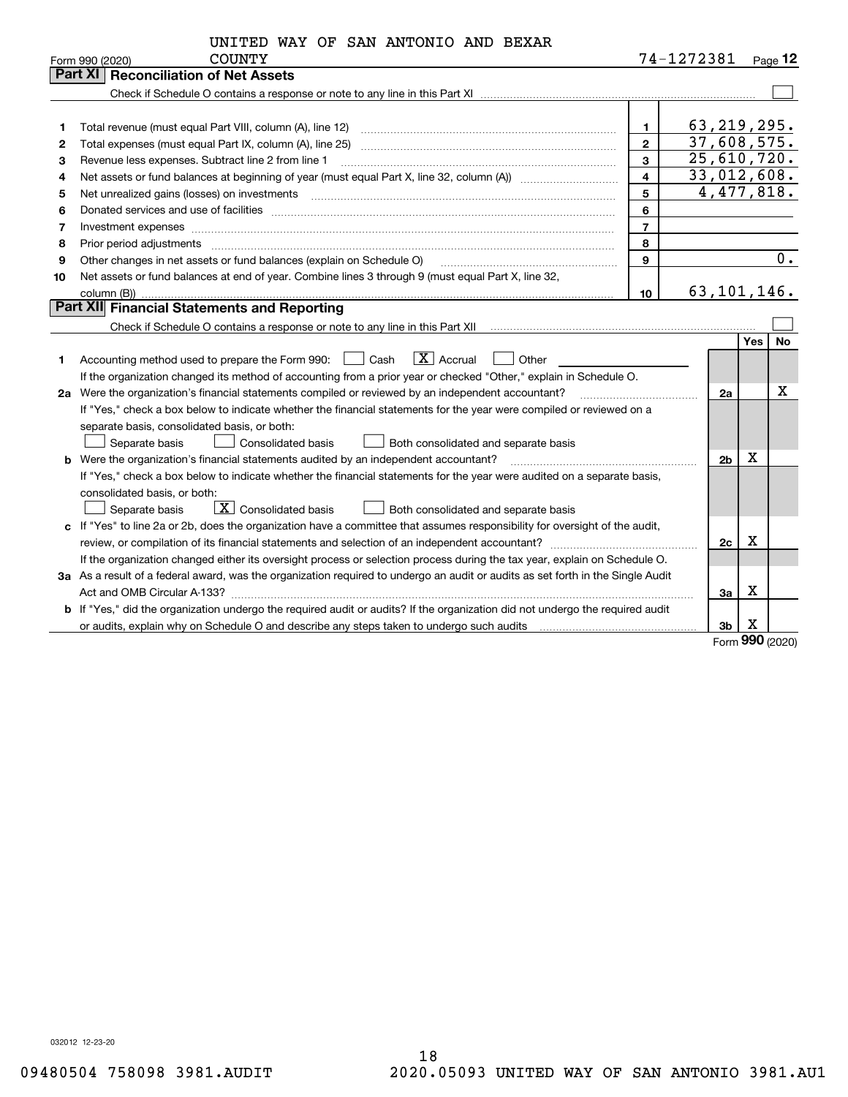| UNITED WAY OF SAN ANTONIO AND BEXAR |  |
|-------------------------------------|--|
|-------------------------------------|--|

|    | <b>COUNTY</b><br>Form 990 (2020)                                                                                                                                                                                                                                                                                                                                                                                                                                             |                         | 74-1272381    |                |             | $P_{\text{aqe}}$ 12 |
|----|------------------------------------------------------------------------------------------------------------------------------------------------------------------------------------------------------------------------------------------------------------------------------------------------------------------------------------------------------------------------------------------------------------------------------------------------------------------------------|-------------------------|---------------|----------------|-------------|---------------------|
|    | <b>Reconciliation of Net Assets</b><br>Part XI                                                                                                                                                                                                                                                                                                                                                                                                                               |                         |               |                |             |                     |
|    |                                                                                                                                                                                                                                                                                                                                                                                                                                                                              |                         |               |                |             |                     |
|    |                                                                                                                                                                                                                                                                                                                                                                                                                                                                              |                         |               |                |             |                     |
| 1  | Total revenue (must equal Part VIII, column (A), line 12)                                                                                                                                                                                                                                                                                                                                                                                                                    | $\mathbf{1}$            | 63, 219, 295. |                |             |                     |
| 2  | Total expenses (must equal Part IX, column (A), line 25)                                                                                                                                                                                                                                                                                                                                                                                                                     | $\overline{2}$          | 37,608,575.   |                |             |                     |
| 3  | Revenue less expenses. Subtract line 2 from line 1                                                                                                                                                                                                                                                                                                                                                                                                                           | $\mathbf{3}$            | 25,610,720.   |                |             |                     |
| 4  | Net assets or fund balances at beginning of year (must equal Part X, line 32, column (A)) manured manured with                                                                                                                                                                                                                                                                                                                                                               | $\overline{\mathbf{4}}$ | 33,012,608.   |                |             |                     |
| 5  |                                                                                                                                                                                                                                                                                                                                                                                                                                                                              | 5                       |               |                |             | 4,477,818.          |
| 6  |                                                                                                                                                                                                                                                                                                                                                                                                                                                                              | 6                       |               |                |             |                     |
| 7  |                                                                                                                                                                                                                                                                                                                                                                                                                                                                              | $\overline{7}$          |               |                |             |                     |
| 8  | Prior period adjustments<br>$\begin{minipage}{0.5\textwidth} \begin{tabular}{ l l l } \hline \multicolumn{1}{ l l l } \hline \multicolumn{1}{ l l } \hline \multicolumn{1}{ l } \multicolumn{1}{ l } \hline \multicolumn{1}{ l } \multicolumn{1}{ l } \multicolumn{1}{ l } \hline \multicolumn{1}{ l } \multicolumn{1}{ l } \multicolumn{1}{ l } \hline \multicolumn{1}{ l } \multicolumn{1}{ l } \hline \multicolumn{1}{ l } \multicolumn{1}{ l } \hline \multicolumn{1}{ $ | 8                       |               |                |             |                     |
| 9  | Other changes in net assets or fund balances (explain on Schedule O)                                                                                                                                                                                                                                                                                                                                                                                                         | 9                       |               |                |             | 0.                  |
| 10 | Net assets or fund balances at end of year. Combine lines 3 through 9 (must equal Part X, line 32,                                                                                                                                                                                                                                                                                                                                                                           |                         |               |                |             |                     |
|    |                                                                                                                                                                                                                                                                                                                                                                                                                                                                              | 10                      | 63,101,146.   |                |             |                     |
|    | Part XII Financial Statements and Reporting                                                                                                                                                                                                                                                                                                                                                                                                                                  |                         |               |                |             |                     |
|    |                                                                                                                                                                                                                                                                                                                                                                                                                                                                              |                         |               |                |             |                     |
|    |                                                                                                                                                                                                                                                                                                                                                                                                                                                                              |                         |               |                | Yes         | No                  |
| 1. | $ X $ Accrual<br>Accounting method used to prepare the Form 990: <u>I</u> Cash<br>Other                                                                                                                                                                                                                                                                                                                                                                                      |                         |               |                |             |                     |
|    | If the organization changed its method of accounting from a prior year or checked "Other," explain in Schedule O.                                                                                                                                                                                                                                                                                                                                                            |                         |               |                |             |                     |
|    | 2a Were the organization's financial statements compiled or reviewed by an independent accountant?                                                                                                                                                                                                                                                                                                                                                                           |                         |               | 2a             |             | х                   |
|    | If "Yes," check a box below to indicate whether the financial statements for the year were compiled or reviewed on a                                                                                                                                                                                                                                                                                                                                                         |                         |               |                |             |                     |
|    | separate basis, consolidated basis, or both:                                                                                                                                                                                                                                                                                                                                                                                                                                 |                         |               |                |             |                     |
|    | Separate basis<br><b>Consolidated basis</b><br>Both consolidated and separate basis                                                                                                                                                                                                                                                                                                                                                                                          |                         |               |                |             |                     |
|    | <b>b</b> Were the organization's financial statements audited by an independent accountant?                                                                                                                                                                                                                                                                                                                                                                                  |                         |               | 2 <sub>b</sub> | Χ           |                     |
|    | If "Yes," check a box below to indicate whether the financial statements for the year were audited on a separate basis,                                                                                                                                                                                                                                                                                                                                                      |                         |               |                |             |                     |
|    | consolidated basis, or both:                                                                                                                                                                                                                                                                                                                                                                                                                                                 |                         |               |                |             |                     |
|    | $\boxed{\mathbf{X}}$ Consolidated basis<br>Separate basis<br>Both consolidated and separate basis                                                                                                                                                                                                                                                                                                                                                                            |                         |               |                |             |                     |
|    | c If "Yes" to line 2a or 2b, does the organization have a committee that assumes responsibility for oversight of the audit,                                                                                                                                                                                                                                                                                                                                                  |                         |               |                |             |                     |
|    | review, or compilation of its financial statements and selection of an independent accountant?                                                                                                                                                                                                                                                                                                                                                                               |                         |               | 2c             | $\mathbf X$ |                     |
|    | If the organization changed either its oversight process or selection process during the tax year, explain on Schedule O.                                                                                                                                                                                                                                                                                                                                                    |                         |               |                |             |                     |
|    | 3a As a result of a federal award, was the organization required to undergo an audit or audits as set forth in the Single Audit                                                                                                                                                                                                                                                                                                                                              |                         |               |                |             |                     |
|    |                                                                                                                                                                                                                                                                                                                                                                                                                                                                              |                         |               | За             | х           |                     |
|    | b If "Yes," did the organization undergo the required audit or audits? If the organization did not undergo the required audit                                                                                                                                                                                                                                                                                                                                                |                         |               |                |             |                     |
|    | or audits, explain why on Schedule O and describe any steps taken to undergo such audits matures are accommodated by                                                                                                                                                                                                                                                                                                                                                         |                         |               | 3b             | х           |                     |

Form (2020) **990**

032012 12-23-20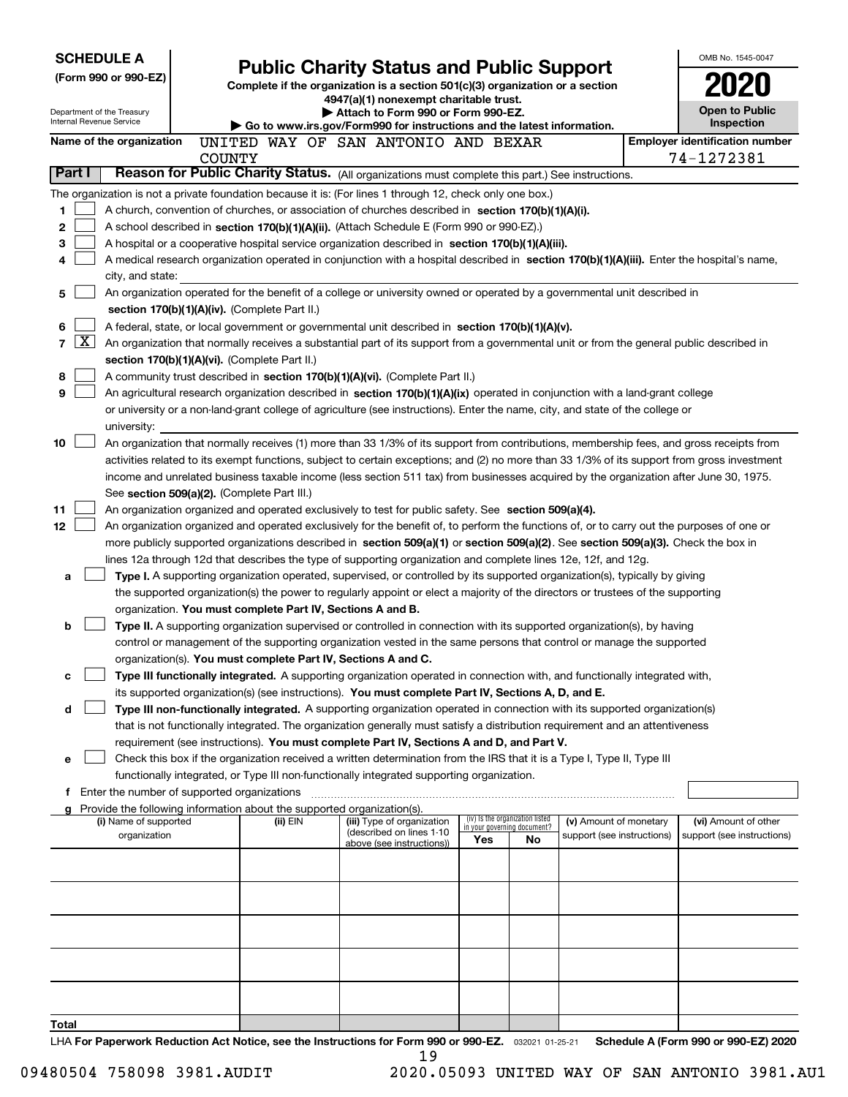|                        | <b>SCHEDULE A</b>                                      |                                               |                                                                                                                                  |  |                                                                                                                                                                                                                     |     |                                                                |                            |  | OMB No. 1545-0047                     |  |  |
|------------------------|--------------------------------------------------------|-----------------------------------------------|----------------------------------------------------------------------------------------------------------------------------------|--|---------------------------------------------------------------------------------------------------------------------------------------------------------------------------------------------------------------------|-----|----------------------------------------------------------------|----------------------------|--|---------------------------------------|--|--|
| (Form 990 or 990-EZ)   |                                                        |                                               | <b>Public Charity Status and Public Support</b><br>Complete if the organization is a section 501(c)(3) organization or a section |  |                                                                                                                                                                                                                     |     |                                                                |                            |  |                                       |  |  |
|                        |                                                        |                                               |                                                                                                                                  |  | 4947(a)(1) nonexempt charitable trust.                                                                                                                                                                              |     |                                                                |                            |  |                                       |  |  |
|                        | Department of the Treasury<br>Internal Revenue Service |                                               |                                                                                                                                  |  | Attach to Form 990 or Form 990-EZ.                                                                                                                                                                                  |     |                                                                |                            |  | <b>Open to Public</b><br>Inspection   |  |  |
|                        | Name of the organization                               |                                               |                                                                                                                                  |  | $\blacktriangleright$ Go to www.irs.gov/Form990 for instructions and the latest information.<br>UNITED WAY OF SAN ANTONIO AND BEXAR                                                                                 |     |                                                                |                            |  | <b>Employer identification number</b> |  |  |
|                        |                                                        | <b>COUNTY</b>                                 |                                                                                                                                  |  |                                                                                                                                                                                                                     |     |                                                                |                            |  | 74-1272381                            |  |  |
| Part I                 |                                                        |                                               |                                                                                                                                  |  | Reason for Public Charity Status. (All organizations must complete this part.) See instructions.                                                                                                                    |     |                                                                |                            |  |                                       |  |  |
|                        |                                                        |                                               |                                                                                                                                  |  | The organization is not a private foundation because it is: (For lines 1 through 12, check only one box.)                                                                                                           |     |                                                                |                            |  |                                       |  |  |
| 1.                     |                                                        |                                               |                                                                                                                                  |  | A church, convention of churches, or association of churches described in section 170(b)(1)(A)(i).                                                                                                                  |     |                                                                |                            |  |                                       |  |  |
| 2                      |                                                        |                                               |                                                                                                                                  |  | A school described in section 170(b)(1)(A)(ii). (Attach Schedule E (Form 990 or 990-EZ).)                                                                                                                           |     |                                                                |                            |  |                                       |  |  |
| 3                      |                                                        |                                               |                                                                                                                                  |  | A hospital or a cooperative hospital service organization described in section $170(b)(1)(A)(iii)$ .                                                                                                                |     |                                                                |                            |  |                                       |  |  |
| 4                      |                                                        |                                               |                                                                                                                                  |  | A medical research organization operated in conjunction with a hospital described in section 170(b)(1)(A)(iii). Enter the hospital's name,                                                                          |     |                                                                |                            |  |                                       |  |  |
|                        | city, and state:                                       |                                               |                                                                                                                                  |  |                                                                                                                                                                                                                     |     |                                                                |                            |  |                                       |  |  |
| 5                      |                                                        |                                               |                                                                                                                                  |  | An organization operated for the benefit of a college or university owned or operated by a governmental unit described in                                                                                           |     |                                                                |                            |  |                                       |  |  |
|                        |                                                        | section 170(b)(1)(A)(iv). (Complete Part II.) |                                                                                                                                  |  |                                                                                                                                                                                                                     |     |                                                                |                            |  |                                       |  |  |
| 6                      |                                                        |                                               |                                                                                                                                  |  | A federal, state, or local government or governmental unit described in section 170(b)(1)(A)(v).                                                                                                                    |     |                                                                |                            |  |                                       |  |  |
| $\vert$ X $\vert$<br>7 |                                                        |                                               |                                                                                                                                  |  | An organization that normally receives a substantial part of its support from a governmental unit or from the general public described in                                                                           |     |                                                                |                            |  |                                       |  |  |
|                        |                                                        | section 170(b)(1)(A)(vi). (Complete Part II.) |                                                                                                                                  |  |                                                                                                                                                                                                                     |     |                                                                |                            |  |                                       |  |  |
| 8                      |                                                        |                                               |                                                                                                                                  |  | A community trust described in section 170(b)(1)(A)(vi). (Complete Part II.)                                                                                                                                        |     |                                                                |                            |  |                                       |  |  |
| 9                      |                                                        |                                               |                                                                                                                                  |  | An agricultural research organization described in section 170(b)(1)(A)(ix) operated in conjunction with a land-grant college                                                                                       |     |                                                                |                            |  |                                       |  |  |
|                        |                                                        |                                               |                                                                                                                                  |  | or university or a non-land-grant college of agriculture (see instructions). Enter the name, city, and state of the college or                                                                                      |     |                                                                |                            |  |                                       |  |  |
| 10                     | university:                                            |                                               |                                                                                                                                  |  | An organization that normally receives (1) more than 33 1/3% of its support from contributions, membership fees, and gross receipts from                                                                            |     |                                                                |                            |  |                                       |  |  |
|                        |                                                        |                                               |                                                                                                                                  |  | activities related to its exempt functions, subject to certain exceptions; and (2) no more than 33 1/3% of its support from gross investment                                                                        |     |                                                                |                            |  |                                       |  |  |
|                        |                                                        |                                               |                                                                                                                                  |  | income and unrelated business taxable income (less section 511 tax) from businesses acquired by the organization after June 30, 1975.                                                                               |     |                                                                |                            |  |                                       |  |  |
|                        |                                                        | See section 509(a)(2). (Complete Part III.)   |                                                                                                                                  |  |                                                                                                                                                                                                                     |     |                                                                |                            |  |                                       |  |  |
| 11                     |                                                        |                                               |                                                                                                                                  |  | An organization organized and operated exclusively to test for public safety. See section 509(a)(4).                                                                                                                |     |                                                                |                            |  |                                       |  |  |
| 12                     |                                                        |                                               |                                                                                                                                  |  | An organization organized and operated exclusively for the benefit of, to perform the functions of, or to carry out the purposes of one or                                                                          |     |                                                                |                            |  |                                       |  |  |
|                        |                                                        |                                               |                                                                                                                                  |  | more publicly supported organizations described in section 509(a)(1) or section 509(a)(2). See section 509(a)(3). Check the box in                                                                                  |     |                                                                |                            |  |                                       |  |  |
|                        |                                                        |                                               |                                                                                                                                  |  | lines 12a through 12d that describes the type of supporting organization and complete lines 12e, 12f, and 12g.                                                                                                      |     |                                                                |                            |  |                                       |  |  |
| a                      |                                                        |                                               |                                                                                                                                  |  | Type I. A supporting organization operated, supervised, or controlled by its supported organization(s), typically by giving                                                                                         |     |                                                                |                            |  |                                       |  |  |
|                        |                                                        |                                               |                                                                                                                                  |  | the supported organization(s) the power to regularly appoint or elect a majority of the directors or trustees of the supporting                                                                                     |     |                                                                |                            |  |                                       |  |  |
|                        |                                                        |                                               |                                                                                                                                  |  | organization. You must complete Part IV, Sections A and B.                                                                                                                                                          |     |                                                                |                            |  |                                       |  |  |
| b                      |                                                        |                                               |                                                                                                                                  |  | Type II. A supporting organization supervised or controlled in connection with its supported organization(s), by having                                                                                             |     |                                                                |                            |  |                                       |  |  |
|                        |                                                        |                                               |                                                                                                                                  |  | control or management of the supporting organization vested in the same persons that control or manage the supported                                                                                                |     |                                                                |                            |  |                                       |  |  |
|                        |                                                        |                                               |                                                                                                                                  |  | organization(s). You must complete Part IV, Sections A and C.                                                                                                                                                       |     |                                                                |                            |  |                                       |  |  |
| с                      |                                                        |                                               |                                                                                                                                  |  | Type III functionally integrated. A supporting organization operated in connection with, and functionally integrated with,                                                                                          |     |                                                                |                            |  |                                       |  |  |
|                        |                                                        |                                               |                                                                                                                                  |  | its supported organization(s) (see instructions). You must complete Part IV, Sections A, D, and E.                                                                                                                  |     |                                                                |                            |  |                                       |  |  |
| d                      |                                                        |                                               |                                                                                                                                  |  | Type III non-functionally integrated. A supporting organization operated in connection with its supported organization(s)                                                                                           |     |                                                                |                            |  |                                       |  |  |
|                        |                                                        |                                               |                                                                                                                                  |  | that is not functionally integrated. The organization generally must satisfy a distribution requirement and an attentiveness                                                                                        |     |                                                                |                            |  |                                       |  |  |
|                        |                                                        |                                               |                                                                                                                                  |  | requirement (see instructions). You must complete Part IV, Sections A and D, and Part V.<br>Check this box if the organization received a written determination from the IRS that it is a Type I, Type II, Type III |     |                                                                |                            |  |                                       |  |  |
| е                      |                                                        |                                               |                                                                                                                                  |  | functionally integrated, or Type III non-functionally integrated supporting organization.                                                                                                                           |     |                                                                |                            |  |                                       |  |  |
|                        | f Enter the number of supported organizations          |                                               |                                                                                                                                  |  |                                                                                                                                                                                                                     |     |                                                                |                            |  |                                       |  |  |
|                        |                                                        |                                               |                                                                                                                                  |  | Provide the following information about the supported organization(s).                                                                                                                                              |     |                                                                |                            |  |                                       |  |  |
|                        | (i) Name of supported                                  |                                               | (ii) EIN                                                                                                                         |  | (iii) Type of organization                                                                                                                                                                                          |     | (iv) Is the organization listed<br>in your governing document? | (v) Amount of monetary     |  | (vi) Amount of other                  |  |  |
|                        | organization                                           |                                               |                                                                                                                                  |  | (described on lines 1-10<br>above (see instructions))                                                                                                                                                               | Yes | No                                                             | support (see instructions) |  | support (see instructions)            |  |  |
|                        |                                                        |                                               |                                                                                                                                  |  |                                                                                                                                                                                                                     |     |                                                                |                            |  |                                       |  |  |
|                        |                                                        |                                               |                                                                                                                                  |  |                                                                                                                                                                                                                     |     |                                                                |                            |  |                                       |  |  |
|                        |                                                        |                                               |                                                                                                                                  |  |                                                                                                                                                                                                                     |     |                                                                |                            |  |                                       |  |  |
|                        |                                                        |                                               |                                                                                                                                  |  |                                                                                                                                                                                                                     |     |                                                                |                            |  |                                       |  |  |
|                        |                                                        |                                               |                                                                                                                                  |  |                                                                                                                                                                                                                     |     |                                                                |                            |  |                                       |  |  |
|                        |                                                        |                                               |                                                                                                                                  |  |                                                                                                                                                                                                                     |     |                                                                |                            |  |                                       |  |  |
|                        |                                                        |                                               |                                                                                                                                  |  |                                                                                                                                                                                                                     |     |                                                                |                            |  |                                       |  |  |
|                        |                                                        |                                               |                                                                                                                                  |  |                                                                                                                                                                                                                     |     |                                                                |                            |  |                                       |  |  |
|                        |                                                        |                                               |                                                                                                                                  |  |                                                                                                                                                                                                                     |     |                                                                |                            |  |                                       |  |  |
|                        |                                                        |                                               |                                                                                                                                  |  |                                                                                                                                                                                                                     |     |                                                                |                            |  |                                       |  |  |
| Total                  |                                                        |                                               |                                                                                                                                  |  | LHA For Panorwork Poduction Act Notice, see the Instructions for Form 880 or 880.57 access at as at                                                                                                                 |     |                                                                |                            |  | Schodule A (Form 880 or 880 FZ) 2020  |  |  |

or 990-EZ. 032021 01-25-21 Schedule A (Form 990 or 990-EZ) 2020 LHA For Paperwork Reduction Act Notice, see the Instructions for Form 990 or 990-EZ. <sub>032021</sub> o1-25-21 Schedule A (Form 990 or 990-EZ) 2020 19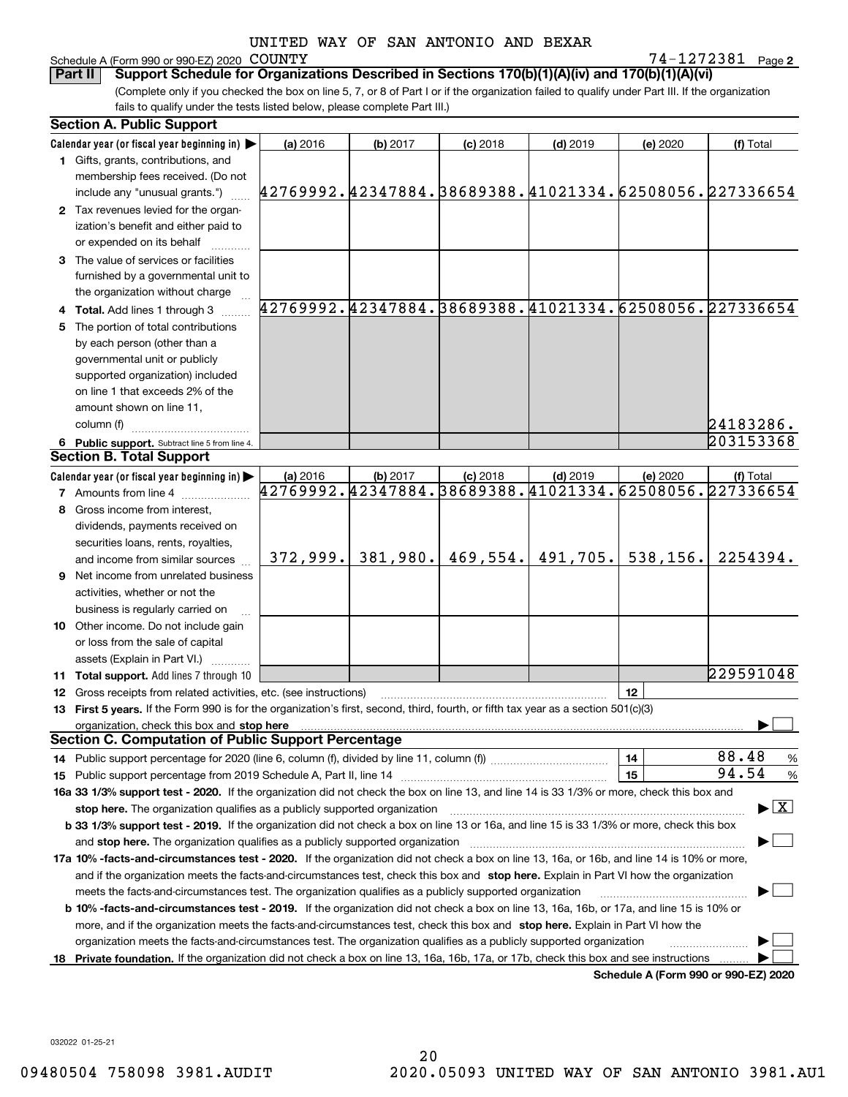## Schedule A (Form 990 or 990-EZ) 2020 COUNTY

**2** COUNTY 74-1272381

(Complete only if you checked the box on line 5, 7, or 8 of Part I or if the organization failed to qualify under Part III. If the organization fails to qualify under the tests listed below, please complete Part III.) **Part II Support Schedule for Organizations Described in Sections 170(b)(1)(A)(iv) and 170(b)(1)(A)(vi)**

|    | <b>Section A. Public Support</b>                                                                                                               |                                                        |          |            |            |          |                                          |
|----|------------------------------------------------------------------------------------------------------------------------------------------------|--------------------------------------------------------|----------|------------|------------|----------|------------------------------------------|
|    | Calendar year (or fiscal year beginning in) $\blacktriangleright$                                                                              | (a) 2016                                               | (b) 2017 | $(c)$ 2018 | $(d)$ 2019 | (e) 2020 | (f) Total                                |
|    | 1 Gifts, grants, contributions, and                                                                                                            |                                                        |          |            |            |          |                                          |
|    | membership fees received. (Do not                                                                                                              |                                                        |          |            |            |          |                                          |
|    | include any "unusual grants.")                                                                                                                 | 42769992.42347884.38689388.41021334.62508056.227336654 |          |            |            |          |                                          |
|    | 2 Tax revenues levied for the organ-                                                                                                           |                                                        |          |            |            |          |                                          |
|    | ization's benefit and either paid to                                                                                                           |                                                        |          |            |            |          |                                          |
|    | or expended on its behalf                                                                                                                      |                                                        |          |            |            |          |                                          |
|    | 3 The value of services or facilities                                                                                                          |                                                        |          |            |            |          |                                          |
|    | furnished by a governmental unit to                                                                                                            |                                                        |          |            |            |          |                                          |
|    | the organization without charge                                                                                                                |                                                        |          |            |            |          |                                          |
|    | 4 Total. Add lines 1 through 3                                                                                                                 | 42769992.42347884.38689388.41021334.62508056.227336654 |          |            |            |          |                                          |
| 5. | The portion of total contributions                                                                                                             |                                                        |          |            |            |          |                                          |
|    | by each person (other than a                                                                                                                   |                                                        |          |            |            |          |                                          |
|    | governmental unit or publicly                                                                                                                  |                                                        |          |            |            |          |                                          |
|    | supported organization) included                                                                                                               |                                                        |          |            |            |          |                                          |
|    | on line 1 that exceeds 2% of the                                                                                                               |                                                        |          |            |            |          |                                          |
|    | amount shown on line 11,                                                                                                                       |                                                        |          |            |            |          |                                          |
|    | column (f)                                                                                                                                     |                                                        |          |            |            |          | 24183286.                                |
|    | 6 Public support. Subtract line 5 from line 4.                                                                                                 |                                                        |          |            |            |          | 203153368                                |
|    | <b>Section B. Total Support</b>                                                                                                                |                                                        |          |            |            |          |                                          |
|    | Calendar year (or fiscal year beginning in)                                                                                                    | (a) 2016                                               | (b) 2017 | $(c)$ 2018 | $(d)$ 2019 | (e) 2020 | (f) Total                                |
|    | <b>7</b> Amounts from line 4                                                                                                                   | 42769992.42347884.38689388.41021334.62508056.227336654 |          |            |            |          |                                          |
|    | 8 Gross income from interest,                                                                                                                  |                                                        |          |            |            |          |                                          |
|    | dividends, payments received on                                                                                                                |                                                        |          |            |            |          |                                          |
|    | securities loans, rents, royalties,                                                                                                            |                                                        |          |            |            |          |                                          |
|    | and income from similar sources                                                                                                                | 372,999.                                               | 381,980. | 469,554.   | 491,705.   | 538,156. | 2254394.                                 |
|    | 9 Net income from unrelated business                                                                                                           |                                                        |          |            |            |          |                                          |
|    | activities, whether or not the                                                                                                                 |                                                        |          |            |            |          |                                          |
|    | business is regularly carried on                                                                                                               |                                                        |          |            |            |          |                                          |
|    | <b>10</b> Other income. Do not include gain                                                                                                    |                                                        |          |            |            |          |                                          |
|    | or loss from the sale of capital                                                                                                               |                                                        |          |            |            |          |                                          |
|    | assets (Explain in Part VI.)                                                                                                                   |                                                        |          |            |            |          |                                          |
|    | <b>11 Total support.</b> Add lines 7 through 10                                                                                                |                                                        |          |            |            |          | 229591048                                |
|    | <b>12</b> Gross receipts from related activities, etc. (see instructions)                                                                      |                                                        |          |            |            | 12       |                                          |
|    | 13 First 5 years. If the Form 990 is for the organization's first, second, third, fourth, or fifth tax year as a section 501(c)(3)             |                                                        |          |            |            |          |                                          |
|    | organization, check this box and <b>stop here</b> with an intermal continuum and continuum and continuum and continuum                         |                                                        |          |            |            |          |                                          |
|    | <b>Section C. Computation of Public Support Percentage</b>                                                                                     |                                                        |          |            |            |          |                                          |
|    |                                                                                                                                                |                                                        |          |            |            | 14       | 88.48<br>%                               |
|    |                                                                                                                                                |                                                        |          |            |            | 15       | 94.54<br>$\%$                            |
|    | 16a 33 1/3% support test - 2020. If the organization did not check the box on line 13, and line 14 is 33 1/3% or more, check this box and      |                                                        |          |            |            |          |                                          |
|    | stop here. The organization qualifies as a publicly supported organization                                                                     |                                                        |          |            |            |          | $\blacktriangleright$ $\boxed{\text{X}}$ |
|    | b 33 1/3% support test - 2019. If the organization did not check a box on line 13 or 16a, and line 15 is 33 1/3% or more, check this box       |                                                        |          |            |            |          |                                          |
|    | and stop here. The organization qualifies as a publicly supported organization                                                                 |                                                        |          |            |            |          |                                          |
|    | 17a 10% -facts-and-circumstances test - 2020. If the organization did not check a box on line 13, 16a, or 16b, and line 14 is 10% or more,     |                                                        |          |            |            |          |                                          |
|    | and if the organization meets the facts-and-circumstances test, check this box and stop here. Explain in Part VI how the organization          |                                                        |          |            |            |          |                                          |
|    | meets the facts-and-circumstances test. The organization qualifies as a publicly supported organization                                        |                                                        |          |            |            |          |                                          |
|    | <b>b 10% -facts-and-circumstances test - 2019.</b> If the organization did not check a box on line 13, 16a, 16b, or 17a, and line 15 is 10% or |                                                        |          |            |            |          |                                          |
|    | more, and if the organization meets the facts-and-circumstances test, check this box and stop here. Explain in Part VI how the                 |                                                        |          |            |            |          |                                          |
|    | organization meets the facts-and-circumstances test. The organization qualifies as a publicly supported organization                           |                                                        |          |            |            |          |                                          |
|    | 18 Private foundation. If the organization did not check a box on line 13, 16a, 16b, 17a, or 17b, check this box and see instructions          |                                                        |          |            |            |          |                                          |
|    |                                                                                                                                                |                                                        |          |            |            |          | Schedule A (Form 990 or 990-F7) 2020     |

**Schedule A (Form 990 or 990-EZ) 2020**

032022 01-25-21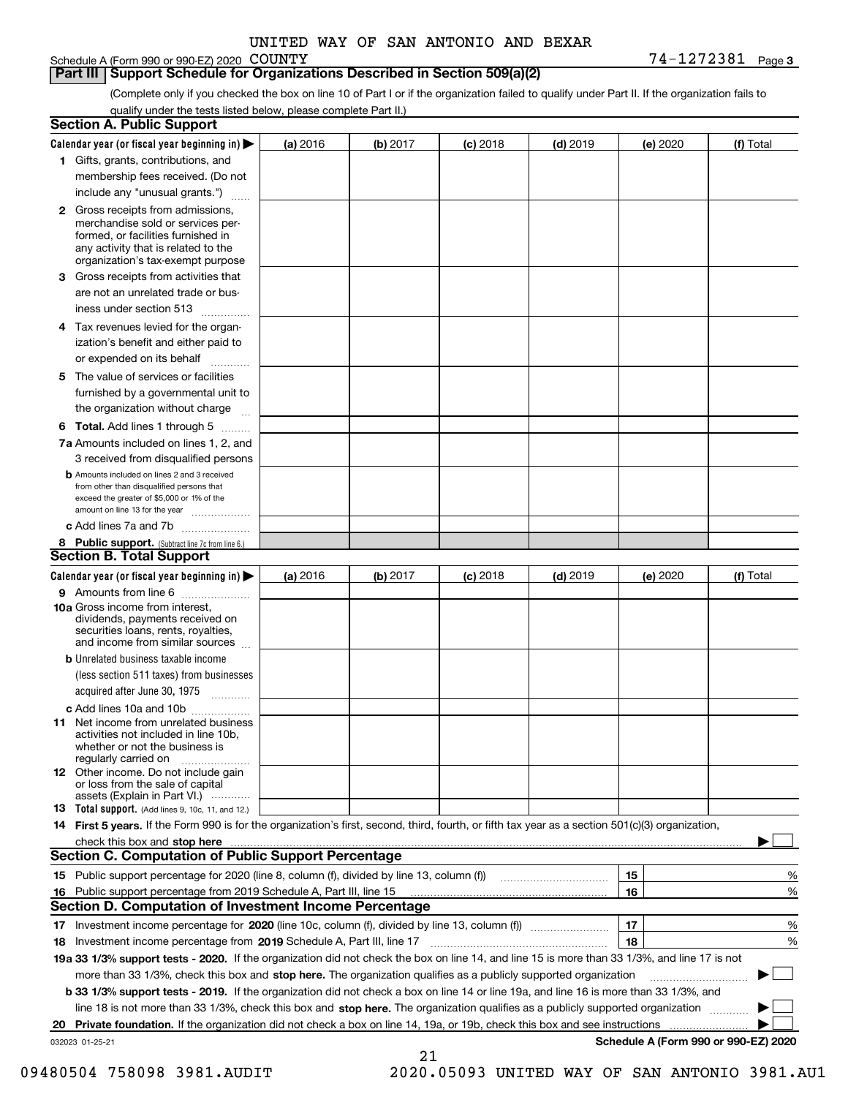#### Schedule A (Form 990 or 990-EZ) 2020 COUNTY

#### **Part III Support Schedule for Organizations Described in Section 509(a)(2)**

**3** COUNTY 74-1272381

(Complete only if you checked the box on line 10 of Part I or if the organization failed to qualify under Part II. If the organization fails to qualify under the tests listed below, please complete Part II.)

|    | <b>Section A. Public Support</b>                                                                                                                                                                                               |          |          |            |            |          |                                      |
|----|--------------------------------------------------------------------------------------------------------------------------------------------------------------------------------------------------------------------------------|----------|----------|------------|------------|----------|--------------------------------------|
|    | Calendar year (or fiscal year beginning in) $\blacktriangleright$                                                                                                                                                              | (a) 2016 | (b) 2017 | $(c)$ 2018 | $(d)$ 2019 | (e) 2020 | (f) Total                            |
|    | 1 Gifts, grants, contributions, and                                                                                                                                                                                            |          |          |            |            |          |                                      |
|    | membership fees received. (Do not                                                                                                                                                                                              |          |          |            |            |          |                                      |
|    | include any "unusual grants.")                                                                                                                                                                                                 |          |          |            |            |          |                                      |
|    | <b>2</b> Gross receipts from admissions,<br>merchandise sold or services per-<br>formed, or facilities furnished in<br>any activity that is related to the<br>organization's tax-exempt purpose                                |          |          |            |            |          |                                      |
|    | 3 Gross receipts from activities that<br>are not an unrelated trade or bus-                                                                                                                                                    |          |          |            |            |          |                                      |
|    | iness under section 513                                                                                                                                                                                                        |          |          |            |            |          |                                      |
|    | 4 Tax revenues levied for the organ-<br>ization's benefit and either paid to                                                                                                                                                   |          |          |            |            |          |                                      |
|    | or expended on its behalf<br>.                                                                                                                                                                                                 |          |          |            |            |          |                                      |
|    | 5 The value of services or facilities<br>furnished by a governmental unit to<br>the organization without charge                                                                                                                |          |          |            |            |          |                                      |
|    |                                                                                                                                                                                                                                |          |          |            |            |          |                                      |
|    | <b>6 Total.</b> Add lines 1 through 5<br>7a Amounts included on lines 1, 2, and<br>3 received from disqualified persons                                                                                                        |          |          |            |            |          |                                      |
|    | <b>b</b> Amounts included on lines 2 and 3 received<br>from other than disqualified persons that<br>exceed the greater of \$5,000 or 1% of the<br>amount on line 13 for the year                                               |          |          |            |            |          |                                      |
|    | c Add lines 7a and 7b                                                                                                                                                                                                          |          |          |            |            |          |                                      |
|    | 8 Public support. (Subtract line 7c from line 6.)                                                                                                                                                                              |          |          |            |            |          |                                      |
|    | <b>Section B. Total Support</b>                                                                                                                                                                                                |          |          |            |            |          |                                      |
|    | Calendar year (or fiscal year beginning in)                                                                                                                                                                                    | (a) 2016 | (b) 2017 | $(c)$ 2018 | $(d)$ 2019 | (e) 2020 | (f) Total                            |
|    | 9 Amounts from line 6                                                                                                                                                                                                          |          |          |            |            |          |                                      |
|    | 10a Gross income from interest,<br>dividends, payments received on<br>securities loans, rents, royalties,<br>and income from similar sources                                                                                   |          |          |            |            |          |                                      |
|    | <b>b</b> Unrelated business taxable income<br>(less section 511 taxes) from businesses<br>acquired after June 30, 1975                                                                                                         |          |          |            |            |          |                                      |
|    | c Add lines 10a and 10b                                                                                                                                                                                                        |          |          |            |            |          |                                      |
|    | 11 Net income from unrelated business<br>activities not included in line 10b,<br>whether or not the business is<br>regularly carried on                                                                                        |          |          |            |            |          |                                      |
|    | <b>12</b> Other income. Do not include gain<br>or loss from the sale of capital<br>assets (Explain in Part VI.)                                                                                                                |          |          |            |            |          |                                      |
|    | <b>13</b> Total support. (Add lines 9, 10c, 11, and 12.)                                                                                                                                                                       |          |          |            |            |          |                                      |
|    | 14 First 5 years. If the Form 990 is for the organization's first, second, third, fourth, or fifth tax year as a section 501(c)(3) organization,                                                                               |          |          |            |            |          |                                      |
|    | check this box and stop here manufactured and control the state of the state of the state of the state of the state of the state of the state of the state of the state of the state of the state of the state of the state of |          |          |            |            |          |                                      |
|    | Section C. Computation of Public Support Percentage                                                                                                                                                                            |          |          |            |            |          |                                      |
|    |                                                                                                                                                                                                                                |          |          |            |            | 15       | %                                    |
|    | 16 Public support percentage from 2019 Schedule A, Part III, line 15                                                                                                                                                           |          |          |            |            | 16       | %                                    |
|    | <b>Section D. Computation of Investment Income Percentage</b>                                                                                                                                                                  |          |          |            |            |          |                                      |
|    | 17 Investment income percentage for 2020 (line 10c, column (f), divided by line 13, column (f))<br>18 Investment income percentage from 2019 Schedule A, Part III, line 17                                                     |          |          |            |            | 17<br>18 | %<br>%                               |
|    | 19a 33 1/3% support tests - 2020. If the organization did not check the box on line 14, and line 15 is more than 33 1/3%, and line 17 is not                                                                                   |          |          |            |            |          |                                      |
|    | more than 33 1/3%, check this box and stop here. The organization qualifies as a publicly supported organization                                                                                                               |          |          |            |            |          | $\sim$ 1                             |
|    | <b>b 33 1/3% support tests - 2019.</b> If the organization did not check a box on line 14 or line 19a, and line 16 is more than 33 1/3%, and                                                                                   |          |          |            |            |          |                                      |
|    | line 18 is not more than 33 1/3%, check this box and stop here. The organization qualifies as a publicly supported organization                                                                                                |          |          |            |            |          |                                      |
| 20 | <b>Private foundation.</b> If the organization did not check a box on line 14, 19a, or 19b, check this box and see instructions                                                                                                |          |          |            |            |          |                                      |
|    | 032023 01-25-21                                                                                                                                                                                                                |          |          |            |            |          | Schedule A (Form 990 or 990-EZ) 2020 |
|    |                                                                                                                                                                                                                                |          | 21       |            |            |          |                                      |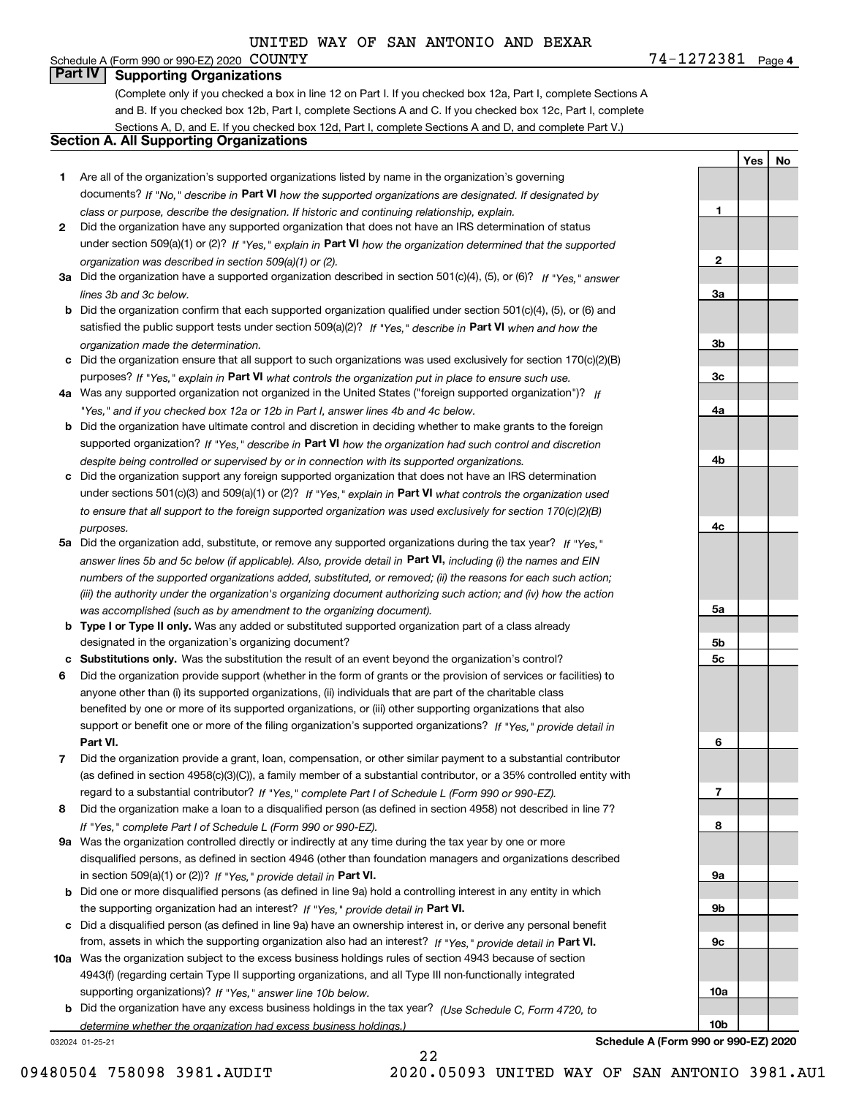**4**COUNTY 74-1272381 Schedule A (Form 990 or 990-EZ) 2020 COUNTY

**Part IV Supporting Organizations**

(Complete only if you checked a box in line 12 on Part I. If you checked box 12a, Part I, complete Sections A and B. If you checked box 12b, Part I, complete Sections A and C. If you checked box 12c, Part I, complete Sections A, D, and E. If you checked box 12d, Part I, complete Sections A and D, and complete Part V.)

#### **Section A. All Supporting Organizations**

- **1** Are all of the organization's supported organizations listed by name in the organization's governing documents? If "No," describe in **Part VI** how the supported organizations are designated. If designated by *class or purpose, describe the designation. If historic and continuing relationship, explain.*
- **2** Did the organization have any supported organization that does not have an IRS determination of status under section 509(a)(1) or (2)? If "Yes," explain in Part VI how the organization determined that the supported *organization was described in section 509(a)(1) or (2).*
- **3a** Did the organization have a supported organization described in section 501(c)(4), (5), or (6)? If "Yes," answer *lines 3b and 3c below.*
- **b** Did the organization confirm that each supported organization qualified under section 501(c)(4), (5), or (6) and satisfied the public support tests under section 509(a)(2)? If "Yes," describe in **Part VI** when and how the *organization made the determination.*
- **c**Did the organization ensure that all support to such organizations was used exclusively for section 170(c)(2)(B) purposes? If "Yes," explain in **Part VI** what controls the organization put in place to ensure such use.
- **4a***If* Was any supported organization not organized in the United States ("foreign supported organization")? *"Yes," and if you checked box 12a or 12b in Part I, answer lines 4b and 4c below.*
- **b** Did the organization have ultimate control and discretion in deciding whether to make grants to the foreign supported organization? If "Yes," describe in **Part VI** how the organization had such control and discretion *despite being controlled or supervised by or in connection with its supported organizations.*
- **c** Did the organization support any foreign supported organization that does not have an IRS determination under sections 501(c)(3) and 509(a)(1) or (2)? If "Yes," explain in **Part VI** what controls the organization used *to ensure that all support to the foreign supported organization was used exclusively for section 170(c)(2)(B) purposes.*
- **5a** Did the organization add, substitute, or remove any supported organizations during the tax year? If "Yes," answer lines 5b and 5c below (if applicable). Also, provide detail in **Part VI,** including (i) the names and EIN *numbers of the supported organizations added, substituted, or removed; (ii) the reasons for each such action; (iii) the authority under the organization's organizing document authorizing such action; and (iv) how the action was accomplished (such as by amendment to the organizing document).*
- **b** Type I or Type II only. Was any added or substituted supported organization part of a class already designated in the organization's organizing document?
- **cSubstitutions only.**  Was the substitution the result of an event beyond the organization's control?
- **6** Did the organization provide support (whether in the form of grants or the provision of services or facilities) to **Part VI.** *If "Yes," provide detail in* support or benefit one or more of the filing organization's supported organizations? anyone other than (i) its supported organizations, (ii) individuals that are part of the charitable class benefited by one or more of its supported organizations, or (iii) other supporting organizations that also
- **7**Did the organization provide a grant, loan, compensation, or other similar payment to a substantial contributor *If "Yes," complete Part I of Schedule L (Form 990 or 990-EZ).* regard to a substantial contributor? (as defined in section 4958(c)(3)(C)), a family member of a substantial contributor, or a 35% controlled entity with
- **8** Did the organization make a loan to a disqualified person (as defined in section 4958) not described in line 7? *If "Yes," complete Part I of Schedule L (Form 990 or 990-EZ).*
- **9a** Was the organization controlled directly or indirectly at any time during the tax year by one or more in section 509(a)(1) or (2))? If "Yes," *provide detail in* <code>Part VI.</code> disqualified persons, as defined in section 4946 (other than foundation managers and organizations described
- **b** Did one or more disqualified persons (as defined in line 9a) hold a controlling interest in any entity in which the supporting organization had an interest? If "Yes," provide detail in P**art VI**.
- **c**Did a disqualified person (as defined in line 9a) have an ownership interest in, or derive any personal benefit from, assets in which the supporting organization also had an interest? If "Yes," provide detail in P**art VI.**
- **10a** Was the organization subject to the excess business holdings rules of section 4943 because of section supporting organizations)? If "Yes," answer line 10b below. 4943(f) (regarding certain Type II supporting organizations, and all Type III non-functionally integrated
- **b** Did the organization have any excess business holdings in the tax year? (Use Schedule C, Form 4720, to *determine whether the organization had excess business holdings.)*

22

032024 01-25-21

**123a3b3c4a4b4c5a 5b5c6789a 9b9c10a**

**YesNo**

**Schedule A (Form 990 or 990-EZ) 2020**

**10b**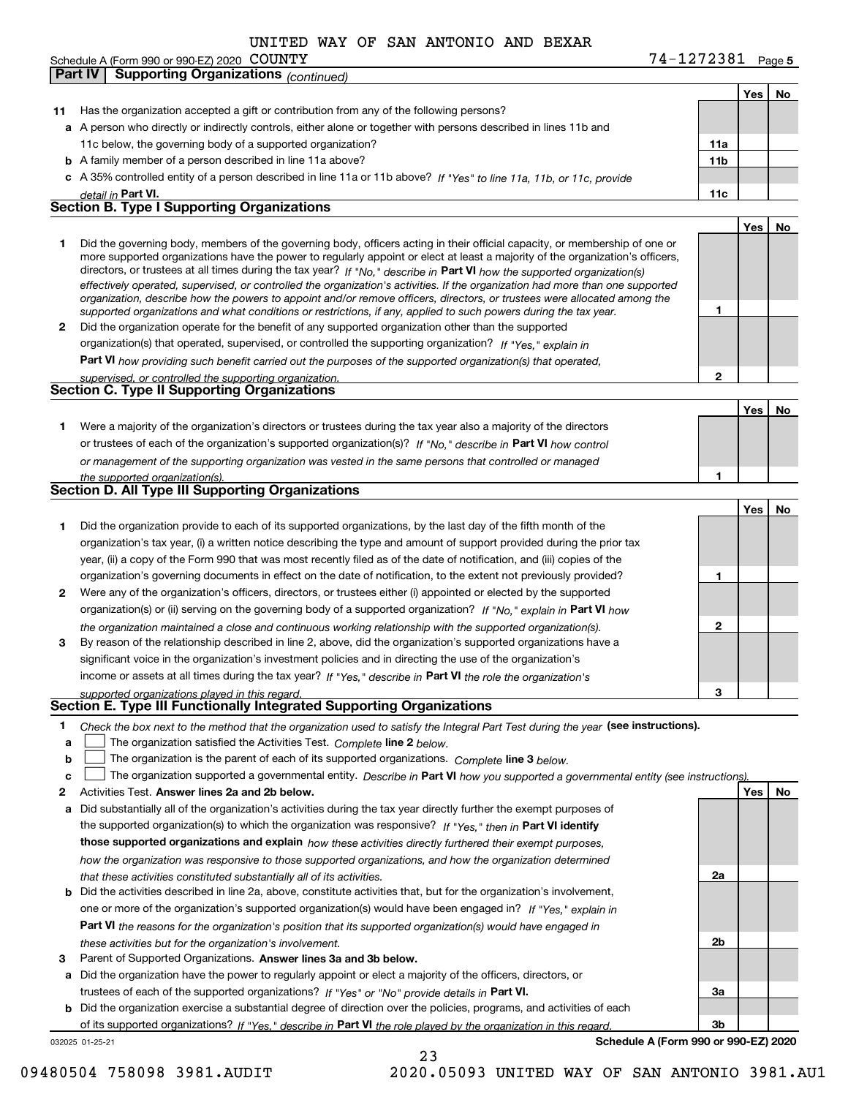|  | Schedule A (Form 990 or 990-EZ) 2020 $\rm ~COMNY$ |  | 74-1272381 | Page |
|--|---------------------------------------------------|--|------------|------|
|--|---------------------------------------------------|--|------------|------|

**Part IV Supporting Organizations** *(continued)*

#### **5** COUNTY 74-1272381

|    |                                                                                                                                                                                                                   |              | Yes | No |
|----|-------------------------------------------------------------------------------------------------------------------------------------------------------------------------------------------------------------------|--------------|-----|----|
| 11 | Has the organization accepted a gift or contribution from any of the following persons?                                                                                                                           |              |     |    |
|    | a A person who directly or indirectly controls, either alone or together with persons described in lines 11b and                                                                                                  |              |     |    |
|    | 11c below, the governing body of a supported organization?                                                                                                                                                        | 11a          |     |    |
|    | <b>b</b> A family member of a person described in line 11a above?                                                                                                                                                 | 11b          |     |    |
|    | c A 35% controlled entity of a person described in line 11a or 11b above? If "Yes" to line 11a, 11b, or 11c, provide                                                                                              |              |     |    |
|    | detail in Part VI.                                                                                                                                                                                                | 11c          |     |    |
|    | <b>Section B. Type I Supporting Organizations</b>                                                                                                                                                                 |              |     |    |
|    |                                                                                                                                                                                                                   |              | Yes | No |
| 1  | Did the governing body, members of the governing body, officers acting in their official capacity, or membership of one or                                                                                        |              |     |    |
|    | more supported organizations have the power to regularly appoint or elect at least a majority of the organization's officers,                                                                                     |              |     |    |
|    | directors, or trustees at all times during the tax year? If "No," describe in Part VI how the supported organization(s)                                                                                           |              |     |    |
|    | effectively operated, supervised, or controlled the organization's activities. If the organization had more than one supported                                                                                    |              |     |    |
|    | organization, describe how the powers to appoint and/or remove officers, directors, or trustees were allocated among the                                                                                          | 1            |     |    |
|    | supported organizations and what conditions or restrictions, if any, applied to such powers during the tax year.                                                                                                  |              |     |    |
| 2  | Did the organization operate for the benefit of any supported organization other than the supported<br>organization(s) that operated, supervised, or controlled the supporting organization? If "Yes," explain in |              |     |    |
|    |                                                                                                                                                                                                                   |              |     |    |
|    | Part VI how providing such benefit carried out the purposes of the supported organization(s) that operated,                                                                                                       | $\mathbf{2}$ |     |    |
|    | supervised, or controlled the supporting organization.<br>Section C. Type II Supporting Organizations                                                                                                             |              |     |    |
|    |                                                                                                                                                                                                                   |              |     | No |
|    | Were a majority of the organization's directors or trustees during the tax year also a majority of the directors                                                                                                  |              | Yes |    |
| 1  |                                                                                                                                                                                                                   |              |     |    |
|    | or trustees of each of the organization's supported organization(s)? If "No," describe in Part VI how control                                                                                                     |              |     |    |
|    | or management of the supporting organization was vested in the same persons that controlled or managed                                                                                                            |              |     |    |
|    | the supported organization(s).<br>Section D. All Type III Supporting Organizations                                                                                                                                | 1            |     |    |
|    |                                                                                                                                                                                                                   |              |     |    |
|    |                                                                                                                                                                                                                   |              | Yes | No |
| 1  | Did the organization provide to each of its supported organizations, by the last day of the fifth month of the                                                                                                    |              |     |    |
|    | organization's tax year, (i) a written notice describing the type and amount of support provided during the prior tax                                                                                             |              |     |    |
|    | year, (ii) a copy of the Form 990 that was most recently filed as of the date of notification, and (iii) copies of the                                                                                            |              |     |    |
|    | organization's governing documents in effect on the date of notification, to the extent not previously provided?                                                                                                  | 1            |     |    |
| 2  | Were any of the organization's officers, directors, or trustees either (i) appointed or elected by the supported                                                                                                  |              |     |    |
|    | organization(s) or (ii) serving on the governing body of a supported organization? If "No," explain in Part VI how                                                                                                |              |     |    |
|    | the organization maintained a close and continuous working relationship with the supported organization(s).                                                                                                       | $\mathbf{2}$ |     |    |
| 3  | By reason of the relationship described in line 2, above, did the organization's supported organizations have a                                                                                                   |              |     |    |
|    | significant voice in the organization's investment policies and in directing the use of the organization's                                                                                                        |              |     |    |
|    | income or assets at all times during the tax year? If "Yes," describe in Part VI the role the organization's                                                                                                      |              |     |    |
|    | supported organizations played in this regard.                                                                                                                                                                    | 3            |     |    |
|    | Section E. Type III Functionally Integrated Supporting Organizations                                                                                                                                              |              |     |    |
| 1  | Check the box next to the method that the organization used to satisfy the Integral Part Test during the year (see instructions).                                                                                 |              |     |    |
| a  | The organization satisfied the Activities Test. Complete line 2 below.                                                                                                                                            |              |     |    |
| b  | The organization is the parent of each of its supported organizations. Complete line 3 below.                                                                                                                     |              |     |    |
| c  | The organization supported a governmental entity. Describe in Part VI how you supported a governmental entity (see instructions)                                                                                  |              |     |    |
| 2  | Activities Test. Answer lines 2a and 2b below.                                                                                                                                                                    |              | Yes | No |
| а  | Did substantially all of the organization's activities during the tax year directly further the exempt purposes of                                                                                                |              |     |    |
|    | the supported organization(s) to which the organization was responsive? If "Yes," then in Part VI identify                                                                                                        |              |     |    |
|    | those supported organizations and explain how these activities directly furthered their exempt purposes,                                                                                                          |              |     |    |
|    | how the organization was responsive to those supported organizations, and how the organization determined                                                                                                         |              |     |    |
|    | that these activities constituted substantially all of its activities.                                                                                                                                            | 2a           |     |    |
| b  | Did the activities described in line 2a, above, constitute activities that, but for the organization's involvement,                                                                                               |              |     |    |
|    | one or more of the organization's supported organization(s) would have been engaged in? If "Yes," explain in                                                                                                      |              |     |    |
|    | Part VI the reasons for the organization's position that its supported organization(s) would have engaged in                                                                                                      |              |     |    |
|    | these activities but for the organization's involvement.                                                                                                                                                          | 2b           |     |    |
| З  | Parent of Supported Organizations. Answer lines 3a and 3b below.                                                                                                                                                  |              |     |    |
| а  | Did the organization have the power to regularly appoint or elect a majority of the officers, directors, or                                                                                                       |              |     |    |
|    | trustees of each of the supported organizations? If "Yes" or "No" provide details in Part VI.                                                                                                                     | За           |     |    |
| b  | Did the organization exercise a substantial degree of direction over the policies, programs, and activities of each                                                                                               |              |     |    |
|    | of its supported organizations? If "Yes," describe in Part VI the role played by the organization in this regard.                                                                                                 | 3b           |     |    |
|    | Schedule A (Form 990 or 990-EZ) 2020<br>032025 01-25-21                                                                                                                                                           |              |     |    |
|    | 23                                                                                                                                                                                                                |              |     |    |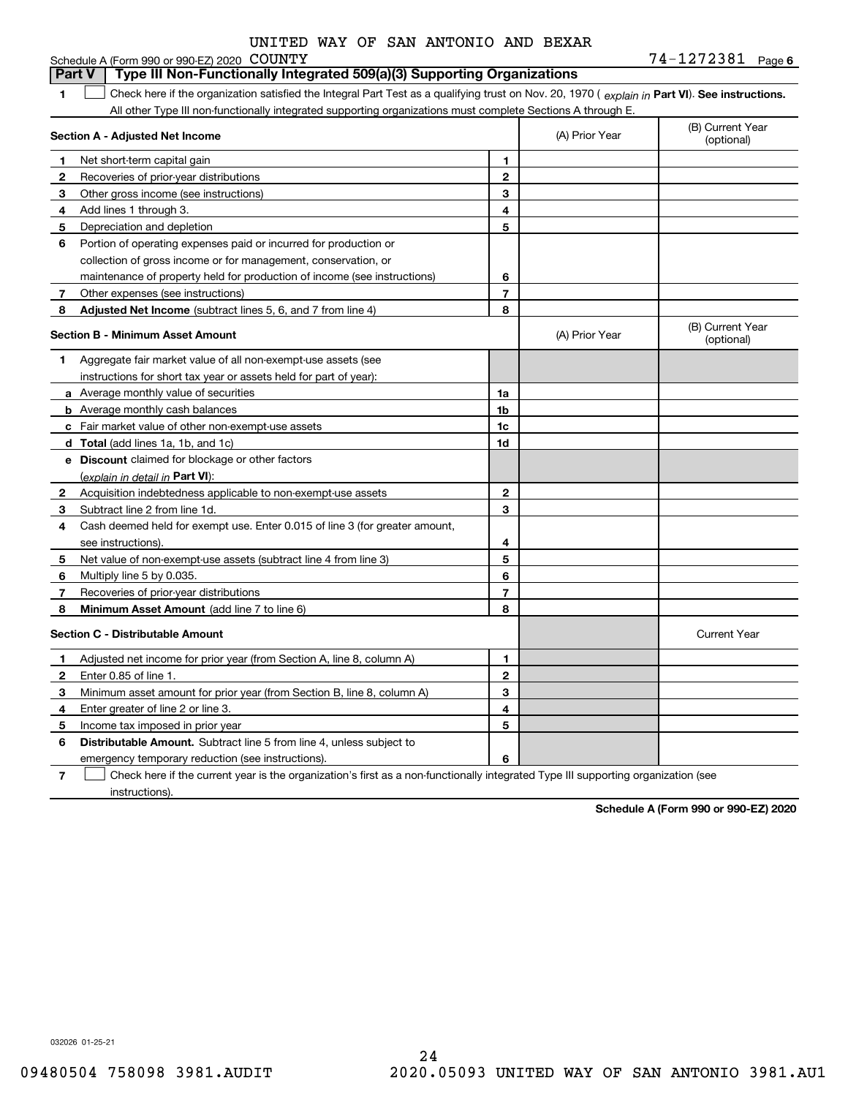|                                             |  |  | UNITED WAY OF SAN ANTONIO AND BEXAR |  |
|---------------------------------------------|--|--|-------------------------------------|--|
| Schedule A (Form 990 or 990-EZ) 2020 COUNTY |  |  |                                     |  |

**6**COUNTY 74-1272381

| Part V       | Type III Non-Functionally Integrated 509(a)(3) Supporting Organizations                                                                        |                |                |                                |
|--------------|------------------------------------------------------------------------------------------------------------------------------------------------|----------------|----------------|--------------------------------|
| 1            | Check here if the organization satisfied the Integral Part Test as a qualifying trust on Nov. 20, 1970 (explain in Part VI). See instructions. |                |                |                                |
|              | All other Type III non-functionally integrated supporting organizations must complete Sections A through E.                                    |                |                |                                |
|              | Section A - Adjusted Net Income                                                                                                                |                | (A) Prior Year | (B) Current Year<br>(optional) |
| 1            | Net short-term capital gain                                                                                                                    | 1              |                |                                |
| $\mathbf{2}$ | Recoveries of prior-year distributions                                                                                                         | $\mathbf{2}$   |                |                                |
| 3            | Other gross income (see instructions)                                                                                                          | 3              |                |                                |
| 4            | Add lines 1 through 3.                                                                                                                         | 4              |                |                                |
| 5            | Depreciation and depletion                                                                                                                     | 5              |                |                                |
| 6            | Portion of operating expenses paid or incurred for production or                                                                               |                |                |                                |
|              | collection of gross income or for management, conservation, or                                                                                 |                |                |                                |
|              | maintenance of property held for production of income (see instructions)                                                                       | 6              |                |                                |
| 7            | Other expenses (see instructions)                                                                                                              | $\overline{7}$ |                |                                |
| 8            | Adjusted Net Income (subtract lines 5, 6, and 7 from line 4)                                                                                   | 8              |                |                                |
|              | <b>Section B - Minimum Asset Amount</b>                                                                                                        |                | (A) Prior Year | (B) Current Year<br>(optional) |
| 1            | Aggregate fair market value of all non-exempt-use assets (see                                                                                  |                |                |                                |
|              | instructions for short tax year or assets held for part of year):                                                                              |                |                |                                |
|              | <b>a</b> Average monthly value of securities                                                                                                   | 1a             |                |                                |
|              | <b>b</b> Average monthly cash balances                                                                                                         | 1 <sub>b</sub> |                |                                |
|              | c Fair market value of other non-exempt-use assets                                                                                             | 1c             |                |                                |
|              | d Total (add lines 1a, 1b, and 1c)                                                                                                             | 1d             |                |                                |
|              | e Discount claimed for blockage or other factors                                                                                               |                |                |                                |
|              | (explain in detail in Part VI):                                                                                                                |                |                |                                |
| $\mathbf{2}$ | Acquisition indebtedness applicable to non-exempt-use assets                                                                                   | $\mathbf{2}$   |                |                                |
| 3            | Subtract line 2 from line 1d.                                                                                                                  | 3              |                |                                |
| 4            | Cash deemed held for exempt use. Enter 0.015 of line 3 (for greater amount,                                                                    |                |                |                                |
|              | see instructions).                                                                                                                             | 4              |                |                                |
| 5            | Net value of non-exempt-use assets (subtract line 4 from line 3)                                                                               | 5              |                |                                |
| 6            | Multiply line 5 by 0.035.                                                                                                                      | 6              |                |                                |
| 7            | Recoveries of prior-year distributions                                                                                                         | $\overline{7}$ |                |                                |
| 8            | Minimum Asset Amount (add line 7 to line 6)                                                                                                    | 8              |                |                                |
|              | <b>Section C - Distributable Amount</b>                                                                                                        |                |                | <b>Current Year</b>            |
| 1            | Adjusted net income for prior year (from Section A, line 8, column A)                                                                          | 1              |                |                                |
| 2            | Enter 0.85 of line 1.                                                                                                                          | $\overline{2}$ |                |                                |
| З            | Minimum asset amount for prior year (from Section B, line 8, column A)                                                                         | 3              |                |                                |
| 4            | Enter greater of line 2 or line 3.                                                                                                             | 4              |                |                                |
| 5            | Income tax imposed in prior year                                                                                                               | 5              |                |                                |
| 6            | <b>Distributable Amount.</b> Subtract line 5 from line 4, unless subject to                                                                    |                |                |                                |
|              | emergency temporary reduction (see instructions).                                                                                              | 6              |                |                                |

**7**Check here if the current year is the organization's first as a non-functionally integrated Type III supporting organization (see instructions).

**Schedule A (Form 990 or 990-EZ) 2020**

032026 01-25-21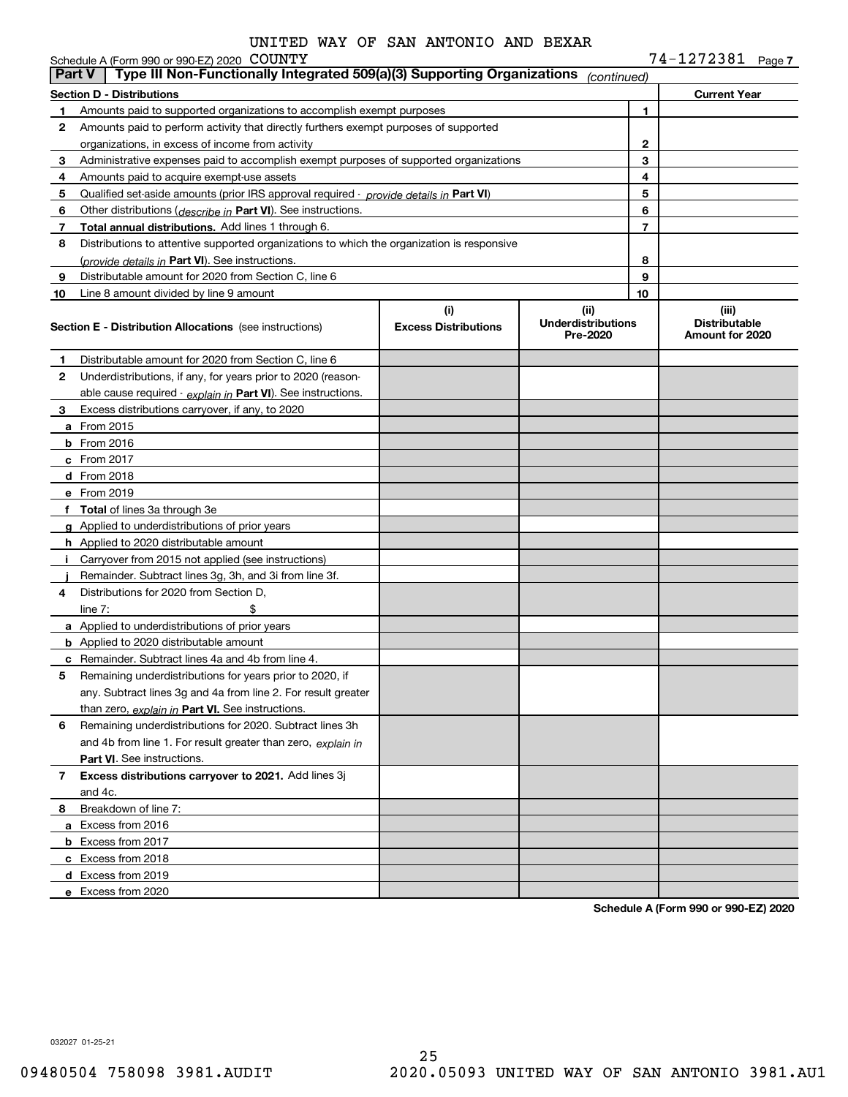|               | Schedule A (Form 990 or 990-EZ) 2020 COUNTY                                                |                                    |                                               |        | 74-1272381 Page 7                                |  |
|---------------|--------------------------------------------------------------------------------------------|------------------------------------|-----------------------------------------------|--------|--------------------------------------------------|--|
| <b>Part V</b> | Type III Non-Functionally Integrated 509(a)(3) Supporting Organizations                    |                                    | (continued)                                   |        |                                                  |  |
|               | <b>Section D - Distributions</b>                                                           |                                    |                                               |        | <b>Current Year</b>                              |  |
| 1             | Amounts paid to supported organizations to accomplish exempt purposes                      |                                    |                                               | 1      |                                                  |  |
| 2             | Amounts paid to perform activity that directly furthers exempt purposes of supported       |                                    |                                               |        |                                                  |  |
|               | organizations, in excess of income from activity                                           |                                    | $\mathbf{2}$                                  |        |                                                  |  |
| 3             | Administrative expenses paid to accomplish exempt purposes of supported organizations      |                                    |                                               | 3      |                                                  |  |
| 4             | Amounts paid to acquire exempt-use assets                                                  |                                    |                                               | 4      |                                                  |  |
| 5             | Qualified set-aside amounts (prior IRS approval required - provide details in Part VI)     |                                    |                                               | 5      |                                                  |  |
| 6             | Other distributions ( <i>describe in</i> Part VI). See instructions.                       |                                    |                                               | 6<br>7 |                                                  |  |
| 7             | Total annual distributions. Add lines 1 through 6.                                         |                                    |                                               |        |                                                  |  |
| 8             | Distributions to attentive supported organizations to which the organization is responsive |                                    |                                               |        |                                                  |  |
|               | (provide details in Part VI). See instructions.                                            |                                    |                                               | 8<br>9 |                                                  |  |
| 9             | Distributable amount for 2020 from Section C, line 6                                       |                                    |                                               | 10     |                                                  |  |
| 10            | Line 8 amount divided by line 9 amount                                                     |                                    |                                               |        |                                                  |  |
|               | <b>Section E - Distribution Allocations</b> (see instructions)                             | (i)<br><b>Excess Distributions</b> | (ii)<br><b>Underdistributions</b><br>Pre-2020 |        | (iii)<br><b>Distributable</b><br>Amount for 2020 |  |
| 1             | Distributable amount for 2020 from Section C, line 6                                       |                                    |                                               |        |                                                  |  |
| 2             | Underdistributions, if any, for years prior to 2020 (reason-                               |                                    |                                               |        |                                                  |  |
|               | able cause required - explain in Part VI). See instructions.                               |                                    |                                               |        |                                                  |  |
| 3             | Excess distributions carryover, if any, to 2020                                            |                                    |                                               |        |                                                  |  |
|               | <b>a</b> From 2015                                                                         |                                    |                                               |        |                                                  |  |
|               | $b$ From 2016                                                                              |                                    |                                               |        |                                                  |  |
|               | c From 2017                                                                                |                                    |                                               |        |                                                  |  |
|               | d From 2018                                                                                |                                    |                                               |        |                                                  |  |
|               | e From 2019                                                                                |                                    |                                               |        |                                                  |  |
|               | f Total of lines 3a through 3e                                                             |                                    |                                               |        |                                                  |  |
|               | g Applied to underdistributions of prior years                                             |                                    |                                               |        |                                                  |  |
|               | <b>h</b> Applied to 2020 distributable amount                                              |                                    |                                               |        |                                                  |  |
|               | Carryover from 2015 not applied (see instructions)                                         |                                    |                                               |        |                                                  |  |
|               | Remainder. Subtract lines 3g, 3h, and 3i from line 3f.                                     |                                    |                                               |        |                                                  |  |
| 4             | Distributions for 2020 from Section D.                                                     |                                    |                                               |        |                                                  |  |
|               | line $7:$                                                                                  |                                    |                                               |        |                                                  |  |
|               | a Applied to underdistributions of prior years                                             |                                    |                                               |        |                                                  |  |
|               | <b>b</b> Applied to 2020 distributable amount                                              |                                    |                                               |        |                                                  |  |
|               | c Remainder. Subtract lines 4a and 4b from line 4.                                         |                                    |                                               |        |                                                  |  |
|               | Remaining underdistributions for years prior to 2020, if                                   |                                    |                                               |        |                                                  |  |
|               | any. Subtract lines 3g and 4a from line 2. For result greater                              |                                    |                                               |        |                                                  |  |
|               | than zero, explain in Part VI. See instructions.                                           |                                    |                                               |        |                                                  |  |
| 6             | Remaining underdistributions for 2020. Subtract lines 3h                                   |                                    |                                               |        |                                                  |  |
|               | and 4b from line 1. For result greater than zero, explain in                               |                                    |                                               |        |                                                  |  |
|               | <b>Part VI.</b> See instructions.                                                          |                                    |                                               |        |                                                  |  |
| 7             | Excess distributions carryover to 2021. Add lines 3j                                       |                                    |                                               |        |                                                  |  |
|               | and 4c.                                                                                    |                                    |                                               |        |                                                  |  |
| 8             | Breakdown of line 7:                                                                       |                                    |                                               |        |                                                  |  |
|               | a Excess from 2016                                                                         |                                    |                                               |        |                                                  |  |
|               | <b>b</b> Excess from 2017                                                                  |                                    |                                               |        |                                                  |  |
|               | c Excess from 2018                                                                         |                                    |                                               |        |                                                  |  |
|               | d Excess from 2019                                                                         |                                    |                                               |        |                                                  |  |
|               | e Excess from 2020                                                                         |                                    |                                               |        |                                                  |  |

**Schedule A (Form 990 or 990-EZ) 2020**

032027 01-25-21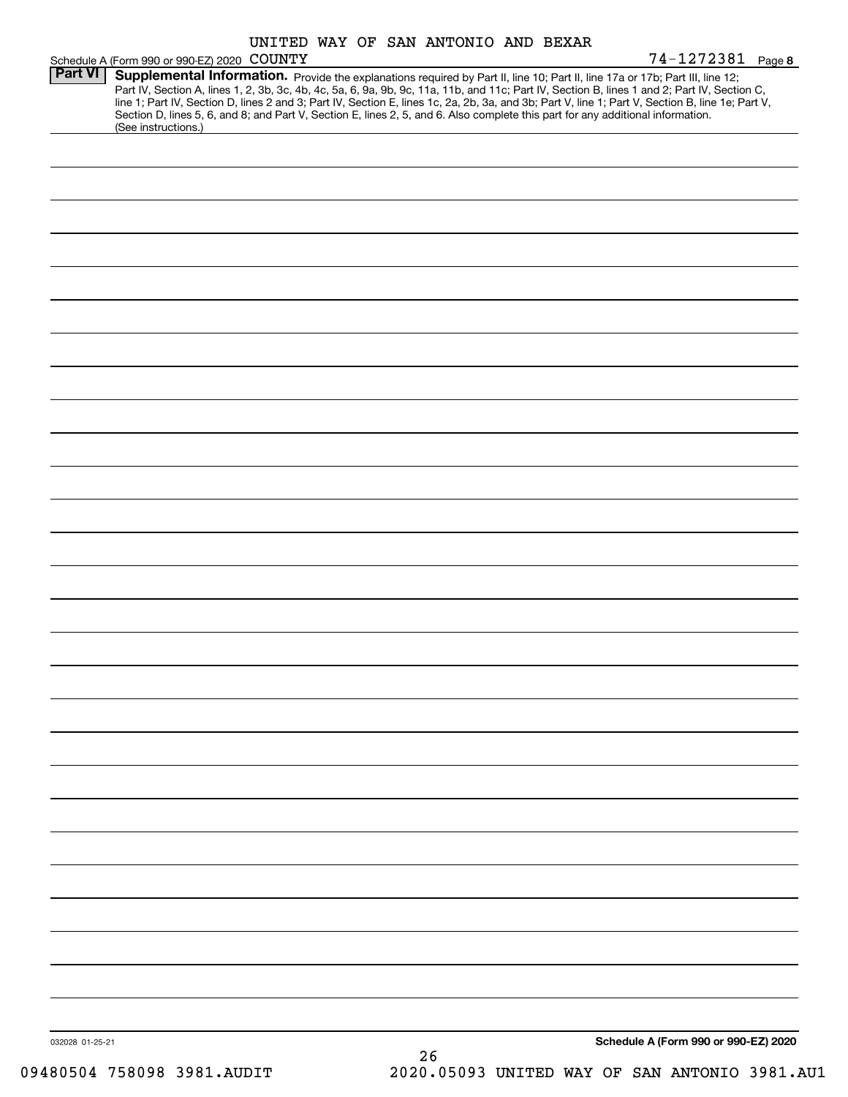|                 |                                                                                                                                                                                                                                                                                                                                                                                                                                                                                                                                                                                             |  |  |  |    |  | UNITED WAY OF SAN ANTONIO AND BEXAR |  |                                      |  |
|-----------------|---------------------------------------------------------------------------------------------------------------------------------------------------------------------------------------------------------------------------------------------------------------------------------------------------------------------------------------------------------------------------------------------------------------------------------------------------------------------------------------------------------------------------------------------------------------------------------------------|--|--|--|----|--|-------------------------------------|--|--------------------------------------|--|
|                 | Schedule A (Form 990 or 990-EZ) 2020 COUNTY                                                                                                                                                                                                                                                                                                                                                                                                                                                                                                                                                 |  |  |  |    |  |                                     |  | 74-1272381 Page 8                    |  |
| <b>Part VI</b>  | Supplemental Information. Provide the explanations required by Part II, line 10; Part II, line 17a or 17b; Part III, line 12;<br>Part IV, Section A, lines 1, 2, 3b, 3c, 4b, 4c, 5a, 6, 9a, 9b, 9c, 11a, 11b, and 11c; Part IV, Section B, lines 1 and 2; Part IV, Section C,<br>line 1; Part IV, Section D, lines 2 and 3; Part IV, Section E, lines 1c, 2a, 2b, 3a, and 3b; Part V, line 1; Part V, Section B, line 1e; Part V,<br>Section D, lines 5, 6, and 8; and Part V, Section E, lines 2, 5, and 6. Also complete this part for any additional information.<br>(See instructions.) |  |  |  |    |  |                                     |  |                                      |  |
|                 |                                                                                                                                                                                                                                                                                                                                                                                                                                                                                                                                                                                             |  |  |  |    |  |                                     |  |                                      |  |
|                 |                                                                                                                                                                                                                                                                                                                                                                                                                                                                                                                                                                                             |  |  |  |    |  |                                     |  |                                      |  |
|                 |                                                                                                                                                                                                                                                                                                                                                                                                                                                                                                                                                                                             |  |  |  |    |  |                                     |  |                                      |  |
|                 |                                                                                                                                                                                                                                                                                                                                                                                                                                                                                                                                                                                             |  |  |  |    |  |                                     |  |                                      |  |
|                 |                                                                                                                                                                                                                                                                                                                                                                                                                                                                                                                                                                                             |  |  |  |    |  |                                     |  |                                      |  |
|                 |                                                                                                                                                                                                                                                                                                                                                                                                                                                                                                                                                                                             |  |  |  |    |  |                                     |  |                                      |  |
|                 |                                                                                                                                                                                                                                                                                                                                                                                                                                                                                                                                                                                             |  |  |  |    |  |                                     |  |                                      |  |
|                 |                                                                                                                                                                                                                                                                                                                                                                                                                                                                                                                                                                                             |  |  |  |    |  |                                     |  |                                      |  |
|                 |                                                                                                                                                                                                                                                                                                                                                                                                                                                                                                                                                                                             |  |  |  |    |  |                                     |  |                                      |  |
|                 |                                                                                                                                                                                                                                                                                                                                                                                                                                                                                                                                                                                             |  |  |  |    |  |                                     |  |                                      |  |
|                 |                                                                                                                                                                                                                                                                                                                                                                                                                                                                                                                                                                                             |  |  |  |    |  |                                     |  |                                      |  |
|                 |                                                                                                                                                                                                                                                                                                                                                                                                                                                                                                                                                                                             |  |  |  |    |  |                                     |  |                                      |  |
|                 |                                                                                                                                                                                                                                                                                                                                                                                                                                                                                                                                                                                             |  |  |  |    |  |                                     |  |                                      |  |
|                 |                                                                                                                                                                                                                                                                                                                                                                                                                                                                                                                                                                                             |  |  |  |    |  |                                     |  |                                      |  |
|                 |                                                                                                                                                                                                                                                                                                                                                                                                                                                                                                                                                                                             |  |  |  |    |  |                                     |  |                                      |  |
|                 |                                                                                                                                                                                                                                                                                                                                                                                                                                                                                                                                                                                             |  |  |  |    |  |                                     |  |                                      |  |
|                 |                                                                                                                                                                                                                                                                                                                                                                                                                                                                                                                                                                                             |  |  |  |    |  |                                     |  |                                      |  |
|                 |                                                                                                                                                                                                                                                                                                                                                                                                                                                                                                                                                                                             |  |  |  |    |  |                                     |  |                                      |  |
|                 |                                                                                                                                                                                                                                                                                                                                                                                                                                                                                                                                                                                             |  |  |  |    |  |                                     |  |                                      |  |
|                 |                                                                                                                                                                                                                                                                                                                                                                                                                                                                                                                                                                                             |  |  |  |    |  |                                     |  |                                      |  |
|                 |                                                                                                                                                                                                                                                                                                                                                                                                                                                                                                                                                                                             |  |  |  |    |  |                                     |  |                                      |  |
|                 |                                                                                                                                                                                                                                                                                                                                                                                                                                                                                                                                                                                             |  |  |  |    |  |                                     |  |                                      |  |
|                 |                                                                                                                                                                                                                                                                                                                                                                                                                                                                                                                                                                                             |  |  |  |    |  |                                     |  |                                      |  |
|                 |                                                                                                                                                                                                                                                                                                                                                                                                                                                                                                                                                                                             |  |  |  |    |  |                                     |  |                                      |  |
|                 |                                                                                                                                                                                                                                                                                                                                                                                                                                                                                                                                                                                             |  |  |  |    |  |                                     |  |                                      |  |
|                 |                                                                                                                                                                                                                                                                                                                                                                                                                                                                                                                                                                                             |  |  |  |    |  |                                     |  |                                      |  |
|                 |                                                                                                                                                                                                                                                                                                                                                                                                                                                                                                                                                                                             |  |  |  |    |  |                                     |  |                                      |  |
|                 |                                                                                                                                                                                                                                                                                                                                                                                                                                                                                                                                                                                             |  |  |  |    |  |                                     |  |                                      |  |
|                 |                                                                                                                                                                                                                                                                                                                                                                                                                                                                                                                                                                                             |  |  |  |    |  |                                     |  |                                      |  |
|                 |                                                                                                                                                                                                                                                                                                                                                                                                                                                                                                                                                                                             |  |  |  |    |  |                                     |  |                                      |  |
| 032028 01-25-21 |                                                                                                                                                                                                                                                                                                                                                                                                                                                                                                                                                                                             |  |  |  |    |  |                                     |  | Schedule A (Form 990 or 990-EZ) 2020 |  |
|                 |                                                                                                                                                                                                                                                                                                                                                                                                                                                                                                                                                                                             |  |  |  | 26 |  |                                     |  |                                      |  |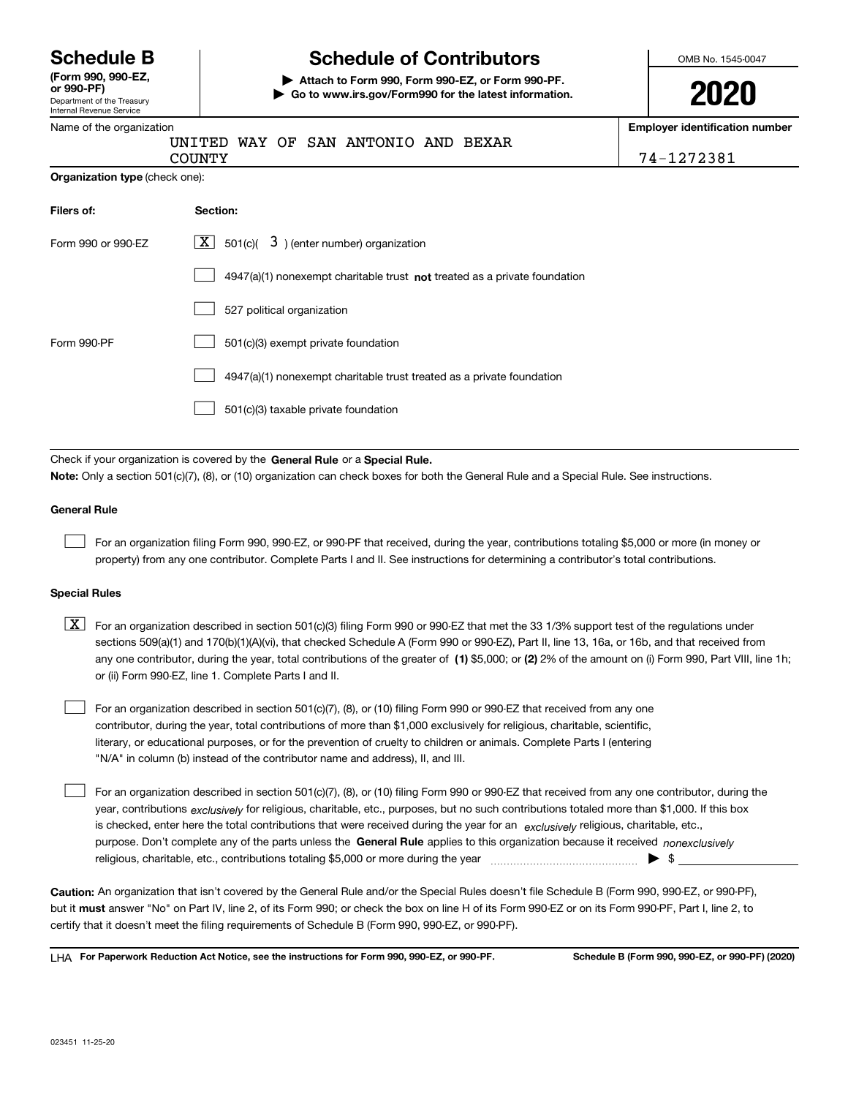Department of the Treasury **(Form 990, 990-EZ, or 990-PF)**

#### Internal Revenue Service

## **Schedule B Schedule of Contributors**

**| Attach to Form 990, Form 990-EZ, or Form 990-PF. | Go to www.irs.gov/Form990 for the latest information.** OMB No. 1545-0047

| ı | ı<br>I | s |  |
|---|--------|---|--|
|   |        |   |  |

| Internal Revenue Service       |                                                                                                                                                                                                                                                                                                                                                                                                                                                                                                           |                                                     |
|--------------------------------|-----------------------------------------------------------------------------------------------------------------------------------------------------------------------------------------------------------------------------------------------------------------------------------------------------------------------------------------------------------------------------------------------------------------------------------------------------------------------------------------------------------|-----------------------------------------------------|
| Name of the organization       | UNITED WAY OF SAN ANTONIO AND BEXAR<br><b>COUNTY</b>                                                                                                                                                                                                                                                                                                                                                                                                                                                      | <b>Employer identification number</b><br>74-1272381 |
| Organization type (check one): |                                                                                                                                                                                                                                                                                                                                                                                                                                                                                                           |                                                     |
| Filers of:                     | Section:                                                                                                                                                                                                                                                                                                                                                                                                                                                                                                  |                                                     |
| Form 990 or 990-EZ             | $\lfloor x \rfloor$<br>501(c)( $\overline{3}$ ) (enter number) organization                                                                                                                                                                                                                                                                                                                                                                                                                               |                                                     |
|                                | $4947(a)(1)$ nonexempt charitable trust <b>not</b> treated as a private foundation                                                                                                                                                                                                                                                                                                                                                                                                                        |                                                     |
|                                | 527 political organization                                                                                                                                                                                                                                                                                                                                                                                                                                                                                |                                                     |
| Form 990-PF                    | 501(c)(3) exempt private foundation                                                                                                                                                                                                                                                                                                                                                                                                                                                                       |                                                     |
|                                | 4947(a)(1) nonexempt charitable trust treated as a private foundation                                                                                                                                                                                                                                                                                                                                                                                                                                     |                                                     |
|                                | 501(c)(3) taxable private foundation                                                                                                                                                                                                                                                                                                                                                                                                                                                                      |                                                     |
|                                | Check if your organization is covered by the General Rule or a Special Rule.<br>Note: Only a section 501(c)(7), (8), or (10) organization can check boxes for both the General Rule and a Special Rule. See instructions.                                                                                                                                                                                                                                                                                 |                                                     |
| <b>General Rule</b>            |                                                                                                                                                                                                                                                                                                                                                                                                                                                                                                           |                                                     |
|                                | For an organization filing Form 990, 990-EZ, or 990-PF that received, during the year, contributions totaling \$5,000 or more (in money or<br>property) from any one contributor. Complete Parts I and II. See instructions for determining a contributor's total contributions.                                                                                                                                                                                                                          |                                                     |
| <b>Special Rules</b>           |                                                                                                                                                                                                                                                                                                                                                                                                                                                                                                           |                                                     |
| X                              | For an organization described in section 501(c)(3) filing Form 990 or 990-EZ that met the 33 1/3% support test of the regulations under<br>sections 509(a)(1) and 170(b)(1)(A)(vi), that checked Schedule A (Form 990 or 990-EZ), Part II, line 13, 16a, or 16b, and that received from<br>any one contributor, during the year, total contributions of the greater of (1) \$5,000; or (2) 2% of the amount on (i) Form 990, Part VIII, line 1h;<br>or (ii) Form 990-EZ, line 1. Complete Parts I and II. |                                                     |

For an organization described in section 501(c)(7), (8), or (10) filing Form 990 or 990-EZ that received from any one contributor, during the year, total contributions of more than \$1,000 exclusively for religious, charitable, scientific, literary, or educational purposes, or for the prevention of cruelty to children or animals. Complete Parts I (entering "N/A" in column (b) instead of the contributor name and address), II, and III.

purpose. Don't complete any of the parts unless the **General Rule** applies to this organization because it received *nonexclusively* year, contributions <sub>exclusively</sub> for religious, charitable, etc., purposes, but no such contributions totaled more than \$1,000. If this box is checked, enter here the total contributions that were received during the year for an  $\;$ exclusively religious, charitable, etc., For an organization described in section 501(c)(7), (8), or (10) filing Form 990 or 990-EZ that received from any one contributor, during the religious, charitable, etc., contributions totaling \$5,000 or more during the year  $~$   $~$   $~$   $~$   $~$   $~$   $\sim$   $~$   $\bullet$   $~$   $\sim$   $~$  $\mathcal{L}^{\text{max}}$ 

**Caution:**  An organization that isn't covered by the General Rule and/or the Special Rules doesn't file Schedule B (Form 990, 990-EZ, or 990-PF),  **must** but it answer "No" on Part IV, line 2, of its Form 990; or check the box on line H of its Form 990-EZ or on its Form 990-PF, Part I, line 2, to certify that it doesn't meet the filing requirements of Schedule B (Form 990, 990-EZ, or 990-PF).

**For Paperwork Reduction Act Notice, see the instructions for Form 990, 990-EZ, or 990-PF. Schedule B (Form 990, 990-EZ, or 990-PF) (2020)** LHA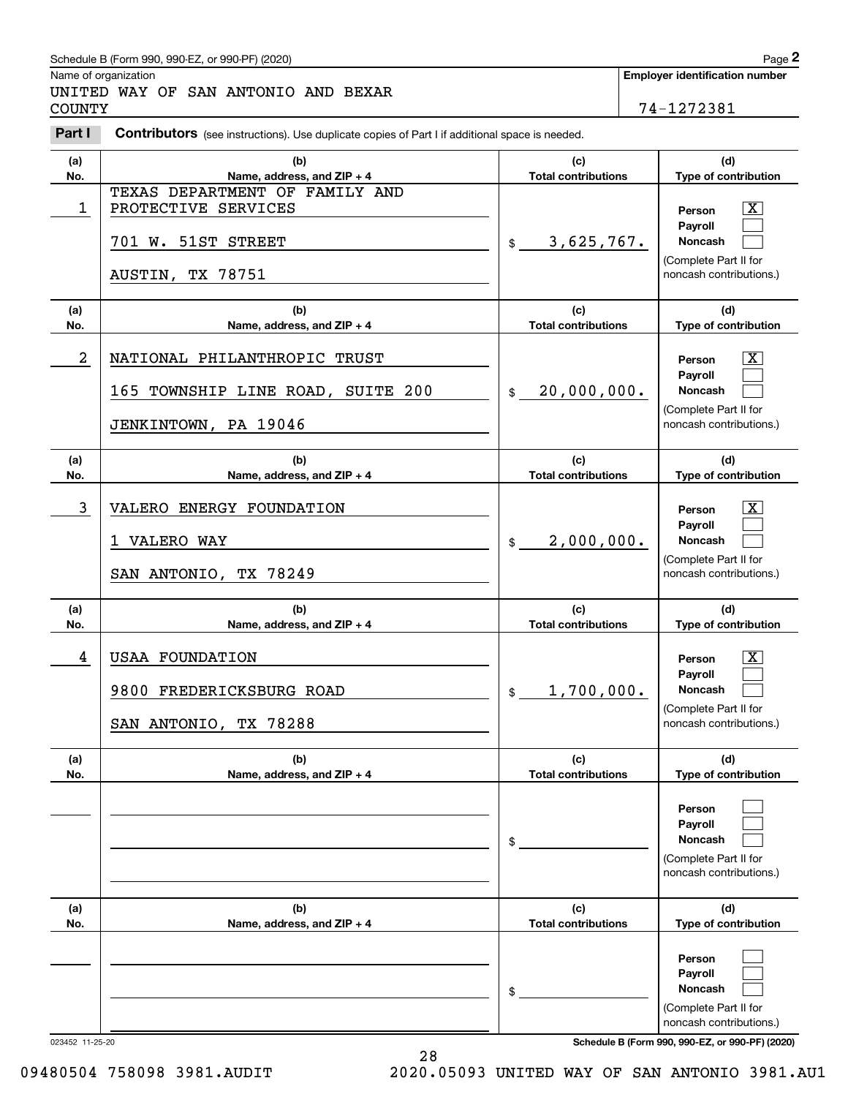#### Schedule B (Form 990, 990-EZ, or 990-PF) (2020) **Page 2** Page 2

|                | Schedule B (Form 990, 990-EZ, or 990-PF) (2020)                                                       |                                   | Page 2                                                                                                      |
|----------------|-------------------------------------------------------------------------------------------------------|-----------------------------------|-------------------------------------------------------------------------------------------------------------|
| <b>COUNTY</b>  | Name of organization<br>UNITED WAY OF SAN ANTONIO AND BEXAR                                           |                                   | <b>Employer identification number</b><br>74-1272381                                                         |
| Part I         | <b>Contributors</b> (see instructions). Use duplicate copies of Part I if additional space is needed. |                                   |                                                                                                             |
| (a)<br>No.     | (b)<br>Name, address, and ZIP + 4<br>TEXAS DEPARTMENT OF FAMILY AND                                   | (c)<br><b>Total contributions</b> | (d)<br>Type of contribution                                                                                 |
| 1              | PROTECTIVE SERVICES<br>701 W. 51ST STREET                                                             | 3,625,767.<br>$\frac{1}{2}$       | $\mathbf{X}$<br>Person<br>Payroll<br>Noncash<br>(Complete Part II for<br>noncash contributions.)            |
|                | AUSTIN, TX 78751                                                                                      |                                   |                                                                                                             |
| (a)<br>No.     | (b)<br>Name, address, and ZIP + 4                                                                     | (c)<br><b>Total contributions</b> | (d)<br>Type of contribution                                                                                 |
| $\overline{a}$ | NATIONAL PHILANTHROPIC TRUST<br>165 TOWNSHIP LINE ROAD, SUITE 200<br>JENKINTOWN, PA 19046             | 20,000,000.<br>\$                 | $\overline{\mathbf{X}}$<br>Person<br>Payroll<br>Noncash<br>(Complete Part II for<br>noncash contributions.) |
| (a)<br>No.     | (b)<br>Name, address, and ZIP + 4                                                                     | (c)<br><b>Total contributions</b> | (d)<br>Type of contribution                                                                                 |
| 3              | VALERO ENERGY FOUNDATION<br><b>VALERO WAY</b><br>1<br>SAN ANTONIO, TX 78249                           | 2,000,000.<br>\$                  | $\overline{\mathbf{X}}$<br>Person<br>Payroll<br>Noncash<br>(Complete Part II for<br>noncash contributions.) |
| (a)<br>No.     | (b)<br>Name, address, and ZIP + 4                                                                     | (c)<br><b>Total contributions</b> | (d)<br>Type of contribution                                                                                 |
| 4              | <b>USAA FOUNDATION</b><br>9800 FREDERICKSBURG ROAD<br>SAN ANTONIO, TX 78288                           | 1,700,000.<br>\$                  | $\mathbf{X}$<br>Person<br>Payroll<br>Noncash<br>(Complete Part II for<br>noncash contributions.)            |
| (a)<br>No.     | (b)<br>Name, address, and ZIP + 4                                                                     | (c)<br><b>Total contributions</b> | (d)<br>Type of contribution                                                                                 |
|                |                                                                                                       | \$                                | Person<br>Payroll<br><b>Noncash</b><br>(Complete Part II for<br>noncash contributions.)                     |
| (a)<br>No.     | (b)<br>Name, address, and ZIP + 4                                                                     | (c)<br><b>Total contributions</b> | (d)<br>Type of contribution                                                                                 |
|                |                                                                                                       | \$                                | Person<br>Payroll<br>Noncash<br>(Complete Part II for<br>noncash contributions.)                            |

023452 11-25-20 **Schedule B (Form 990, 990-EZ, or 990-PF) (2020)**

09480504 758098 3981.AUDIT 2020.05093 UNITED WAY OF SAN ANTONIO 3981.AU1

28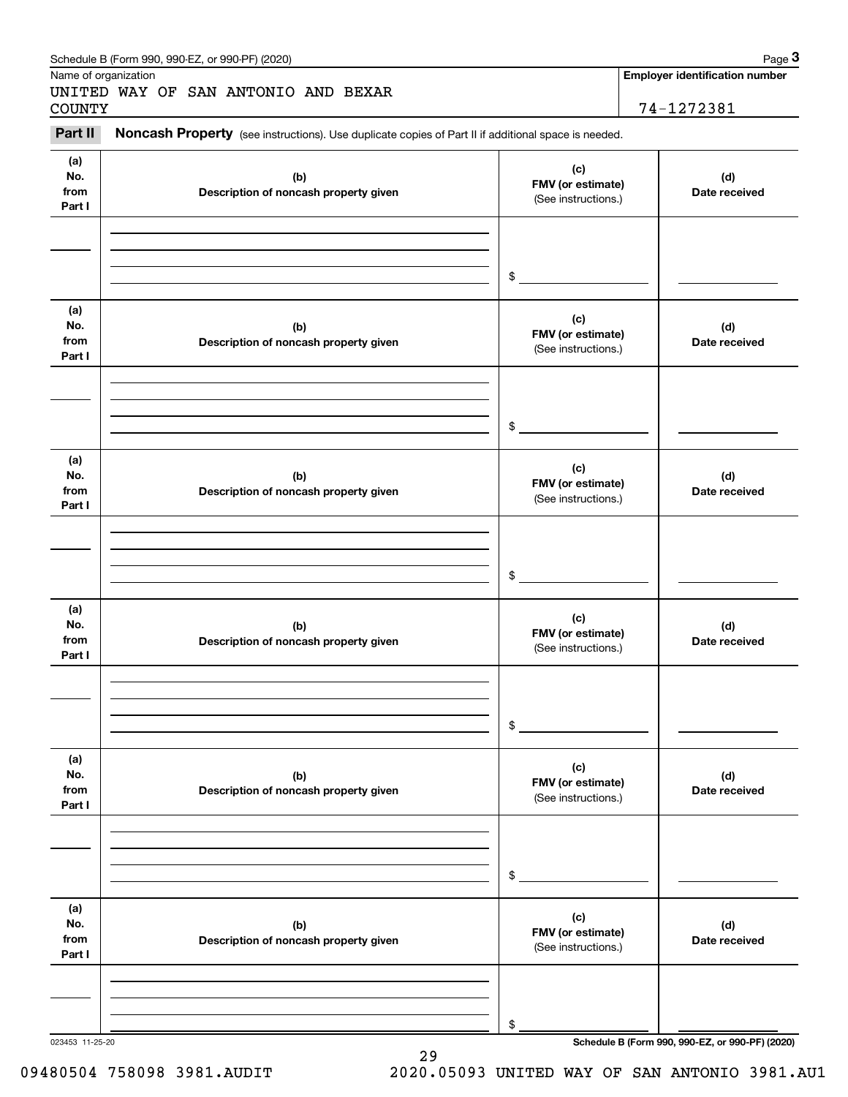|                      | Schedule B (Form 990, 990-EZ, or 990-PF) (2020)                                                     |                                          | Page $3$                                        |
|----------------------|-----------------------------------------------------------------------------------------------------|------------------------------------------|-------------------------------------------------|
| Name of organization |                                                                                                     |                                          | <b>Employer identification number</b>           |
| <b>COUNTY</b>        | UNITED WAY OF SAN ANTONIO AND BEXAR                                                                 |                                          | 74-1272381                                      |
| Part II              | Noncash Property (see instructions). Use duplicate copies of Part II if additional space is needed. |                                          |                                                 |
| (a)                  |                                                                                                     |                                          |                                                 |
| No.                  | (b)                                                                                                 | (c)                                      | (d)                                             |
| from                 | Description of noncash property given                                                               | FMV (or estimate)<br>(See instructions.) | Date received                                   |
| Part I               |                                                                                                     |                                          |                                                 |
|                      |                                                                                                     |                                          |                                                 |
|                      |                                                                                                     |                                          |                                                 |
|                      |                                                                                                     | \$                                       |                                                 |
|                      |                                                                                                     |                                          |                                                 |
| (a)                  |                                                                                                     |                                          |                                                 |
| No.                  | (b)                                                                                                 | (c)<br>FMV (or estimate)                 | (d)                                             |
| from<br>Part I       | Description of noncash property given                                                               | (See instructions.)                      | Date received                                   |
|                      |                                                                                                     |                                          |                                                 |
|                      |                                                                                                     |                                          |                                                 |
|                      |                                                                                                     |                                          |                                                 |
|                      |                                                                                                     | \$                                       |                                                 |
|                      |                                                                                                     |                                          |                                                 |
| (a)                  |                                                                                                     | (c)                                      |                                                 |
| No.<br>from          | (b)<br>Description of noncash property given                                                        | FMV (or estimate)                        | (d)<br>Date received                            |
| Part I               |                                                                                                     | (See instructions.)                      |                                                 |
|                      |                                                                                                     |                                          |                                                 |
|                      |                                                                                                     |                                          |                                                 |
|                      |                                                                                                     |                                          |                                                 |
|                      |                                                                                                     | \$                                       |                                                 |
| (a)                  |                                                                                                     |                                          |                                                 |
| No.                  | (b)                                                                                                 | (c)<br>FMV (or estimate)                 | (d)                                             |
| from                 | Description of noncash property given                                                               | (See instructions.)                      | Date received                                   |
| Part I               |                                                                                                     |                                          |                                                 |
|                      |                                                                                                     |                                          |                                                 |
|                      |                                                                                                     |                                          |                                                 |
|                      |                                                                                                     | \$                                       |                                                 |
|                      |                                                                                                     |                                          |                                                 |
| (a)                  |                                                                                                     | (c)                                      |                                                 |
| No.<br>from          | (b)                                                                                                 | FMV (or estimate)                        | (d)                                             |
| Part I               | Description of noncash property given                                                               | (See instructions.)                      | Date received                                   |
|                      |                                                                                                     |                                          |                                                 |
|                      |                                                                                                     |                                          |                                                 |
|                      |                                                                                                     |                                          |                                                 |
|                      |                                                                                                     | \$                                       |                                                 |
| (a)                  |                                                                                                     |                                          |                                                 |
| No.                  | (b)                                                                                                 | (c)                                      | (d)                                             |
| from                 | Description of noncash property given                                                               | FMV (or estimate)<br>(See instructions.) | Date received                                   |
| Part I               |                                                                                                     |                                          |                                                 |
|                      |                                                                                                     |                                          |                                                 |
|                      |                                                                                                     |                                          |                                                 |
|                      |                                                                                                     | \$                                       |                                                 |
| 023453 11-25-20      |                                                                                                     |                                          | Schedule B (Form 990, 990-EZ, or 990-PF) (2020) |

<sup>29</sup>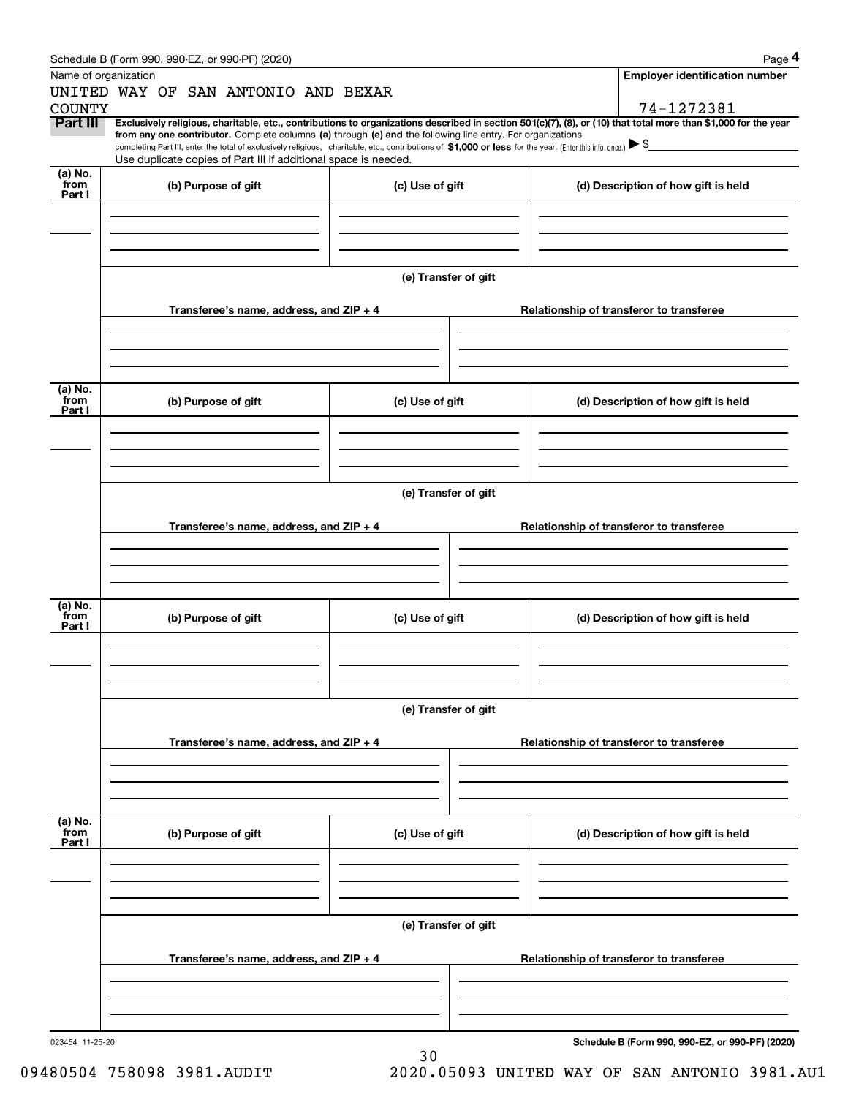| Schedule B (Form 990, 990-EZ, or 990-PF) (2020) | Page |
|-------------------------------------------------|------|
|-------------------------------------------------|------|

|                           | Schedule B (Form 990, 990-EZ, or 990-PF) (2020)                                                                                                                                                                                                                              |                      |                                          | Page 4                                          |  |  |  |  |
|---------------------------|------------------------------------------------------------------------------------------------------------------------------------------------------------------------------------------------------------------------------------------------------------------------------|----------------------|------------------------------------------|-------------------------------------------------|--|--|--|--|
|                           | Name of organization                                                                                                                                                                                                                                                         |                      |                                          | <b>Employer identification number</b>           |  |  |  |  |
|                           | UNITED WAY OF SAN ANTONIO AND BEXAR                                                                                                                                                                                                                                          |                      |                                          |                                                 |  |  |  |  |
| <b>COUNTY</b>             |                                                                                                                                                                                                                                                                              |                      |                                          | 74-1272381                                      |  |  |  |  |
| Part III                  | Exclusively religious, charitable, etc., contributions to organizations described in section 501(c)(7), (8), or (10) that total more than \$1,000 for the year<br>from any one contributor. Complete columns (a) through (e) and the following line entry. For organizations |                      |                                          |                                                 |  |  |  |  |
|                           | completing Part III, enter the total of exclusively religious, charitable, etc., contributions of \$1,000 or less for the year. (Enter this info. once.) $\blacktriangleright$ \$                                                                                            |                      |                                          |                                                 |  |  |  |  |
|                           | Use duplicate copies of Part III if additional space is needed.                                                                                                                                                                                                              |                      |                                          |                                                 |  |  |  |  |
| (a) No.<br>from           | (b) Purpose of gift                                                                                                                                                                                                                                                          | (c) Use of gift      |                                          | (d) Description of how gift is held             |  |  |  |  |
| Part I                    |                                                                                                                                                                                                                                                                              |                      |                                          |                                                 |  |  |  |  |
|                           |                                                                                                                                                                                                                                                                              |                      |                                          |                                                 |  |  |  |  |
|                           |                                                                                                                                                                                                                                                                              |                      |                                          |                                                 |  |  |  |  |
|                           |                                                                                                                                                                                                                                                                              |                      |                                          |                                                 |  |  |  |  |
|                           |                                                                                                                                                                                                                                                                              |                      |                                          |                                                 |  |  |  |  |
|                           |                                                                                                                                                                                                                                                                              | (e) Transfer of gift |                                          |                                                 |  |  |  |  |
|                           |                                                                                                                                                                                                                                                                              |                      |                                          |                                                 |  |  |  |  |
|                           | Transferee's name, address, and $ZIP + 4$                                                                                                                                                                                                                                    |                      |                                          | Relationship of transferor to transferee        |  |  |  |  |
|                           |                                                                                                                                                                                                                                                                              |                      |                                          |                                                 |  |  |  |  |
|                           |                                                                                                                                                                                                                                                                              |                      |                                          |                                                 |  |  |  |  |
|                           |                                                                                                                                                                                                                                                                              |                      |                                          |                                                 |  |  |  |  |
| (a) No.                   |                                                                                                                                                                                                                                                                              |                      |                                          |                                                 |  |  |  |  |
| from<br>Part I            | (b) Purpose of gift                                                                                                                                                                                                                                                          | (c) Use of gift      |                                          | (d) Description of how gift is held             |  |  |  |  |
|                           |                                                                                                                                                                                                                                                                              |                      |                                          |                                                 |  |  |  |  |
|                           |                                                                                                                                                                                                                                                                              |                      |                                          |                                                 |  |  |  |  |
|                           |                                                                                                                                                                                                                                                                              |                      |                                          |                                                 |  |  |  |  |
|                           |                                                                                                                                                                                                                                                                              |                      |                                          |                                                 |  |  |  |  |
|                           |                                                                                                                                                                                                                                                                              | (e) Transfer of gift |                                          |                                                 |  |  |  |  |
|                           |                                                                                                                                                                                                                                                                              |                      |                                          |                                                 |  |  |  |  |
|                           | Transferee's name, address, and $ZIP + 4$                                                                                                                                                                                                                                    |                      | Relationship of transferor to transferee |                                                 |  |  |  |  |
|                           |                                                                                                                                                                                                                                                                              |                      |                                          |                                                 |  |  |  |  |
|                           |                                                                                                                                                                                                                                                                              |                      |                                          |                                                 |  |  |  |  |
|                           |                                                                                                                                                                                                                                                                              |                      |                                          |                                                 |  |  |  |  |
| (a) No.                   |                                                                                                                                                                                                                                                                              |                      |                                          |                                                 |  |  |  |  |
| from<br>Part I            | (b) Purpose of gift                                                                                                                                                                                                                                                          | (c) Use of gift      |                                          | (d) Description of how gift is held             |  |  |  |  |
|                           |                                                                                                                                                                                                                                                                              |                      |                                          |                                                 |  |  |  |  |
|                           |                                                                                                                                                                                                                                                                              |                      |                                          |                                                 |  |  |  |  |
|                           |                                                                                                                                                                                                                                                                              |                      |                                          |                                                 |  |  |  |  |
|                           |                                                                                                                                                                                                                                                                              |                      |                                          |                                                 |  |  |  |  |
|                           | (e) Transfer of gift                                                                                                                                                                                                                                                         |                      |                                          |                                                 |  |  |  |  |
|                           |                                                                                                                                                                                                                                                                              |                      |                                          |                                                 |  |  |  |  |
|                           | Transferee's name, address, and $ZIP + 4$                                                                                                                                                                                                                                    |                      | Relationship of transferor to transferee |                                                 |  |  |  |  |
|                           |                                                                                                                                                                                                                                                                              |                      |                                          |                                                 |  |  |  |  |
|                           |                                                                                                                                                                                                                                                                              |                      |                                          |                                                 |  |  |  |  |
|                           |                                                                                                                                                                                                                                                                              |                      |                                          |                                                 |  |  |  |  |
|                           |                                                                                                                                                                                                                                                                              |                      |                                          |                                                 |  |  |  |  |
| (a) No.<br>from<br>Part I | (b) Purpose of gift                                                                                                                                                                                                                                                          | (c) Use of gift      |                                          | (d) Description of how gift is held             |  |  |  |  |
|                           |                                                                                                                                                                                                                                                                              |                      |                                          |                                                 |  |  |  |  |
|                           |                                                                                                                                                                                                                                                                              |                      |                                          |                                                 |  |  |  |  |
|                           |                                                                                                                                                                                                                                                                              |                      |                                          |                                                 |  |  |  |  |
|                           |                                                                                                                                                                                                                                                                              |                      |                                          |                                                 |  |  |  |  |
|                           |                                                                                                                                                                                                                                                                              | (e) Transfer of gift |                                          |                                                 |  |  |  |  |
|                           |                                                                                                                                                                                                                                                                              |                      |                                          |                                                 |  |  |  |  |
|                           | Transferee's name, address, and ZIP + 4                                                                                                                                                                                                                                      |                      |                                          | Relationship of transferor to transferee        |  |  |  |  |
|                           |                                                                                                                                                                                                                                                                              |                      |                                          |                                                 |  |  |  |  |
|                           |                                                                                                                                                                                                                                                                              |                      |                                          |                                                 |  |  |  |  |
|                           |                                                                                                                                                                                                                                                                              |                      |                                          |                                                 |  |  |  |  |
|                           |                                                                                                                                                                                                                                                                              |                      |                                          |                                                 |  |  |  |  |
| 023454 11-25-20           |                                                                                                                                                                                                                                                                              | 30                   |                                          | Schedule B (Form 990, 990-EZ, or 990-PF) (2020) |  |  |  |  |
|                           |                                                                                                                                                                                                                                                                              |                      |                                          |                                                 |  |  |  |  |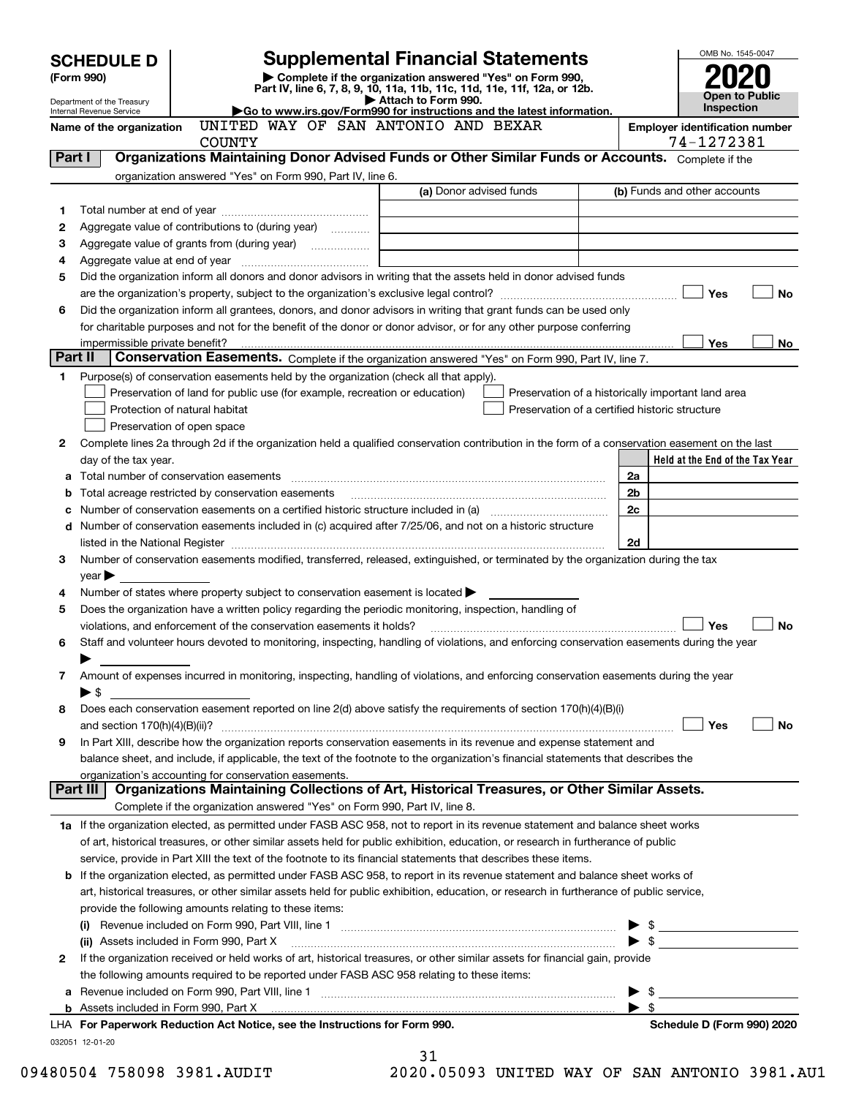| <b>SCHEDULE D</b> |                                                      |                                                                                                                                                       | <b>Supplemental Financial Statements</b>                                                                                             | OMB No. 1545-0047                                  |
|-------------------|------------------------------------------------------|-------------------------------------------------------------------------------------------------------------------------------------------------------|--------------------------------------------------------------------------------------------------------------------------------------|----------------------------------------------------|
|                   | (Form 990)                                           |                                                                                                                                                       | Complete if the organization answered "Yes" on Form 990,<br>Part IV, line 6, 7, 8, 9, 10, 11a, 11b, 11c, 11d, 11e, 11f, 12a, or 12b. |                                                    |
|                   | Department of the Treasury                           |                                                                                                                                                       | Attach to Form 990.                                                                                                                  | Open to Public<br><b>Inspection</b>                |
|                   | Internal Revenue Service<br>Name of the organization | Go to www.irs.gov/Form990 for instructions and the latest information.<br>UNITED WAY OF SAN ANTONIO AND BEXAR                                         |                                                                                                                                      | <b>Employer identification number</b>              |
|                   |                                                      | <b>COUNTY</b>                                                                                                                                         |                                                                                                                                      | 74-1272381                                         |
| Part I            |                                                      | Organizations Maintaining Donor Advised Funds or Other Similar Funds or Accounts. Complete if the                                                     |                                                                                                                                      |                                                    |
|                   |                                                      | organization answered "Yes" on Form 990, Part IV, line 6.                                                                                             |                                                                                                                                      |                                                    |
|                   |                                                      |                                                                                                                                                       | (a) Donor advised funds                                                                                                              | (b) Funds and other accounts                       |
| 1                 |                                                      |                                                                                                                                                       |                                                                                                                                      |                                                    |
| 2                 |                                                      | Aggregate value of contributions to (during year)                                                                                                     |                                                                                                                                      |                                                    |
| 3                 |                                                      |                                                                                                                                                       | <u> 1989 - Johann Barbara, martin amerikan basal dan berasal dalam basal dalam basal dalam basal dalam basal dala</u>                |                                                    |
| 4                 |                                                      |                                                                                                                                                       |                                                                                                                                      |                                                    |
| 5                 |                                                      | Did the organization inform all donors and donor advisors in writing that the assets held in donor advised funds                                      |                                                                                                                                      |                                                    |
|                   |                                                      |                                                                                                                                                       |                                                                                                                                      | Yes<br>No                                          |
| 6                 |                                                      | Did the organization inform all grantees, donors, and donor advisors in writing that grant funds can be used only                                     |                                                                                                                                      |                                                    |
|                   |                                                      | for charitable purposes and not for the benefit of the donor or donor advisor, or for any other purpose conferring                                    |                                                                                                                                      |                                                    |
| Part II           | impermissible private benefit?                       | Conservation Easements. Complete if the organization answered "Yes" on Form 990, Part IV, line 7.                                                     |                                                                                                                                      | Yes<br>No.                                         |
| 1                 |                                                      | Purpose(s) of conservation easements held by the organization (check all that apply).                                                                 |                                                                                                                                      |                                                    |
|                   |                                                      | Preservation of land for public use (for example, recreation or education)                                                                            |                                                                                                                                      | Preservation of a historically important land area |
|                   |                                                      | Protection of natural habitat                                                                                                                         |                                                                                                                                      | Preservation of a certified historic structure     |
|                   |                                                      | Preservation of open space                                                                                                                            |                                                                                                                                      |                                                    |
| 2                 |                                                      | Complete lines 2a through 2d if the organization held a qualified conservation contribution in the form of a conservation easement on the last        |                                                                                                                                      |                                                    |
|                   | day of the tax year.                                 |                                                                                                                                                       |                                                                                                                                      | Held at the End of the Tax Year                    |
|                   |                                                      |                                                                                                                                                       |                                                                                                                                      | 2a                                                 |
| b                 |                                                      | Total acreage restricted by conservation easements                                                                                                    |                                                                                                                                      | 2b                                                 |
|                   |                                                      | Number of conservation easements on a certified historic structure included in (a) manufacture included in (a)                                        |                                                                                                                                      | 2c                                                 |
| d                 |                                                      | Number of conservation easements included in (c) acquired after 7/25/06, and not on a historic structure                                              |                                                                                                                                      |                                                    |
|                   |                                                      |                                                                                                                                                       |                                                                                                                                      | 2d                                                 |
| 3                 |                                                      | Number of conservation easements modified, transferred, released, extinguished, or terminated by the organization during the tax                      |                                                                                                                                      |                                                    |
|                   | year                                                 |                                                                                                                                                       |                                                                                                                                      |                                                    |
| 4                 |                                                      | Number of states where property subject to conservation easement is located                                                                           |                                                                                                                                      |                                                    |
| 5                 |                                                      | Does the organization have a written policy regarding the periodic monitoring, inspection, handling of                                                |                                                                                                                                      |                                                    |
|                   |                                                      | violations, and enforcement of the conservation easements it holds?                                                                                   |                                                                                                                                      | <b>No</b><br>Yes                                   |
| 6                 |                                                      | Staff and volunteer hours devoted to monitoring, inspecting, handling of violations, and enforcing conservation easements during the year             |                                                                                                                                      |                                                    |
|                   |                                                      |                                                                                                                                                       |                                                                                                                                      |                                                    |
| 7                 |                                                      | Amount of expenses incurred in monitoring, inspecting, handling of violations, and enforcing conservation easements during the year                   |                                                                                                                                      |                                                    |
|                   | ▶ \$                                                 |                                                                                                                                                       |                                                                                                                                      |                                                    |
| 8                 |                                                      | Does each conservation easement reported on line 2(d) above satisfy the requirements of section 170(h)(4)(B)(i)                                       |                                                                                                                                      |                                                    |
|                   |                                                      |                                                                                                                                                       |                                                                                                                                      | Yes<br>No                                          |
| 9                 |                                                      | In Part XIII, describe how the organization reports conservation easements in its revenue and expense statement and                                   |                                                                                                                                      |                                                    |
|                   |                                                      | balance sheet, and include, if applicable, the text of the footnote to the organization's financial statements that describes the                     |                                                                                                                                      |                                                    |
|                   | Part III                                             | organization's accounting for conservation easements.<br>Organizations Maintaining Collections of Art, Historical Treasures, or Other Similar Assets. |                                                                                                                                      |                                                    |
|                   |                                                      | Complete if the organization answered "Yes" on Form 990, Part IV, line 8.                                                                             |                                                                                                                                      |                                                    |
|                   |                                                      | 1a If the organization elected, as permitted under FASB ASC 958, not to report in its revenue statement and balance sheet works                       |                                                                                                                                      |                                                    |
|                   |                                                      | of art, historical treasures, or other similar assets held for public exhibition, education, or research in furtherance of public                     |                                                                                                                                      |                                                    |
|                   |                                                      | service, provide in Part XIII the text of the footnote to its financial statements that describes these items.                                        |                                                                                                                                      |                                                    |
|                   |                                                      | <b>b</b> If the organization elected, as permitted under FASB ASC 958, to report in its revenue statement and balance sheet works of                  |                                                                                                                                      |                                                    |
|                   |                                                      | art, historical treasures, or other similar assets held for public exhibition, education, or research in furtherance of public service,               |                                                                                                                                      |                                                    |
|                   |                                                      | provide the following amounts relating to these items:                                                                                                |                                                                                                                                      |                                                    |
|                   |                                                      |                                                                                                                                                       |                                                                                                                                      |                                                    |
|                   |                                                      | (ii) Assets included in Form 990, Part X                                                                                                              |                                                                                                                                      |                                                    |
| 2                 |                                                      | If the organization received or held works of art, historical treasures, or other similar assets for financial gain, provide                          |                                                                                                                                      |                                                    |
|                   |                                                      | the following amounts required to be reported under FASB ASC 958 relating to these items:                                                             |                                                                                                                                      |                                                    |
| а                 |                                                      |                                                                                                                                                       |                                                                                                                                      | $\updownarrow$                                     |
|                   |                                                      |                                                                                                                                                       |                                                                                                                                      | ▶ \$                                               |
|                   |                                                      | LHA For Paperwork Reduction Act Notice, see the Instructions for Form 990.                                                                            |                                                                                                                                      | Schedule D (Form 990) 2020                         |
|                   | 032051 12-01-20                                      |                                                                                                                                                       |                                                                                                                                      |                                                    |
|                   |                                                      |                                                                                                                                                       | 31                                                                                                                                   |                                                    |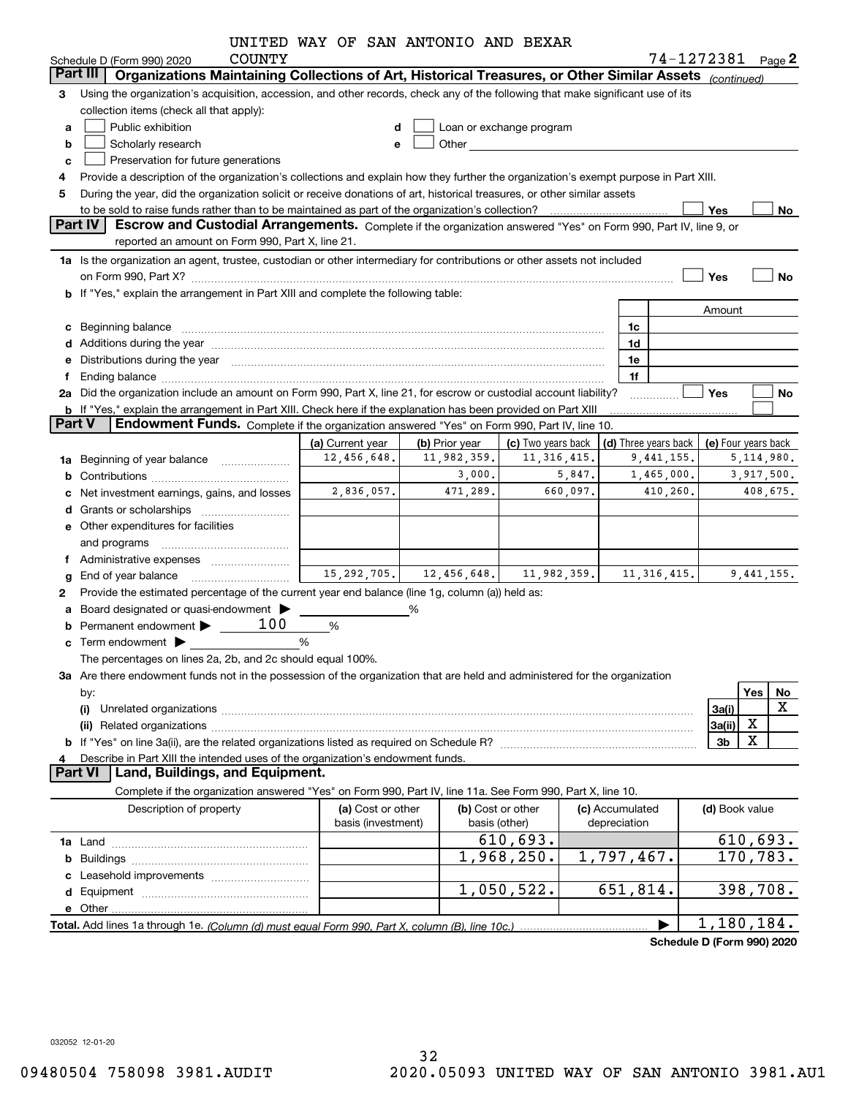|               |                                                                                                                                                                                                                                | UNITED WAY OF SAN ANTONIO AND BEXAR |                          |                                                                                                                                                                                                                               |             |                 |               |                                              |                   |
|---------------|--------------------------------------------------------------------------------------------------------------------------------------------------------------------------------------------------------------------------------|-------------------------------------|--------------------------|-------------------------------------------------------------------------------------------------------------------------------------------------------------------------------------------------------------------------------|-------------|-----------------|---------------|----------------------------------------------|-------------------|
|               | <b>COUNTY</b><br>Schedule D (Form 990) 2020                                                                                                                                                                                    |                                     |                          |                                                                                                                                                                                                                               |             |                 |               |                                              | 74-1272381 Page 2 |
|               | Organizations Maintaining Collections of Art, Historical Treasures, or Other Similar Assets (continued)<br>Part III I                                                                                                          |                                     |                          |                                                                                                                                                                                                                               |             |                 |               |                                              |                   |
| 3             | Using the organization's acquisition, accession, and other records, check any of the following that make significant use of its                                                                                                |                                     |                          |                                                                                                                                                                                                                               |             |                 |               |                                              |                   |
|               | collection items (check all that apply):                                                                                                                                                                                       |                                     |                          |                                                                                                                                                                                                                               |             |                 |               |                                              |                   |
| a             | Public exhibition                                                                                                                                                                                                              |                                     | Loan or exchange program |                                                                                                                                                                                                                               |             |                 |               |                                              |                   |
| b             | Scholarly research                                                                                                                                                                                                             |                                     |                          | Other and the contract of the contract of the contract of the contract of the contract of the contract of the contract of the contract of the contract of the contract of the contract of the contract of the contract of the |             |                 |               |                                              |                   |
| c             | Preservation for future generations                                                                                                                                                                                            |                                     |                          |                                                                                                                                                                                                                               |             |                 |               |                                              |                   |
| 4             | Provide a description of the organization's collections and explain how they further the organization's exempt purpose in Part XIII.                                                                                           |                                     |                          |                                                                                                                                                                                                                               |             |                 |               |                                              |                   |
| 5             | During the year, did the organization solicit or receive donations of art, historical treasures, or other similar assets                                                                                                       |                                     |                          |                                                                                                                                                                                                                               |             |                 |               |                                              |                   |
|               |                                                                                                                                                                                                                                |                                     |                          |                                                                                                                                                                                                                               |             |                 |               | Yes                                          | No                |
|               | Part IV<br>Escrow and Custodial Arrangements. Complete if the organization answered "Yes" on Form 990, Part IV, line 9, or                                                                                                     |                                     |                          |                                                                                                                                                                                                                               |             |                 |               |                                              |                   |
|               | reported an amount on Form 990, Part X, line 21.                                                                                                                                                                               |                                     |                          |                                                                                                                                                                                                                               |             |                 |               |                                              |                   |
|               | 1a Is the organization an agent, trustee, custodian or other intermediary for contributions or other assets not included                                                                                                       |                                     |                          |                                                                                                                                                                                                                               |             |                 |               |                                              |                   |
|               | on Form 990, Part X? [11] matter continuum matter contract to the contract of the contract of the contract of the contract of the contract of the contract of the contract of the contract of the contract of the contract of  |                                     |                          |                                                                                                                                                                                                                               |             |                 |               | Yes                                          | No                |
|               | <b>b</b> If "Yes," explain the arrangement in Part XIII and complete the following table:                                                                                                                                      |                                     |                          |                                                                                                                                                                                                                               |             |                 |               |                                              |                   |
|               |                                                                                                                                                                                                                                |                                     |                          |                                                                                                                                                                                                                               |             |                 |               | Amount                                       |                   |
|               | c Beginning balance entrance and contain the set of the set of the set of the set of the set of the set of the set of the set of the set of the set of the set of the set of the set of the set of the set of the set of the s |                                     |                          |                                                                                                                                                                                                                               |             | 1c              |               |                                              |                   |
|               |                                                                                                                                                                                                                                |                                     |                          |                                                                                                                                                                                                                               |             | 1d              |               |                                              |                   |
|               | e Distributions during the year manufactured and contain an account of the year manufactured and the year manufactured and the year manufactured and the year manufactured and the year manufactured and the year manufactured |                                     |                          |                                                                                                                                                                                                                               |             | 1e              |               |                                              |                   |
| f             |                                                                                                                                                                                                                                |                                     |                          |                                                                                                                                                                                                                               |             | 1f              |               |                                              |                   |
|               | 2a Did the organization include an amount on Form 990, Part X, line 21, for escrow or custodial account liability?                                                                                                             |                                     |                          |                                                                                                                                                                                                                               |             | .               |               | Yes                                          | No                |
|               | <b>b</b> If "Yes," explain the arrangement in Part XIII. Check here if the explanation has been provided on Part XIII                                                                                                          |                                     |                          |                                                                                                                                                                                                                               |             |                 |               |                                              |                   |
| <b>Part V</b> | <b>Endowment Funds.</b> Complete if the organization answered "Yes" on Form 990, Part IV, line 10.                                                                                                                             |                                     |                          |                                                                                                                                                                                                                               |             |                 |               |                                              |                   |
|               |                                                                                                                                                                                                                                | (a) Current year                    | (b) Prior year           | (c) Two years back                                                                                                                                                                                                            |             |                 |               | (d) Three years back $ $ (e) Four years back |                   |
|               | 1a Beginning of year balance                                                                                                                                                                                                   | 12,456,648.                         | 11,982,359.              | 11, 316, 415.                                                                                                                                                                                                                 |             |                 | 9, 441, 155.  |                                              | 5, 114, 980.      |
|               |                                                                                                                                                                                                                                |                                     | 3,000.                   |                                                                                                                                                                                                                               | 5,847.      |                 | 1,465,000.    |                                              | 3,917,500.        |
|               | c Net investment earnings, gains, and losses                                                                                                                                                                                   | 2,836,057.                          | 471,289.                 |                                                                                                                                                                                                                               | 660,097.    |                 | 410,260.      |                                              | 408,675.          |
|               |                                                                                                                                                                                                                                |                                     |                          |                                                                                                                                                                                                                               |             |                 |               |                                              |                   |
|               | e Other expenditures for facilities                                                                                                                                                                                            |                                     |                          |                                                                                                                                                                                                                               |             |                 |               |                                              |                   |
|               | and programs                                                                                                                                                                                                                   |                                     |                          |                                                                                                                                                                                                                               |             |                 |               |                                              |                   |
|               |                                                                                                                                                                                                                                |                                     |                          |                                                                                                                                                                                                                               |             |                 |               |                                              |                   |
| g             | End of year balance                                                                                                                                                                                                            | 15, 292, 705.                       | 12,456,648.              |                                                                                                                                                                                                                               | 11,982,359. |                 | 11, 316, 415. |                                              | 9,441,155.        |
| 2             | Provide the estimated percentage of the current year end balance (line 1g, column (a)) held as:                                                                                                                                |                                     |                          |                                                                                                                                                                                                                               |             |                 |               |                                              |                   |
|               | a Board designated or quasi-endowment >                                                                                                                                                                                        |                                     | %                        |                                                                                                                                                                                                                               |             |                 |               |                                              |                   |
|               | Permanent endowment $\blacktriangleright$ __ 100                                                                                                                                                                               | %                                   |                          |                                                                                                                                                                                                                               |             |                 |               |                                              |                   |
|               | $\mathbf c$ Term endowment $\blacktriangleright$                                                                                                                                                                               | %                                   |                          |                                                                                                                                                                                                                               |             |                 |               |                                              |                   |
|               | The percentages on lines 2a, 2b, and 2c should equal 100%.                                                                                                                                                                     |                                     |                          |                                                                                                                                                                                                                               |             |                 |               |                                              |                   |
|               | 3a Are there endowment funds not in the possession of the organization that are held and administered for the organization                                                                                                     |                                     |                          |                                                                                                                                                                                                                               |             |                 |               |                                              |                   |
|               | by:                                                                                                                                                                                                                            |                                     |                          |                                                                                                                                                                                                                               |             |                 |               |                                              | Yes<br>No         |
|               | (i)                                                                                                                                                                                                                            |                                     |                          |                                                                                                                                                                                                                               |             |                 |               | 3a(i)                                        | X                 |
|               |                                                                                                                                                                                                                                |                                     |                          |                                                                                                                                                                                                                               |             |                 |               | 3a(ii)                                       | X                 |
|               |                                                                                                                                                                                                                                |                                     |                          |                                                                                                                                                                                                                               |             |                 |               | 3b                                           | X                 |
|               | Describe in Part XIII the intended uses of the organization's endowment funds.                                                                                                                                                 |                                     |                          |                                                                                                                                                                                                                               |             |                 |               |                                              |                   |
|               | Land, Buildings, and Equipment.<br><b>Part VI</b>                                                                                                                                                                              |                                     |                          |                                                                                                                                                                                                                               |             |                 |               |                                              |                   |
|               | Complete if the organization answered "Yes" on Form 990, Part IV, line 11a. See Form 990, Part X, line 10.                                                                                                                     |                                     |                          |                                                                                                                                                                                                                               |             |                 |               |                                              |                   |
|               | Description of property                                                                                                                                                                                                        | (a) Cost or other                   |                          | (b) Cost or other                                                                                                                                                                                                             |             | (c) Accumulated |               | (d) Book value                               |                   |
|               |                                                                                                                                                                                                                                | basis (investment)                  |                          | basis (other)                                                                                                                                                                                                                 |             | depreciation    |               |                                              |                   |
|               |                                                                                                                                                                                                                                |                                     |                          | 610,693.                                                                                                                                                                                                                      |             |                 |               |                                              | 610,693.          |
|               |                                                                                                                                                                                                                                |                                     |                          | 1,968,250.                                                                                                                                                                                                                    |             | 1,797,467.      |               |                                              | 170,783.          |
|               |                                                                                                                                                                                                                                |                                     |                          |                                                                                                                                                                                                                               |             |                 |               |                                              |                   |
|               |                                                                                                                                                                                                                                |                                     |                          | 1,050,522.                                                                                                                                                                                                                    |             | 651,814.        |               |                                              | 398,708.          |
|               |                                                                                                                                                                                                                                |                                     |                          |                                                                                                                                                                                                                               |             |                 |               |                                              |                   |
|               |                                                                                                                                                                                                                                |                                     |                          |                                                                                                                                                                                                                               |             |                 |               | 1,180,184.                                   |                   |
|               |                                                                                                                                                                                                                                |                                     |                          |                                                                                                                                                                                                                               |             |                 |               |                                              |                   |

**Schedule D (Form 990) 2020**

032052 12-01-20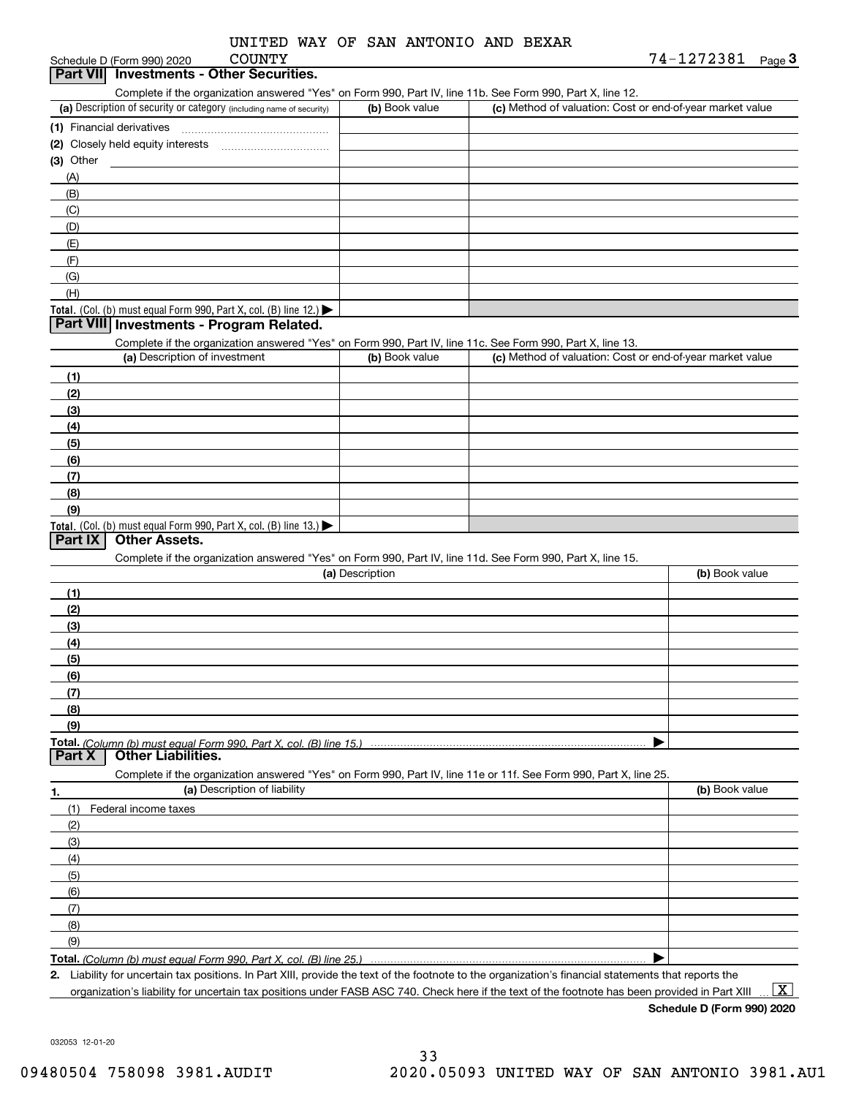| UNITED WAY OF SAN ANTONIO AND BEXAR |
|-------------------------------------|
|-------------------------------------|

Schedule D (Form 990) 2020 COUNTY

# **Part VII Investments - Other Securities.**

Complete if the organization answered "Yes" on Form 990, Part IV, line 11b. See Form 990, Part X, line 12.

| (a) Description of security or category (including name of security)                          | (b) Book value | (c) Method of valuation: Cost or end-of-year market value |
|-----------------------------------------------------------------------------------------------|----------------|-----------------------------------------------------------|
| (1) Financial derivatives                                                                     |                |                                                           |
| (2) Closely held equity interests                                                             |                |                                                           |
| $(3)$ Other                                                                                   |                |                                                           |
| (A)                                                                                           |                |                                                           |
| (B)                                                                                           |                |                                                           |
| (C)                                                                                           |                |                                                           |
| (D)                                                                                           |                |                                                           |
| (E)                                                                                           |                |                                                           |
| (F)                                                                                           |                |                                                           |
| (G)                                                                                           |                |                                                           |
| (H)                                                                                           |                |                                                           |
| <b>Total.</b> (Col. (b) must equal Form 990, Part X, col. (B) line 12.) $\blacktriangleright$ |                |                                                           |

#### **Part VIII Investments - Program Related.**

Complete if the organization answered "Yes" on Form 990, Part IV, line 11c. See Form 990, Part X, line 13.

| (a) Description of investment                                                          | (b) Book value | (c) Method of valuation: Cost or end-of-year market value |
|----------------------------------------------------------------------------------------|----------------|-----------------------------------------------------------|
| (1)                                                                                    |                |                                                           |
| (2)                                                                                    |                |                                                           |
| $\frac{1}{2}$                                                                          |                |                                                           |
| (4)                                                                                    |                |                                                           |
| (5)                                                                                    |                |                                                           |
| (6)                                                                                    |                |                                                           |
| (7)                                                                                    |                |                                                           |
| (8)                                                                                    |                |                                                           |
| (9)                                                                                    |                |                                                           |
| Total. (Col. (b) must equal Form 990, Part X, col. (B) line 13.) $\blacktriangleright$ |                |                                                           |

#### **Part IX Other Assets.**

Complete if the organization answered "Yes" on Form 990, Part IV, line 11d. See Form 990, Part X, line 15.

| (a) Description                                                                                                   | (b) Book value |
|-------------------------------------------------------------------------------------------------------------------|----------------|
| (1)                                                                                                               |                |
| (2)                                                                                                               |                |
| (3)                                                                                                               |                |
| (4)                                                                                                               |                |
| (5)                                                                                                               |                |
| (6)                                                                                                               |                |
| (7)                                                                                                               |                |
| (8)                                                                                                               |                |
| (9)                                                                                                               |                |
|                                                                                                                   |                |
| <b>Part X</b> Other Liabilities.                                                                                  |                |
| Complete if the organization answered "Yes" on Form 990, Part IV, line 11e or 11f. See Form 990, Part X, line 25. |                |

**1.(a)** Description of liability **Book value** Book value Book value Book value Book value (1)Federal income taxes (2)(3)(4)(5) (6)(7)(8)(9) $\blacktriangleright$ 

**Total.**  *(Column (b) must equal Form 990, Part X, col. (B) line 25.)* 

**2.**Liability for uncertain tax positions. In Part XIII, provide the text of the footnote to the organization's financial statements that reports the organization's liability for uncertain tax positions under FASB ASC 740. Check here if the text of the footnote has been provided in Part XIII

 $\boxed{\text{X}}$ 

**Schedule D (Form 990) 2020**

032053 12-01-20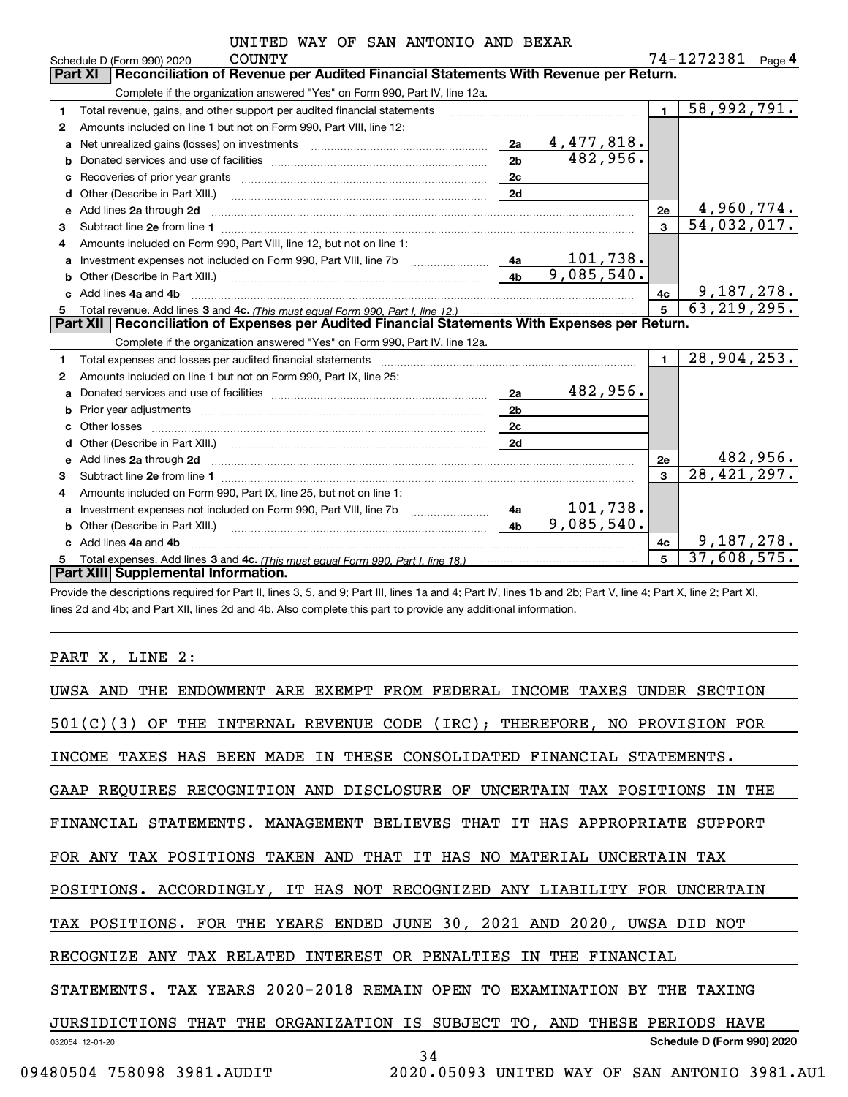|  |  |  |  | UNITED WAY OF SAN ANTONIO AND BEXAR |  |  |
|--|--|--|--|-------------------------------------|--|--|
|--|--|--|--|-------------------------------------|--|--|

|   | <b>COUNTY</b><br>Schedule D (Form 990) 2020                                                                                                                                                                                         |                | 74-1272381<br>Page 4             |  |
|---|-------------------------------------------------------------------------------------------------------------------------------------------------------------------------------------------------------------------------------------|----------------|----------------------------------|--|
|   | Reconciliation of Revenue per Audited Financial Statements With Revenue per Return.<br><b>Part XI</b>                                                                                                                               |                |                                  |  |
|   | Complete if the organization answered "Yes" on Form 990, Part IV, line 12a.                                                                                                                                                         |                |                                  |  |
| 1 | Total revenue, gains, and other support per audited financial statements                                                                                                                                                            | $\blacksquare$ | $\overline{58,992,791.}$         |  |
| 2 | Amounts included on line 1 but not on Form 990, Part VIII, line 12:                                                                                                                                                                 |                |                                  |  |
| a | 4,477,818.<br>2a<br>Net unrealized gains (losses) on investments [11] matter contracts and the unrealized gains (losses) on investments                                                                                             |                |                                  |  |
| b | 482,956.<br>2 <sub>b</sub>                                                                                                                                                                                                          |                |                                  |  |
| c | 2c                                                                                                                                                                                                                                  |                |                                  |  |
| d | 2d<br>Other (Describe in Part XIII.)                                                                                                                                                                                                |                |                                  |  |
| e | Add lines 2a through 2d                                                                                                                                                                                                             | <b>2e</b>      | $\frac{4,960,774.}{54,032,017.}$ |  |
| 3 |                                                                                                                                                                                                                                     | $\overline{3}$ |                                  |  |
|   | Amounts included on Form 990, Part VIII, line 12, but not on line 1:                                                                                                                                                                |                |                                  |  |
| a | 101,738.<br>4a                                                                                                                                                                                                                      |                |                                  |  |
| b | 9,085,540.<br>4 <sub>h</sub><br>Other (Describe in Part XIII.)                                                                                                                                                                      |                |                                  |  |
|   | Add lines 4a and 4b                                                                                                                                                                                                                 | 4c             | 9,187,278.                       |  |
| 5 |                                                                                                                                                                                                                                     |                | 63, 219, 295.                    |  |
|   | Part XII   Reconciliation of Expenses per Audited Financial Statements With Expenses per Return.                                                                                                                                    |                |                                  |  |
|   | Complete if the organization answered "Yes" on Form 990, Part IV, line 12a.                                                                                                                                                         |                |                                  |  |
| 1 |                                                                                                                                                                                                                                     | $\blacksquare$ | 28,904,253.                      |  |
| 2 | Amounts included on line 1 but not on Form 990, Part IX, line 25:                                                                                                                                                                   |                |                                  |  |
| a | 482,956.<br>2a                                                                                                                                                                                                                      |                |                                  |  |
| b | 2 <sub>b</sub>                                                                                                                                                                                                                      |                |                                  |  |
|   | Other losses<br>2c                                                                                                                                                                                                                  |                |                                  |  |
|   | 2d                                                                                                                                                                                                                                  |                |                                  |  |
| e | Add lines 2a through 2d <b>contained a contained a contained a contained a</b> contained a contained a contained a contained a contained a contained a contained a contained a contained a contained a contained a contained a cont | 2e             | 482,956.                         |  |
| 3 |                                                                                                                                                                                                                                     | 3              | 28, 421, 297.                    |  |
| 4 | Amounts included on Form 990, Part IX, line 25, but not on line 1:                                                                                                                                                                  |                |                                  |  |
| a | 1 <u>01,738.</u><br>4a                                                                                                                                                                                                              |                |                                  |  |
|   | 9,085,540.<br>4h<br>Other (Describe in Part XIII.) <b>Construction Construction</b> Chern Construction Chern Chern Chern Chern Chern Chern                                                                                          |                |                                  |  |
|   | Add lines 4a and 4b                                                                                                                                                                                                                 | 4с             | 9,187,278.                       |  |
| 5 |                                                                                                                                                                                                                                     | 5              | 37,608,575.                      |  |
|   | Part XIII Supplemental Information.                                                                                                                                                                                                 |                |                                  |  |

Provide the descriptions required for Part II, lines 3, 5, and 9; Part III, lines 1a and 4; Part IV, lines 1b and 2b; Part V, line 4; Part X, line 2; Part XI, lines 2d and 4b; and Part XII, lines 2d and 4b. Also complete this part to provide any additional information.

#### PART X, LINE 2:

| UWSA AND        | THE                        | ENDOWMENT ARE EXEMPT FROM FEDERAL INCOME TAXES UNDER SECTION                  |
|-----------------|----------------------------|-------------------------------------------------------------------------------|
| 501(C)(3)       | OF THE                     | INTERNAL REVENUE CODE (IRC); THEREFORE, NO PROVISION FOR                      |
|                 |                            | INCOME TAXES HAS BEEN MADE IN THESE CONSOLIDATED FINANCIAL STATEMENTS.        |
|                 |                            | GAAP REQUIRES RECOGNITION AND DISCLOSURE OF UNCERTAIN TAX POSITIONS<br>IN THE |
|                 |                            | FINANCIAL STATEMENTS. MANAGEMENT BELIEVES THAT IT HAS APPROPRIATE SUPPORT     |
|                 |                            | FOR ANY TAX POSITIONS TAKEN AND THAT IT HAS NO MATERIAL UNCERTAIN TAX         |
|                 |                            | POSITIONS. ACCORDINGLY, IT HAS NOT RECOGNIZED ANY LIABILITY FOR UNCERTAIN     |
|                 |                            | TAX POSITIONS. FOR THE YEARS ENDED JUNE 30, 2021 AND 2020, UWSA DID NOT       |
|                 |                            | RECOGNIZE ANY TAX RELATED INTEREST OR PENALTIES IN THE FINANCIAL              |
|                 |                            | STATEMENTS. TAX YEARS 2020-2018 REMAIN OPEN TO EXAMINATION BY THE TAXING      |
|                 |                            | JURSIDICTIONS THAT THE ORGANIZATION IS SUBJECT TO, AND THESE<br>PERIODS HAVE  |
| 032054 12-01-20 |                            | Schedule D (Form 990) 2020<br>34                                              |
|                 | 09480504 758098 3981.AUDIT | 2020.05093 UNITED WAY OF<br>SAN ANTONIO 3981.AU1                              |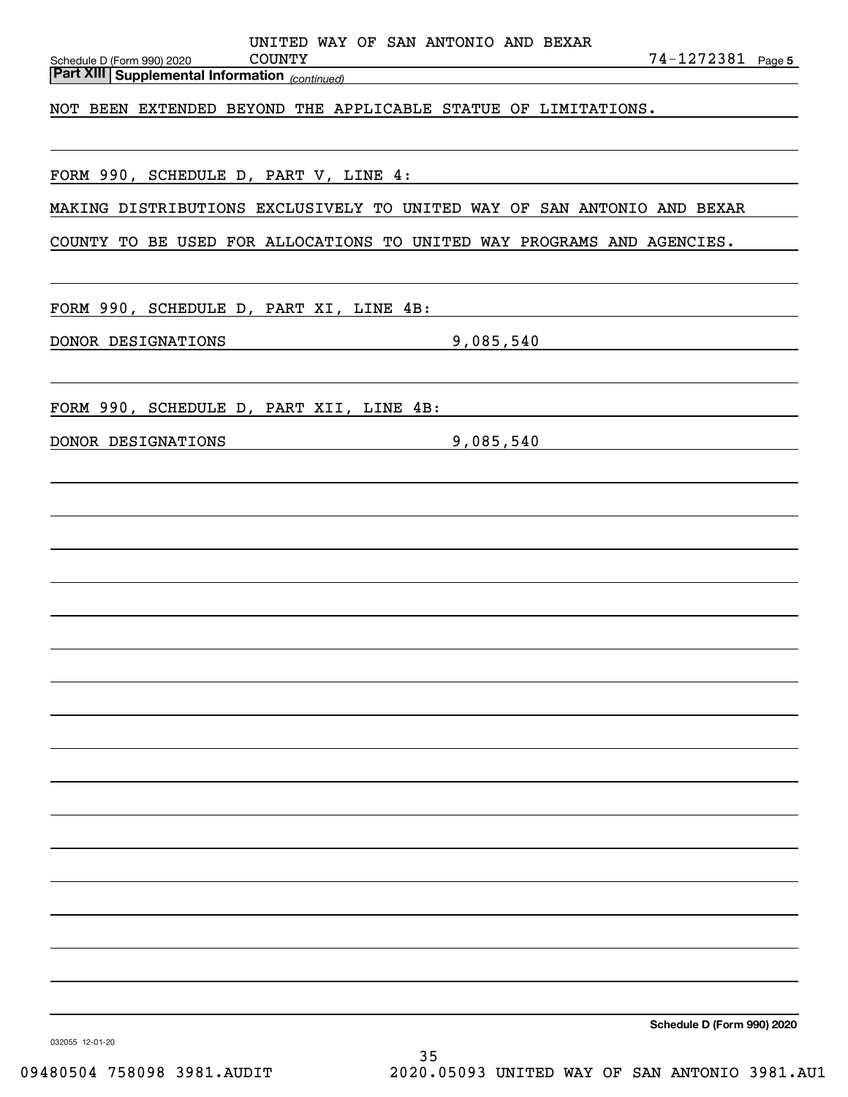| Schedule D (Form 990) 2020<br><b>Part XIII Supplemental Information</b> (continued) | UNITED WAY OF SAN ANTONIO AND BEXAR<br>COUNTY |                                                                                                                                                   | 74-1272381 Page 5          |
|-------------------------------------------------------------------------------------|-----------------------------------------------|---------------------------------------------------------------------------------------------------------------------------------------------------|----------------------------|
|                                                                                     |                                               | NOT BEEN EXTENDED BEYOND THE APPLICABLE STATUE OF LIMITATIONS.                                                                                    |                            |
|                                                                                     |                                               | FORM 990, SCHEDULE D, PART V, LINE 4:                                                                                                             |                            |
|                                                                                     |                                               | MAKING DISTRIBUTIONS EXCLUSIVELY TO UNITED WAY OF SAN ANTONIO AND BEXAR<br>COUNTY TO BE USED FOR ALLOCATIONS TO UNITED WAY PROGRAMS AND AGENCIES. |                            |
| FORM 990, SCHEDULE D, PART XI, LINE 4B:                                             |                                               |                                                                                                                                                   |                            |
| DONOR DESIGNATIONS                                                                  |                                               | 9,085,540                                                                                                                                         |                            |
|                                                                                     |                                               | FORM 990, SCHEDULE D, PART XII, LINE 4B:                                                                                                          |                            |
| DONOR DESIGNATIONS                                                                  |                                               | 9,085,540                                                                                                                                         |                            |
|                                                                                     |                                               |                                                                                                                                                   |                            |
|                                                                                     |                                               |                                                                                                                                                   |                            |
|                                                                                     |                                               |                                                                                                                                                   |                            |
|                                                                                     |                                               |                                                                                                                                                   |                            |
|                                                                                     |                                               |                                                                                                                                                   |                            |
|                                                                                     |                                               |                                                                                                                                                   |                            |
|                                                                                     |                                               |                                                                                                                                                   |                            |
|                                                                                     |                                               |                                                                                                                                                   |                            |
|                                                                                     |                                               |                                                                                                                                                   |                            |
|                                                                                     |                                               |                                                                                                                                                   |                            |
|                                                                                     |                                               |                                                                                                                                                   |                            |
|                                                                                     |                                               |                                                                                                                                                   |                            |
|                                                                                     |                                               |                                                                                                                                                   |                            |
|                                                                                     |                                               |                                                                                                                                                   |                            |
|                                                                                     |                                               |                                                                                                                                                   |                            |
|                                                                                     |                                               |                                                                                                                                                   | Schedule D (Form 990) 2020 |

032055 12-01-20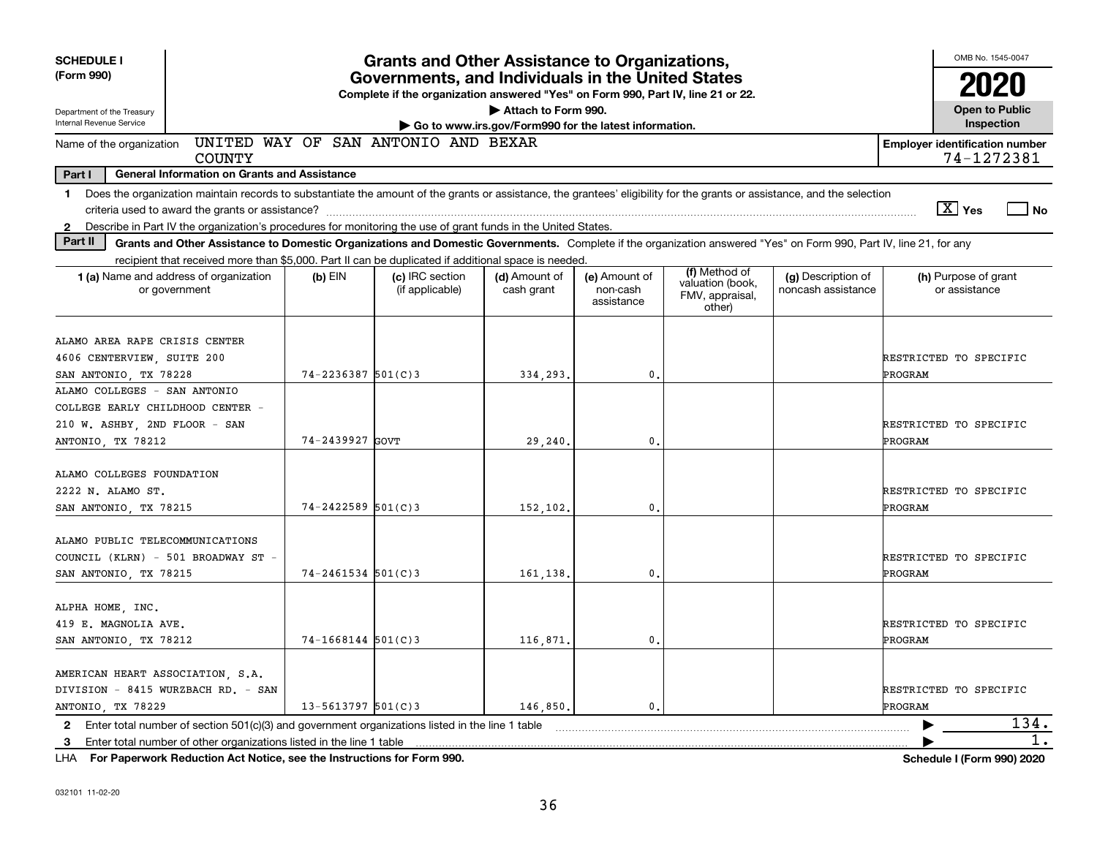| <b>SCHEDULE I</b>                                                                                                                                                              | <b>Grants and Other Assistance to Organizations,</b>                                                |                                                                                                                                       |                                    |                             |                                         |                                               |                                          |                                       | OMB No. 1545-0047                     |      |  |
|--------------------------------------------------------------------------------------------------------------------------------------------------------------------------------|-----------------------------------------------------------------------------------------------------|---------------------------------------------------------------------------------------------------------------------------------------|------------------------------------|-----------------------------|-----------------------------------------|-----------------------------------------------|------------------------------------------|---------------------------------------|---------------------------------------|------|--|
| (Form 990)                                                                                                                                                                     |                                                                                                     | Governments, and Individuals in the United States<br>Complete if the organization answered "Yes" on Form 990, Part IV, line 21 or 22. |                                    |                             |                                         |                                               |                                          |                                       | 2020                                  |      |  |
| Department of the Treasury<br>Internal Revenue Service                                                                                                                         | Attach to Form 990.<br>Go to www.irs.gov/Form990 for the latest information.                        |                                                                                                                                       |                                    |                             |                                         |                                               |                                          |                                       | <b>Open to Public</b><br>Inspection   |      |  |
| UNITED WAY OF SAN ANTONIO AND BEXAR<br>Name of the organization<br><b>COUNTY</b>                                                                                               |                                                                                                     |                                                                                                                                       |                                    |                             |                                         |                                               |                                          | <b>Employer identification number</b> | 74-1272381                            |      |  |
| Part I<br><b>General Information on Grants and Assistance</b>                                                                                                                  |                                                                                                     |                                                                                                                                       |                                    |                             |                                         |                                               |                                          |                                       |                                       |      |  |
| Does the organization maintain records to substantiate the amount of the grants or assistance, the grantees' eligibility for the grants or assistance, and the selection<br>1. |                                                                                                     |                                                                                                                                       |                                    |                             |                                         |                                               |                                          |                                       |                                       |      |  |
|                                                                                                                                                                                | criteria used to award the grants or assistance?                                                    |                                                                                                                                       |                                    |                             |                                         |                                               |                                          |                                       | $\boxed{\text{X}}$ Yes                | No   |  |
| Describe in Part IV the organization's procedures for monitoring the use of grant funds in the United States.<br>$\mathbf{2}$                                                  |                                                                                                     |                                                                                                                                       |                                    |                             |                                         |                                               |                                          |                                       |                                       |      |  |
| Part II<br>Grants and Other Assistance to Domestic Organizations and Domestic Governments. Complete if the organization answered "Yes" on Form 990, Part IV, line 21, for any  |                                                                                                     |                                                                                                                                       |                                    |                             |                                         |                                               |                                          |                                       |                                       |      |  |
|                                                                                                                                                                                | recipient that received more than \$5,000. Part II can be duplicated if additional space is needed. |                                                                                                                                       |                                    |                             |                                         | (f) Method of                                 |                                          |                                       |                                       |      |  |
|                                                                                                                                                                                | 1 (a) Name and address of organization<br>or government                                             | $(b)$ EIN                                                                                                                             | (c) IRC section<br>(if applicable) | (d) Amount of<br>cash grant | (e) Amount of<br>non-cash<br>assistance | valuation (book,<br>FMV, appraisal,<br>other) | (g) Description of<br>noncash assistance |                                       | (h) Purpose of grant<br>or assistance |      |  |
|                                                                                                                                                                                |                                                                                                     |                                                                                                                                       |                                    |                             |                                         |                                               |                                          |                                       |                                       |      |  |
| ALAMO AREA RAPE CRISIS CENTER                                                                                                                                                  |                                                                                                     |                                                                                                                                       |                                    |                             |                                         |                                               |                                          |                                       |                                       |      |  |
| 4606 CENTERVIEW, SUITE 200                                                                                                                                                     |                                                                                                     |                                                                                                                                       |                                    |                             |                                         |                                               |                                          | RESTRICTED TO SPECIFIC<br>PROGRAM     |                                       |      |  |
| SAN ANTONIO, TX 78228<br>ALAMO COLLEGES - SAN ANTONIO                                                                                                                          |                                                                                                     | $74 - 2236387$ 501(C)3                                                                                                                |                                    | 334,293.                    | 0.                                      |                                               |                                          |                                       |                                       |      |  |
|                                                                                                                                                                                |                                                                                                     |                                                                                                                                       |                                    |                             |                                         |                                               |                                          |                                       |                                       |      |  |
| COLLEGE EARLY CHILDHOOD CENTER -<br>210 W. ASHBY, 2ND FLOOR - SAN                                                                                                              |                                                                                                     |                                                                                                                                       |                                    |                             |                                         |                                               |                                          | RESTRICTED TO SPECIFIC                |                                       |      |  |
| ANTONIO, TX 78212                                                                                                                                                              |                                                                                                     | 74-2439927 GOVT                                                                                                                       |                                    | 29,240                      | 0.                                      |                                               |                                          | PROGRAM                               |                                       |      |  |
|                                                                                                                                                                                |                                                                                                     |                                                                                                                                       |                                    |                             |                                         |                                               |                                          |                                       |                                       |      |  |
| ALAMO COLLEGES FOUNDATION                                                                                                                                                      |                                                                                                     |                                                                                                                                       |                                    |                             |                                         |                                               |                                          |                                       |                                       |      |  |
| 2222 N. ALAMO ST.                                                                                                                                                              |                                                                                                     |                                                                                                                                       |                                    |                             |                                         |                                               |                                          | RESTRICTED TO SPECIFIC                |                                       |      |  |
| SAN ANTONIO, TX 78215                                                                                                                                                          |                                                                                                     | $74 - 2422589$ 501(C)3                                                                                                                |                                    | 152,102.                    | $\mathbf{0}$                            |                                               |                                          | ÞROGRAM                               |                                       |      |  |
|                                                                                                                                                                                |                                                                                                     |                                                                                                                                       |                                    |                             |                                         |                                               |                                          |                                       |                                       |      |  |
| ALAMO PUBLIC TELECOMMUNICATIONS                                                                                                                                                |                                                                                                     |                                                                                                                                       |                                    |                             |                                         |                                               |                                          | RESTRICTED TO SPECIFIC                |                                       |      |  |
| COUNCIL (KLRN) - 501 BROADWAY ST -<br>SAN ANTONIO, TX 78215                                                                                                                    |                                                                                                     | $74 - 2461534$ 501(C)3                                                                                                                |                                    | 161,138.                    | $\mathbf{0}$                            |                                               |                                          | PROGRAM                               |                                       |      |  |
|                                                                                                                                                                                |                                                                                                     |                                                                                                                                       |                                    |                             |                                         |                                               |                                          |                                       |                                       |      |  |
| ALPHA HOME, INC.                                                                                                                                                               |                                                                                                     |                                                                                                                                       |                                    |                             |                                         |                                               |                                          |                                       |                                       |      |  |
| 419 E. MAGNOLIA AVE.                                                                                                                                                           |                                                                                                     |                                                                                                                                       |                                    |                             |                                         |                                               |                                          | RESTRICTED TO SPECIFIC                |                                       |      |  |
| SAN ANTONIO, TX 78212                                                                                                                                                          |                                                                                                     | $74 - 1668144$ 501(C)3                                                                                                                |                                    | 116,871.                    | $\mathbf{0}$                            |                                               |                                          | PROGRAM                               |                                       |      |  |
|                                                                                                                                                                                |                                                                                                     |                                                                                                                                       |                                    |                             |                                         |                                               |                                          |                                       |                                       |      |  |
| AMERICAN HEART ASSOCIATION, S.A.                                                                                                                                               |                                                                                                     |                                                                                                                                       |                                    |                             |                                         |                                               |                                          |                                       |                                       |      |  |
| DIVISION - 8415 WURZBACH RD. - SAN                                                                                                                                             |                                                                                                     |                                                                                                                                       |                                    |                             |                                         |                                               |                                          | RESTRICTED TO SPECIFIC                |                                       |      |  |
| ANTONIO, TX 78229                                                                                                                                                              |                                                                                                     | $13 - 5613797$ 501(C)3                                                                                                                |                                    | 146,850                     | 0                                       |                                               |                                          | PROGRAM                               |                                       |      |  |
| $\mathbf{2}$                                                                                                                                                                   | Enter total number of section $501(c)(3)$ and government organizations listed in the line 1 table   |                                                                                                                                       |                                    |                             |                                         |                                               |                                          | ▶                                     |                                       | 134. |  |
| 3                                                                                                                                                                              | Enter total number of other organizations listed in the line 1 table                                |                                                                                                                                       |                                    |                             |                                         |                                               |                                          |                                       |                                       | 1.   |  |

**For Paperwork Reduction Act Notice, see the Instructions for Form 990. Schedule I (Form 990) 2020** LHA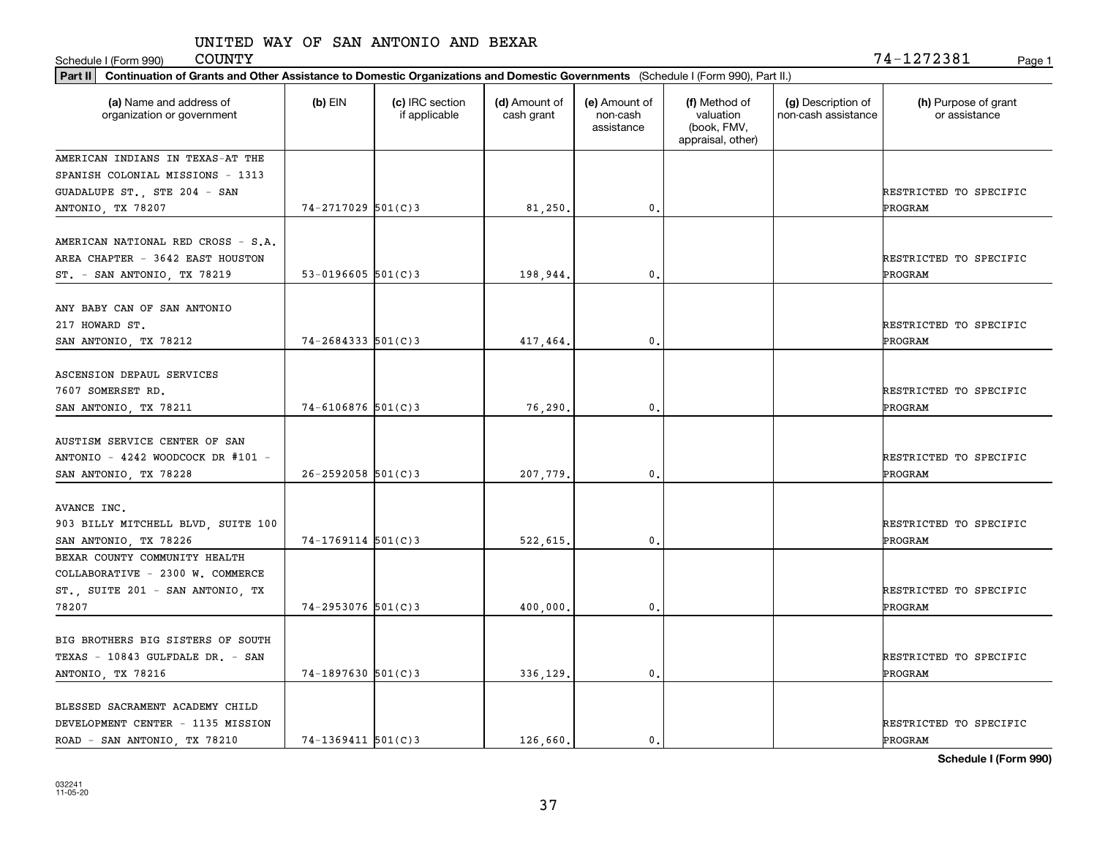| <b>COUNTY</b><br>Schedule I (Form 990)                                                                                                      |                          |                                  |                             |                                         |                                                                |                                           | 74-1272381<br>Page 1                  |
|---------------------------------------------------------------------------------------------------------------------------------------------|--------------------------|----------------------------------|-----------------------------|-----------------------------------------|----------------------------------------------------------------|-------------------------------------------|---------------------------------------|
| Continuation of Grants and Other Assistance to Domestic Organizations and Domestic Governments (Schedule I (Form 990), Part II.)<br>Part II |                          |                                  |                             |                                         |                                                                |                                           |                                       |
| (a) Name and address of<br>organization or government                                                                                       | $(b)$ EIN                | (c) IRC section<br>if applicable | (d) Amount of<br>cash grant | (e) Amount of<br>non-cash<br>assistance | (f) Method of<br>valuation<br>(book, FMV,<br>appraisal, other) | (g) Description of<br>non-cash assistance | (h) Purpose of grant<br>or assistance |
| AMERICAN INDIANS IN TEXAS-AT THE<br>SPANISH COLONIAL MISSIONS - 1313<br>GUADALUPE ST., STE 204 - SAN<br>ANTONIO, TX 78207                   | $74 - 2717029$ 501(C)3   |                                  | 81,250.                     | 0.                                      |                                                                |                                           | RESTRICTED TO SPECIFIC<br>PROGRAM     |
| AMERICAN NATIONAL RED CROSS - S.A.<br>AREA CHAPTER - 3642 EAST HOUSTON<br>ST. - SAN ANTONIO, TX 78219                                       | $53 - 0196605$ 501(C)3   |                                  | 198.944.                    | $\mathbf{0}$ .                          |                                                                |                                           | RESTRICTED TO SPECIFIC<br>PROGRAM     |
| ANY BABY CAN OF SAN ANTONIO<br>217 HOWARD ST.<br>SAN ANTONIO, TX 78212                                                                      | $74 - 2684333$ $501(C)3$ |                                  | 417,464.                    | 0.                                      |                                                                |                                           | RESTRICTED TO SPECIFIC<br>PROGRAM     |
| ASCENSION DEPAUL SERVICES<br>7607 SOMERSET RD.<br>SAN ANTONIO, TX 78211                                                                     | $74 - 6106876$ 501(C)3   |                                  | 76,290.                     | 0.                                      |                                                                |                                           | RESTRICTED TO SPECIFIC<br>PROGRAM     |
| AUSTISM SERVICE CENTER OF SAN<br>ANTONIO - 4242 WOODCOCK DR #101 -<br>SAN ANTONIO, TX 78228                                                 | $26 - 2592058$ 501(C) 3  |                                  | 207,779.                    | 0.                                      |                                                                |                                           | RESTRICTED TO SPECIFIC<br>PROGRAM     |
| AVANCE INC.<br>903 BILLY MITCHELL BLVD, SUITE 100<br>SAN ANTONIO, TX 78226                                                                  | $74-1769114$ 501(C)3     |                                  | 522,615.                    | 0.                                      |                                                                |                                           | RESTRICTED TO SPECIFIC<br>PROGRAM     |
| BEXAR COUNTY COMMUNITY HEALTH<br>COLLABORATIVE - 2300 W. COMMERCE<br>ST., SUITE 201 - SAN ANTONIO, TX<br>78207                              | 74-2953076 501(C)3       |                                  | 400,000,                    | 0.                                      |                                                                |                                           | RESTRICTED TO SPECIFIC<br>PROGRAM     |
| BIG BROTHERS BIG SISTERS OF SOUTH<br>TEXAS - 10843 GULFDALE DR. - SAN<br>ANTONIO, TX 78216                                                  | $74 - 1897630$ 501(C)3   |                                  | 336,129.                    | 0.                                      |                                                                |                                           | RESTRICTED TO SPECIFIC<br>PROGRAM     |
| BLESSED SACRAMENT ACADEMY CHILD<br>DEVELOPMENT CENTER - 1135 MISSION<br>ROAD - SAN ANTONIO, TX 78210                                        | $74 - 1369411$ 501(C)3   |                                  | 126,660.                    | $\mathbf{0}$ .                          |                                                                |                                           | RESTRICTED TO SPECIFIC<br>PROGRAM     |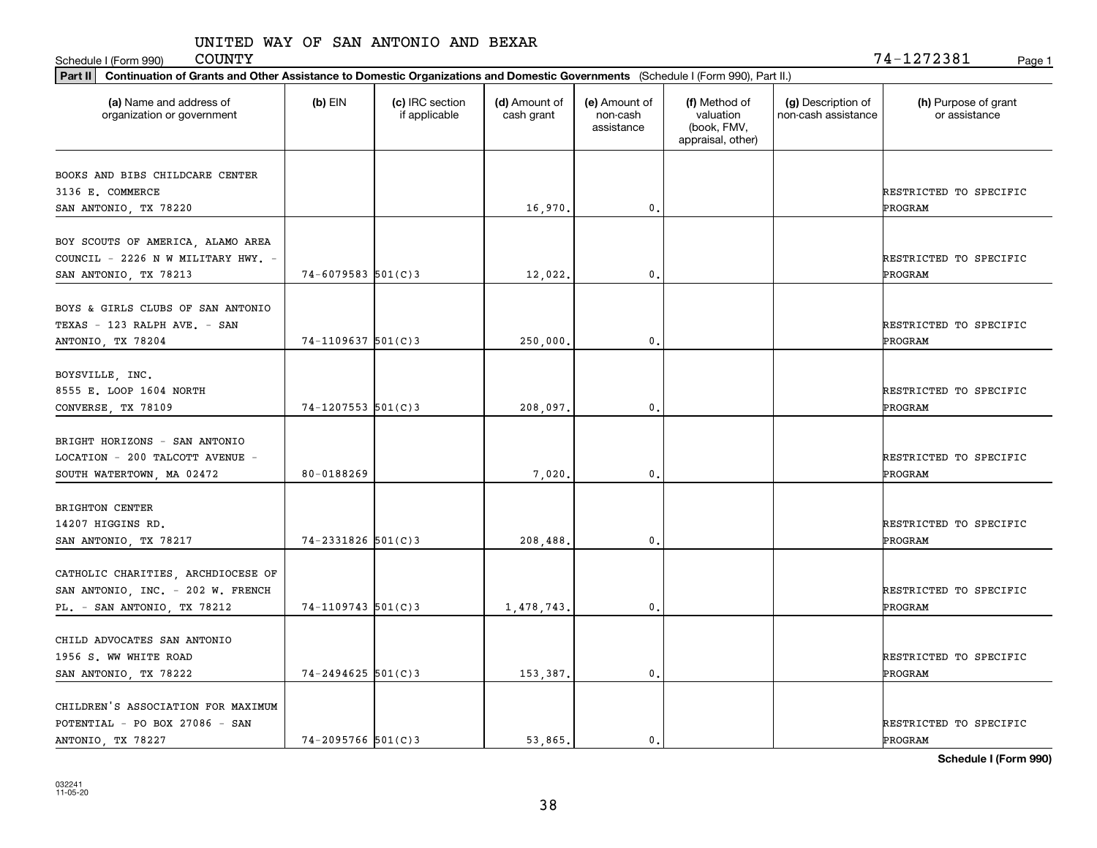Schedule I (Form 990) Page 1

| Part II   Continuation of Grants and Other Assistance to Domestic Organizations and Domestic Governments (Schedule I (Form 990), Part II.) |                        |                                  |                             |                                         |                                                                |                                           |                                          |  |  |  |
|--------------------------------------------------------------------------------------------------------------------------------------------|------------------------|----------------------------------|-----------------------------|-----------------------------------------|----------------------------------------------------------------|-------------------------------------------|------------------------------------------|--|--|--|
| (a) Name and address of<br>organization or government                                                                                      | $(b)$ EIN              | (c) IRC section<br>if applicable | (d) Amount of<br>cash grant | (e) Amount of<br>non-cash<br>assistance | (f) Method of<br>valuation<br>(book, FMV,<br>appraisal, other) | (g) Description of<br>non-cash assistance | (h) Purpose of grant<br>or assistance    |  |  |  |
| BOOKS AND BIBS CHILDCARE CENTER<br>3136 E. COMMERCE                                                                                        |                        |                                  |                             |                                         |                                                                |                                           | RESTRICTED TO SPECIFIC                   |  |  |  |
| SAN ANTONIO, TX 78220                                                                                                                      |                        |                                  | 16,970.                     | 0.                                      |                                                                |                                           | PROGRAM                                  |  |  |  |
| BOY SCOUTS OF AMERICA, ALAMO AREA<br>COUNCIL - 2226 N W MILITARY HWY. -<br>SAN ANTONIO, TX 78213                                           | $74 - 6079583$ 501(C)3 |                                  | 12,022.                     | 0.                                      |                                                                |                                           | RESTRICTED TO SPECIFIC<br>PROGRAM        |  |  |  |
| BOYS & GIRLS CLUBS OF SAN ANTONIO<br>TEXAS - 123 RALPH AVE. - SAN<br>ANTONIO, TX 78204                                                     | $74 - 1109637$ 501(C)3 |                                  | 250,000.                    | 0.                                      |                                                                |                                           | RESTRICTED TO SPECIFIC<br>PROGRAM        |  |  |  |
| BOYSVILLE, INC.<br>8555 E. LOOP 1604 NORTH<br>CONVERSE, TX 78109                                                                           | $74 - 1207553$ 501(C)3 |                                  | 208,097.                    | 0.                                      |                                                                |                                           | RESTRICTED TO SPECIFIC<br>PROGRAM        |  |  |  |
| BRIGHT HORIZONS - SAN ANTONIO<br>LOCATION - 200 TALCOTT AVENUE -<br>SOUTH WATERTOWN, MA 02472                                              | 80-0188269             |                                  | 7,020,                      | $\mathbf{0}$                            |                                                                |                                           | RESTRICTED TO SPECIFIC<br>PROGRAM        |  |  |  |
| <b>BRIGHTON CENTER</b><br>14207 HIGGINS RD.<br>SAN ANTONIO, TX 78217                                                                       | $74 - 2331826$ 501(C)3 |                                  | 208,488,                    | 0.                                      |                                                                |                                           | RESTRICTED TO SPECIFIC<br>PROGRAM        |  |  |  |
| CATHOLIC CHARITIES, ARCHDIOCESE OF<br>SAN ANTONIO, INC. - 202 W. FRENCH<br>PL. - SAN ANTONIO, TX 78212                                     | $74 - 1109743$ 501(C)3 |                                  | 1,478,743.                  | $^{\circ}$ .                            |                                                                |                                           | RESTRICTED TO SPECIFIC<br><b>PROGRAM</b> |  |  |  |
| CHILD ADVOCATES SAN ANTONIO<br>1956 S. WW WHITE ROAD<br>SAN ANTONIO, TX 78222                                                              | $74 - 2494625$ 501(C)3 |                                  | 153,387.                    | 0.                                      |                                                                |                                           | RESTRICTED TO SPECIFIC<br>PROGRAM        |  |  |  |
| CHILDREN'S ASSOCIATION FOR MAXIMUM<br>POTENTIAL - PO BOX 27086 - SAN<br>ANTONIO, TX 78227                                                  | $74 - 2095766$ 501(C)3 |                                  | 53.865.                     | $\mathbf{0}$ .                          |                                                                |                                           | RESTRICTED TO SPECIFIC<br>PROGRAM        |  |  |  |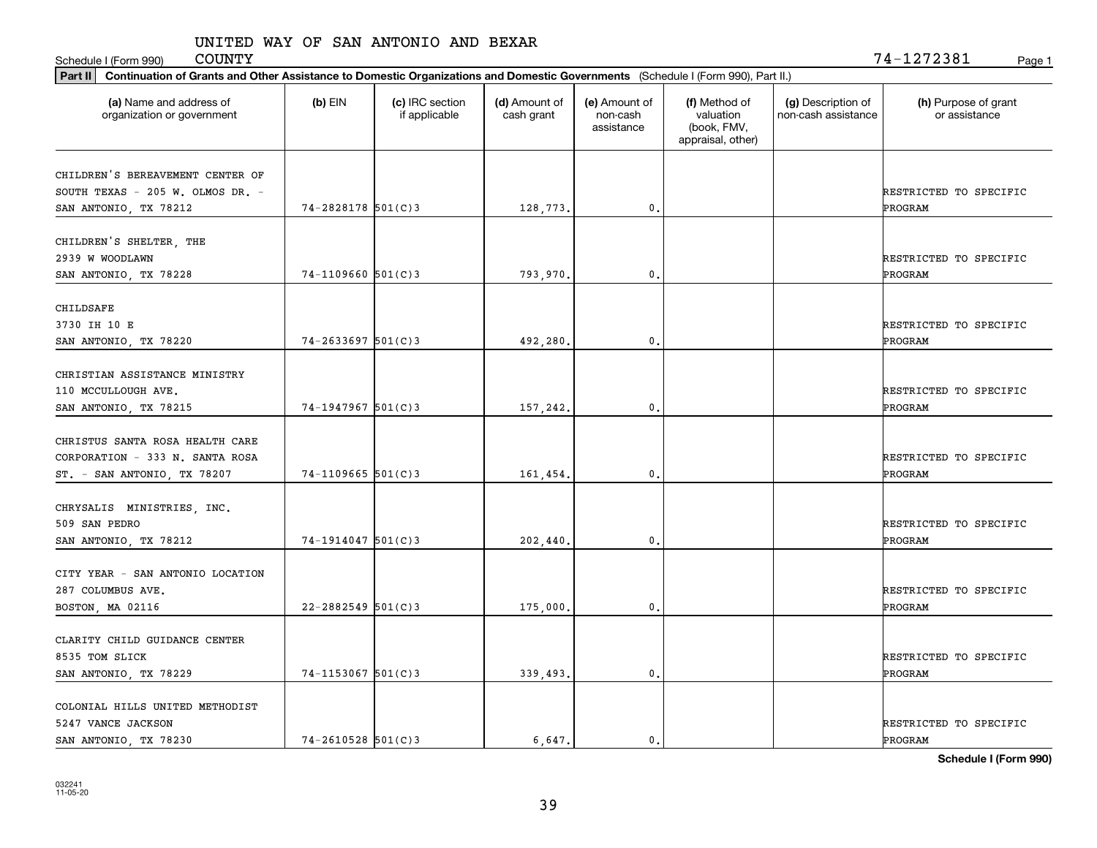Schedule I (Form 990) COUNTY Page 1

| Part II   Continuation of Grants and Other Assistance to Domestic Organizations and Domestic Governments (Schedule I (Form 990), Part II.) |                        |                                  |                             |                                         |                                                                |                                           |                                          |  |  |  |
|--------------------------------------------------------------------------------------------------------------------------------------------|------------------------|----------------------------------|-----------------------------|-----------------------------------------|----------------------------------------------------------------|-------------------------------------------|------------------------------------------|--|--|--|
| (a) Name and address of<br>organization or government                                                                                      | $(b)$ EIN              | (c) IRC section<br>if applicable | (d) Amount of<br>cash grant | (e) Amount of<br>non-cash<br>assistance | (f) Method of<br>valuation<br>(book, FMV,<br>appraisal, other) | (g) Description of<br>non-cash assistance | (h) Purpose of grant<br>or assistance    |  |  |  |
| CHILDREN'S BEREAVEMENT CENTER OF                                                                                                           |                        |                                  |                             |                                         |                                                                |                                           |                                          |  |  |  |
| SOUTH TEXAS - 205 W. OLMOS DR. -                                                                                                           |                        |                                  |                             |                                         |                                                                |                                           | RESTRICTED TO SPECIFIC                   |  |  |  |
| SAN ANTONIO, TX 78212                                                                                                                      | $74 - 2828178$ 501(C)3 |                                  | 128,773.                    | 0.                                      |                                                                |                                           | PROGRAM                                  |  |  |  |
|                                                                                                                                            |                        |                                  |                             |                                         |                                                                |                                           |                                          |  |  |  |
| CHILDREN'S SHELTER, THE                                                                                                                    |                        |                                  |                             |                                         |                                                                |                                           |                                          |  |  |  |
| 2939 W WOODLAWN                                                                                                                            |                        |                                  |                             |                                         |                                                                |                                           | RESTRICTED TO SPECIFIC                   |  |  |  |
| SAN ANTONIO, TX 78228                                                                                                                      | $74 - 1109660$ 501(C)3 |                                  | 793,970.                    | 0.                                      |                                                                |                                           | <b>PROGRAM</b>                           |  |  |  |
|                                                                                                                                            |                        |                                  |                             |                                         |                                                                |                                           |                                          |  |  |  |
| CHILDSAFE<br>3730 IH 10 E                                                                                                                  |                        |                                  |                             |                                         |                                                                |                                           | RESTRICTED TO SPECIFIC                   |  |  |  |
| SAN ANTONIO, TX 78220                                                                                                                      | $74 - 2633697$ 501(C)3 |                                  | 492,280.                    | 0.                                      |                                                                |                                           | PROGRAM                                  |  |  |  |
|                                                                                                                                            |                        |                                  |                             |                                         |                                                                |                                           |                                          |  |  |  |
| CHRISTIAN ASSISTANCE MINISTRY                                                                                                              |                        |                                  |                             |                                         |                                                                |                                           |                                          |  |  |  |
| 110 MCCULLOUGH AVE.                                                                                                                        |                        |                                  |                             |                                         |                                                                |                                           | RESTRICTED TO SPECIFIC                   |  |  |  |
| SAN ANTONIO, TX 78215                                                                                                                      | $74-1947967$ 501(C)3   |                                  | 157,242.                    | 0.                                      |                                                                |                                           | PROGRAM                                  |  |  |  |
|                                                                                                                                            |                        |                                  |                             |                                         |                                                                |                                           |                                          |  |  |  |
| CHRISTUS SANTA ROSA HEALTH CARE                                                                                                            |                        |                                  |                             |                                         |                                                                |                                           |                                          |  |  |  |
| CORPORATION - 333 N. SANTA ROSA                                                                                                            |                        |                                  |                             |                                         |                                                                |                                           | RESTRICTED TO SPECIFIC                   |  |  |  |
| ST. - SAN ANTONIO, TX 78207                                                                                                                | $74-1109665$ 501(C)3   |                                  | 161,454.                    | 0.                                      |                                                                |                                           | PROGRAM                                  |  |  |  |
|                                                                                                                                            |                        |                                  |                             |                                         |                                                                |                                           |                                          |  |  |  |
| CHRYSALIS MINISTRIES, INC.                                                                                                                 |                        |                                  |                             |                                         |                                                                |                                           |                                          |  |  |  |
| 509 SAN PEDRO                                                                                                                              | $74-1914047$ 501(C)3   |                                  |                             | 0.                                      |                                                                |                                           | RESTRICTED TO SPECIFIC<br><b>PROGRAM</b> |  |  |  |
| SAN ANTONIO, TX 78212                                                                                                                      |                        |                                  | 202,440                     |                                         |                                                                |                                           |                                          |  |  |  |
| CITY YEAR - SAN ANTONIO LOCATION                                                                                                           |                        |                                  |                             |                                         |                                                                |                                           |                                          |  |  |  |
| 287 COLUMBUS AVE.                                                                                                                          |                        |                                  |                             |                                         |                                                                |                                           | RESTRICTED TO SPECIFIC                   |  |  |  |
| BOSTON, MA 02116                                                                                                                           | $22 - 2882549$ 501(C)3 |                                  | 175,000.                    | 0.                                      |                                                                |                                           | PROGRAM                                  |  |  |  |
|                                                                                                                                            |                        |                                  |                             |                                         |                                                                |                                           |                                          |  |  |  |
| CLARITY CHILD GUIDANCE CENTER                                                                                                              |                        |                                  |                             |                                         |                                                                |                                           |                                          |  |  |  |
| 8535 TOM SLICK                                                                                                                             |                        |                                  |                             |                                         |                                                                |                                           | RESTRICTED TO SPECIFIC                   |  |  |  |
| SAN ANTONIO, TX 78229                                                                                                                      | $74 - 1153067$ 501(C)3 |                                  | 339,493.                    | 0.                                      |                                                                |                                           | PROGRAM                                  |  |  |  |
|                                                                                                                                            |                        |                                  |                             |                                         |                                                                |                                           |                                          |  |  |  |
| COLONIAL HILLS UNITED METHODIST                                                                                                            |                        |                                  |                             |                                         |                                                                |                                           |                                          |  |  |  |
| 5247 VANCE JACKSON<br>SAN ANTONIO, TX 78230                                                                                                | $74 - 2610528$ 501(C)3 |                                  | 6.647.                      | $\mathbf{0}$ .                          |                                                                |                                           | RESTRICTED TO SPECIFIC<br>PROGRAM        |  |  |  |
|                                                                                                                                            |                        |                                  |                             |                                         |                                                                |                                           |                                          |  |  |  |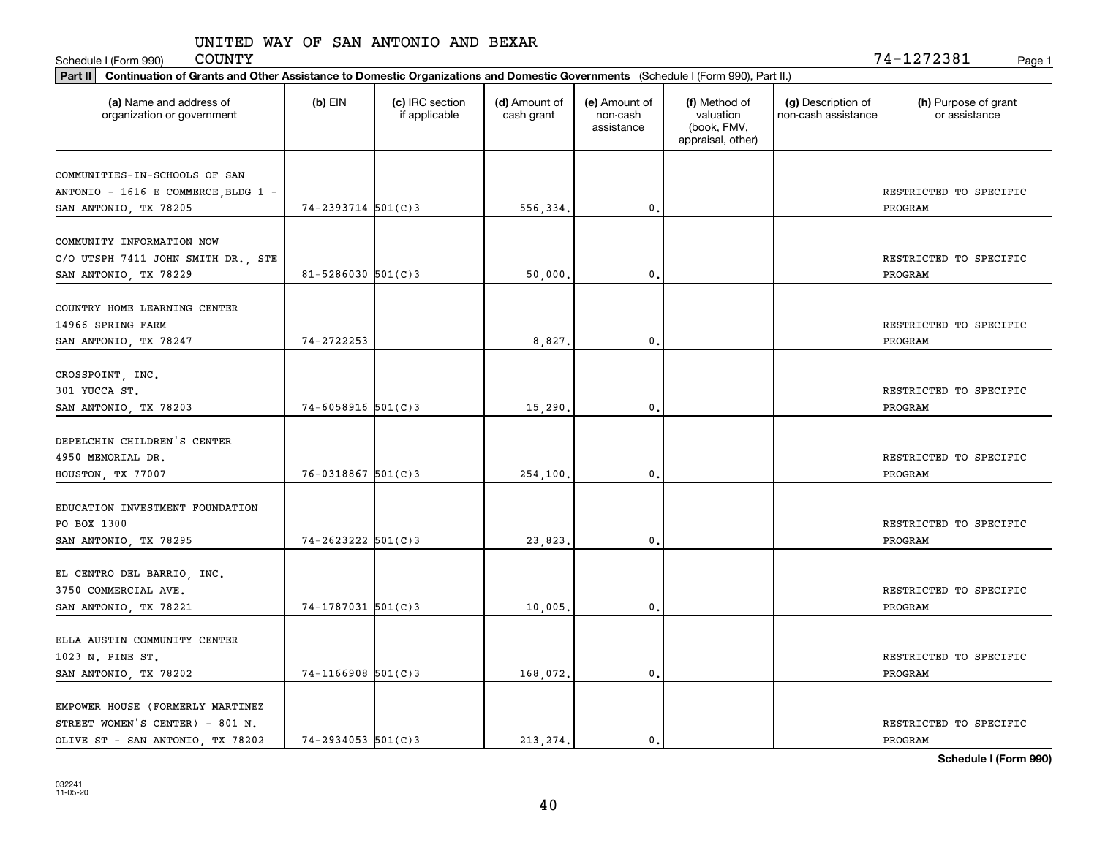Schedule I (Form 990) COUNTY Page 1

| Part II   Continuation of Grants and Other Assistance to Domestic Organizations and Domestic Governments (Schedule I (Form 990), Part II.) |                          |                                  |                             |                                         |                                                                |                                           |                                       |
|--------------------------------------------------------------------------------------------------------------------------------------------|--------------------------|----------------------------------|-----------------------------|-----------------------------------------|----------------------------------------------------------------|-------------------------------------------|---------------------------------------|
| (a) Name and address of<br>organization or government                                                                                      | $(b)$ EIN                | (c) IRC section<br>if applicable | (d) Amount of<br>cash grant | (e) Amount of<br>non-cash<br>assistance | (f) Method of<br>valuation<br>(book, FMV,<br>appraisal, other) | (g) Description of<br>non-cash assistance | (h) Purpose of grant<br>or assistance |
| COMMUNITIES-IN-SCHOOLS OF SAN                                                                                                              |                          |                                  |                             |                                         |                                                                |                                           |                                       |
| ANTONIO - 1616 E COMMERCE, BLDG 1 -                                                                                                        |                          |                                  |                             |                                         |                                                                |                                           | RESTRICTED TO SPECIFIC                |
| SAN ANTONIO, TX 78205                                                                                                                      | $74 - 2393714$ 501(C)3   |                                  | 556,334.                    | 0.                                      |                                                                |                                           | PROGRAM                               |
|                                                                                                                                            |                          |                                  |                             |                                         |                                                                |                                           |                                       |
| COMMUNITY INFORMATION NOW                                                                                                                  |                          |                                  |                             |                                         |                                                                |                                           |                                       |
| C/O UTSPH 7411 JOHN SMITH DR., STE                                                                                                         | $81 - 5286030$ $501(C)3$ |                                  | 50,000,                     | 0.                                      |                                                                |                                           | RESTRICTED TO SPECIFIC<br>PROGRAM     |
| SAN ANTONIO, TX 78229                                                                                                                      |                          |                                  |                             |                                         |                                                                |                                           |                                       |
| COUNTRY HOME LEARNING CENTER                                                                                                               |                          |                                  |                             |                                         |                                                                |                                           |                                       |
| 14966 SPRING FARM                                                                                                                          |                          |                                  |                             |                                         |                                                                |                                           | RESTRICTED TO SPECIFIC                |
| SAN ANTONIO, TX 78247                                                                                                                      | 74-2722253               |                                  | 8,827.                      | $\mathbf{0}$ .                          |                                                                |                                           | PROGRAM                               |
|                                                                                                                                            |                          |                                  |                             |                                         |                                                                |                                           |                                       |
| CROSSPOINT, INC.                                                                                                                           |                          |                                  |                             |                                         |                                                                |                                           |                                       |
| 301 YUCCA ST.                                                                                                                              |                          |                                  |                             |                                         |                                                                |                                           | RESTRICTED TO SPECIFIC                |
| SAN ANTONIO, TX 78203                                                                                                                      | $74 - 6058916$ 501(C)3   |                                  | 15,290.                     | 0.                                      |                                                                |                                           | PROGRAM                               |
| DEPELCHIN CHILDREN'S CENTER                                                                                                                |                          |                                  |                             |                                         |                                                                |                                           |                                       |
| 4950 MEMORIAL DR.                                                                                                                          |                          |                                  |                             |                                         |                                                                |                                           | RESTRICTED TO SPECIFIC                |
| HOUSTON, TX 77007                                                                                                                          | $76 - 0318867$ 501(C)3   |                                  | 254,100.                    | 0.                                      |                                                                |                                           | PROGRAM                               |
|                                                                                                                                            |                          |                                  |                             |                                         |                                                                |                                           |                                       |
| EDUCATION INVESTMENT FOUNDATION                                                                                                            |                          |                                  |                             |                                         |                                                                |                                           |                                       |
| PO BOX 1300                                                                                                                                |                          |                                  |                             |                                         |                                                                |                                           | RESTRICTED TO SPECIFIC                |
| SAN ANTONIO, TX 78295                                                                                                                      | $74 - 2623222$ 501(C)3   |                                  | 23,823.                     | 0.                                      |                                                                |                                           | PROGRAM                               |
| EL CENTRO DEL BARRIO, INC.                                                                                                                 |                          |                                  |                             |                                         |                                                                |                                           |                                       |
| 3750 COMMERCIAL AVE.                                                                                                                       |                          |                                  |                             |                                         |                                                                |                                           | RESTRICTED TO SPECIFIC                |
|                                                                                                                                            | $74 - 1787031$ 501(C)3   |                                  |                             | 0.                                      |                                                                |                                           | PROGRAM                               |
| SAN ANTONIO, TX 78221                                                                                                                      |                          |                                  | 10,005                      |                                         |                                                                |                                           |                                       |
| ELLA AUSTIN COMMUNITY CENTER                                                                                                               |                          |                                  |                             |                                         |                                                                |                                           |                                       |
| 1023 N. PINE ST.                                                                                                                           |                          |                                  |                             |                                         |                                                                |                                           | RESTRICTED TO SPECIFIC                |
| SAN ANTONIO, TX 78202                                                                                                                      | $74-1166908$ 501(C)3     |                                  | 168,072.                    | 0.                                      |                                                                |                                           | <b>PROGRAM</b>                        |
|                                                                                                                                            |                          |                                  |                             |                                         |                                                                |                                           |                                       |
| EMPOWER HOUSE (FORMERLY MARTINEZ                                                                                                           |                          |                                  |                             |                                         |                                                                |                                           |                                       |
| STREET WOMEN'S CENTER) - 801 N.                                                                                                            |                          |                                  |                             |                                         |                                                                |                                           | RESTRICTED TO SPECIFIC                |
| OLIVE ST - SAN ANTONIO, TX 78202                                                                                                           | $74 - 2934053$ 501(C)3   |                                  | 213.274.                    | $\mathfrak{o}$ .                        |                                                                |                                           | PROGRAM                               |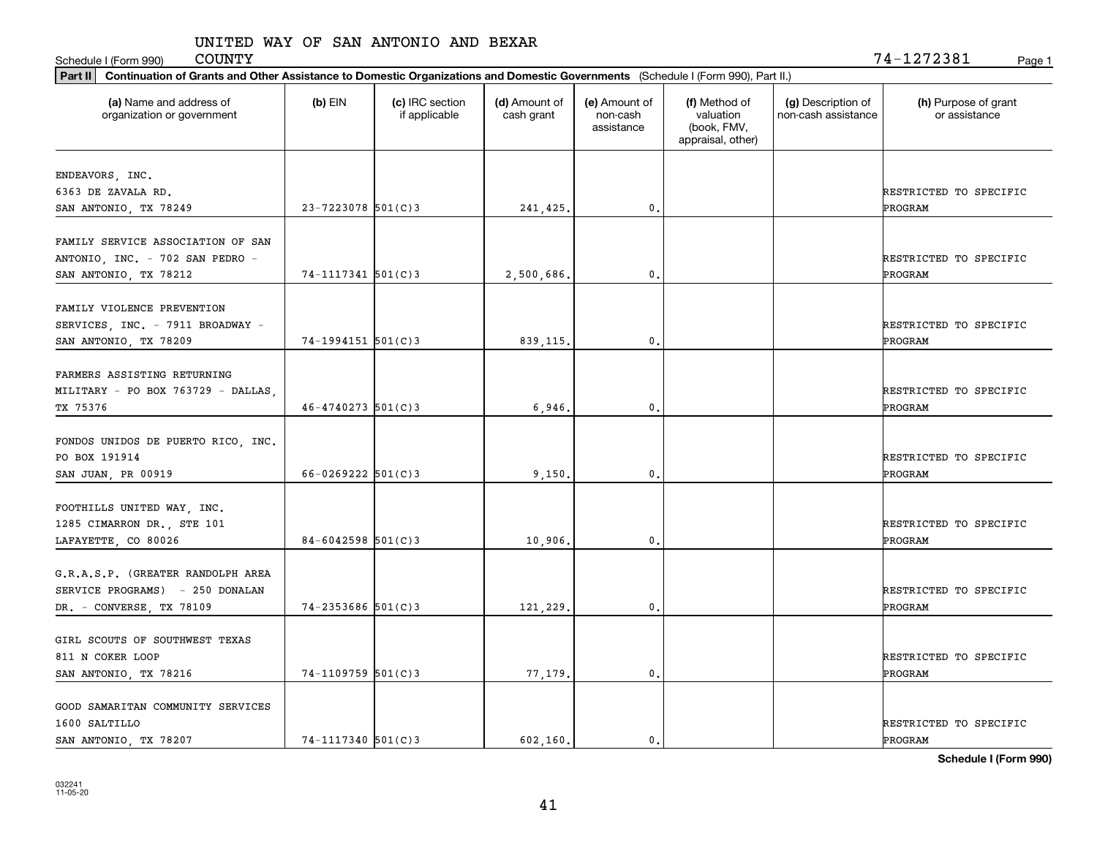Schedule I (Form 990) Page 1

|                                                                                               | Part II   Continuation of Grants and Other Assistance to Domestic Organizations and Domestic Governments (Schedule I (Form 990), Part II.) |                                  |                             |                                         |                                                                |                                           |                                          |  |  |  |  |
|-----------------------------------------------------------------------------------------------|--------------------------------------------------------------------------------------------------------------------------------------------|----------------------------------|-----------------------------|-----------------------------------------|----------------------------------------------------------------|-------------------------------------------|------------------------------------------|--|--|--|--|
| (a) Name and address of<br>organization or government                                         | $(b)$ EIN                                                                                                                                  | (c) IRC section<br>if applicable | (d) Amount of<br>cash grant | (e) Amount of<br>non-cash<br>assistance | (f) Method of<br>valuation<br>(book, FMV,<br>appraisal, other) | (g) Description of<br>non-cash assistance | (h) Purpose of grant<br>or assistance    |  |  |  |  |
|                                                                                               |                                                                                                                                            |                                  |                             |                                         |                                                                |                                           |                                          |  |  |  |  |
| ENDEAVORS, INC.<br>6363 DE ZAVALA RD.                                                         |                                                                                                                                            |                                  |                             |                                         |                                                                |                                           | RESTRICTED TO SPECIFIC                   |  |  |  |  |
| SAN ANTONIO, TX 78249                                                                         | $23 - 7223078$ 501(C) 3                                                                                                                    |                                  | 241,425.                    | 0.                                      |                                                                |                                           | PROGRAM                                  |  |  |  |  |
|                                                                                               |                                                                                                                                            |                                  |                             |                                         |                                                                |                                           |                                          |  |  |  |  |
| FAMILY SERVICE ASSOCIATION OF SAN<br>ANTONIO, INC. - 702 SAN PEDRO -<br>SAN ANTONIO, TX 78212 | $74 - 1117341$ 501(C)3                                                                                                                     |                                  | 2,500,686.                  | 0.                                      |                                                                |                                           | RESTRICTED TO SPECIFIC<br><b>PROGRAM</b> |  |  |  |  |
|                                                                                               |                                                                                                                                            |                                  |                             |                                         |                                                                |                                           |                                          |  |  |  |  |
| FAMILY VIOLENCE PREVENTION<br>SERVICES, INC. - 7911 BROADWAY -<br>SAN ANTONIO, TX 78209       | $74-1994151$ $501(C)3$                                                                                                                     |                                  | 839, 115.                   | $\mathbf{0}$ .                          |                                                                |                                           | RESTRICTED TO SPECIFIC<br>PROGRAM        |  |  |  |  |
|                                                                                               |                                                                                                                                            |                                  |                             |                                         |                                                                |                                           |                                          |  |  |  |  |
| FARMERS ASSISTING RETURNING                                                                   |                                                                                                                                            |                                  |                             |                                         |                                                                |                                           |                                          |  |  |  |  |
| MILITARY - PO BOX 763729 - DALLAS,                                                            |                                                                                                                                            |                                  |                             |                                         |                                                                |                                           | RESTRICTED TO SPECIFIC                   |  |  |  |  |
| TX 75376                                                                                      | $46 - 4740273$ 501(C) 3                                                                                                                    |                                  | 6,946                       | 0.                                      |                                                                |                                           | PROGRAM                                  |  |  |  |  |
| FONDOS UNIDOS DE PUERTO RICO, INC.<br>PO BOX 191914                                           |                                                                                                                                            |                                  |                             |                                         |                                                                |                                           | RESTRICTED TO SPECIFIC                   |  |  |  |  |
| SAN JUAN, PR 00919                                                                            | $66 - 0269222$ 501(C)3                                                                                                                     |                                  | 9,150,                      | 0.                                      |                                                                |                                           | PROGRAM                                  |  |  |  |  |
|                                                                                               |                                                                                                                                            |                                  |                             |                                         |                                                                |                                           |                                          |  |  |  |  |
| FOOTHILLS UNITED WAY, INC.                                                                    |                                                                                                                                            |                                  |                             |                                         |                                                                |                                           |                                          |  |  |  |  |
| 1285 CIMARRON DR., STE 101                                                                    |                                                                                                                                            |                                  |                             |                                         |                                                                |                                           | RESTRICTED TO SPECIFIC                   |  |  |  |  |
| LAFAYETTE, CO 80026                                                                           | $84 - 6042598$ 501(C)3                                                                                                                     |                                  | 10,906.                     | 0.                                      |                                                                |                                           | PROGRAM                                  |  |  |  |  |
|                                                                                               |                                                                                                                                            |                                  |                             |                                         |                                                                |                                           |                                          |  |  |  |  |
| G.R.A.S.P. (GREATER RANDOLPH AREA                                                             |                                                                                                                                            |                                  |                             |                                         |                                                                |                                           |                                          |  |  |  |  |
| SERVICE PROGRAMS) - 250 DONALAN                                                               |                                                                                                                                            |                                  |                             |                                         |                                                                |                                           | RESTRICTED TO SPECIFIC                   |  |  |  |  |
| DR. - CONVERSE, TX 78109                                                                      | $74 - 2353686$ $501(C)3$                                                                                                                   |                                  | 121,229.                    | 0.                                      |                                                                |                                           | <b>PROGRAM</b>                           |  |  |  |  |
| GIRL SCOUTS OF SOUTHWEST TEXAS                                                                |                                                                                                                                            |                                  |                             |                                         |                                                                |                                           |                                          |  |  |  |  |
| 811 N COKER LOOP                                                                              |                                                                                                                                            |                                  |                             |                                         |                                                                |                                           | RESTRICTED TO SPECIFIC                   |  |  |  |  |
| SAN ANTONIO, TX 78216                                                                         | $74-1109759$ 501(C)3                                                                                                                       |                                  | 77,179.                     | $\mathbf{0}$ .                          |                                                                |                                           | ÞROGRAM                                  |  |  |  |  |
|                                                                                               |                                                                                                                                            |                                  |                             |                                         |                                                                |                                           |                                          |  |  |  |  |
| GOOD SAMARITAN COMMUNITY SERVICES                                                             |                                                                                                                                            |                                  |                             |                                         |                                                                |                                           |                                          |  |  |  |  |
| 1600 SALTILLO                                                                                 |                                                                                                                                            |                                  |                             |                                         |                                                                |                                           | RESTRICTED TO SPECIFIC                   |  |  |  |  |
| SAN ANTONIO, TX 78207                                                                         | $74 - 1117340$ 501(C)3                                                                                                                     |                                  | 602.160.                    | 0.                                      |                                                                |                                           | PROGRAM                                  |  |  |  |  |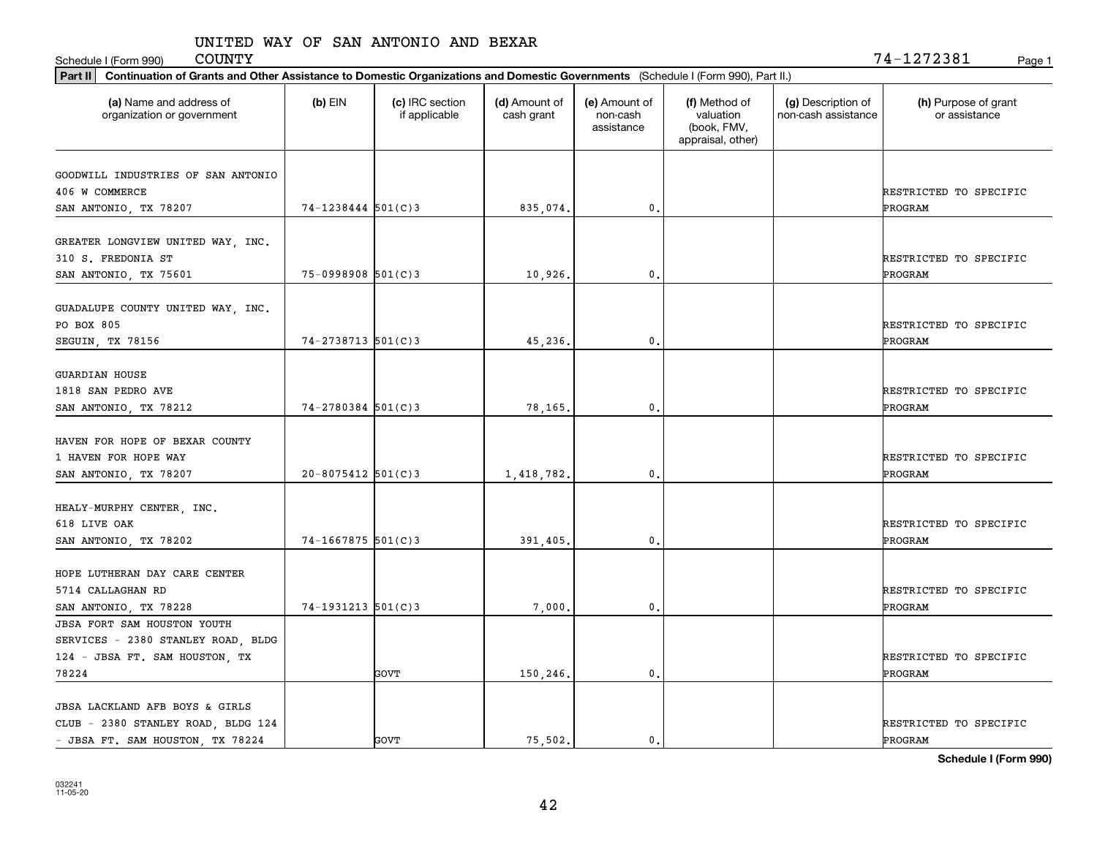Schedule I (Form 990) Page 1

 $\mathtt{COUNTY} \hspace{1.5cm} 74\mathtt{-}1272381$ 

| Part II   Continuation of Grants and Other Assistance to Domestic Organizations and Domestic Governments (Schedule I (Form 990), Part II.) |                        |                                  |                             |                                         |                                                                |                                           |                                       |
|--------------------------------------------------------------------------------------------------------------------------------------------|------------------------|----------------------------------|-----------------------------|-----------------------------------------|----------------------------------------------------------------|-------------------------------------------|---------------------------------------|
| (a) Name and address of<br>organization or government                                                                                      | $(b)$ EIN              | (c) IRC section<br>if applicable | (d) Amount of<br>cash grant | (e) Amount of<br>non-cash<br>assistance | (f) Method of<br>valuation<br>(book, FMV,<br>appraisal, other) | (g) Description of<br>non-cash assistance | (h) Purpose of grant<br>or assistance |
|                                                                                                                                            |                        |                                  |                             |                                         |                                                                |                                           |                                       |
| GOODWILL INDUSTRIES OF SAN ANTONIO<br>406 W COMMERCE                                                                                       |                        |                                  |                             |                                         |                                                                |                                           | RESTRICTED TO SPECIFIC                |
| SAN ANTONIO, TX 78207                                                                                                                      | $74 - 1238444$ 501(C)3 |                                  | 835,074.                    | 0.                                      |                                                                |                                           | PROGRAM                               |
|                                                                                                                                            |                        |                                  |                             |                                         |                                                                |                                           |                                       |
| GREATER LONGVIEW UNITED WAY, INC.<br>310 S. FREDONIA ST                                                                                    |                        |                                  |                             |                                         |                                                                |                                           | RESTRICTED TO SPECIFIC                |
| SAN ANTONIO, TX 75601                                                                                                                      | 75-0998908 501(C)3     |                                  | 10,926                      | 0.                                      |                                                                |                                           | PROGRAM                               |
| GUADALUPE COUNTY UNITED WAY, INC.<br>PO BOX 805                                                                                            |                        |                                  |                             |                                         |                                                                |                                           | RESTRICTED TO SPECIFIC                |
| SEGUIN, TX 78156                                                                                                                           | $74 - 2738713$ 501(C)3 |                                  | 45,236.                     | $\mathbf{0}$ .                          |                                                                |                                           | PROGRAM                               |
| <b>GUARDIAN HOUSE</b><br>1818 SAN PEDRO AVE<br>SAN ANTONIO, TX 78212                                                                       | 74-2780384 501(C)3     |                                  | 78,165.                     | 0.                                      |                                                                |                                           | RESTRICTED TO SPECIFIC<br>PROGRAM     |
| HAVEN FOR HOPE OF BEXAR COUNTY<br>1 HAVEN FOR HOPE WAY                                                                                     |                        |                                  |                             |                                         |                                                                |                                           | RESTRICTED TO SPECIFIC                |
| SAN ANTONIO, TX 78207                                                                                                                      | $20 - 8075412$ 501(C)3 |                                  | 1,418,782.                  | 0.                                      |                                                                |                                           | PROGRAM                               |
| HEALY-MURPHY CENTER, INC.<br>618 LIVE OAK<br>SAN ANTONIO, TX 78202                                                                         | 74-1667875 501(C)3     |                                  | 391,405.                    | 0.                                      |                                                                |                                           | RESTRICTED TO SPECIFIC<br>PROGRAM     |
| HOPE LUTHERAN DAY CARE CENTER<br>5714 CALLAGHAN RD                                                                                         |                        |                                  |                             |                                         |                                                                |                                           | RESTRICTED TO SPECIFIC                |
| SAN ANTONIO, TX 78228                                                                                                                      | $74-1931213$ $501(C)3$ |                                  | 7,000                       | $^{\circ}$ .                            |                                                                |                                           | PROGRAM                               |
| JBSA FORT SAM HOUSTON YOUTH                                                                                                                |                        |                                  |                             |                                         |                                                                |                                           |                                       |
| SERVICES - 2380 STANLEY ROAD, BLDG                                                                                                         |                        |                                  |                             |                                         |                                                                |                                           |                                       |
| 124 - JBSA FT. SAM HOUSTON, TX                                                                                                             |                        |                                  |                             |                                         |                                                                |                                           | RESTRICTED TO SPECIFIC                |
| 78224                                                                                                                                      |                        | GOVT                             | 150,246.                    | $\mathbf{0}$ .                          |                                                                |                                           | PROGRAM                               |
| JBSA LACKLAND AFB BOYS & GIRLS                                                                                                             |                        |                                  |                             |                                         |                                                                |                                           |                                       |
| CLUB - 2380 STANLEY ROAD, BLDG 124                                                                                                         |                        |                                  |                             |                                         |                                                                |                                           | RESTRICTED TO SPECIFIC                |
| - JBSA FT. SAM HOUSTON, TX 78224                                                                                                           |                        | <b>GOVT</b>                      | 75.502.                     | $\mathbf{0}$ .                          |                                                                |                                           | PROGRAM                               |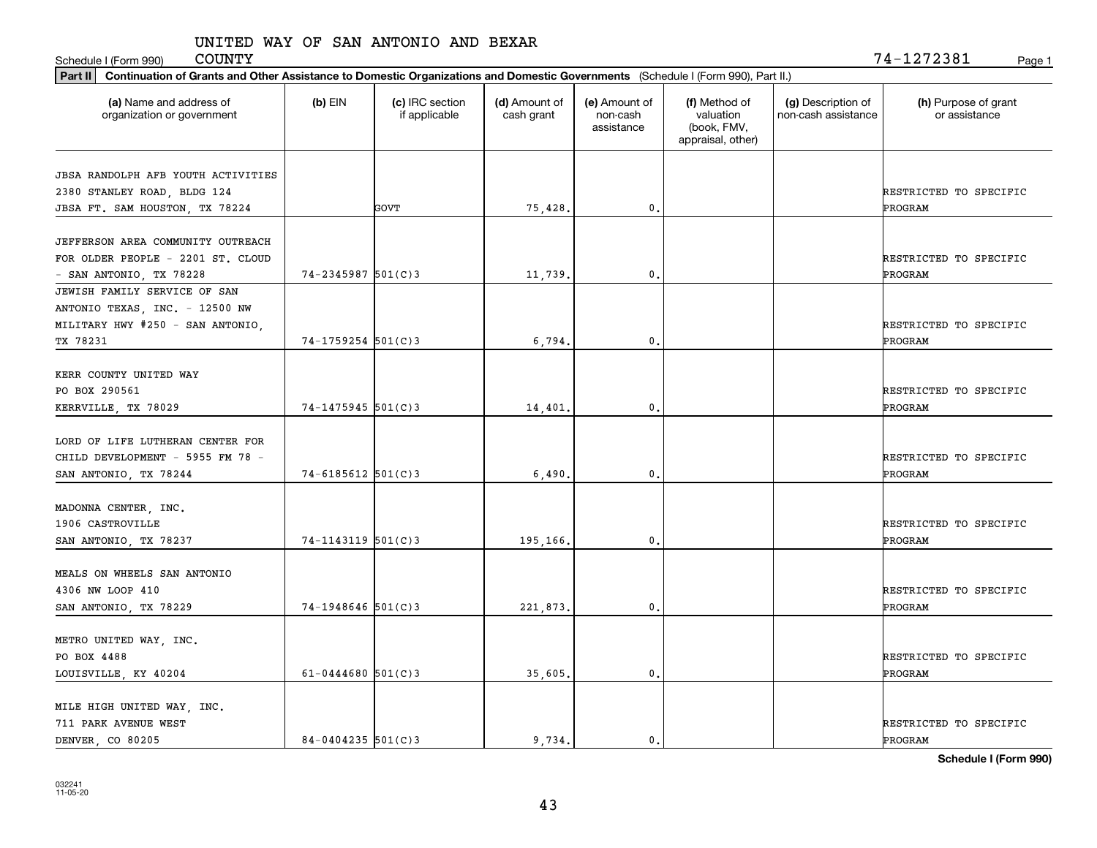Schedule I (Form 990) Page 1

| Part II   Continuation of Grants and Other Assistance to Domestic Organizations and Domestic Governments (Schedule I (Form 990), Part II.) |                        |                                  |                             |                                         |                                                                |                                           |                                       |  |  |  |
|--------------------------------------------------------------------------------------------------------------------------------------------|------------------------|----------------------------------|-----------------------------|-----------------------------------------|----------------------------------------------------------------|-------------------------------------------|---------------------------------------|--|--|--|
| (a) Name and address of<br>organization or government                                                                                      | $(b)$ EIN              | (c) IRC section<br>if applicable | (d) Amount of<br>cash grant | (e) Amount of<br>non-cash<br>assistance | (f) Method of<br>valuation<br>(book, FMV,<br>appraisal, other) | (g) Description of<br>non-cash assistance | (h) Purpose of grant<br>or assistance |  |  |  |
| <b>JBSA RANDOLPH AFB YOUTH ACTIVITIES</b>                                                                                                  |                        |                                  |                             |                                         |                                                                |                                           |                                       |  |  |  |
| 2380 STANLEY ROAD, BLDG 124                                                                                                                |                        |                                  |                             |                                         |                                                                |                                           | RESTRICTED TO SPECIFIC                |  |  |  |
| JBSA FT. SAM HOUSTON, TX 78224                                                                                                             |                        | GOVT                             | 75,428.                     | 0.                                      |                                                                |                                           | PROGRAM                               |  |  |  |
|                                                                                                                                            |                        |                                  |                             |                                         |                                                                |                                           |                                       |  |  |  |
| JEFFERSON AREA COMMUNITY OUTREACH                                                                                                          |                        |                                  |                             |                                         |                                                                |                                           |                                       |  |  |  |
| FOR OLDER PEOPLE - 2201 ST. CLOUD                                                                                                          |                        |                                  |                             |                                         |                                                                |                                           | RESTRICTED TO SPECIFIC                |  |  |  |
| - SAN ANTONIO, TX 78228                                                                                                                    | $74 - 2345987$ 501(C)3 |                                  | 11,739.                     | 0.                                      |                                                                |                                           | PROGRAM                               |  |  |  |
| JEWISH FAMILY SERVICE OF SAN                                                                                                               |                        |                                  |                             |                                         |                                                                |                                           |                                       |  |  |  |
| ANTONIO TEXAS, INC. - 12500 NW                                                                                                             |                        |                                  |                             |                                         |                                                                |                                           |                                       |  |  |  |
| MILITARY HWY #250 - SAN ANTONIO,                                                                                                           |                        |                                  |                             |                                         |                                                                |                                           | RESTRICTED TO SPECIFIC                |  |  |  |
| TX 78231                                                                                                                                   | $74 - 1759254$ 501(C)3 |                                  | 6,794                       | $\mathbf{0}$ .                          |                                                                |                                           | PROGRAM                               |  |  |  |
|                                                                                                                                            |                        |                                  |                             |                                         |                                                                |                                           |                                       |  |  |  |
| KERR COUNTY UNITED WAY                                                                                                                     |                        |                                  |                             |                                         |                                                                |                                           |                                       |  |  |  |
| PO BOX 290561                                                                                                                              |                        |                                  |                             |                                         |                                                                |                                           | RESTRICTED TO SPECIFIC                |  |  |  |
| KERRVILLE, TX 78029                                                                                                                        | 74-1475945 501(C)3     |                                  | 14,401.                     | 0.                                      |                                                                |                                           | PROGRAM                               |  |  |  |
| LORD OF LIFE LUTHERAN CENTER FOR                                                                                                           |                        |                                  |                             |                                         |                                                                |                                           |                                       |  |  |  |
| CHILD DEVELOPMENT - 5955 FM 78 -                                                                                                           |                        |                                  |                             |                                         |                                                                |                                           | RESTRICTED TO SPECIFIC                |  |  |  |
| SAN ANTONIO, TX 78244                                                                                                                      | $74 - 6185612$ 501(C)3 |                                  | 6,490.                      | 0.                                      |                                                                |                                           | PROGRAM                               |  |  |  |
|                                                                                                                                            |                        |                                  |                             |                                         |                                                                |                                           |                                       |  |  |  |
| MADONNA CENTER, INC.                                                                                                                       |                        |                                  |                             |                                         |                                                                |                                           |                                       |  |  |  |
| 1906 CASTROVILLE                                                                                                                           |                        |                                  |                             |                                         |                                                                |                                           | RESTRICTED TO SPECIFIC                |  |  |  |
| SAN ANTONIO, TX 78237                                                                                                                      | $74 - 1143119$ 501(C)3 |                                  | 195,166.                    | 0.                                      |                                                                |                                           | PROGRAM                               |  |  |  |
|                                                                                                                                            |                        |                                  |                             |                                         |                                                                |                                           |                                       |  |  |  |
| MEALS ON WHEELS SAN ANTONIO                                                                                                                |                        |                                  |                             |                                         |                                                                |                                           |                                       |  |  |  |
| 4306 NW LOOP 410                                                                                                                           |                        |                                  |                             |                                         |                                                                |                                           | RESTRICTED TO SPECIFIC                |  |  |  |
| SAN ANTONIO, TX 78229                                                                                                                      | $74-1948646$ 501(C)3   |                                  | 221,873.                    | 0.                                      |                                                                |                                           | PROGRAM                               |  |  |  |
|                                                                                                                                            |                        |                                  |                             |                                         |                                                                |                                           |                                       |  |  |  |
| METRO UNITED WAY, INC.                                                                                                                     |                        |                                  |                             |                                         |                                                                |                                           |                                       |  |  |  |
| PO BOX 4488                                                                                                                                |                        |                                  |                             |                                         |                                                                |                                           | RESTRICTED TO SPECIFIC                |  |  |  |
| LOUISVILLE, KY 40204                                                                                                                       | 61-0444680 $501(C)3$   |                                  | 35,605.                     | $\mathbf{0}$ .                          |                                                                |                                           | PROGRAM                               |  |  |  |
|                                                                                                                                            |                        |                                  |                             |                                         |                                                                |                                           |                                       |  |  |  |
| MILE HIGH UNITED WAY, INC.<br>711 PARK AVENUE WEST                                                                                         |                        |                                  |                             |                                         |                                                                |                                           | RESTRICTED TO SPECIFIC                |  |  |  |
| DENVER CO 80205                                                                                                                            | $84 - 0404235$ 501(C)3 |                                  | 9.734.                      | $\mathfrak{o}$ .                        |                                                                |                                           | PROGRAM                               |  |  |  |
|                                                                                                                                            |                        |                                  |                             |                                         |                                                                |                                           |                                       |  |  |  |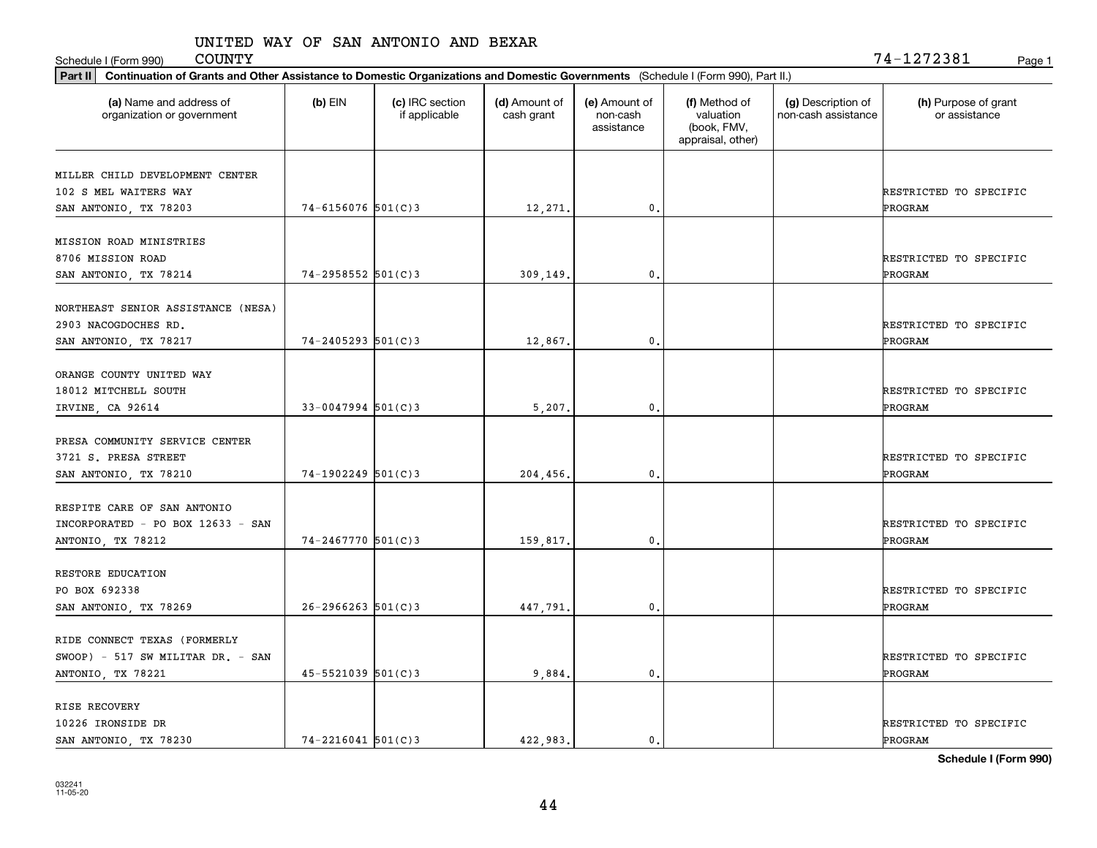Schedule I (Form 990) Page 1

 $\mathtt{COUNTY} \hspace{1.5cm} 74\mathtt{-}1272381$ 

| Part II   Continuation of Grants and Other Assistance to Domestic Organizations and Domestic Governments (Schedule I (Form 990), Part II.) |                        |                                  |                             |                                         |                                                                |                                           |                                       |
|--------------------------------------------------------------------------------------------------------------------------------------------|------------------------|----------------------------------|-----------------------------|-----------------------------------------|----------------------------------------------------------------|-------------------------------------------|---------------------------------------|
| (a) Name and address of<br>organization or government                                                                                      | $(b)$ EIN              | (c) IRC section<br>if applicable | (d) Amount of<br>cash grant | (e) Amount of<br>non-cash<br>assistance | (f) Method of<br>valuation<br>(book, FMV,<br>appraisal, other) | (g) Description of<br>non-cash assistance | (h) Purpose of grant<br>or assistance |
| MILLER CHILD DEVELOPMENT CENTER                                                                                                            |                        |                                  |                             |                                         |                                                                |                                           |                                       |
| 102 S MEL WAITERS WAY                                                                                                                      |                        |                                  |                             |                                         |                                                                |                                           | RESTRICTED TO SPECIFIC                |
| SAN ANTONIO, TX 78203                                                                                                                      | $74 - 6156076$ 501(C)3 |                                  | 12,271.                     | 0.                                      |                                                                |                                           | PROGRAM                               |
|                                                                                                                                            |                        |                                  |                             |                                         |                                                                |                                           |                                       |
| MISSION ROAD MINISTRIES                                                                                                                    |                        |                                  |                             |                                         |                                                                |                                           |                                       |
| 8706 MISSION ROAD                                                                                                                          |                        |                                  |                             |                                         |                                                                |                                           | RESTRICTED TO SPECIFIC                |
| SAN ANTONIO, TX 78214                                                                                                                      | 74-2958552 501(C)3     |                                  | 309,149.                    | 0.                                      |                                                                |                                           | PROGRAM                               |
|                                                                                                                                            |                        |                                  |                             |                                         |                                                                |                                           |                                       |
| NORTHEAST SENIOR ASSISTANCE (NESA)                                                                                                         |                        |                                  |                             |                                         |                                                                |                                           |                                       |
| 2903 NACOGDOCHES RD.                                                                                                                       |                        |                                  |                             |                                         |                                                                |                                           | RESTRICTED TO SPECIFIC                |
| SAN ANTONIO, TX 78217                                                                                                                      | $74 - 2405293$ 501(C)3 |                                  | 12,867.                     | $\mathbf{0}$ .                          |                                                                |                                           | PROGRAM                               |
|                                                                                                                                            |                        |                                  |                             |                                         |                                                                |                                           |                                       |
| ORANGE COUNTY UNITED WAY                                                                                                                   |                        |                                  |                             |                                         |                                                                |                                           |                                       |
| 18012 MITCHELL SOUTH                                                                                                                       |                        |                                  |                             |                                         |                                                                |                                           | RESTRICTED TO SPECIFIC                |
| IRVINE, CA 92614                                                                                                                           | $33 - 0047994$ 501(C)3 |                                  | 5,207                       | 0.                                      |                                                                |                                           | PROGRAM                               |
|                                                                                                                                            |                        |                                  |                             |                                         |                                                                |                                           |                                       |
| PRESA COMMUNITY SERVICE CENTER                                                                                                             |                        |                                  |                             |                                         |                                                                |                                           |                                       |
| 3721 S. PRESA STREET                                                                                                                       |                        |                                  |                             |                                         |                                                                |                                           | RESTRICTED TO SPECIFIC                |
| SAN ANTONIO, TX 78210                                                                                                                      | 74-1902249 501(C)3     |                                  | 204,456.                    | $\mathbf{0}$                            |                                                                |                                           | PROGRAM                               |
|                                                                                                                                            |                        |                                  |                             |                                         |                                                                |                                           |                                       |
| RESPITE CARE OF SAN ANTONIO                                                                                                                |                        |                                  |                             |                                         |                                                                |                                           |                                       |
| INCORPORATED - PO BOX 12633 - SAN                                                                                                          |                        |                                  |                             |                                         |                                                                |                                           | RESTRICTED TO SPECIFIC                |
| ANTONIO, TX 78212                                                                                                                          | $74 - 2467770$ 501(C)3 |                                  | 159,817.                    | 0.                                      |                                                                |                                           | PROGRAM                               |
| RESTORE EDUCATION                                                                                                                          |                        |                                  |                             |                                         |                                                                |                                           |                                       |
| PO BOX 692338                                                                                                                              |                        |                                  |                             |                                         |                                                                |                                           | RESTRICTED TO SPECIFIC                |
|                                                                                                                                            |                        |                                  |                             |                                         |                                                                |                                           |                                       |
| SAN ANTONIO, TX 78269                                                                                                                      | $26 - 2966263$ 501(C)3 |                                  | 447,791.                    | $^{\circ}$ .                            |                                                                |                                           | PROGRAM                               |
| RIDE CONNECT TEXAS (FORMERLY                                                                                                               |                        |                                  |                             |                                         |                                                                |                                           |                                       |
| $SWOOP$ ) - 517 SW MILITAR DR. - SAN                                                                                                       |                        |                                  |                             |                                         |                                                                |                                           | RESTRICTED TO SPECIFIC                |
|                                                                                                                                            | $45 - 5521039$ 501(C)3 |                                  | 9,884                       | $\mathbf{0}$ .                          |                                                                |                                           | PROGRAM                               |
| ANTONIO, TX 78221                                                                                                                          |                        |                                  |                             |                                         |                                                                |                                           |                                       |
| RISE RECOVERY                                                                                                                              |                        |                                  |                             |                                         |                                                                |                                           |                                       |
| 10226 IRONSIDE DR                                                                                                                          |                        |                                  |                             |                                         |                                                                |                                           | RESTRICTED TO SPECIFIC                |
| SAN ANTONIO, TX 78230                                                                                                                      | $74 - 2216041$ 501(C)3 |                                  | 422,983.                    | $\mathbf{0}$ .                          |                                                                |                                           | PROGRAM                               |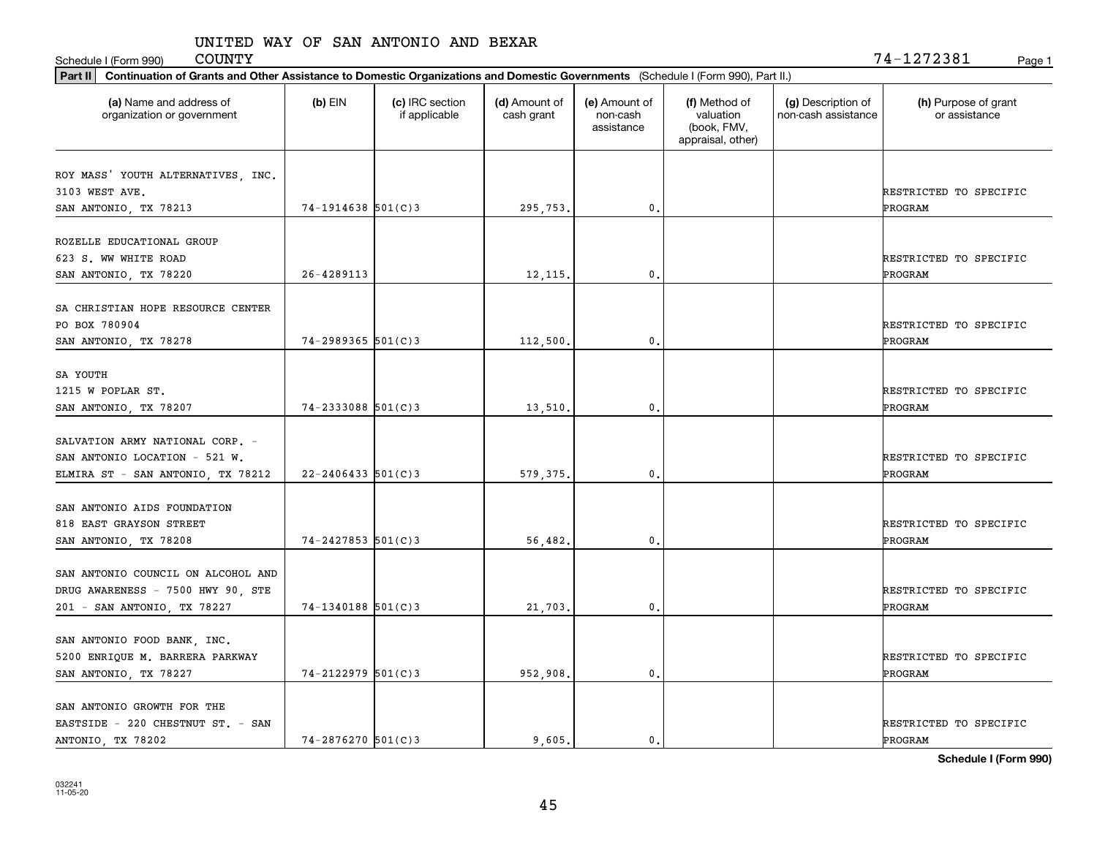| Part II   Continuation of Grants and Other Assistance to Domestic Organizations and Domestic Governments (Schedule I (Form 990), Part II.) |                         |                                  |                             |                                         |                                                                |                                           |                                       |  |  |  |
|--------------------------------------------------------------------------------------------------------------------------------------------|-------------------------|----------------------------------|-----------------------------|-----------------------------------------|----------------------------------------------------------------|-------------------------------------------|---------------------------------------|--|--|--|
| (a) Name and address of<br>organization or government                                                                                      | $(b)$ EIN               | (c) IRC section<br>if applicable | (d) Amount of<br>cash grant | (e) Amount of<br>non-cash<br>assistance | (f) Method of<br>valuation<br>(book, FMV,<br>appraisal, other) | (g) Description of<br>non-cash assistance | (h) Purpose of grant<br>or assistance |  |  |  |
| ROY MASS' YOUTH ALTERNATIVES, INC.                                                                                                         |                         |                                  |                             |                                         |                                                                |                                           |                                       |  |  |  |
| 3103 WEST AVE.                                                                                                                             |                         |                                  |                             |                                         |                                                                |                                           | RESTRICTED TO SPECIFIC                |  |  |  |
| SAN ANTONIO, TX 78213                                                                                                                      | $74-1914638$ 501(C)3    |                                  | 295,753.                    | 0.                                      |                                                                |                                           | PROGRAM                               |  |  |  |
|                                                                                                                                            |                         |                                  |                             |                                         |                                                                |                                           |                                       |  |  |  |
| ROZELLE EDUCATIONAL GROUP                                                                                                                  |                         |                                  |                             |                                         |                                                                |                                           |                                       |  |  |  |
| 623 S. WW WHITE ROAD                                                                                                                       |                         |                                  |                             |                                         |                                                                |                                           | RESTRICTED TO SPECIFIC                |  |  |  |
| SAN ANTONIO, TX 78220                                                                                                                      | 26-4289113              |                                  | 12, 115.                    | 0.                                      |                                                                |                                           | PROGRAM                               |  |  |  |
|                                                                                                                                            |                         |                                  |                             |                                         |                                                                |                                           |                                       |  |  |  |
| SA CHRISTIAN HOPE RESOURCE CENTER<br>PO BOX 780904                                                                                         |                         |                                  |                             |                                         |                                                                |                                           |                                       |  |  |  |
|                                                                                                                                            | $74 - 2989365$ 501(C)3  |                                  | 112,500.                    | 0.                                      |                                                                |                                           | RESTRICTED TO SPECIFIC<br>PROGRAM     |  |  |  |
| SAN ANTONIO, TX 78278                                                                                                                      |                         |                                  |                             |                                         |                                                                |                                           |                                       |  |  |  |
| SA YOUTH                                                                                                                                   |                         |                                  |                             |                                         |                                                                |                                           |                                       |  |  |  |
| 1215 W POPLAR ST.                                                                                                                          |                         |                                  |                             |                                         |                                                                |                                           | RESTRICTED TO SPECIFIC                |  |  |  |
| SAN ANTONIO, TX 78207                                                                                                                      | 74-2333088 501(C)3      |                                  | 13,510.                     | 0.                                      |                                                                |                                           | PROGRAM                               |  |  |  |
|                                                                                                                                            |                         |                                  |                             |                                         |                                                                |                                           |                                       |  |  |  |
| SALVATION ARMY NATIONAL CORP. -                                                                                                            |                         |                                  |                             |                                         |                                                                |                                           |                                       |  |  |  |
| SAN ANTONIO LOCATION - 521 W.                                                                                                              |                         |                                  |                             |                                         |                                                                |                                           | RESTRICTED TO SPECIFIC                |  |  |  |
| ELMIRA ST - SAN ANTONIO, TX 78212                                                                                                          | $22 - 2406433$ 501(C)3  |                                  | 579, 375.                   | 0.                                      |                                                                |                                           | PROGRAM                               |  |  |  |
| SAN ANTONIO AIDS FOUNDATION                                                                                                                |                         |                                  |                             |                                         |                                                                |                                           |                                       |  |  |  |
| 818 EAST GRAYSON STREET                                                                                                                    |                         |                                  |                             |                                         |                                                                |                                           | RESTRICTED TO SPECIFIC                |  |  |  |
| SAN ANTONIO, TX 78208                                                                                                                      | $74 - 2427853$ 501(C) 3 |                                  | 56,482.                     | 0.                                      |                                                                |                                           | PROGRAM                               |  |  |  |
|                                                                                                                                            |                         |                                  |                             |                                         |                                                                |                                           |                                       |  |  |  |
| SAN ANTONIO COUNCIL ON ALCOHOL AND                                                                                                         |                         |                                  |                             |                                         |                                                                |                                           |                                       |  |  |  |
| DRUG AWARENESS - 7500 HWY 90, STE                                                                                                          |                         |                                  |                             |                                         |                                                                |                                           | RESTRICTED TO SPECIFIC                |  |  |  |
| 201 - SAN ANTONIO, TX 78227                                                                                                                | $74-1340188$ 501(C)3    |                                  | 21,703.                     | 0.                                      |                                                                |                                           | PROGRAM                               |  |  |  |
|                                                                                                                                            |                         |                                  |                             |                                         |                                                                |                                           |                                       |  |  |  |
| SAN ANTONIO FOOD BANK, INC.                                                                                                                |                         |                                  |                             |                                         |                                                                |                                           |                                       |  |  |  |
| 5200 ENRIQUE M. BARRERA PARKWAY                                                                                                            |                         |                                  |                             |                                         |                                                                |                                           | RESTRICTED TO SPECIFIC                |  |  |  |
| SAN ANTONIO, TX 78227                                                                                                                      | $74 - 2122979$ 501(C)3  |                                  | 952,908.                    | 0.                                      |                                                                |                                           | PROGRAM                               |  |  |  |
| SAN ANTONIO GROWTH FOR THE                                                                                                                 |                         |                                  |                             |                                         |                                                                |                                           |                                       |  |  |  |
| EASTSIDE - 220 CHESTNUT ST. - SAN                                                                                                          |                         |                                  |                             |                                         |                                                                |                                           | RESTRICTED TO SPECIFIC                |  |  |  |
| ANTONIO, TX 78202                                                                                                                          | $74 - 2876270$ 501(C)3  |                                  | 9.605.                      | $\mathbf{0}$ .                          |                                                                |                                           | PROGRAM                               |  |  |  |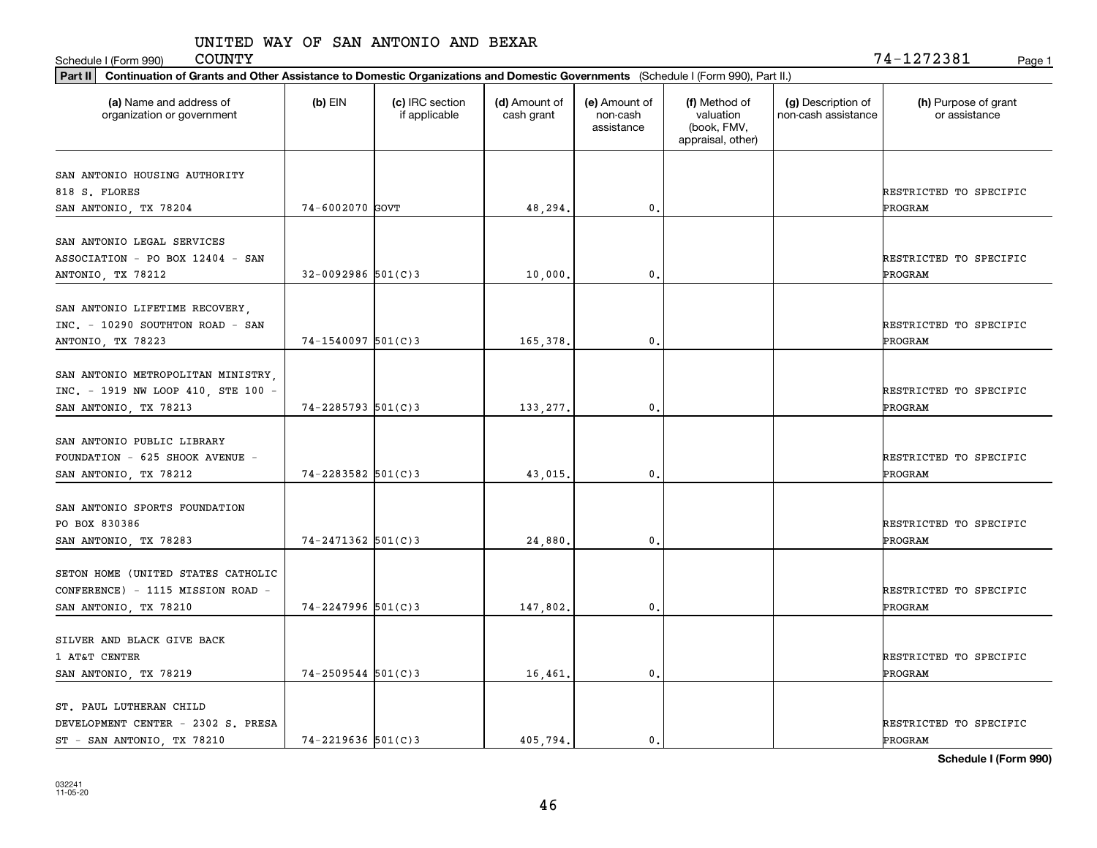Schedule I (Form 990) Page 1

| Part II   Continuation of Grants and Other Assistance to Domestic Organizations and Domestic Governments (Schedule I (Form 990), Part II.) |                         |                                  |                             |                                         |                                                                |                                           |                                       |  |  |  |
|--------------------------------------------------------------------------------------------------------------------------------------------|-------------------------|----------------------------------|-----------------------------|-----------------------------------------|----------------------------------------------------------------|-------------------------------------------|---------------------------------------|--|--|--|
| (a) Name and address of<br>organization or government                                                                                      | $(b)$ EIN               | (c) IRC section<br>if applicable | (d) Amount of<br>cash grant | (e) Amount of<br>non-cash<br>assistance | (f) Method of<br>valuation<br>(book, FMV,<br>appraisal, other) | (g) Description of<br>non-cash assistance | (h) Purpose of grant<br>or assistance |  |  |  |
| SAN ANTONIO HOUSING AUTHORITY                                                                                                              |                         |                                  |                             |                                         |                                                                |                                           |                                       |  |  |  |
| 818 S. FLORES                                                                                                                              |                         |                                  |                             |                                         |                                                                |                                           | RESTRICTED TO SPECIFIC                |  |  |  |
| SAN ANTONIO, TX 78204                                                                                                                      | 74-6002070 GOVT         |                                  | 48,294.                     | 0.                                      |                                                                |                                           | PROGRAM                               |  |  |  |
|                                                                                                                                            |                         |                                  |                             |                                         |                                                                |                                           |                                       |  |  |  |
| SAN ANTONIO LEGAL SERVICES                                                                                                                 |                         |                                  |                             |                                         |                                                                |                                           |                                       |  |  |  |
| ASSOCIATION - PO BOX 12404 - SAN                                                                                                           |                         |                                  |                             |                                         |                                                                |                                           | RESTRICTED TO SPECIFIC                |  |  |  |
| ANTONIO, TX 78212                                                                                                                          | $32 - 0092986$ 501(C)3  |                                  | 10,000.                     | 0.                                      |                                                                |                                           | PROGRAM                               |  |  |  |
|                                                                                                                                            |                         |                                  |                             |                                         |                                                                |                                           |                                       |  |  |  |
| SAN ANTONIO LIFETIME RECOVERY,                                                                                                             |                         |                                  |                             |                                         |                                                                |                                           |                                       |  |  |  |
| INC. - 10290 SOUTHTON ROAD - SAN                                                                                                           |                         |                                  |                             |                                         |                                                                |                                           | RESTRICTED TO SPECIFIC                |  |  |  |
| ANTONIO, TX 78223                                                                                                                          | $74 - 1540097$ 501(C)3  |                                  | 165,378.                    | 0.                                      |                                                                |                                           | PROGRAM                               |  |  |  |
|                                                                                                                                            |                         |                                  |                             |                                         |                                                                |                                           |                                       |  |  |  |
| SAN ANTONIO METROPOLITAN MINISTRY,                                                                                                         |                         |                                  |                             |                                         |                                                                |                                           |                                       |  |  |  |
| INC. - 1919 NW LOOP 410, STE 100 -                                                                                                         |                         |                                  |                             |                                         |                                                                |                                           | RESTRICTED TO SPECIFIC                |  |  |  |
| SAN ANTONIO, TX 78213                                                                                                                      | $74 - 2285793$ 501(C)3  |                                  | 133, 277.                   | 0.                                      |                                                                |                                           | PROGRAM                               |  |  |  |
| SAN ANTONIO PUBLIC LIBRARY                                                                                                                 |                         |                                  |                             |                                         |                                                                |                                           |                                       |  |  |  |
|                                                                                                                                            |                         |                                  |                             |                                         |                                                                |                                           |                                       |  |  |  |
| FOUNDATION - 625 SHOOK AVENUE -                                                                                                            | $74 - 2283582$ 501(C) 3 |                                  |                             | 0.                                      |                                                                |                                           | RESTRICTED TO SPECIFIC<br>PROGRAM     |  |  |  |
| SAN ANTONIO, TX 78212                                                                                                                      |                         |                                  | 43,015.                     |                                         |                                                                |                                           |                                       |  |  |  |
| SAN ANTONIO SPORTS FOUNDATION                                                                                                              |                         |                                  |                             |                                         |                                                                |                                           |                                       |  |  |  |
| PO BOX 830386                                                                                                                              |                         |                                  |                             |                                         |                                                                |                                           | RESTRICTED TO SPECIFIC                |  |  |  |
| SAN ANTONIO, TX 78283                                                                                                                      | $74 - 2471362$ 501(C)3  |                                  | 24,880.                     | 0.                                      |                                                                |                                           | PROGRAM                               |  |  |  |
|                                                                                                                                            |                         |                                  |                             |                                         |                                                                |                                           |                                       |  |  |  |
| SETON HOME (UNITED STATES CATHOLIC                                                                                                         |                         |                                  |                             |                                         |                                                                |                                           |                                       |  |  |  |
| CONFERENCE) - 1115 MISSION ROAD -                                                                                                          |                         |                                  |                             |                                         |                                                                |                                           | RESTRICTED TO SPECIFIC                |  |  |  |
| SAN ANTONIO, TX 78210                                                                                                                      | $74 - 2247996$ 501(C)3  |                                  | 147,802.                    | 0.                                      |                                                                |                                           | PROGRAM                               |  |  |  |
|                                                                                                                                            |                         |                                  |                             |                                         |                                                                |                                           |                                       |  |  |  |
| SILVER AND BLACK GIVE BACK                                                                                                                 |                         |                                  |                             |                                         |                                                                |                                           |                                       |  |  |  |
| 1 AT&T CENTER                                                                                                                              |                         |                                  |                             |                                         |                                                                |                                           | RESTRICTED TO SPECIFIC                |  |  |  |
| SAN ANTONIO, TX 78219                                                                                                                      | $74 - 2509544$ 501(C)3  |                                  | 16,461.                     | 0.                                      |                                                                |                                           | <b>PROGRAM</b>                        |  |  |  |
|                                                                                                                                            |                         |                                  |                             |                                         |                                                                |                                           |                                       |  |  |  |
| ST. PAUL LUTHERAN CHILD                                                                                                                    |                         |                                  |                             |                                         |                                                                |                                           |                                       |  |  |  |
| DEVELOPMENT CENTER - 2302 S. PRESA                                                                                                         |                         |                                  |                             |                                         |                                                                |                                           | RESTRICTED TO SPECIFIC                |  |  |  |
| ST - SAN ANTONIO, TX 78210                                                                                                                 | $74 - 2219636$ 501(C)3  |                                  | 405.794.                    | $\mathbf{0}$ .                          |                                                                |                                           | PROGRAM                               |  |  |  |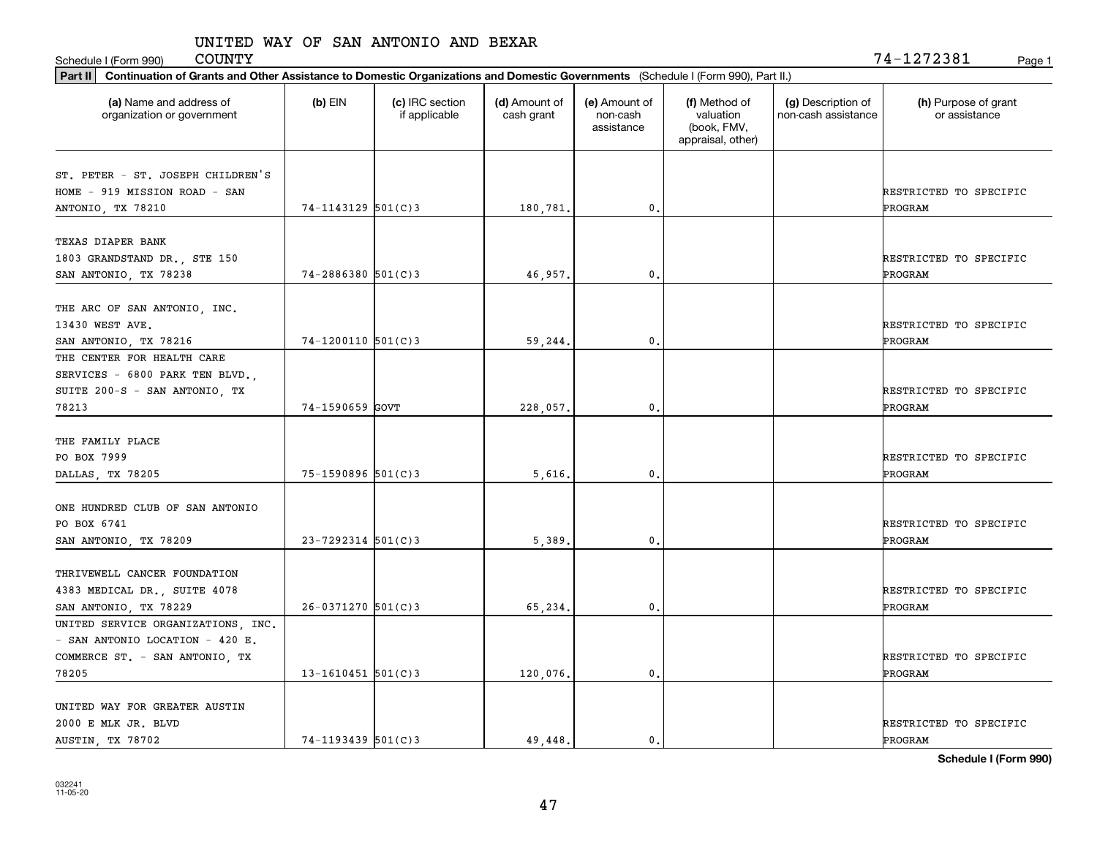Schedule I (Form 990) Page 1

| Part II   Continuation of Grants and Other Assistance to Domestic Organizations and Domestic Governments (Schedule I (Form 990), Part II.) |                        |                                  |                             |                                         |                                                                |                                           |                                       |  |  |  |
|--------------------------------------------------------------------------------------------------------------------------------------------|------------------------|----------------------------------|-----------------------------|-----------------------------------------|----------------------------------------------------------------|-------------------------------------------|---------------------------------------|--|--|--|
| (a) Name and address of<br>organization or government                                                                                      | $(b)$ EIN              | (c) IRC section<br>if applicable | (d) Amount of<br>cash grant | (e) Amount of<br>non-cash<br>assistance | (f) Method of<br>valuation<br>(book, FMV,<br>appraisal, other) | (g) Description of<br>non-cash assistance | (h) Purpose of grant<br>or assistance |  |  |  |
|                                                                                                                                            |                        |                                  |                             |                                         |                                                                |                                           |                                       |  |  |  |
| ST. PETER - ST. JOSEPH CHILDREN'S<br>HOME - 919 MISSION ROAD - SAN                                                                         |                        |                                  |                             |                                         |                                                                |                                           |                                       |  |  |  |
| ANTONIO, TX 78210                                                                                                                          | $74 - 1143129$ 501(C)3 |                                  | 180,781.                    | 0.                                      |                                                                |                                           | RESTRICTED TO SPECIFIC<br>PROGRAM     |  |  |  |
|                                                                                                                                            |                        |                                  |                             |                                         |                                                                |                                           |                                       |  |  |  |
| TEXAS DIAPER BANK                                                                                                                          |                        |                                  |                             |                                         |                                                                |                                           |                                       |  |  |  |
| 1803 GRANDSTAND DR., STE 150                                                                                                               |                        |                                  |                             |                                         |                                                                |                                           | RESTRICTED TO SPECIFIC                |  |  |  |
| SAN ANTONIO, TX 78238                                                                                                                      | $74 - 2886380$ 501(C)3 |                                  | 46,957.                     | 0.                                      |                                                                |                                           | <b>PROGRAM</b>                        |  |  |  |
|                                                                                                                                            |                        |                                  |                             |                                         |                                                                |                                           |                                       |  |  |  |
| THE ARC OF SAN ANTONIO, INC.                                                                                                               |                        |                                  |                             |                                         |                                                                |                                           |                                       |  |  |  |
| 13430 WEST AVE.                                                                                                                            |                        |                                  |                             |                                         |                                                                |                                           | RESTRICTED TO SPECIFIC                |  |  |  |
| SAN ANTONIO, TX 78216                                                                                                                      | $74-1200110$ 501(C)3   |                                  | 59,244.                     | $\mathbf{0}$ .                          |                                                                |                                           | PROGRAM                               |  |  |  |
| THE CENTER FOR HEALTH CARE                                                                                                                 |                        |                                  |                             |                                         |                                                                |                                           |                                       |  |  |  |
| SERVICES - 6800 PARK TEN BLVD.,                                                                                                            |                        |                                  |                             |                                         |                                                                |                                           |                                       |  |  |  |
| SUITE 200-S - SAN ANTONIO, TX                                                                                                              |                        |                                  |                             |                                         |                                                                |                                           | RESTRICTED TO SPECIFIC                |  |  |  |
| 78213                                                                                                                                      | 74-1590659 GOVT        |                                  | 228,057.                    | 0.                                      |                                                                |                                           | PROGRAM                               |  |  |  |
|                                                                                                                                            |                        |                                  |                             |                                         |                                                                |                                           |                                       |  |  |  |
| THE FAMILY PLACE                                                                                                                           |                        |                                  |                             |                                         |                                                                |                                           |                                       |  |  |  |
| PO BOX 7999                                                                                                                                |                        |                                  |                             |                                         |                                                                |                                           | RESTRICTED TO SPECIFIC                |  |  |  |
| DALLAS, TX 78205                                                                                                                           | $75 - 1590896$ 501(C)3 |                                  | 5,616.                      | 0.                                      |                                                                |                                           | PROGRAM                               |  |  |  |
| ONE HUNDRED CLUB OF SAN ANTONIO                                                                                                            |                        |                                  |                             |                                         |                                                                |                                           |                                       |  |  |  |
| PO BOX 6741                                                                                                                                |                        |                                  |                             |                                         |                                                                |                                           | RESTRICTED TO SPECIFIC                |  |  |  |
| SAN ANTONIO, TX 78209                                                                                                                      | $23 - 7292314$ 501(C)3 |                                  | 5,389                       | 0.                                      |                                                                |                                           | PROGRAM                               |  |  |  |
|                                                                                                                                            |                        |                                  |                             |                                         |                                                                |                                           |                                       |  |  |  |
| THRIVEWELL CANCER FOUNDATION                                                                                                               |                        |                                  |                             |                                         |                                                                |                                           |                                       |  |  |  |
| 4383 MEDICAL DR., SUITE 4078                                                                                                               |                        |                                  |                             |                                         |                                                                |                                           | RESTRICTED TO SPECIFIC                |  |  |  |
| SAN ANTONIO, TX 78229                                                                                                                      | $26 - 0371270$ 501(C)3 |                                  | 65,234.                     | 0.                                      |                                                                |                                           | <b>PROGRAM</b>                        |  |  |  |
| UNITED SERVICE ORGANIZATIONS, INC.                                                                                                         |                        |                                  |                             |                                         |                                                                |                                           |                                       |  |  |  |
| - SAN ANTONIO LOCATION - 420 E.                                                                                                            |                        |                                  |                             |                                         |                                                                |                                           |                                       |  |  |  |
| COMMERCE ST. - SAN ANTONIO, TX                                                                                                             |                        |                                  |                             |                                         |                                                                |                                           | RESTRICTED TO SPECIFIC                |  |  |  |
| 78205                                                                                                                                      | 13-1610451 $501(C)$ 3  |                                  | 120,076.                    | $\mathbf{0}$ .                          |                                                                |                                           | ÞROGRAM                               |  |  |  |
|                                                                                                                                            |                        |                                  |                             |                                         |                                                                |                                           |                                       |  |  |  |
| UNITED WAY FOR GREATER AUSTIN                                                                                                              |                        |                                  |                             |                                         |                                                                |                                           |                                       |  |  |  |
| 2000 E MLK JR. BLVD                                                                                                                        |                        |                                  |                             |                                         |                                                                |                                           | RESTRICTED TO SPECIFIC                |  |  |  |
| AUSTIN, TX 78702                                                                                                                           | $74 - 1193439$ 501(C)3 |                                  | 49.448.                     | 0.                                      |                                                                |                                           | PROGRAM                               |  |  |  |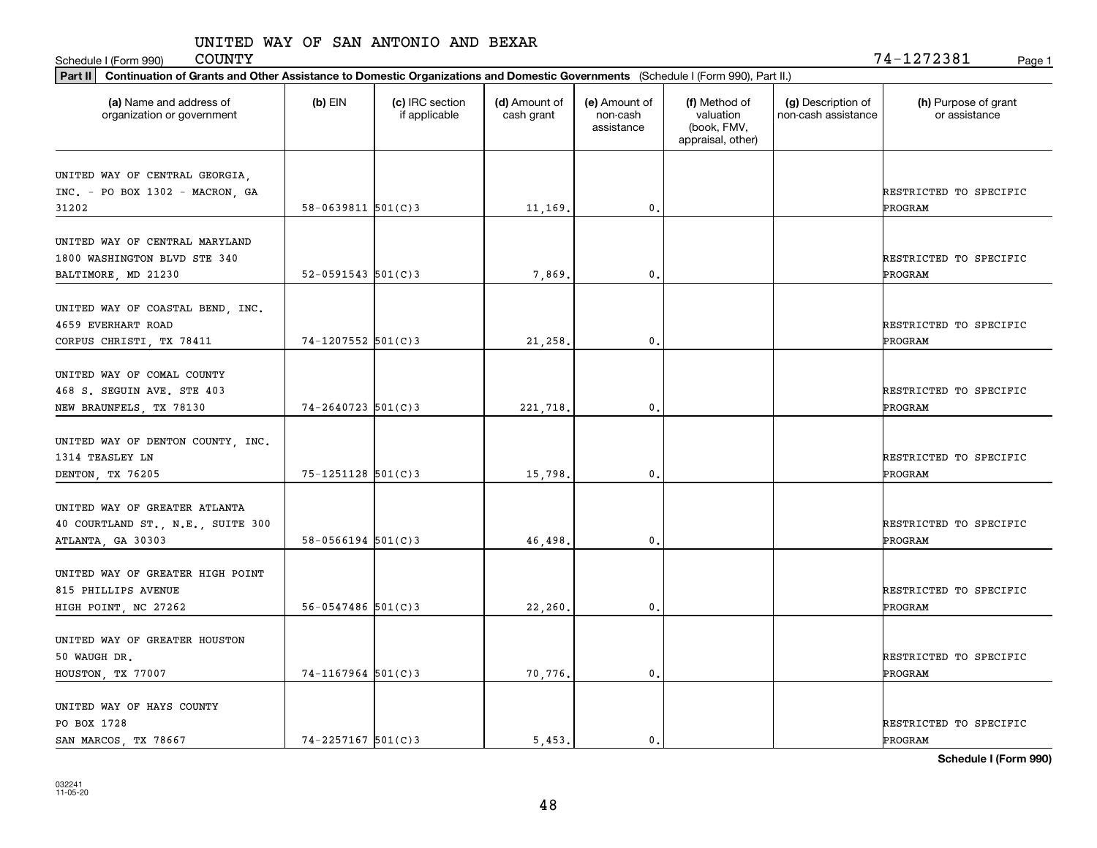Schedule I (Form 990) Page 1

| Part II   Continuation of Grants and Other Assistance to Domestic Organizations and Domestic Governments (Schedule I (Form 990), Part II.) |                          |                                  |                             |                                         |                                                                |                                           |                                       |
|--------------------------------------------------------------------------------------------------------------------------------------------|--------------------------|----------------------------------|-----------------------------|-----------------------------------------|----------------------------------------------------------------|-------------------------------------------|---------------------------------------|
| (a) Name and address of<br>organization or government                                                                                      | $(b)$ EIN                | (c) IRC section<br>if applicable | (d) Amount of<br>cash grant | (e) Amount of<br>non-cash<br>assistance | (f) Method of<br>valuation<br>(book, FMV,<br>appraisal, other) | (g) Description of<br>non-cash assistance | (h) Purpose of grant<br>or assistance |
| UNITED WAY OF CENTRAL GEORGIA,<br>INC. - PO BOX 1302 - MACRON, GA                                                                          |                          |                                  |                             |                                         |                                                                |                                           | RESTRICTED TO SPECIFIC                |
| 31202                                                                                                                                      | $58 - 0639811$ $501(C)3$ |                                  | 11,169.                     | $\mathbf{0}$ .                          |                                                                |                                           | PROGRAM                               |
| UNITED WAY OF CENTRAL MARYLAND<br>1800 WASHINGTON BLVD STE 340<br>BALTIMORE, MD 21230                                                      | $52 - 0591543$ $501(C)3$ |                                  | 7,869.                      | 0.                                      |                                                                |                                           | RESTRICTED TO SPECIFIC<br>PROGRAM     |
| UNITED WAY OF COASTAL BEND, INC.<br>4659 EVERHART ROAD<br>CORPUS CHRISTI, TX 78411                                                         | $74 - 1207552$ 501(C)3   |                                  | 21,258.                     | $\mathbf{0}$ .                          |                                                                |                                           | RESTRICTED TO SPECIFIC<br>PROGRAM     |
| UNITED WAY OF COMAL COUNTY<br>468 S. SEGUIN AVE. STE 403<br>NEW BRAUNFELS, TX 78130                                                        | $74 - 2640723$ 501(C)3   |                                  | 221,718.                    | 0.                                      |                                                                |                                           | RESTRICTED TO SPECIFIC<br>PROGRAM     |
| UNITED WAY OF DENTON COUNTY, INC.<br>1314 TEASLEY LN<br>DENTON, TX 76205                                                                   | $75 - 1251128$ 501(C) 3  |                                  | 15,798.                     | 0.                                      |                                                                |                                           | RESTRICTED TO SPECIFIC<br>PROGRAM     |
| UNITED WAY OF GREATER ATLANTA<br>40 COURTLAND ST., N.E., SUITE 300<br>ATLANTA, GA 30303                                                    | $58 - 0566194$ $501(C)3$ |                                  | 46,498.                     | 0.                                      |                                                                |                                           | RESTRICTED TO SPECIFIC<br>PROGRAM     |
| UNITED WAY OF GREATER HIGH POINT<br>815 PHILLIPS AVENUE<br>HIGH POINT, NC 27262                                                            | $56 - 0547486$ 501(C)3   |                                  | 22,260.                     | 0.                                      |                                                                |                                           | RESTRICTED TO SPECIFIC<br>PROGRAM     |
| UNITED WAY OF GREATER HOUSTON<br>50 WAUGH DR.<br>HOUSTON, TX 77007                                                                         | $74-1167964$ 501(C)3     |                                  | 70,776.                     | $\mathbf{0}$ .                          |                                                                |                                           | RESTRICTED TO SPECIFIC<br>PROGRAM     |
| UNITED WAY OF HAYS COUNTY<br>PO BOX 1728<br>SAN MARCOS, TX 78667                                                                           | $74 - 2257167$ 501(C)3   |                                  | 5.453.                      | 0.                                      |                                                                |                                           | RESTRICTED TO SPECIFIC<br>PROGRAM     |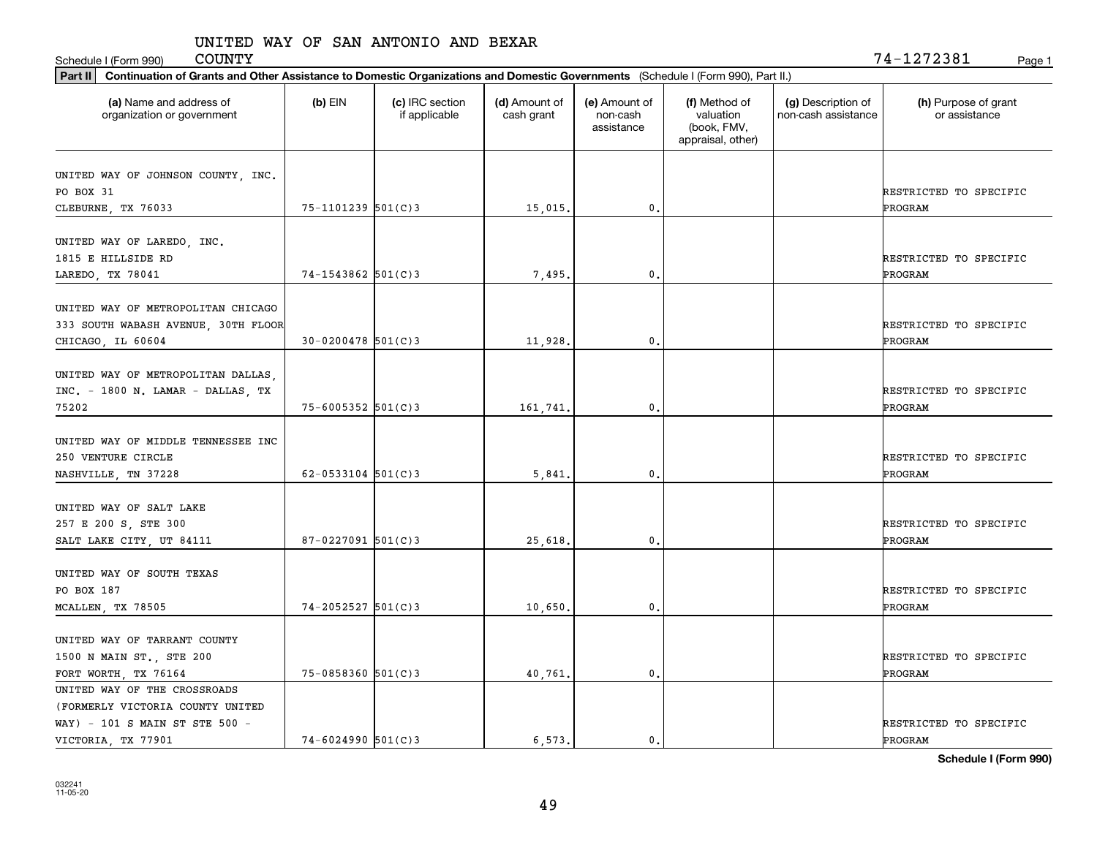Schedule I (Form 990) COUNTY<br>
Page 1<br>
Rect II Continuation of Grants and Other Assistance to Demostic Organizations and Demostic Governments (Schedule I (Form 990) Part II)

| Continuation of Grants and Other Assistance to Domestic Organizations and Domestic Governments (Schedule I (Form 990), Part II.)<br>Part II |                          |                                  |                             |                                         |                                                                |                                           |                                       |  |  |
|---------------------------------------------------------------------------------------------------------------------------------------------|--------------------------|----------------------------------|-----------------------------|-----------------------------------------|----------------------------------------------------------------|-------------------------------------------|---------------------------------------|--|--|
| (a) Name and address of<br>organization or government                                                                                       | $(b)$ EIN                | (c) IRC section<br>if applicable | (d) Amount of<br>cash grant | (e) Amount of<br>non-cash<br>assistance | (f) Method of<br>valuation<br>(book, FMV,<br>appraisal, other) | (g) Description of<br>non-cash assistance | (h) Purpose of grant<br>or assistance |  |  |
| UNITED WAY OF JOHNSON COUNTY, INC.<br>PO BOX 31<br>CLEBURNE, TX 76033                                                                       | $75 - 1101239$ $501(C)3$ |                                  | 15,015.                     | 0.                                      |                                                                |                                           | RESTRICTED TO SPECIFIC<br>PROGRAM     |  |  |
| UNITED WAY OF LAREDO, INC.<br>1815 E HILLSIDE RD<br>LAREDO, TX 78041                                                                        | $74 - 1543862$ 501(C)3   |                                  | 7,495.                      | 0.                                      |                                                                |                                           | RESTRICTED TO SPECIFIC<br>PROGRAM     |  |  |
| UNITED WAY OF METROPOLITAN CHICAGO<br>333 SOUTH WABASH AVENUE, 30TH FLOOR<br>CHICAGO, IL 60604                                              | $30 - 0200478$ 501(C) 3  |                                  | 11,928.                     | $\mathbf{0}$                            |                                                                |                                           | RESTRICTED TO SPECIFIC<br>PROGRAM     |  |  |
| UNITED WAY OF METROPOLITAN DALLAS,<br>INC. - 1800 N. LAMAR - DALLAS, TX<br>75202                                                            | $75 - 6005352$ 501(C)3   |                                  | 161,741.                    | $\mathfrak{o}$ .                        |                                                                |                                           | RESTRICTED TO SPECIFIC<br>PROGRAM     |  |  |
| UNITED WAY OF MIDDLE TENNESSEE INC<br>250 VENTURE CIRCLE<br>NASHVILLE, TN 37228                                                             | $62 - 0533104$ 501(C)3   |                                  | 5,841.                      | 0.                                      |                                                                |                                           | RESTRICTED TO SPECIFIC<br>PROGRAM     |  |  |
| UNITED WAY OF SALT LAKE<br>257 E 200 S, STE 300<br>SALT LAKE CITY, UT 84111                                                                 | $87 - 0227091$ 501(C)3   |                                  | 25,618.                     | 0.                                      |                                                                |                                           | RESTRICTED TO SPECIFIC<br>PROGRAM     |  |  |
| UNITED WAY OF SOUTH TEXAS<br>PO BOX 187<br>MCALLEN, TX 78505                                                                                | $74 - 2052527$ 501(C)3   |                                  | 10,650,                     | 0.                                      |                                                                |                                           | RESTRICTED TO SPECIFIC<br>PROGRAM     |  |  |
| UNITED WAY OF TARRANT COUNTY<br>1500 N MAIN ST., STE 200<br>FORT WORTH, TX 76164                                                            | $75 - 0858360$ 501(C)3   |                                  | 40,761.                     | 0.                                      |                                                                |                                           | RESTRICTED TO SPECIFIC<br>PROGRAM     |  |  |
| UNITED WAY OF THE CROSSROADS<br>(FORMERLY VICTORIA COUNTY UNITED<br>WAY) - 101 S MAIN ST STE 500 -<br>VICTORIA, TX 77901                    | $74 - 6024990$ 501(C)3   |                                  | 6.573.                      | $\mathfrak{o}$ .                        |                                                                |                                           | RESTRICTED TO SPECIFIC<br>PROGRAM     |  |  |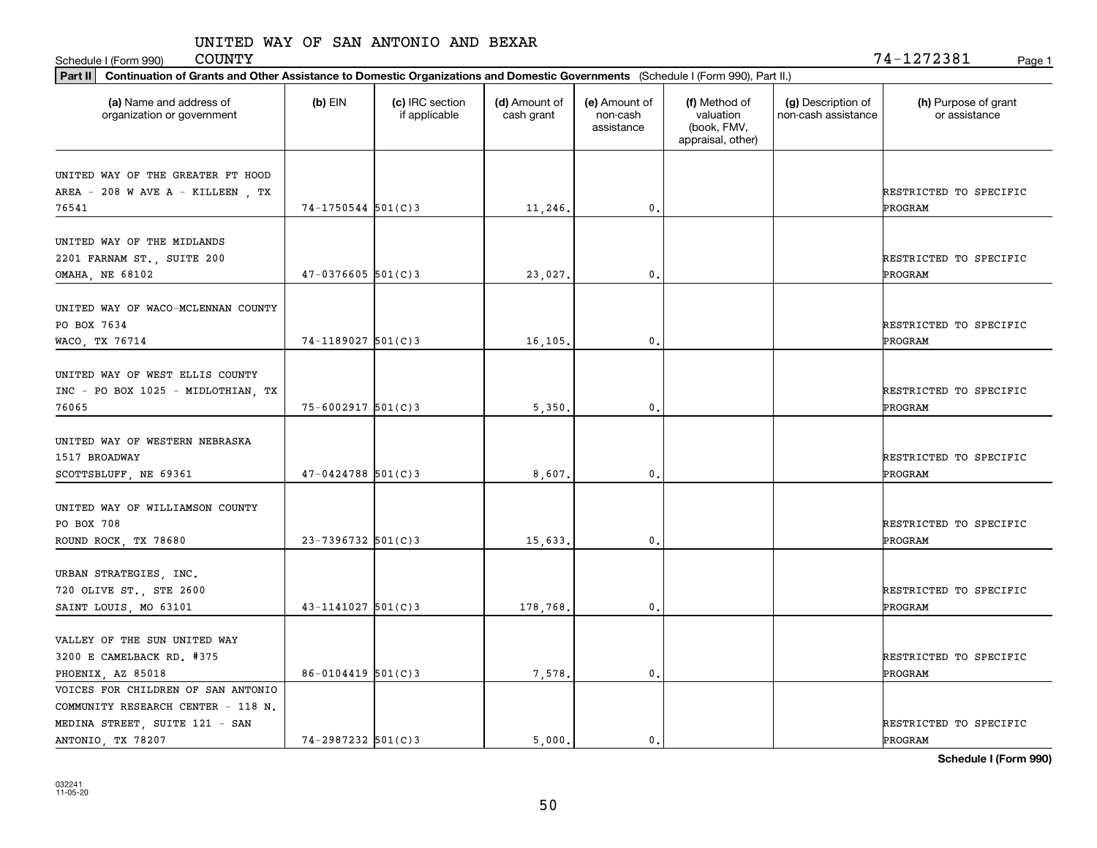Schedule I (Form 990) COUNTY Page 1

| Part II   Continuation of Grants and Other Assistance to Domestic Organizations and Domestic Governments (Schedule I (Form 990), Part II.) |                        |                                  |                             |                                         |                                                                |                                           |                                       |
|--------------------------------------------------------------------------------------------------------------------------------------------|------------------------|----------------------------------|-----------------------------|-----------------------------------------|----------------------------------------------------------------|-------------------------------------------|---------------------------------------|
| (a) Name and address of<br>organization or government                                                                                      | $(b)$ EIN              | (c) IRC section<br>if applicable | (d) Amount of<br>cash grant | (e) Amount of<br>non-cash<br>assistance | (f) Method of<br>valuation<br>(book, FMV,<br>appraisal, other) | (g) Description of<br>non-cash assistance | (h) Purpose of grant<br>or assistance |
| UNITED WAY OF THE GREATER FT HOOD                                                                                                          |                        |                                  |                             |                                         |                                                                |                                           |                                       |
| AREA - 208 W AVE A - KILLEEN, TX                                                                                                           |                        |                                  |                             |                                         |                                                                |                                           | RESTRICTED TO SPECIFIC                |
| 76541                                                                                                                                      | $74 - 1750544$ 501(C)3 |                                  | 11,246.                     | 0.                                      |                                                                |                                           | PROGRAM                               |
|                                                                                                                                            |                        |                                  |                             |                                         |                                                                |                                           |                                       |
| UNITED WAY OF THE MIDLANDS                                                                                                                 |                        |                                  |                             |                                         |                                                                |                                           |                                       |
| 2201 FARNAM ST., SUITE 200                                                                                                                 |                        |                                  |                             |                                         |                                                                |                                           | RESTRICTED TO SPECIFIC                |
| <b>OMAHA, NE 68102</b>                                                                                                                     | $47 - 0376605$ 501(C)3 |                                  | 23,027.                     | 0.                                      |                                                                |                                           | <b>PROGRAM</b>                        |
|                                                                                                                                            |                        |                                  |                             |                                         |                                                                |                                           |                                       |
| UNITED WAY OF WACO-MCLENNAN COUNTY                                                                                                         |                        |                                  |                             |                                         |                                                                |                                           |                                       |
| PO BOX 7634                                                                                                                                |                        |                                  |                             |                                         |                                                                |                                           | RESTRICTED TO SPECIFIC                |
| WACO, TX 76714                                                                                                                             | $74 - 1189027$ 501(C)3 |                                  | 16,105.                     | $\mathbf{0}$ .                          |                                                                |                                           | PROGRAM                               |
| UNITED WAY OF WEST ELLIS COUNTY                                                                                                            |                        |                                  |                             |                                         |                                                                |                                           |                                       |
| INC - PO BOX 1025 - MIDLOTHIAN, TX                                                                                                         |                        |                                  |                             |                                         |                                                                |                                           | RESTRICTED TO SPECIFIC                |
| 76065                                                                                                                                      | $75 - 6002917$ 501(C)3 |                                  | 5,350.                      | 0.                                      |                                                                |                                           | PROGRAM                               |
|                                                                                                                                            |                        |                                  |                             |                                         |                                                                |                                           |                                       |
| UNITED WAY OF WESTERN NEBRASKA                                                                                                             |                        |                                  |                             |                                         |                                                                |                                           |                                       |
| 1517 BROADWAY                                                                                                                              |                        |                                  |                             |                                         |                                                                |                                           | RESTRICTED TO SPECIFIC                |
| SCOTTSBLUFF, NE 69361                                                                                                                      | $47 - 0424788$ 501(C)3 |                                  | 8,607,                      | 0.                                      |                                                                |                                           | PROGRAM                               |
|                                                                                                                                            |                        |                                  |                             |                                         |                                                                |                                           |                                       |
| UNITED WAY OF WILLIAMSON COUNTY                                                                                                            |                        |                                  |                             |                                         |                                                                |                                           |                                       |
| PO BOX 708                                                                                                                                 |                        |                                  |                             |                                         |                                                                |                                           | RESTRICTED TO SPECIFIC                |
| ROUND ROCK, TX 78680                                                                                                                       | $23 - 7396732$ 501(C)3 |                                  | 15,633.                     | 0.                                      |                                                                |                                           | PROGRAM                               |
|                                                                                                                                            |                        |                                  |                             |                                         |                                                                |                                           |                                       |
| URBAN STRATEGIES, INC.                                                                                                                     |                        |                                  |                             |                                         |                                                                |                                           | RESTRICTED TO SPECIFIC                |
| 720 OLIVE ST., STE 2600<br>SAINT LOUIS, MO 63101                                                                                           | $43 - 1141027$ 501(C)3 |                                  | 178,768.                    | 0.                                      |                                                                |                                           | <b>PROGRAM</b>                        |
|                                                                                                                                            |                        |                                  |                             |                                         |                                                                |                                           |                                       |
| VALLEY OF THE SUN UNITED WAY                                                                                                               |                        |                                  |                             |                                         |                                                                |                                           |                                       |
| 3200 E CAMELBACK RD. #375                                                                                                                  |                        |                                  |                             |                                         |                                                                |                                           | RESTRICTED TO SPECIFIC                |
| PHOENIX, AZ 85018                                                                                                                          | $86 - 0104419$ 501(C)3 |                                  | 7,578.                      | $\mathbf{0}$ .                          |                                                                |                                           | ÞROGRAM                               |
| VOICES FOR CHILDREN OF SAN ANTONIO                                                                                                         |                        |                                  |                             |                                         |                                                                |                                           |                                       |
| COMMUNITY RESEARCH CENTER - 118 N.                                                                                                         |                        |                                  |                             |                                         |                                                                |                                           |                                       |
| MEDINA STREET, SUITE 121 - SAN                                                                                                             |                        |                                  |                             |                                         |                                                                |                                           | RESTRICTED TO SPECIFIC                |
| ANTONIO, TX 78207                                                                                                                          | $74 - 2987232$ 501(C)3 |                                  | 5.000.                      | 0.                                      |                                                                |                                           | PROGRAM                               |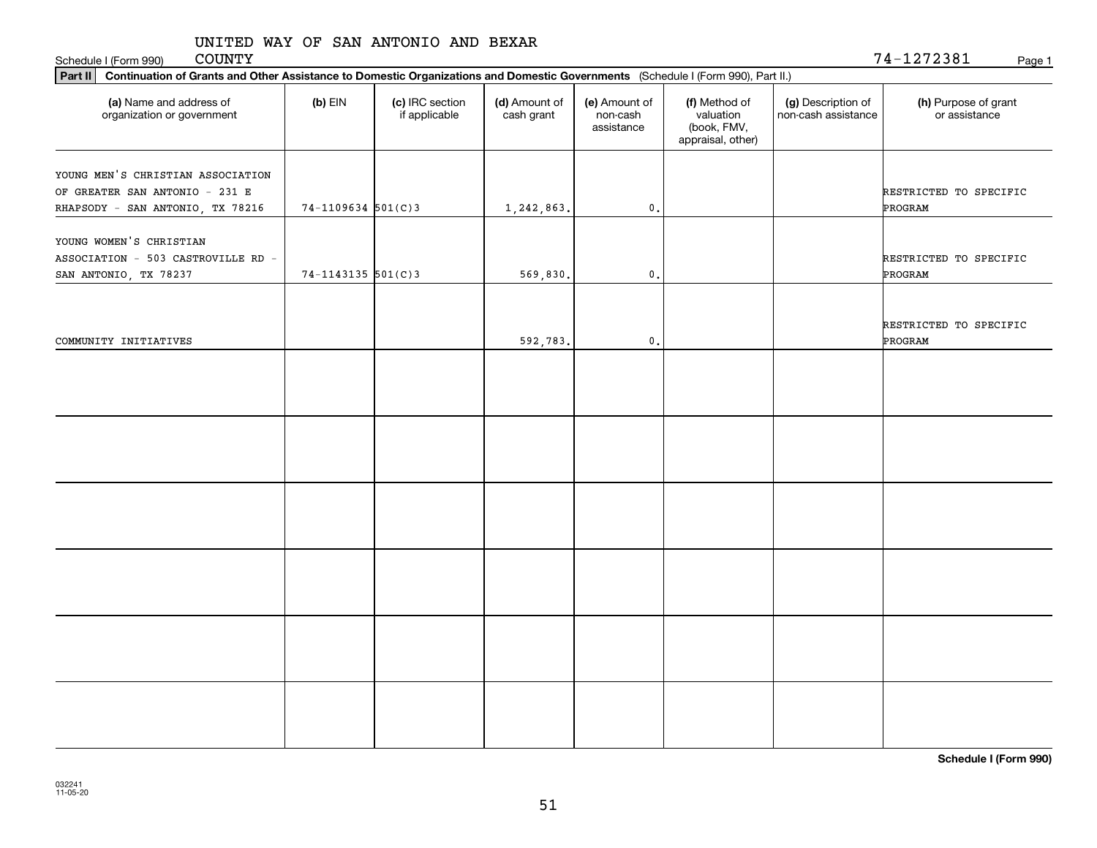Schedule I (Form 990) COUNTY Page 1 COUNTY

| Part II   Continuation of Grants and Other Assistance to Domestic Organizations and Domestic Governments (Schedule I (Form 990), Part II.) |                        |                                  |                             |                                         |                                                                |                                           |                                       |  |  |
|--------------------------------------------------------------------------------------------------------------------------------------------|------------------------|----------------------------------|-----------------------------|-----------------------------------------|----------------------------------------------------------------|-------------------------------------------|---------------------------------------|--|--|
| (a) Name and address of<br>organization or government                                                                                      | $(b)$ EIN              | (c) IRC section<br>if applicable | (d) Amount of<br>cash grant | (e) Amount of<br>non-cash<br>assistance | (f) Method of<br>valuation<br>(book, FMV,<br>appraisal, other) | (g) Description of<br>non-cash assistance | (h) Purpose of grant<br>or assistance |  |  |
| YOUNG MEN'S CHRISTIAN ASSOCIATION                                                                                                          |                        |                                  |                             |                                         |                                                                |                                           |                                       |  |  |
| OF GREATER SAN ANTONIO - 231 E                                                                                                             |                        |                                  |                             |                                         |                                                                |                                           | RESTRICTED TO SPECIFIC                |  |  |
| RHAPSODY - SAN ANTONIO, TX 78216                                                                                                           | $74-1109634$ 501(C)3   |                                  | 1,242,863.                  | $\mathbf{0}$ .                          |                                                                |                                           | PROGRAM                               |  |  |
|                                                                                                                                            |                        |                                  |                             |                                         |                                                                |                                           |                                       |  |  |
| YOUNG WOMEN'S CHRISTIAN                                                                                                                    |                        |                                  |                             |                                         |                                                                |                                           |                                       |  |  |
| ASSOCIATION - 503 CASTROVILLE RD -                                                                                                         |                        |                                  |                             |                                         |                                                                |                                           | RESTRICTED TO SPECIFIC                |  |  |
| SAN ANTONIO, TX 78237                                                                                                                      | $74 - 1143135$ 501(C)3 |                                  | 569,830.                    | $\mathbf{0}$ .                          |                                                                |                                           | PROGRAM                               |  |  |
|                                                                                                                                            |                        |                                  |                             |                                         |                                                                |                                           |                                       |  |  |
|                                                                                                                                            |                        |                                  |                             |                                         |                                                                |                                           |                                       |  |  |
|                                                                                                                                            |                        |                                  |                             |                                         |                                                                |                                           | RESTRICTED TO SPECIFIC                |  |  |
| COMMUNITY INITIATIVES                                                                                                                      |                        |                                  | 592,783.                    | $\mathbf{0}$ .                          |                                                                |                                           | PROGRAM                               |  |  |
|                                                                                                                                            |                        |                                  |                             |                                         |                                                                |                                           |                                       |  |  |
|                                                                                                                                            |                        |                                  |                             |                                         |                                                                |                                           |                                       |  |  |
|                                                                                                                                            |                        |                                  |                             |                                         |                                                                |                                           |                                       |  |  |
|                                                                                                                                            |                        |                                  |                             |                                         |                                                                |                                           |                                       |  |  |
|                                                                                                                                            |                        |                                  |                             |                                         |                                                                |                                           |                                       |  |  |
|                                                                                                                                            |                        |                                  |                             |                                         |                                                                |                                           |                                       |  |  |
|                                                                                                                                            |                        |                                  |                             |                                         |                                                                |                                           |                                       |  |  |
|                                                                                                                                            |                        |                                  |                             |                                         |                                                                |                                           |                                       |  |  |
|                                                                                                                                            |                        |                                  |                             |                                         |                                                                |                                           |                                       |  |  |
|                                                                                                                                            |                        |                                  |                             |                                         |                                                                |                                           |                                       |  |  |
|                                                                                                                                            |                        |                                  |                             |                                         |                                                                |                                           |                                       |  |  |
|                                                                                                                                            |                        |                                  |                             |                                         |                                                                |                                           |                                       |  |  |
|                                                                                                                                            |                        |                                  |                             |                                         |                                                                |                                           |                                       |  |  |
|                                                                                                                                            |                        |                                  |                             |                                         |                                                                |                                           |                                       |  |  |
|                                                                                                                                            |                        |                                  |                             |                                         |                                                                |                                           |                                       |  |  |
|                                                                                                                                            |                        |                                  |                             |                                         |                                                                |                                           |                                       |  |  |
|                                                                                                                                            |                        |                                  |                             |                                         |                                                                |                                           |                                       |  |  |
|                                                                                                                                            |                        |                                  |                             |                                         |                                                                |                                           |                                       |  |  |
|                                                                                                                                            |                        |                                  |                             |                                         |                                                                |                                           |                                       |  |  |
|                                                                                                                                            |                        |                                  |                             |                                         |                                                                |                                           |                                       |  |  |
|                                                                                                                                            |                        |                                  |                             |                                         |                                                                |                                           |                                       |  |  |
|                                                                                                                                            |                        |                                  |                             |                                         |                                                                |                                           |                                       |  |  |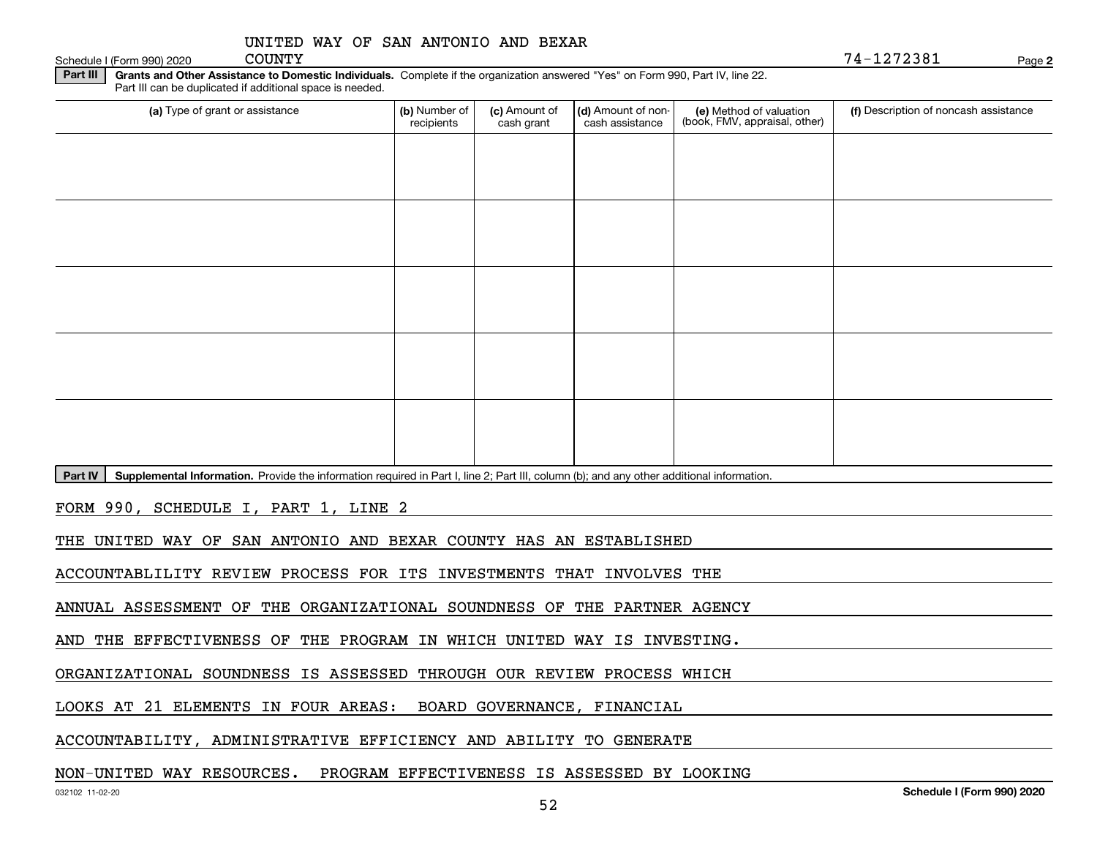| UNITED WAY OF SAN ANTONIO AND BEXAR |
|-------------------------------------|
|-------------------------------------|

Schedule I (Form 990) 2020 COUNTY

**2**COUNTY 74-1272381

**Part III** | Grants and Other Assistance to Domestic Individuals. Complete if the organization answered "Yes" on Form 990, Part IV, line 22. Part III can be duplicated if additional space is needed.

| (a) Type of grant or assistance    | (b) Number of<br>recipients | (c) Amount of<br>cash grant | (d) Amount of non-<br>cash assistance | (e) Method of valuation<br>(book, FMV, appraisal, other) | (f) Description of noncash assistance |
|------------------------------------|-----------------------------|-----------------------------|---------------------------------------|----------------------------------------------------------|---------------------------------------|
|                                    |                             |                             |                                       |                                                          |                                       |
|                                    |                             |                             |                                       |                                                          |                                       |
|                                    |                             |                             |                                       |                                                          |                                       |
|                                    |                             |                             |                                       |                                                          |                                       |
|                                    |                             |                             |                                       |                                                          |                                       |
|                                    |                             |                             |                                       |                                                          |                                       |
|                                    |                             |                             |                                       |                                                          |                                       |
|                                    |                             |                             |                                       |                                                          |                                       |
|                                    |                             |                             |                                       |                                                          |                                       |
|                                    |                             |                             |                                       |                                                          |                                       |
| <u>a mila manda manda manda ma</u> |                             |                             | $\sim$<br>$\mathbf{r}$                | $\cdots$<br>.                                            |                                       |

Part IV | Supplemental Information. Provide the information required in Part I, line 2; Part III, column (b); and any other additional information.

FORM 990, SCHEDULE I, PART 1, LINE 2

THE UNITED WAY OF SAN ANTONIO AND BEXAR COUNTY HAS AN ESTABLISHED

ACCOUNTABLILITY REVIEW PROCESS FOR ITS INVESTMENTS THAT INVOLVES THE

ANNUAL ASSESSMENT OF THE ORGANIZATIONAL SOUNDNESS OF THE PARTNER AGENCY

AND THE EFFECTIVENESS OF THE PROGRAM IN WHICH UNITED WAY IS INVESTING.

ORGANIZATIONAL SOUNDNESS IS ASSESSED THROUGH OUR REVIEW PROCESS WHICH

LOOKS AT 21 ELEMENTS IN FOUR AREAS: BOARD GOVERNANCE, FINANCIAL

ACCOUNTABILITY, ADMINISTRATIVE EFFICIENCY AND ABILITY TO GENERATE

#### NON-UNITED WAY RESOURCES. PROGRAM EFFECTIVENESS IS ASSESSED BY LOOKING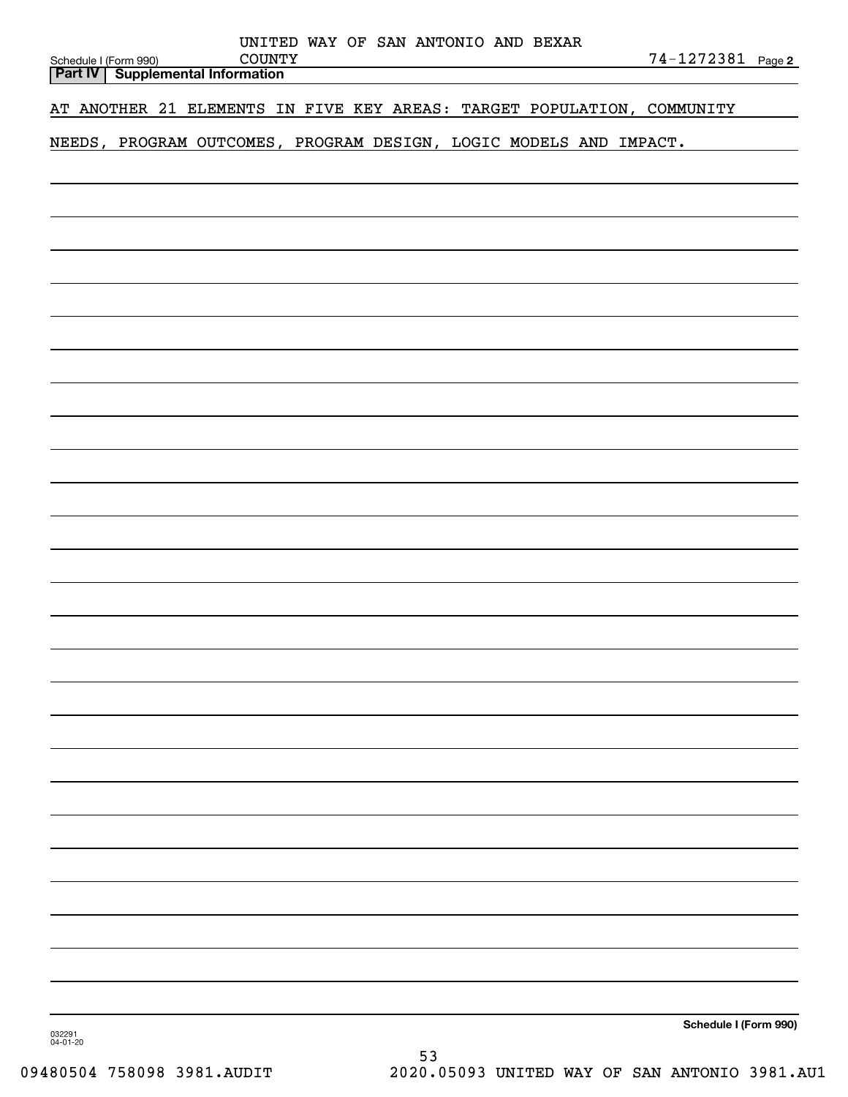| UNITED WAY OF SAN ANTONIO AND BEXAR                                          |                       |
|------------------------------------------------------------------------------|-----------------------|
| <b>COUNTY</b><br>Schedule I (Form 990)<br>Part IV   Supplemental Information | 74-1272381 Page 2     |
| AT ANOTHER 21 ELEMENTS IN FIVE KEY AREAS: TARGET POPULATION, COMMUNITY       |                       |
| NEEDS, PROGRAM OUTCOMES, PROGRAM DESIGN, LOGIC MODELS AND IMPACT.            |                       |
|                                                                              |                       |
|                                                                              |                       |
|                                                                              |                       |
|                                                                              |                       |
|                                                                              |                       |
|                                                                              |                       |
|                                                                              |                       |
|                                                                              |                       |
|                                                                              |                       |
|                                                                              |                       |
|                                                                              |                       |
|                                                                              |                       |
|                                                                              |                       |
|                                                                              |                       |
|                                                                              |                       |
|                                                                              |                       |
|                                                                              |                       |
|                                                                              |                       |
|                                                                              |                       |
|                                                                              |                       |
|                                                                              |                       |
|                                                                              |                       |
|                                                                              |                       |
|                                                                              |                       |
|                                                                              |                       |
|                                                                              |                       |
|                                                                              | Schedule I (Form 990) |
| 032291<br>04-01-20                                                           |                       |

53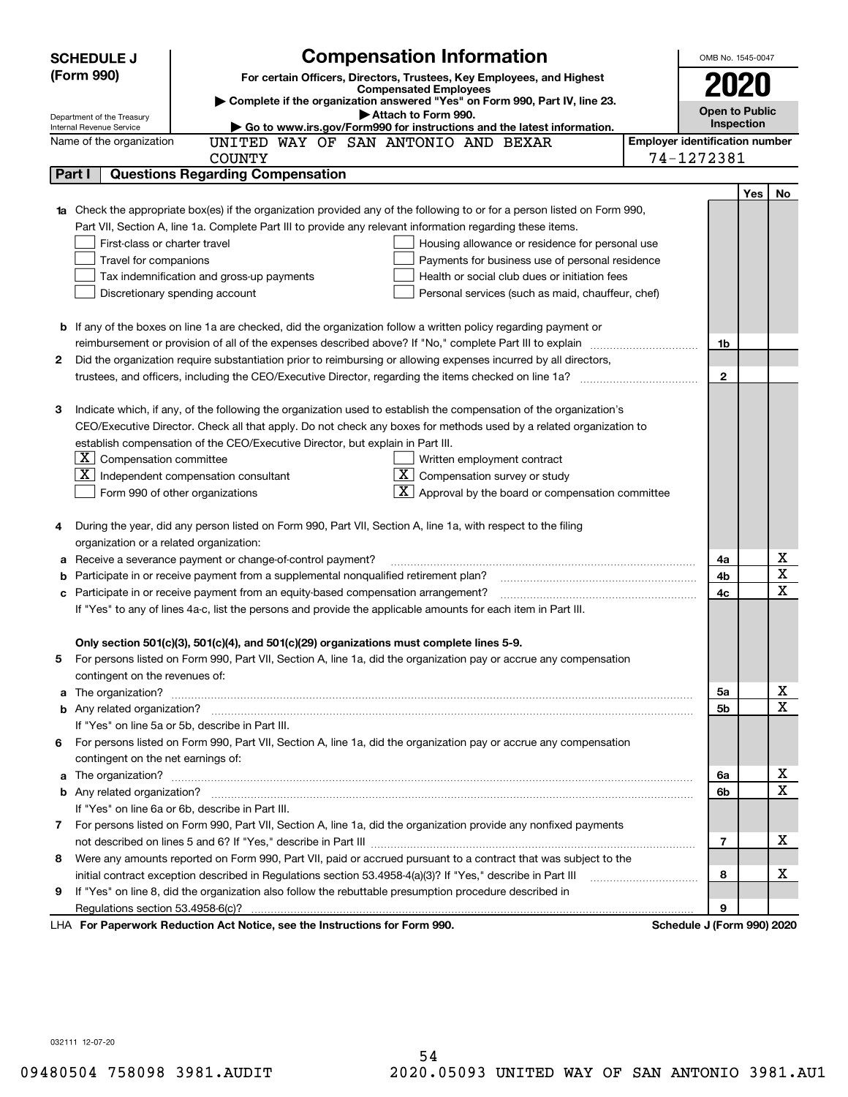|    | <b>Compensation Information</b><br><b>SCHEDULE J</b>                                                                                                                                                          |                            | OMB No. 1545-0047 |            |                                                    |  |  |  |
|----|---------------------------------------------------------------------------------------------------------------------------------------------------------------------------------------------------------------|----------------------------|-------------------|------------|----------------------------------------------------|--|--|--|
|    | (Form 990)<br>For certain Officers, Directors, Trustees, Key Employees, and Highest                                                                                                                           |                            |                   |            |                                                    |  |  |  |
|    | <b>Compensated Employees</b>                                                                                                                                                                                  |                            | 2020              |            |                                                    |  |  |  |
|    | Complete if the organization answered "Yes" on Form 990, Part IV, line 23.<br><b>Open to Public</b><br>Attach to Form 990.                                                                                    |                            |                   |            |                                                    |  |  |  |
|    | Department of the Treasury<br>Go to www.irs.gov/Form990 for instructions and the latest information.<br>Internal Revenue Service                                                                              |                            | Inspection        |            |                                                    |  |  |  |
|    | <b>Employer identification number</b><br>UNITED WAY OF SAN ANTONIO AND BEXAR<br>Name of the organization                                                                                                      |                            |                   |            |                                                    |  |  |  |
|    | <b>COUNTY</b>                                                                                                                                                                                                 | 74-1272381                 |                   |            |                                                    |  |  |  |
|    | <b>Questions Regarding Compensation</b><br>Part I                                                                                                                                                             |                            |                   |            |                                                    |  |  |  |
|    |                                                                                                                                                                                                               |                            |                   | <b>Yes</b> | No                                                 |  |  |  |
|    | <b>1a</b> Check the appropriate box(es) if the organization provided any of the following to or for a person listed on Form 990,                                                                              |                            |                   |            |                                                    |  |  |  |
|    | Part VII, Section A, line 1a. Complete Part III to provide any relevant information regarding these items.                                                                                                    |                            |                   |            |                                                    |  |  |  |
|    | First-class or charter travel<br>Housing allowance or residence for personal use                                                                                                                              |                            |                   |            |                                                    |  |  |  |
|    | Travel for companions<br>Payments for business use of personal residence                                                                                                                                      |                            |                   |            |                                                    |  |  |  |
|    | Tax indemnification and gross-up payments<br>Health or social club dues or initiation fees                                                                                                                    |                            |                   |            |                                                    |  |  |  |
|    | Discretionary spending account<br>Personal services (such as maid, chauffeur, chef)                                                                                                                           |                            |                   |            |                                                    |  |  |  |
|    |                                                                                                                                                                                                               |                            |                   |            |                                                    |  |  |  |
|    | <b>b</b> If any of the boxes on line 1a are checked, did the organization follow a written policy regarding payment or                                                                                        |                            |                   |            |                                                    |  |  |  |
|    | reimbursement or provision of all of the expenses described above? If "No," complete Part III to explain                                                                                                      |                            | 1b                |            |                                                    |  |  |  |
| 2  | Did the organization require substantiation prior to reimbursing or allowing expenses incurred by all directors,                                                                                              |                            |                   |            |                                                    |  |  |  |
|    | trustees, and officers, including the CEO/Executive Director, regarding the items checked on line 1a?                                                                                                         |                            | $\mathbf{2}$      |            |                                                    |  |  |  |
|    |                                                                                                                                                                                                               |                            |                   |            |                                                    |  |  |  |
| З  | Indicate which, if any, of the following the organization used to establish the compensation of the organization's                                                                                            |                            |                   |            |                                                    |  |  |  |
|    | CEO/Executive Director. Check all that apply. Do not check any boxes for methods used by a related organization to                                                                                            |                            |                   |            |                                                    |  |  |  |
|    | establish compensation of the CEO/Executive Director, but explain in Part III.                                                                                                                                |                            |                   |            |                                                    |  |  |  |
|    | $ \mathbf{X} $ Compensation committee<br>Written employment contract                                                                                                                                          |                            |                   |            |                                                    |  |  |  |
|    | $X$ Compensation survey or study<br>$X$ Independent compensation consultant                                                                                                                                   |                            |                   |            |                                                    |  |  |  |
|    | $\lfloor x \rfloor$ Approval by the board or compensation committee<br>Form 990 of other organizations                                                                                                        |                            |                   |            |                                                    |  |  |  |
|    |                                                                                                                                                                                                               |                            |                   |            |                                                    |  |  |  |
|    | During the year, did any person listed on Form 990, Part VII, Section A, line 1a, with respect to the filing                                                                                                  |                            |                   |            |                                                    |  |  |  |
|    | organization or a related organization:                                                                                                                                                                       |                            | 4a                |            | х                                                  |  |  |  |
| а  | Receive a severance payment or change-of-control payment?                                                                                                                                                     |                            |                   |            |                                                    |  |  |  |
| b  | Participate in or receive payment from a supplemental nonqualified retirement plan?                                                                                                                           |                            | 4b<br>4c          |            | $\overline{\mathbf{x}}$<br>$\overline{\mathbf{x}}$ |  |  |  |
|    | Participate in or receive payment from an equity-based compensation arrangement?<br>с                                                                                                                         |                            |                   |            |                                                    |  |  |  |
|    | If "Yes" to any of lines 4a-c, list the persons and provide the applicable amounts for each item in Part III.                                                                                                 |                            |                   |            |                                                    |  |  |  |
|    |                                                                                                                                                                                                               |                            |                   |            |                                                    |  |  |  |
|    | Only section 501(c)(3), 501(c)(4), and 501(c)(29) organizations must complete lines 5-9.<br>For persons listed on Form 990, Part VII, Section A, line 1a, did the organization pay or accrue any compensation |                            |                   |            |                                                    |  |  |  |
|    | contingent on the revenues of:                                                                                                                                                                                |                            |                   |            |                                                    |  |  |  |
|    | a The organization? <b>Constitution</b> and the organization?                                                                                                                                                 |                            | 5a                |            | x                                                  |  |  |  |
|    |                                                                                                                                                                                                               |                            | 5b                |            | $\overline{\mathbf{x}}$                            |  |  |  |
|    | If "Yes" on line 5a or 5b, describe in Part III.                                                                                                                                                              |                            |                   |            |                                                    |  |  |  |
| 6. | For persons listed on Form 990, Part VII, Section A, line 1a, did the organization pay or accrue any compensation                                                                                             |                            |                   |            |                                                    |  |  |  |
|    | contingent on the net earnings of:                                                                                                                                                                            |                            |                   |            |                                                    |  |  |  |
| a  |                                                                                                                                                                                                               |                            | 6a                |            | х                                                  |  |  |  |
|    |                                                                                                                                                                                                               |                            | 6b                |            | $\overline{\mathbf{x}}$                            |  |  |  |
|    | If "Yes" on line 6a or 6b, describe in Part III.                                                                                                                                                              |                            |                   |            |                                                    |  |  |  |
|    | 7 For persons listed on Form 990, Part VII, Section A, line 1a, did the organization provide any nonfixed payments                                                                                            |                            |                   |            |                                                    |  |  |  |
|    |                                                                                                                                                                                                               |                            | 7                 |            | х                                                  |  |  |  |
| 8  | Were any amounts reported on Form 990, Part VII, paid or accrued pursuant to a contract that was subject to the                                                                                               |                            |                   |            |                                                    |  |  |  |
|    | initial contract exception described in Regulations section 53.4958-4(a)(3)? If "Yes," describe in Part III                                                                                                   |                            | 8                 |            | х                                                  |  |  |  |
| 9  | If "Yes" on line 8, did the organization also follow the rebuttable presumption procedure described in                                                                                                        |                            |                   |            |                                                    |  |  |  |
|    | Regulations section 53.4958-6(c)?                                                                                                                                                                             |                            | 9                 |            |                                                    |  |  |  |
|    | LHA For Paperwork Reduction Act Notice, see the Instructions for Form 990.                                                                                                                                    | Schedule J (Form 990) 2020 |                   |            |                                                    |  |  |  |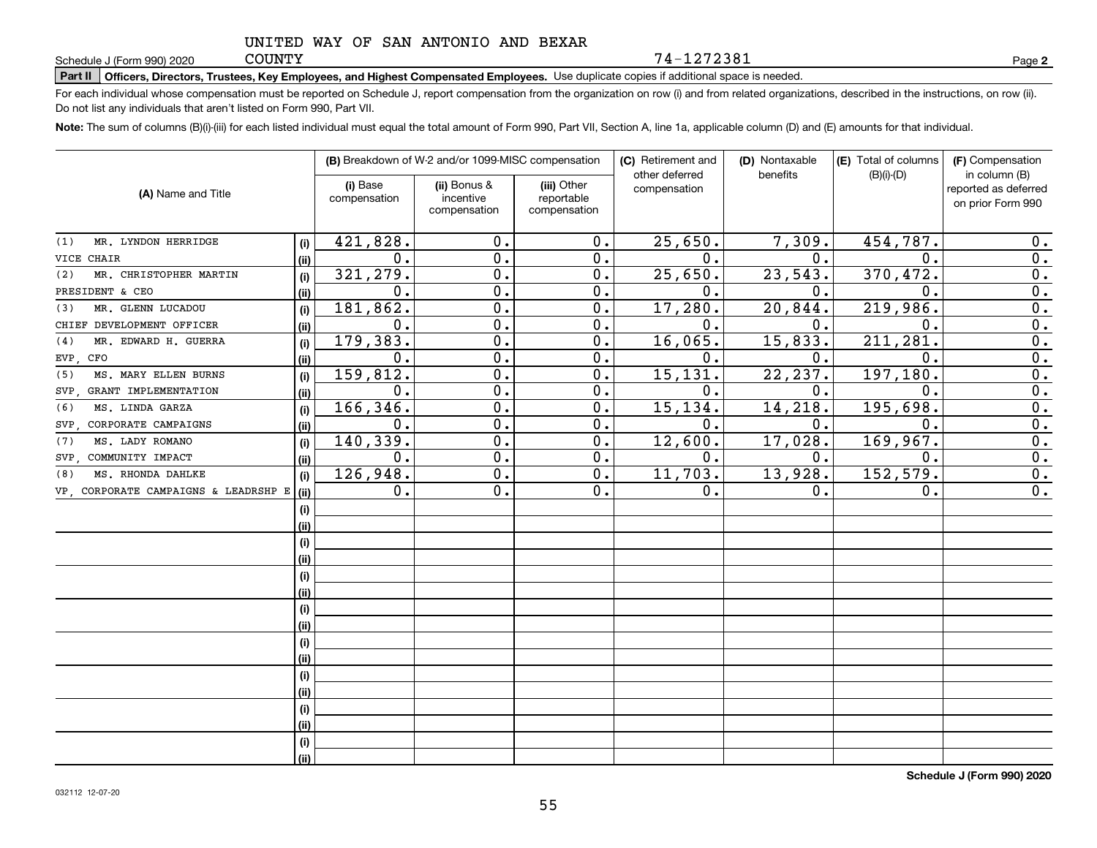**COUNTY** 

**Part II Officers, Directors, Trustees, Key Employees, and Highest Compensated Employees.**  Schedule J (Form 990) 2020 Page Use duplicate copies if additional space is needed.

For each individual whose compensation must be reported on Schedule J, report compensation from the organization on row (i) and from related organizations, described in the instructions, on row (ii). Do not list any individuals that aren't listed on Form 990, Part VII.

74-1272381

**Note:**  The sum of columns (B)(i)-(iii) for each listed individual must equal the total amount of Form 990, Part VII, Section A, line 1a, applicable column (D) and (E) amounts for that individual.

| (A) Name and Title                   |      | (B) Breakdown of W-2 and/or 1099-MISC compensation |                                           |                                           | (C) Retirement and<br>other deferred | (D) Nontaxable<br>benefits | (E) Total of columns<br>$(B)(i)-(D)$ | (F) Compensation<br>in column (B)         |
|--------------------------------------|------|----------------------------------------------------|-------------------------------------------|-------------------------------------------|--------------------------------------|----------------------------|--------------------------------------|-------------------------------------------|
|                                      |      | (i) Base<br>compensation                           | (ii) Bonus &<br>incentive<br>compensation | (iii) Other<br>reportable<br>compensation | compensation                         |                            |                                      | reported as deferred<br>on prior Form 990 |
|                                      |      |                                                    |                                           |                                           |                                      |                            |                                      |                                           |
| MR. LYNDON HERRIDGE<br>(1)           | (i)  | 421,828.                                           | 0.                                        | 0.                                        | 25,650.                              | 7,309.                     | 454, 787.                            | 0.                                        |
| <b>CHAIR</b><br>VICE                 | (ii) | 0.                                                 | $\overline{0}$ .                          | 0.                                        | $\mathbf 0$ .                        | 0.                         | $\mathbf 0$                          | $\overline{0}$ .                          |
| MR. CHRISTOPHER MARTIN<br>(2)        | (i)  | 321, 279.                                          | $\overline{0}$ .                          | 0.                                        | 25,650.                              | 23,543.                    | 370,472.                             | 0.                                        |
| PRESIDENT & CEO                      | (ii) | 0.                                                 | $\overline{0}$ .                          | 0.                                        | $\mathbf 0$ .                        | 0.                         | $\mathbf 0$                          | $\overline{0}$ .                          |
| MR. GLENN LUCADOU<br>(3)             | (i)  | 181,862.                                           | $\overline{0}$ .                          | 0.                                        | 17,280.                              | 20,844.                    | 219,986.                             | $\overline{0}$ .                          |
| CHIEF DEVELOPMENT OFFICER            | (ii) | $\mathbf 0$ .                                      | $\overline{0}$ .                          | 0.                                        | $\mathbf 0$ .                        | 0.                         | $\mathbf 0$                          | $\overline{0}$ .                          |
| MR. EDWARD H. GUERRA<br>(4)          | (i)  | 179,383.                                           | $\mathbf 0$ .                             | 0.                                        | 16,065.                              | 15,833.                    | 211,281                              | $\overline{0}$ .                          |
| CFO<br>EVP.                          | (ii) | 0.                                                 | $\mathbf 0$ .                             | 0.                                        | $\mathbf 0$ .                        | 0.                         | $\mathbf 0$ .                        | $\overline{0}$ .                          |
| MS. MARY ELLEN BURNS<br>(5)          | (i)  | 159,812.                                           | $\mathbf 0$ .                             | 0.                                        | 15,131                               | 22,237.                    | 197,180                              | $\overline{0}$ .                          |
| GRANT IMPLEMENTATION<br>SVP.         | (ii) | 0.                                                 | $\mathbf 0$ .                             | 0.                                        | 0.                                   | 0.                         | $\mathbf 0$ .                        | $\overline{0}$ .                          |
| MS. LINDA GARZA<br>(6)               | (i)  | 166,346.                                           | 0.                                        | 0.                                        | 15, 134.                             | 14,218.                    | 195,698.                             | $\overline{0}$ .                          |
| CORPORATE CAMPAIGNS<br>SVP.          | (ii) | 0.                                                 | 0.                                        | $0$ .                                     | 0.                                   | 0.                         | $\mathbf 0$ .                        | $\overline{0}$ .                          |
| MS. LADY ROMANO<br>(7)               | (i)  | 140,339.                                           | 0.                                        | $0$ .                                     | 12,600.                              | 17,028.                    | 169,967.                             | $\overline{0}$ .                          |
| COMMUNITY IMPACT<br>SVP.             | (ii) | 0.                                                 | 0.                                        | 0.                                        | 0.                                   | 0.                         | 0.                                   | 0.                                        |
| MS. RHONDA DAHLKE<br>(8)             | (i)  | 126,948.                                           | $\overline{0}$ .                          | $\overline{0}$ .                          | 11,703.                              | 13,928.                    | 152, 579.                            | $\overline{0}$ .                          |
| VP, CORPORATE CAMPAIGNS & LEADRSHP E | (ii) | 0.                                                 | $\overline{0}$ .                          | 0.                                        | 0.                                   | 0.                         | 0.                                   | $\overline{0}$ .                          |
|                                      | (i)  |                                                    |                                           |                                           |                                      |                            |                                      |                                           |
|                                      | (ii) |                                                    |                                           |                                           |                                      |                            |                                      |                                           |
|                                      | (i)  |                                                    |                                           |                                           |                                      |                            |                                      |                                           |
|                                      | (ii) |                                                    |                                           |                                           |                                      |                            |                                      |                                           |
|                                      | (i)  |                                                    |                                           |                                           |                                      |                            |                                      |                                           |
|                                      | (ii) |                                                    |                                           |                                           |                                      |                            |                                      |                                           |
|                                      | (i)  |                                                    |                                           |                                           |                                      |                            |                                      |                                           |
|                                      | (ii) |                                                    |                                           |                                           |                                      |                            |                                      |                                           |
|                                      | (i)  |                                                    |                                           |                                           |                                      |                            |                                      |                                           |
|                                      | (ii) |                                                    |                                           |                                           |                                      |                            |                                      |                                           |
|                                      | (i)  |                                                    |                                           |                                           |                                      |                            |                                      |                                           |
|                                      | (ii) |                                                    |                                           |                                           |                                      |                            |                                      |                                           |
|                                      | (i)  |                                                    |                                           |                                           |                                      |                            |                                      |                                           |
|                                      | (ii) |                                                    |                                           |                                           |                                      |                            |                                      |                                           |
|                                      | (i)  |                                                    |                                           |                                           |                                      |                            |                                      |                                           |
|                                      | (ii) |                                                    |                                           |                                           |                                      |                            |                                      |                                           |

**Schedule J (Form 990) 2020**

**2**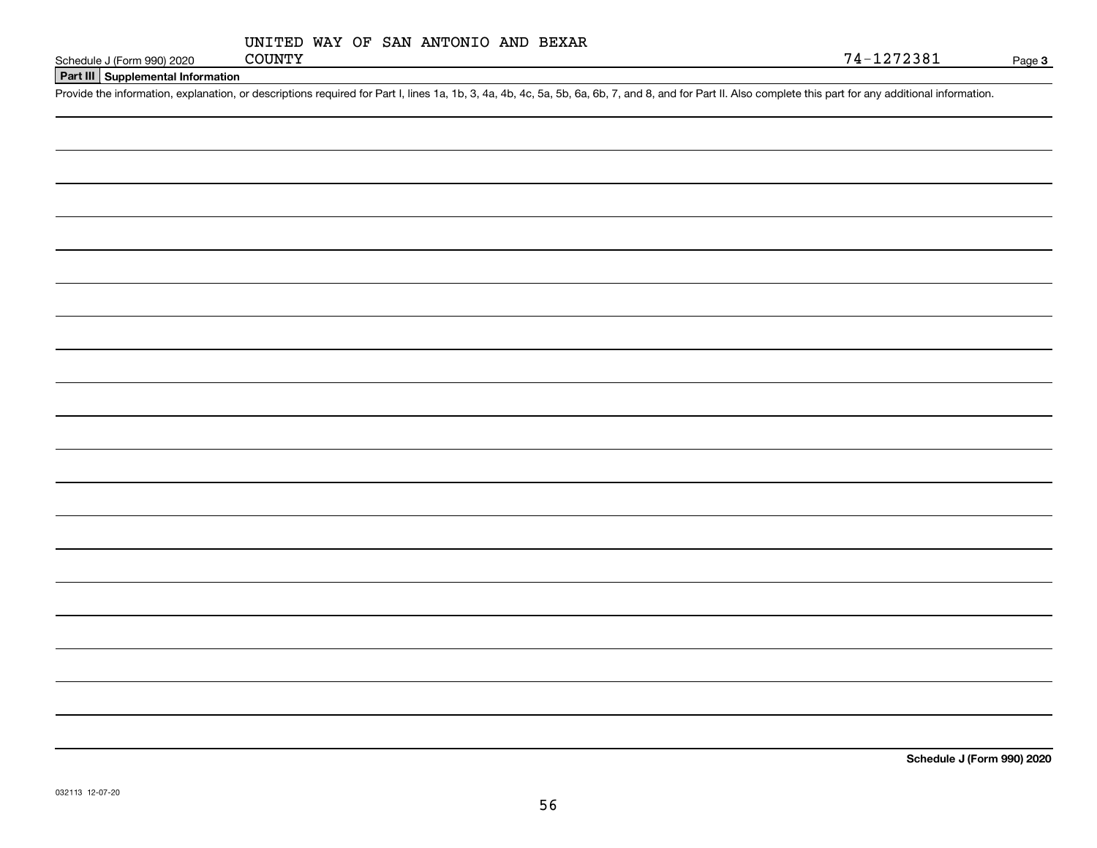**Part III Supplemental Information**

Schedule J (Form 990) 2020 COUNTY<br>Part III Supplemental Information<br>Provide the information, explanation, or descriptions required for Part I, lines 1a, 1b, 3, 4a, 4b, 4c, 5a, 5b, 6a, 6b, 7, and 8, and for Part II. Also co

Page 3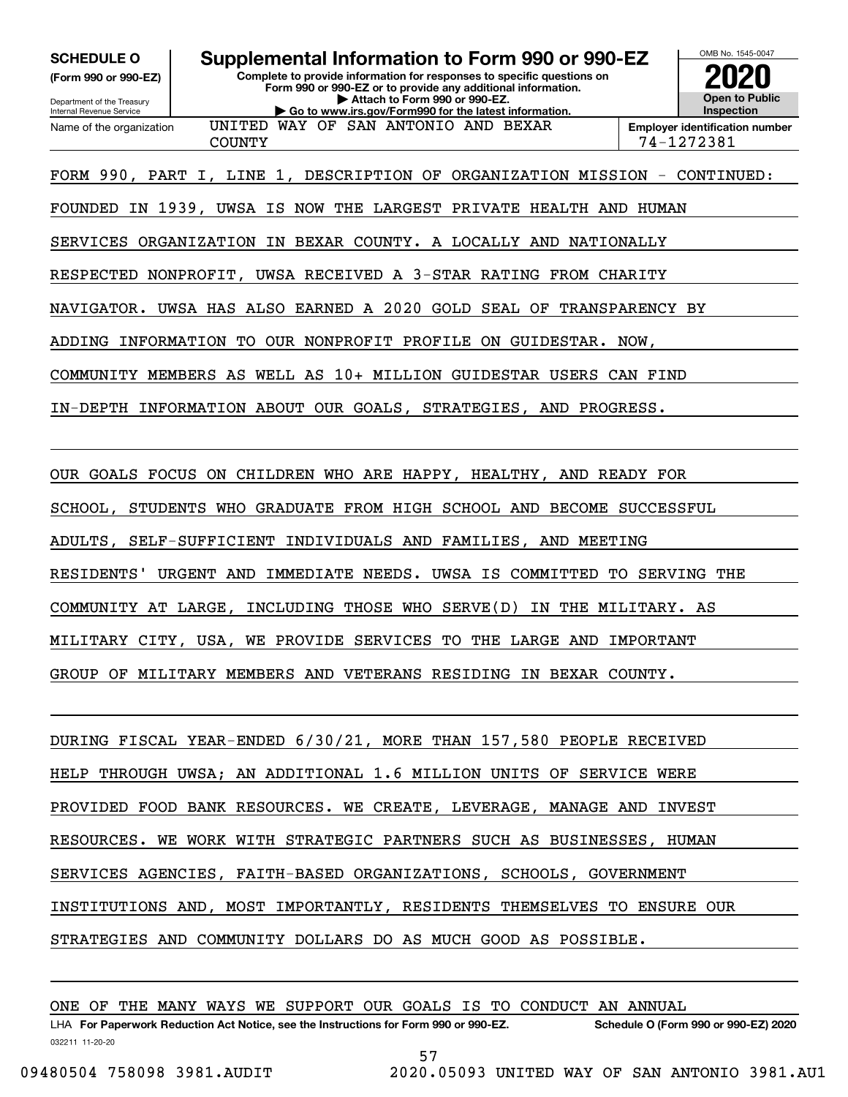**(Form 990 or 990-EZ)**

Department of the Treasury Internal Revenue Service Name of the organization

# **SCHEDULE O Supplemental Information to Form 990 or 990-EZ**

**Complete to provide information for responses to specific questions on Form 990 or 990-EZ or to provide any additional information. | Attach to Form 990 or 990-EZ. | Go to www.irs.gov/Form990 for the latest information.**



COUNTY 74-1272381

FORM 990, PART I, LINE 1, DESCRIPTION OF ORGANIZATION MISSION - CONTINUED:

FOUNDED IN 1939, UWSA IS NOW THE LARGEST PRIVATE HEALTH AND HUMAN

UNITED WAY OF SAN ANTONIO AND BEXAR

SERVICES ORGANIZATION IN BEXAR COUNTY. A LOCALLY AND NATIONALLY

RESPECTED NONPROFIT, UWSA RECEIVED A 3-STAR RATING FROM CHARITY

NAVIGATOR. UWSA HAS ALSO EARNED A 2020 GOLD SEAL OF TRANSPARENCY BY

ADDING INFORMATION TO OUR NONPROFIT PROFILE ON GUIDESTAR. NOW,

COMMUNITY MEMBERS AS WELL AS 10+ MILLION GUIDESTAR USERS CAN FIND

IN-DEPTH INFORMATION ABOUT OUR GOALS, STRATEGIES, AND PROGRESS.

OUR GOALS FOCUS ON CHILDREN WHO ARE HAPPY, HEALTHY, AND READY FOR

SCHOOL, STUDENTS WHO GRADUATE FROM HIGH SCHOOL AND BECOME SUCCESSFUL

ADULTS, SELF-SUFFICIENT INDIVIDUALS AND FAMILIES, AND MEETING

RESIDENTS' URGENT AND IMMEDIATE NEEDS. UWSA IS COMMITTED TO SERVING THE

COMMUNITY AT LARGE, INCLUDING THOSE WHO SERVE(D) IN THE MILITARY. AS

MILITARY CITY, USA, WE PROVIDE SERVICES TO THE LARGE AND IMPORTANT

GROUP OF MILITARY MEMBERS AND VETERANS RESIDING IN BEXAR COUNTY.

DURING FISCAL YEAR-ENDED 6/30/21, MORE THAN 157,580 PEOPLE RECEIVED HELP THROUGH UWSA; AN ADDITIONAL 1.6 MILLION UNITS OF SERVICE WERE PROVIDED FOOD BANK RESOURCES. WE CREATE, LEVERAGE, MANAGE AND INVEST RESOURCES. WE WORK WITH STRATEGIC PARTNERS SUCH AS BUSINESSES, HUMAN SERVICES AGENCIES, FAITH-BASED ORGANIZATIONS, SCHOOLS, GOVERNMENT INSTITUTIONS AND, MOST IMPORTANTLY, RESIDENTS THEMSELVES TO ENSURE OUR STRATEGIES AND COMMUNITY DOLLARS DO AS MUCH GOOD AS POSSIBLE.

ONE OF THE MANY WAYS WE SUPPORT OUR GOALS IS TO CONDUCT AN ANNUAL

032211 11-20-20 LHA For Paperwork Reduction Act Notice, see the Instructions for Form 990 or 990-EZ. Schedule O (Form 990 or 990-EZ) 2020 57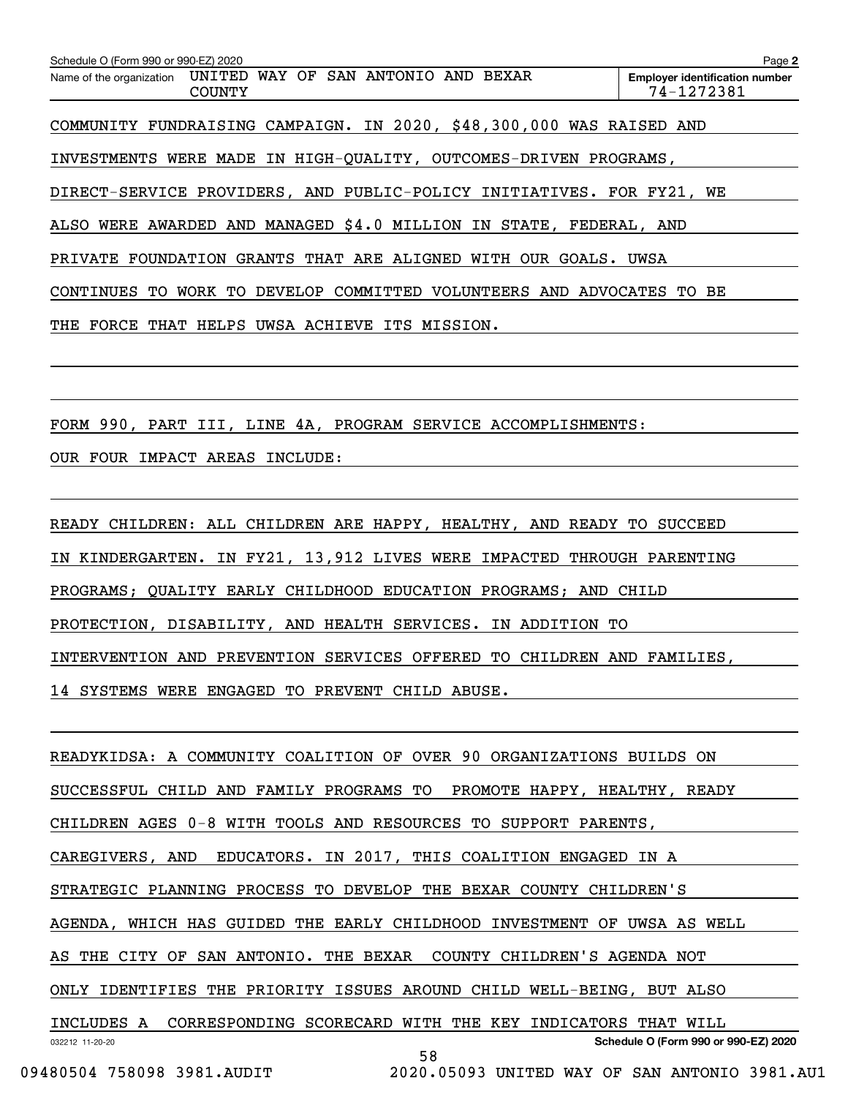| Schedule O (Form 990 or 990-EZ) 2020                                             | Page 2                                              |
|----------------------------------------------------------------------------------|-----------------------------------------------------|
| UNITED WAY OF SAN ANTONIO AND BEXAR<br>Name of the organization<br><b>COUNTY</b> | <b>Employer identification number</b><br>74-1272381 |
| COMMUNITY FUNDRAISING CAMPAIGN. IN 2020, \$48,300,000 WAS RAISED AND             |                                                     |
| INVESTMENTS WERE MADE IN HIGH-QUALITY, OUTCOMES-DRIVEN PROGRAMS,                 |                                                     |
| DIRECT-SERVICE PROVIDERS, AND PUBLIC-POLICY INITIATIVES. FOR FY21, WE            |                                                     |
| ALSO WERE AWARDED AND MANAGED \$4.0 MILLION IN STATE, FEDERAL, AND               |                                                     |
| PRIVATE FOUNDATION GRANTS THAT ARE ALIGNED WITH OUR GOALS. UWSA                  |                                                     |
| CONTINUES TO WORK TO DEVELOP COMMITTED VOLUNTEERS AND ADVOCATES                  | TO BE                                               |
| FORCE<br>THAT<br>HELPS<br>UWSA ACHIEVE ITS MISSION.<br>THE                       |                                                     |
|                                                                                  |                                                     |
|                                                                                  |                                                     |
| FORM 990, PART III, LINE 4A, PROGRAM SERVICE ACCOMPLISHMENTS:                    |                                                     |
| OUR FOUR IMPACT AREAS INCLUDE:                                                   |                                                     |

READY CHILDREN: ALL CHILDREN ARE HAPPY, HEALTHY, AND READY TO SUCCEED IN KINDERGARTEN. IN FY21, 13,912 LIVES WERE IMPACTED THROUGH PARENTING PROGRAMS; QUALITY EARLY CHILDHOOD EDUCATION PROGRAMS; AND CHILD PROTECTION, DISABILITY, AND HEALTH SERVICES. IN ADDITION TO INTERVENTION AND PREVENTION SERVICES OFFERED TO CHILDREN AND FAMILIES, 14 SYSTEMS WERE ENGAGED TO PREVENT CHILD ABUSE.

032212 11-20-20 **Schedule O (Form 990 or 990-EZ) 2020** READYKIDSA: A COMMUNITY COALITION OF OVER 90 ORGANIZATIONS BUILDS ON SUCCESSFUL CHILD AND FAMILY PROGRAMS TO PROMOTE HAPPY, HEALTHY, READY CHILDREN AGES 0-8 WITH TOOLS AND RESOURCES TO SUPPORT PARENTS, CAREGIVERS, AND EDUCATORS. IN 2017, THIS COALITION ENGAGED IN A STRATEGIC PLANNING PROCESS TO DEVELOP THE BEXAR COUNTY CHILDREN'S AGENDA, WHICH HAS GUIDED THE EARLY CHILDHOOD INVESTMENT OF UWSA AS WELL AS THE CITY OF SAN ANTONIO. THE BEXAR COUNTY CHILDREN'S AGENDA NOT ONLY IDENTIFIES THE PRIORITY ISSUES AROUND CHILD WELL-BEING, BUT ALSO INCLUDES A CORRESPONDING SCORECARD WITH THE KEY INDICATORS THAT WILL 58 09480504 758098 3981.AUDIT 2020.05093 UNITED WAY OF SAN ANTONIO 3981.AU1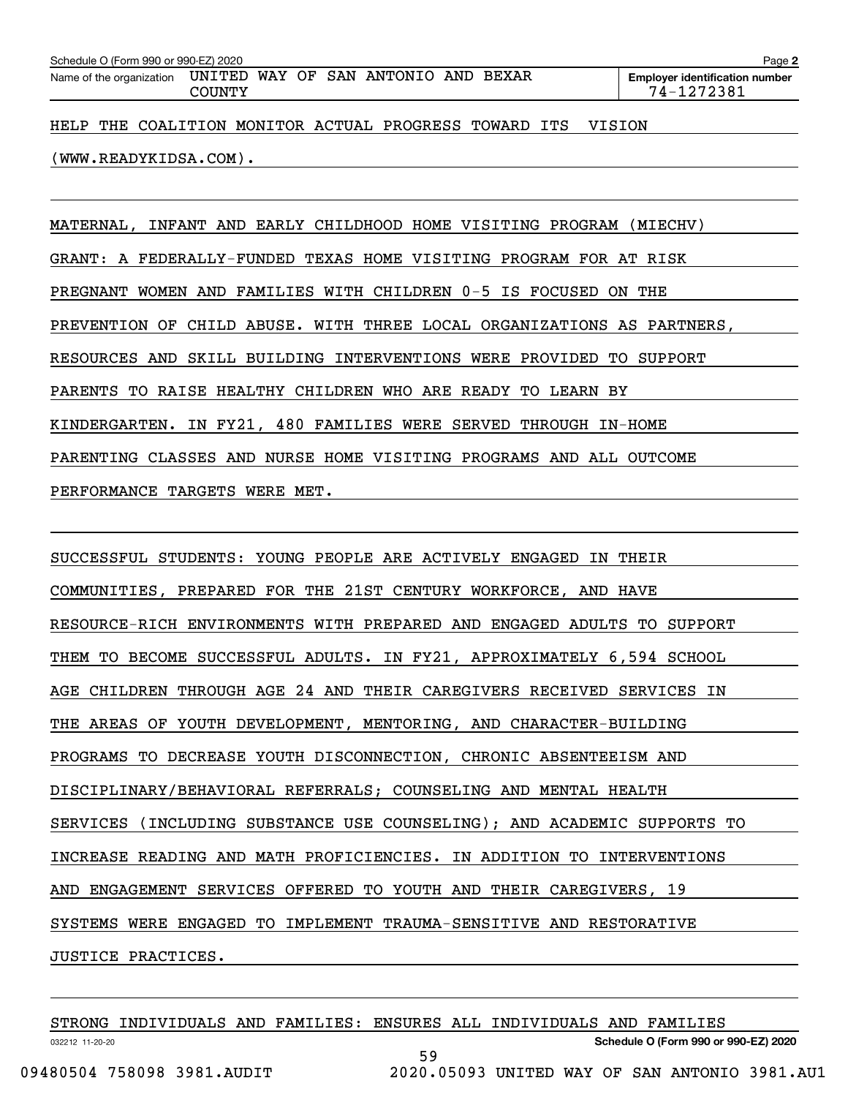| Schedule O (Form 990 or 990-EZ) 2020 |               |                                                              |                                                       | Page 2                                              |
|--------------------------------------|---------------|--------------------------------------------------------------|-------------------------------------------------------|-----------------------------------------------------|
|                                      | <b>COUNTY</b> | Name of the organization UNITED WAY OF SAN ANTONIO AND BEXAR |                                                       | <b>Employer identification number</b><br>74-1272381 |
|                                      |               |                                                              | HELP THE COALITION MONITOR ACTUAL PROGRESS TOWARD ITS | VISION                                              |
|                                      |               |                                                              |                                                       |                                                     |

MATERNAL, INFANT AND EARLY CHILDHOOD HOME VISITING PROGRAM (MIECHV) GRANT: A FEDERALLY-FUNDED TEXAS HOME VISITING PROGRAM FOR AT RISK PREGNANT WOMEN AND FAMILIES WITH CHILDREN 0-5 IS FOCUSED ON THE PREVENTION OF CHILD ABUSE. WITH THREE LOCAL ORGANIZATIONS AS PARTNERS, RESOURCES AND SKILL BUILDING INTERVENTIONS WERE PROVIDED TO SUPPORT PARENTS TO RAISE HEALTHY CHILDREN WHO ARE READY TO LEARN BY KINDERGARTEN. IN FY21, 480 FAMILIES WERE SERVED THROUGH IN-HOME PARENTING CLASSES AND NURSE HOME VISITING PROGRAMS AND ALL OUTCOME PERFORMANCE TARGETS WERE MET.

(WWW.READYKIDSA.COM).

SUCCESSFUL STUDENTS: YOUNG PEOPLE ARE ACTIVELY ENGAGED IN THEIR COMMUNITIES, PREPARED FOR THE 21ST CENTURY WORKFORCE, AND HAVE RESOURCE-RICH ENVIRONMENTS WITH PREPARED AND ENGAGED ADULTS TO SUPPORT THEM TO BECOME SUCCESSFUL ADULTS. IN FY21, APPROXIMATELY 6,594 SCHOOL AGE CHILDREN THROUGH AGE 24 AND THEIR CAREGIVERS RECEIVED SERVICES IN THE AREAS OF YOUTH DEVELOPMENT, MENTORING, AND CHARACTER-BUILDING PROGRAMS TO DECREASE YOUTH DISCONNECTION, CHRONIC ABSENTEEISM AND DISCIPLINARY/BEHAVIORAL REFERRALS; COUNSELING AND MENTAL HEALTH SERVICES (INCLUDING SUBSTANCE USE COUNSELING); AND ACADEMIC SUPPORTS TO INCREASE READING AND MATH PROFICIENCIES. IN ADDITION TO INTERVENTIONS AND ENGAGEMENT SERVICES OFFERED TO YOUTH AND THEIR CAREGIVERS, 19 SYSTEMS WERE ENGAGED TO IMPLEMENT TRAUMA-SENSITIVE AND RESTORATIVE JUSTICE PRACTICES.

| STRONG INDIVIDUALS AND FAMILIES: ENSURES ALL INDIVIDUALS AND FAMILIES |    |                                               |                                      |  |
|-----------------------------------------------------------------------|----|-----------------------------------------------|--------------------------------------|--|
| 032212 11-20-20                                                       |    |                                               | Schedule O (Form 990 or 990-EZ) 2020 |  |
|                                                                       | 59 |                                               |                                      |  |
| 09480504 758098 3981.AUDIT                                            |    | 2020.05093 UNITED WAY OF SAN ANTONIO 3981.AU1 |                                      |  |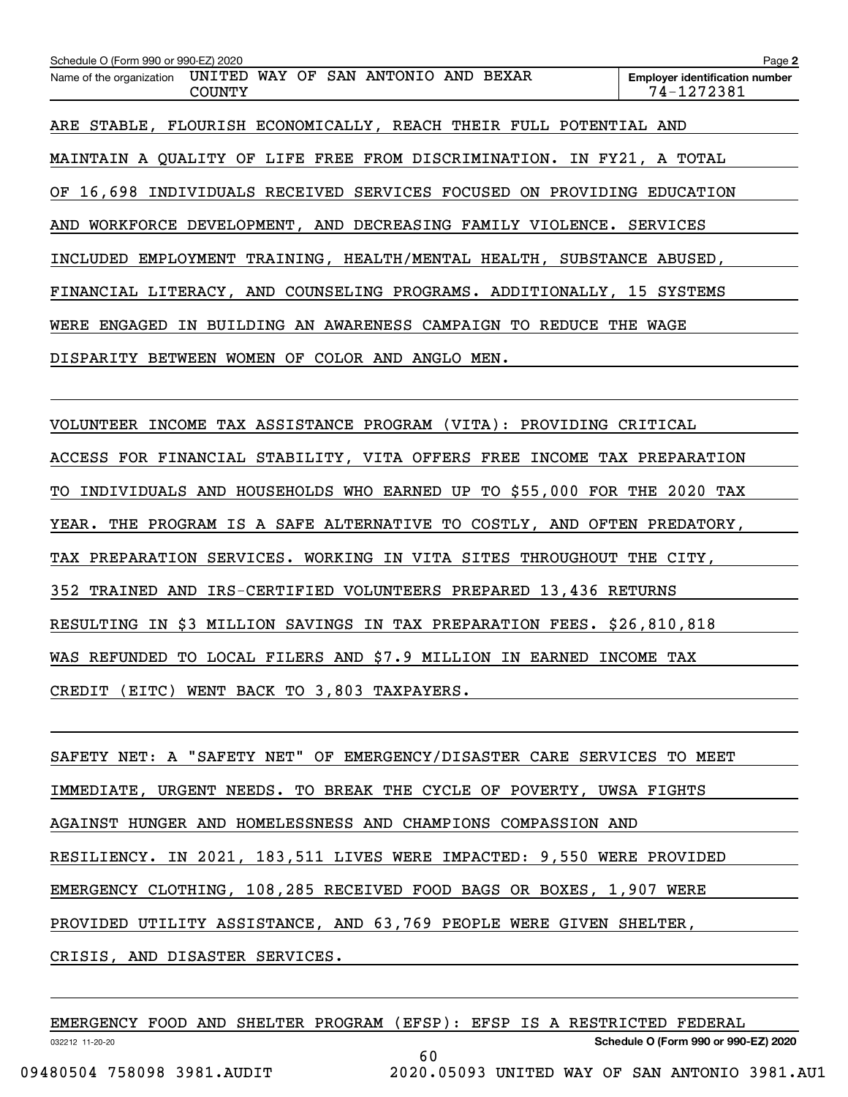| Schedule O (Form 990 or 990-EZ) 2020                                          | Page 2                                              |
|-------------------------------------------------------------------------------|-----------------------------------------------------|
| Name of the organization UNITED WAY OF SAN ANTONIO AND BEXAR<br><b>COUNTY</b> | <b>Employer identification number</b><br>74-1272381 |
| ARE STABLE, FLOURISH ECONOMICALLY, REACH THEIR FULL POTENTIAL AND             |                                                     |
| MAINTAIN A QUALITY OF LIFE FREE FROM DISCRIMINATION. IN FY21, A TOTAL         |                                                     |
| OF 16,698 INDIVIDUALS RECEIVED SERVICES FOCUSED ON PROVIDING EDUCATION        |                                                     |
| AND WORKFORCE DEVELOPMENT, AND DECREASING FAMILY VIOLENCE. SERVICES           |                                                     |
| INCLUDED EMPLOYMENT TRAINING, HEALTH/MENTAL HEALTH, SUBSTANCE ABUSED,         |                                                     |
| FINANCIAL LITERACY, AND COUNSELING PROGRAMS. ADDITIONALLY, 15 SYSTEMS         |                                                     |
| WERE ENGAGED IN BUILDING AN AWARENESS CAMPAIGN TO REDUCE THE WAGE             |                                                     |
| DISPARITY BETWEEN WOMEN OF COLOR AND ANGLO MEN.                               |                                                     |
|                                                                               |                                                     |
| VOLUNTEER INCOME TAX ASSISTANCE PROGRAM (VITA): PROVIDING CRITICAL            |                                                     |
| ACCESS FOR FINANCIAL STABILITY, VITA OFFERS FREE INCOME TAX PREPARATION       |                                                     |
| TO INDIVIDUALS AND HOUSEHOLDS WHO EARNED UP TO \$55,000 FOR THE 2020 TAX      |                                                     |
| YEAR. THE PROGRAM IS A SAFE ALTERNATIVE TO COSTLY, AND OFTEN PREDATORY,       |                                                     |

TAX PREPARATION SERVICES. WORKING IN VITA SITES THROUGHOUT THE CITY,

352 TRAINED AND IRS-CERTIFIED VOLUNTEERS PREPARED 13,436 RETURNS

RESULTING IN \$3 MILLION SAVINGS IN TAX PREPARATION FEES. \$26,810,818

WAS REFUNDED TO LOCAL FILERS AND \$7.9 MILLION IN EARNED INCOME TAX

CREDIT (EITC) WENT BACK TO 3,803 TAXPAYERS.

SAFETY NET: A "SAFETY NET" OF EMERGENCY/DISASTER CARE SERVICES TO MEET IMMEDIATE, URGENT NEEDS. TO BREAK THE CYCLE OF POVERTY, UWSA FIGHTS AGAINST HUNGER AND HOMELESSNESS AND CHAMPIONS COMPASSION AND RESILIENCY. IN 2021, 183,511 LIVES WERE IMPACTED: 9,550 WERE PROVIDED EMERGENCY CLOTHING, 108,285 RECEIVED FOOD BAGS OR BOXES, 1,907 WERE PROVIDED UTILITY ASSISTANCE, AND 63,769 PEOPLE WERE GIVEN SHELTER, CRISIS, AND DISASTER SERVICES.

| EMERGENCY FOOD AND SHELTER PROGRAM (EFSP): EFSP IS A RESTRICTED FEDERAL |  |  |                                               |  |  |                                      |  |
|-------------------------------------------------------------------------|--|--|-----------------------------------------------|--|--|--------------------------------------|--|
| 032212 11-20-20                                                         |  |  |                                               |  |  | Schedule O (Form 990 or 990-EZ) 2020 |  |
|                                                                         |  |  | 60                                            |  |  |                                      |  |
| 09480504 758098 3981.AUDIT                                              |  |  | 2020.05093 UNITED WAY OF SAN ANTONIO 3981.AU1 |  |  |                                      |  |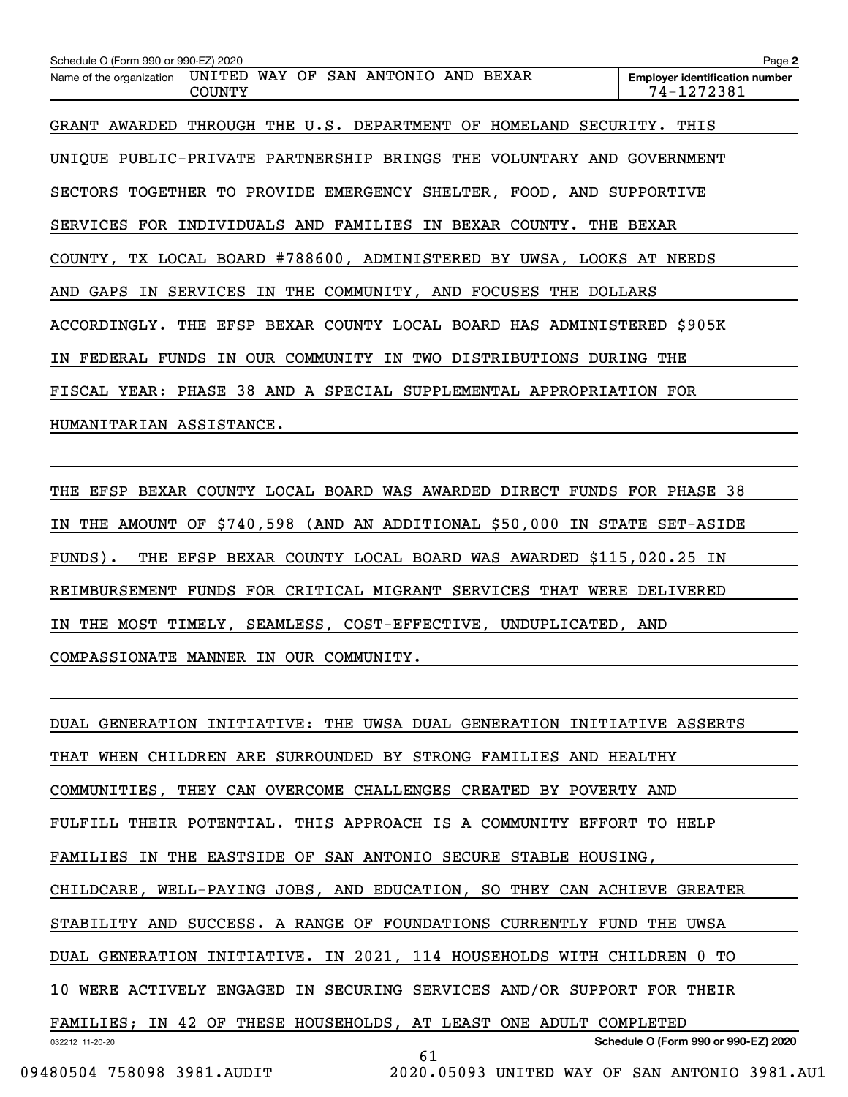| Schedule O (Form 990 or 990-EZ) 2020                                                | Page 2                                              |
|-------------------------------------------------------------------------------------|-----------------------------------------------------|
| WAY OF SAN ANTONIO AND BEXAR<br>UNITED<br>Name of the organization<br><b>COUNTY</b> | <b>Employer identification number</b><br>74-1272381 |
| THROUGH THE U.S. DEPARTMENT OF HOMELAND SECURITY. THIS<br>GRANT AWARDED             |                                                     |
| UNIQUE PUBLIC-PRIVATE PARTNERSHIP BRINGS THE VOLUNTARY AND GOVERNMENT               |                                                     |
| SECTORS TOGETHER TO PROVIDE EMERGENCY SHELTER, FOOD, AND SUPPORTIVE                 |                                                     |
| SERVICES FOR INDIVIDUALS AND FAMILIES IN BEXAR COUNTY.                              | THE BEXAR                                           |
| COUNTY, TX LOCAL BOARD #788600, ADMINISTERED BY UWSA, LOOKS AT NEEDS                |                                                     |
| AND GAPS IN SERVICES IN THE COMMUNITY, AND FOCUSES THE DOLLARS                      |                                                     |
| ACCORDINGLY. THE EFSP BEXAR COUNTY LOCAL BOARD HAS ADMINISTERED \$905K              |                                                     |
| IN FEDERAL FUNDS IN OUR COMMUNITY IN TWO DISTRIBUTIONS                              | DURING THE                                          |
| FISCAL YEAR: PHASE 38 AND A SPECIAL SUPPLEMENTAL APPROPRIATION FOR                  |                                                     |
| HUMANITARIAN ASSISTANCE.                                                            |                                                     |
|                                                                                     |                                                     |

THE EFSP BEXAR COUNTY LOCAL BOARD WAS AWARDED DIRECT FUNDS FOR PHASE 38 IN THE AMOUNT OF \$740,598 (AND AN ADDITIONAL \$50,000 IN STATE SET-ASIDE FUNDS). THE EFSP BEXAR COUNTY LOCAL BOARD WAS AWARDED \$115,020.25 IN REIMBURSEMENT FUNDS FOR CRITICAL MIGRANT SERVICES THAT WERE DELIVERED IN THE MOST TIMELY, SEAMLESS, COST-EFFECTIVE, UNDUPLICATED, AND COMPASSIONATE MANNER IN OUR COMMUNITY.

032212 11-20-20 **Schedule O (Form 990 or 990-EZ) 2020** DUAL GENERATION INITIATIVE: THE UWSA DUAL GENERATION INITIATIVE ASSERTS THAT WHEN CHILDREN ARE SURROUNDED BY STRONG FAMILIES AND HEALTHY COMMUNITIES, THEY CAN OVERCOME CHALLENGES CREATED BY POVERTY AND FULFILL THEIR POTENTIAL. THIS APPROACH IS A COMMUNITY EFFORT TO HELP FAMILIES IN THE EASTSIDE OF SAN ANTONIO SECURE STABLE HOUSING, CHILDCARE, WELL-PAYING JOBS, AND EDUCATION, SO THEY CAN ACHIEVE GREATER STABILITY AND SUCCESS. A RANGE OF FOUNDATIONS CURRENTLY FUND THE UWSA DUAL GENERATION INITIATIVE. IN 2021, 114 HOUSEHOLDS WITH CHILDREN 0 TO 10 WERE ACTIVELY ENGAGED IN SECURING SERVICES AND/OR SUPPORT FOR THEIR FAMILIES; IN 42 OF THESE HOUSEHOLDS, AT LEAST ONE ADULT COMPLETED 61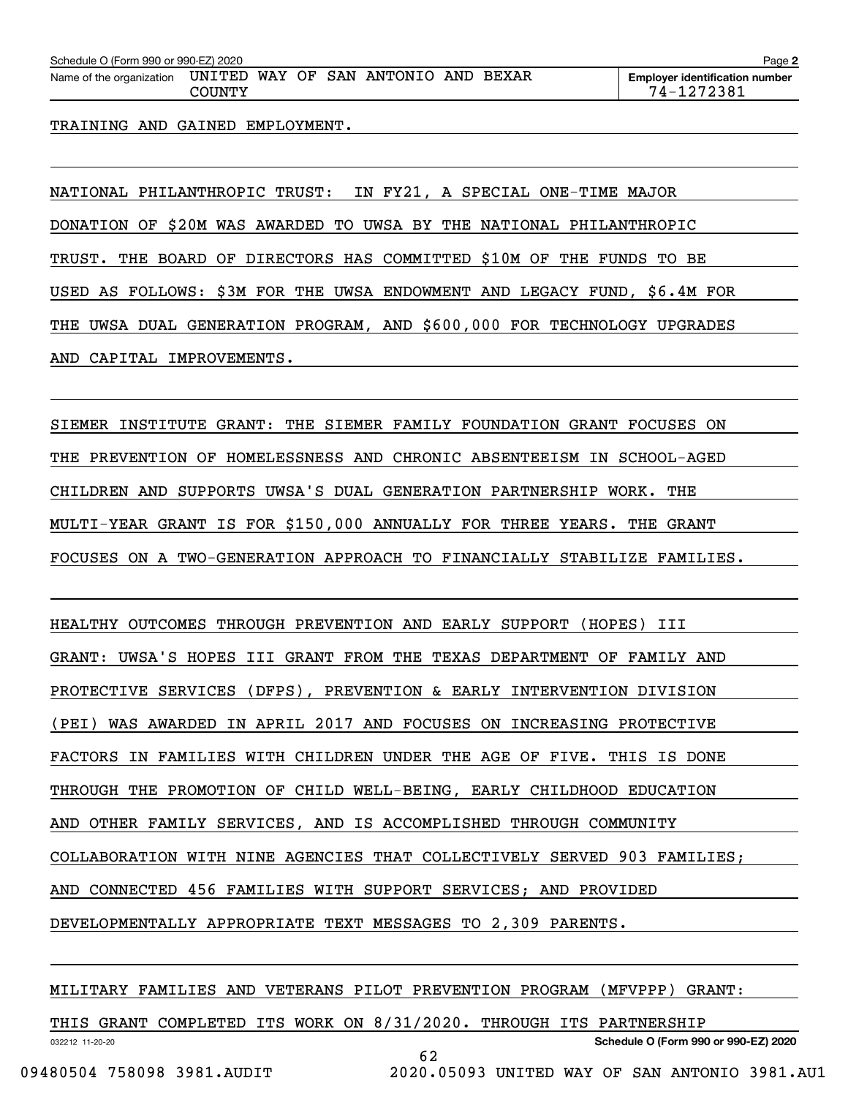| Schedule O (Form 990 or 990-EZ) 2020 |                  |  |                              |  | Page $\geq$                                         |
|--------------------------------------|------------------|--|------------------------------|--|-----------------------------------------------------|
| Name of the organization             | UNITED<br>COUNTY |  | WAY OF SAN ANTONIO AND BEXAR |  | <b>Employer identification number</b><br>74-1272381 |
|                                      |                  |  |                              |  |                                                     |

TRAINING AND GAINED EMPLOYMENT.

NATIONAL PHILANTHROPIC TRUST: IN FY21, A SPECIAL ONE-TIME MAJOR DONATION OF \$20M WAS AWARDED TO UWSA BY THE NATIONAL PHILANTHROPIC TRUST. THE BOARD OF DIRECTORS HAS COMMITTED \$10M OF THE FUNDS TO BE USED AS FOLLOWS: \$3M FOR THE UWSA ENDOWMENT AND LEGACY FUND, \$6.4M FOR THE UWSA DUAL GENERATION PROGRAM, AND \$600,000 FOR TECHNOLOGY UPGRADES

AND CAPITAL IMPROVEMENTS.

SIEMER INSTITUTE GRANT: THE SIEMER FAMILY FOUNDATION GRANT FOCUSES ON THE PREVENTION OF HOMELESSNESS AND CHRONIC ABSENTEEISM IN SCHOOL-AGED CHILDREN AND SUPPORTS UWSA'S DUAL GENERATION PARTNERSHIP WORK. THE MULTI-YEAR GRANT IS FOR \$150,000 ANNUALLY FOR THREE YEARS. THE GRANT FOCUSES ON A TWO-GENERATION APPROACH TO FINANCIALLY STABILIZE FAMILIES.

HEALTHY OUTCOMES THROUGH PREVENTION AND EARLY SUPPORT (HOPES) III GRANT: UWSA'S HOPES III GRANT FROM THE TEXAS DEPARTMENT OF FAMILY AND PROTECTIVE SERVICES (DFPS), PREVENTION & EARLY INTERVENTION DIVISION (PEI) WAS AWARDED IN APRIL 2017 AND FOCUSES ON INCREASING PROTECTIVE FACTORS IN FAMILIES WITH CHILDREN UNDER THE AGE OF FIVE. THIS IS DONE THROUGH THE PROMOTION OF CHILD WELL-BEING, EARLY CHILDHOOD EDUCATION AND OTHER FAMILY SERVICES, AND IS ACCOMPLISHED THROUGH COMMUNITY COLLABORATION WITH NINE AGENCIES THAT COLLECTIVELY SERVED 903 FAMILIES; AND CONNECTED 456 FAMILIES WITH SUPPORT SERVICES; AND PROVIDED DEVELOPMENTALLY APPROPRIATE TEXT MESSAGES TO 2,309 PARENTS.

MILITARY FAMILIES AND VETERANS PILOT PREVENTION PROGRAM (MFVPPP) GRANT:

032212 11-20-20 **Schedule O (Form 990 or 990-EZ) 2020** THIS GRANT COMPLETED ITS WORK ON 8/31/2020. THROUGH ITS PARTNERSHIP 62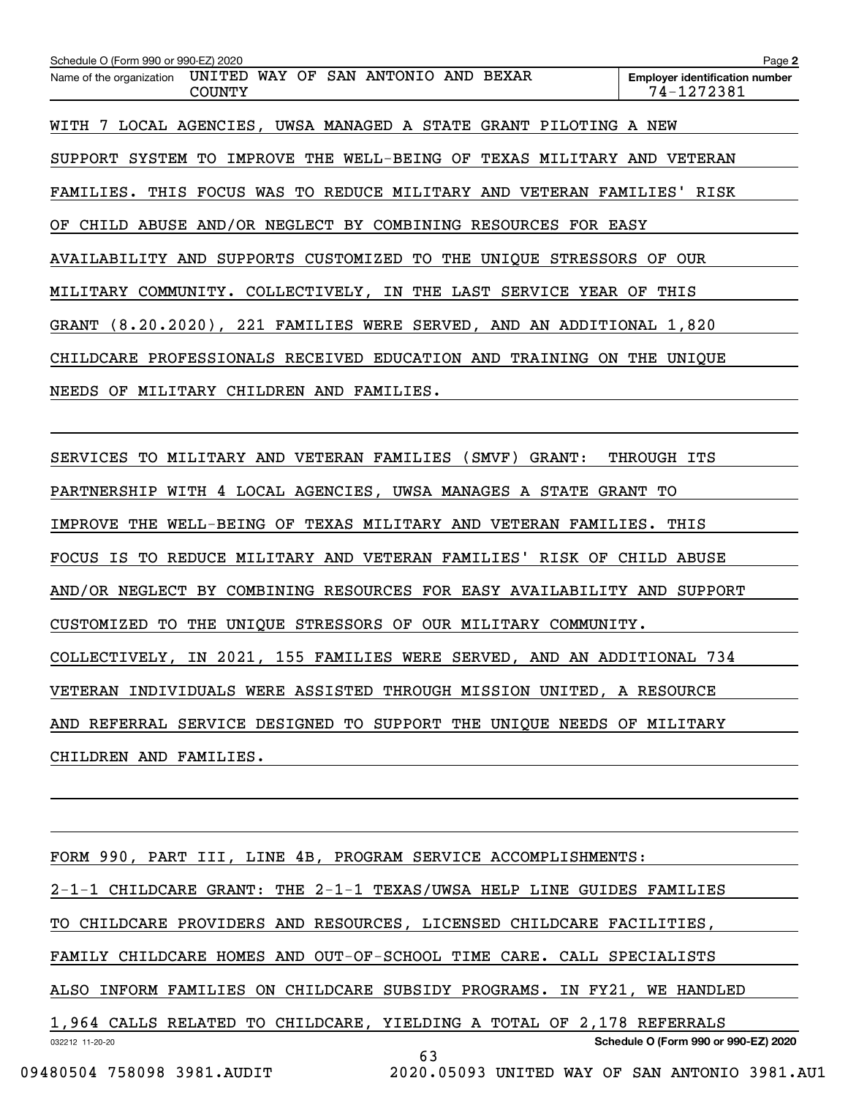| Schedule O (Form 990 or 990-EZ) 2020                                                | Page 2                                              |
|-------------------------------------------------------------------------------------|-----------------------------------------------------|
| WAY OF SAN ANTONIO AND BEXAR<br>UNITED<br>Name of the organization<br><b>COUNTY</b> | <b>Employer identification number</b><br>74-1272381 |
| WITH 7 LOCAL AGENCIES, UWSA MANAGED A STATE GRANT PILOTING A NEW                    |                                                     |
| SUPPORT SYSTEM TO IMPROVE THE WELL-BEING OF TEXAS MILITARY AND VETERAN              |                                                     |
| FAMILIES. THIS FOCUS WAS TO REDUCE MILITARY AND VETERAN FAMILIES' RISK              |                                                     |
| OF CHILD ABUSE AND/OR NEGLECT BY COMBINING RESOURCES FOR EASY                       |                                                     |
| AVAILABILITY AND SUPPORTS CUSTOMIZED TO THE UNIQUE STRESSORS OF                     | OUR                                                 |
| MILITARY COMMUNITY. COLLECTIVELY, IN THE LAST SERVICE YEAR OF                       | THIS                                                |
| GRANT (8.20.2020), 221 FAMILIES WERE SERVED, AND AN ADDITIONAL 1,820                |                                                     |
| CHILDCARE PROFESSIONALS RECEIVED EDUCATION AND<br>TRAINING                          | ON THE<br>UNIQUE                                    |
| NEEDS OF<br>MILITARY<br>CHILDREN AND<br>FAMILIES.                                   |                                                     |
|                                                                                     |                                                     |

SERVICES TO MILITARY AND VETERAN FAMILIES (SMVF) GRANT: THROUGH ITS PARTNERSHIP WITH 4 LOCAL AGENCIES, UWSA MANAGES A STATE GRANT TO IMPROVE THE WELL-BEING OF TEXAS MILITARY AND VETERAN FAMILIES. THIS FOCUS IS TO REDUCE MILITARY AND VETERAN FAMILIES' RISK OF CHILD ABUSE AND/OR NEGLECT BY COMBINING RESOURCES FOR EASY AVAILABILITY AND SUPPORT CUSTOMIZED TO THE UNIQUE STRESSORS OF OUR MILITARY COMMUNITY. COLLECTIVELY, IN 2021, 155 FAMILIES WERE SERVED, AND AN ADDITIONAL 734 VETERAN INDIVIDUALS WERE ASSISTED THROUGH MISSION UNITED, A RESOURCE AND REFERRAL SERVICE DESIGNED TO SUPPORT THE UNIQUE NEEDS OF MILITARY CHILDREN AND FAMILIES.

032212 11-20-20 **Schedule O (Form 990 or 990-EZ) 2020** FORM 990, PART III, LINE 4B, PROGRAM SERVICE ACCOMPLISHMENTS: 2-1-1 CHILDCARE GRANT: THE 2-1-1 TEXAS/UWSA HELP LINE GUIDES FAMILIES TO CHILDCARE PROVIDERS AND RESOURCES, LICENSED CHILDCARE FACILITIES, FAMILY CHILDCARE HOMES AND OUT-OF-SCHOOL TIME CARE. CALL SPECIALISTS ALSO INFORM FAMILIES ON CHILDCARE SUBSIDY PROGRAMS. IN FY21, WE HANDLED 1,964 CALLS RELATED TO CHILDCARE, YIELDING A TOTAL OF 2,178 REFERRALS 63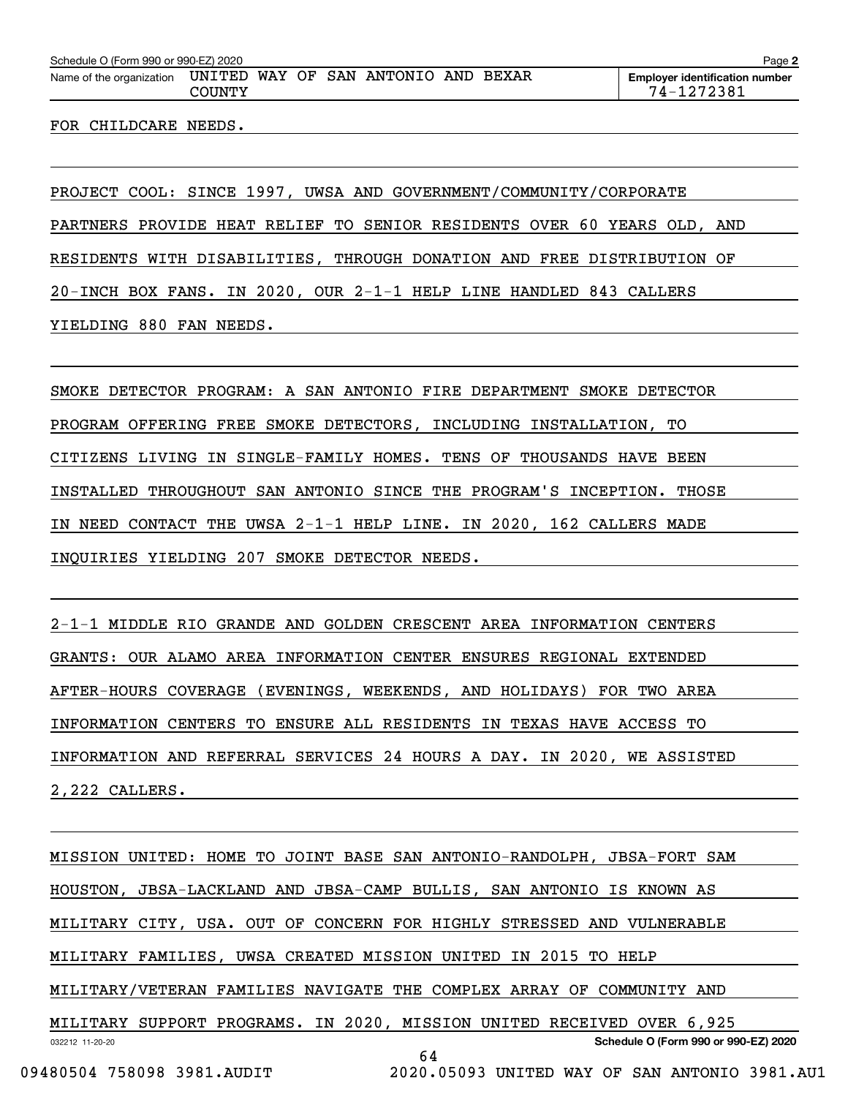| Schedule O (Form 990 or 990-EZ) 2020 |                  |  |                              |  | Page 2                                              |
|--------------------------------------|------------------|--|------------------------------|--|-----------------------------------------------------|
| Name of the organization             | UNITED<br>COUNTY |  | WAY OF SAN ANTONIO AND BEXAR |  | <b>Employer identification number</b><br>74-1272381 |
|                                      |                  |  |                              |  |                                                     |

FOR CHILDCARE NEEDS.

PROJECT COOL: SINCE 1997, UWSA AND GOVERNMENT/COMMUNITY/CORPORATE PARTNERS PROVIDE HEAT RELIEF TO SENIOR RESIDENTS OVER 60 YEARS OLD, AND RESIDENTS WITH DISABILITIES, THROUGH DONATION AND FREE DISTRIBUTION OF 20-INCH BOX FANS. IN 2020, OUR 2-1-1 HELP LINE HANDLED 843 CALLERS YIELDING 880 FAN NEEDS.

SMOKE DETECTOR PROGRAM: A SAN ANTONIO FIRE DEPARTMENT SMOKE DETECTOR PROGRAM OFFERING FREE SMOKE DETECTORS, INCLUDING INSTALLATION, TO CITIZENS LIVING IN SINGLE-FAMILY HOMES. TENS OF THOUSANDS HAVE BEEN INSTALLED THROUGHOUT SAN ANTONIO SINCE THE PROGRAM'S INCEPTION. THOSE IN NEED CONTACT THE UWSA 2-1-1 HELP LINE. IN 2020, 162 CALLERS MADE INQUIRIES YIELDING 207 SMOKE DETECTOR NEEDS.

2-1-1 MIDDLE RIO GRANDE AND GOLDEN CRESCENT AREA INFORMATION CENTERS GRANTS: OUR ALAMO AREA INFORMATION CENTER ENSURES REGIONAL EXTENDED AFTER-HOURS COVERAGE (EVENINGS, WEEKENDS, AND HOLIDAYS) FOR TWO AREA INFORMATION CENTERS TO ENSURE ALL RESIDENTS IN TEXAS HAVE ACCESS TO INFORMATION AND REFERRAL SERVICES 24 HOURS A DAY. IN 2020, WE ASSISTED 2,222 CALLERS.

032212 11-20-20 **Schedule O (Form 990 or 990-EZ) 2020** MISSION UNITED: HOME TO JOINT BASE SAN ANTONIO-RANDOLPH, JBSA-FORT SAM HOUSTON, JBSA-LACKLAND AND JBSA-CAMP BULLIS, SAN ANTONIO IS KNOWN AS MILITARY CITY, USA. OUT OF CONCERN FOR HIGHLY STRESSED AND VULNERABLE MILITARY FAMILIES, UWSA CREATED MISSION UNITED IN 2015 TO HELP MILITARY/VETERAN FAMILIES NAVIGATE THE COMPLEX ARRAY OF COMMUNITY AND MILITARY SUPPORT PROGRAMS. IN 2020, MISSION UNITED RECEIVED OVER 6,925 64

 <sup>09480504 758098 3981.</sup>AUDIT 2020.05093 UNITED WAY OF SAN ANTONIO 3981.AU1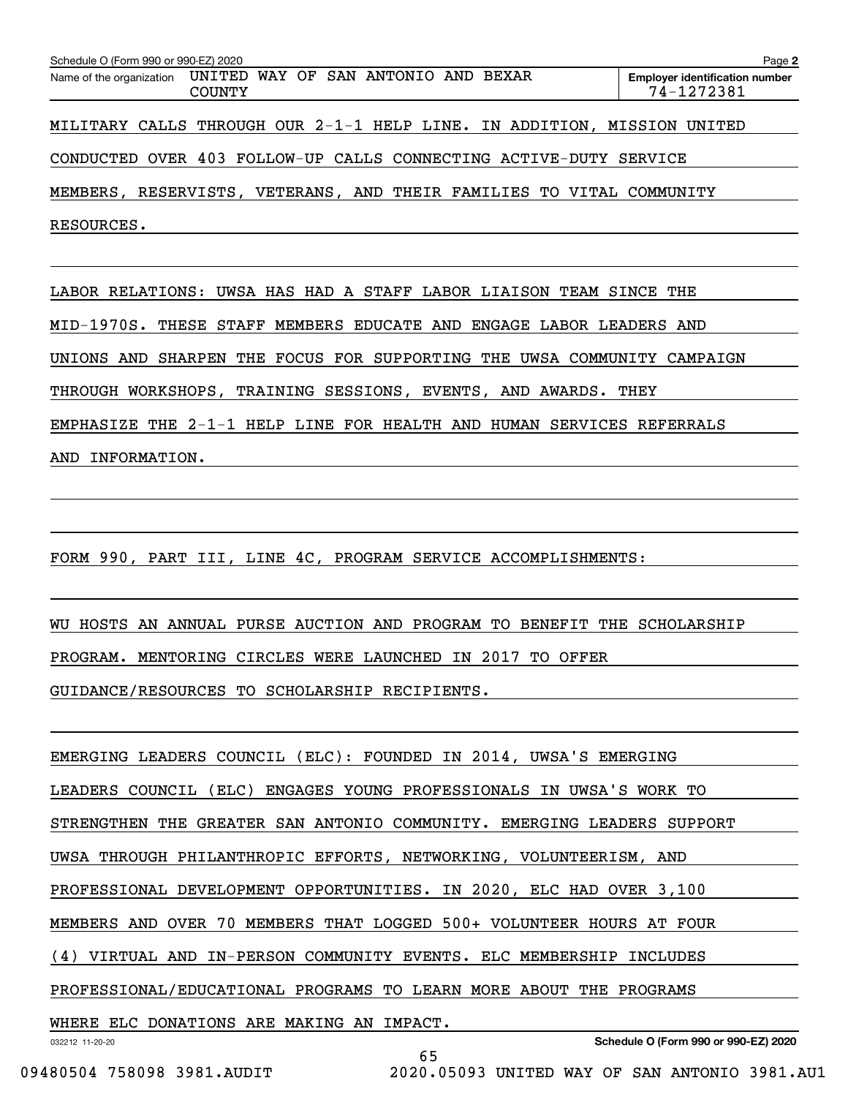| Schedule O (Form 990 or 990-EZ) 2020                     |               |                                     |                                                                      | Page 2                                              |
|----------------------------------------------------------|---------------|-------------------------------------|----------------------------------------------------------------------|-----------------------------------------------------|
| Name of the organization                                 | <b>COUNTY</b> | UNITED WAY OF SAN ANTONIO AND BEXAR |                                                                      | <b>Employer identification number</b><br>74-1272381 |
| MILITARY CALLS THROUGH OUR 2-1-1 HELP LINE. IN ADDITION, |               |                                     |                                                                      | MISSION UNITED                                      |
|                                                          |               |                                     | CONDUCTED OVER 403 FOLLOW-UP CALLS CONNECTING ACTIVE-DUTY SERVICE    |                                                     |
|                                                          |               |                                     | MEMBERS, RESERVISTS, VETERANS, AND THEIR FAMILIES TO VITAL COMMUNITY |                                                     |
| RESOURCES.                                               |               |                                     |                                                                      |                                                     |
|                                                          |               |                                     |                                                                      |                                                     |

LABOR RELATIONS: UWSA HAS HAD A STAFF LABOR LIAISON TEAM SINCE THE MID-1970S. THESE STAFF MEMBERS EDUCATE AND ENGAGE LABOR LEADERS AND UNIONS AND SHARPEN THE FOCUS FOR SUPPORTING THE UWSA COMMUNITY CAMPAIGN THROUGH WORKSHOPS, TRAINING SESSIONS, EVENTS, AND AWARDS. THEY EMPHASIZE THE 2-1-1 HELP LINE FOR HEALTH AND HUMAN SERVICES REFERRALS AND INFORMATION.

FORM 990, PART III, LINE 4C, PROGRAM SERVICE ACCOMPLISHMENTS:

WU HOSTS AN ANNUAL PURSE AUCTION AND PROGRAM TO BENEFIT THE SCHOLARSHIP PROGRAM. MENTORING CIRCLES WERE LAUNCHED IN 2017 TO OFFER

GUIDANCE/RESOURCES TO SCHOLARSHIP RECIPIENTS.

EMERGING LEADERS COUNCIL (ELC): FOUNDED IN 2014, UWSA'S EMERGING

LEADERS COUNCIL (ELC) ENGAGES YOUNG PROFESSIONALS IN UWSA'S WORK TO

STRENGTHEN THE GREATER SAN ANTONIO COMMUNITY. EMERGING LEADERS SUPPORT

UWSA THROUGH PHILANTHROPIC EFFORTS, NETWORKING, VOLUNTEERISM, AND

PROFESSIONAL DEVELOPMENT OPPORTUNITIES. IN 2020, ELC HAD OVER 3,100

MEMBERS AND OVER 70 MEMBERS THAT LOGGED 500+ VOLUNTEER HOURS AT FOUR

(4) VIRTUAL AND IN-PERSON COMMUNITY EVENTS. ELC MEMBERSHIP INCLUDES

PROFESSIONAL/EDUCATIONAL PROGRAMS TO LEARN MORE ABOUT THE PROGRAMS

65

WHERE ELC DONATIONS ARE MAKING AN IMPACT.

032212 11-20-20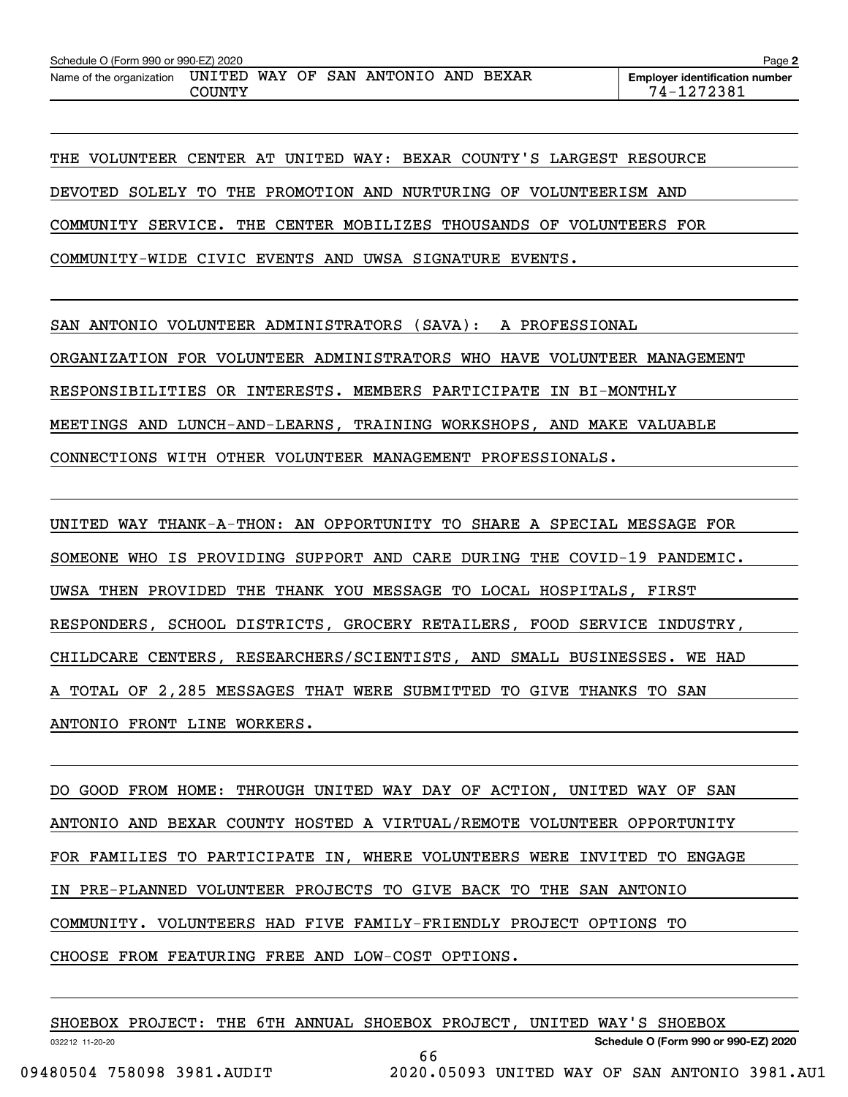| Schedule O (Form 990 or 990-EZ) 2020 |                  |  |                        |       | Page 2                                              |
|--------------------------------------|------------------|--|------------------------|-------|-----------------------------------------------------|
| Name of the organization             | UNITED<br>COUNTY |  | WAY OF SAN ANTONIO AND | BEXAR | <b>Employer identification number</b><br>74-1272381 |

THE VOLUNTEER CENTER AT UNITED WAY: BEXAR COUNTY'S LARGEST RESOURCE DEVOTED SOLELY TO THE PROMOTION AND NURTURING OF VOLUNTEERISM AND COMMUNITY SERVICE. THE CENTER MOBILIZES THOUSANDS OF VOLUNTEERS FOR COMMUNITY-WIDE CIVIC EVENTS AND UWSA SIGNATURE EVENTS.

SAN ANTONIO VOLUNTEER ADMINISTRATORS (SAVA): A PROFESSIONAL

ORGANIZATION FOR VOLUNTEER ADMINISTRATORS WHO HAVE VOLUNTEER MANAGEMENT

RESPONSIBILITIES OR INTERESTS. MEMBERS PARTICIPATE IN BI-MONTHLY

MEETINGS AND LUNCH-AND-LEARNS, TRAINING WORKSHOPS, AND MAKE VALUABLE

CONNECTIONS WITH OTHER VOLUNTEER MANAGEMENT PROFESSIONALS.

UNITED WAY THANK-A-THON: AN OPPORTUNITY TO SHARE A SPECIAL MESSAGE FOR SOMEONE WHO IS PROVIDING SUPPORT AND CARE DURING THE COVID-19 PANDEMIC. UWSA THEN PROVIDED THE THANK YOU MESSAGE TO LOCAL HOSPITALS, FIRST RESPONDERS, SCHOOL DISTRICTS, GROCERY RETAILERS, FOOD SERVICE INDUSTRY, CHILDCARE CENTERS, RESEARCHERS/SCIENTISTS, AND SMALL BUSINESSES. WE HAD A TOTAL OF 2,285 MESSAGES THAT WERE SUBMITTED TO GIVE THANKS TO SAN ANTONIO FRONT LINE WORKERS.

DO GOOD FROM HOME: THROUGH UNITED WAY DAY OF ACTION, UNITED WAY OF SAN ANTONIO AND BEXAR COUNTY HOSTED A VIRTUAL/REMOTE VOLUNTEER OPPORTUNITY FOR FAMILIES TO PARTICIPATE IN, WHERE VOLUNTEERS WERE INVITED TO ENGAGE IN PRE-PLANNED VOLUNTEER PROJECTS TO GIVE BACK TO THE SAN ANTONIO COMMUNITY. VOLUNTEERS HAD FIVE FAMILY-FRIENDLY PROJECT OPTIONS TO CHOOSE FROM FEATURING FREE AND LOW-COST OPTIONS.

|                            | SHOEBOX PROJECT: THE 6TH ANNUAL SHOEBOX PROJECT, UNITED WAY'S SHOEBOX |  |    |  |  |                                               |  |
|----------------------------|-----------------------------------------------------------------------|--|----|--|--|-----------------------------------------------|--|
| 032212 11-20-20            |                                                                       |  |    |  |  | Schedule O (Form 990 or 990-EZ) 2020          |  |
|                            |                                                                       |  | 66 |  |  |                                               |  |
| 09480504 758098 3981.AUDIT |                                                                       |  |    |  |  | 2020.05093 UNITED WAY OF SAN ANTONIO 3981.AU1 |  |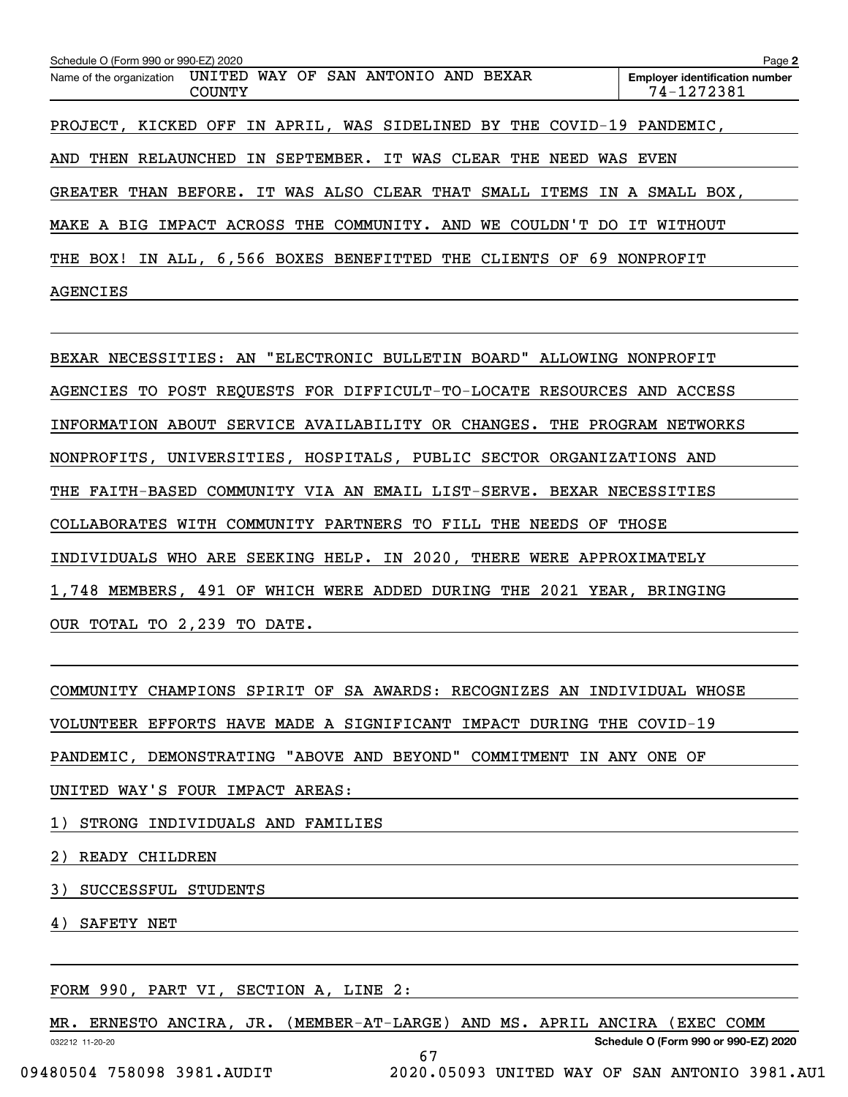| Schedule O (Form 990 or 990-EZ) 2020                                             | Page 2                                              |
|----------------------------------------------------------------------------------|-----------------------------------------------------|
| UNITED WAY OF SAN ANTONIO AND BEXAR<br>Name of the organization<br><b>COUNTY</b> | <b>Employer identification number</b><br>74-1272381 |
| PROJECT, KICKED OFF IN APRIL, WAS SIDELINED BY THE COVID-19 PANDEMIC,            |                                                     |
| THEN RELAUNCHED IN SEPTEMBER. IT WAS CLEAR THE NEED WAS EVEN<br>AND              |                                                     |
| GREATER THAN BEFORE. IT WAS ALSO CLEAR THAT SMALL ITEMS IN A SMALL BOX,          |                                                     |
| MAKE A BIG IMPACT ACROSS THE COMMUNITY. AND WE COULDN'T DO IT WITHOUT            |                                                     |
| IN ALL, 6,566 BOXES BENEFITTED THE CLIENTS OF 69 NONPROFIT<br>THE BOX!           |                                                     |
| <b>AGENCIES</b>                                                                  |                                                     |

BEXAR NECESSITIES: AN "ELECTRONIC BULLETIN BOARD" ALLOWING NONPROFIT AGENCIES TO POST REQUESTS FOR DIFFICULT-TO-LOCATE RESOURCES AND ACCESS INFORMATION ABOUT SERVICE AVAILABILITY OR CHANGES. THE PROGRAM NETWORKS NONPROFITS, UNIVERSITIES, HOSPITALS, PUBLIC SECTOR ORGANIZATIONS AND THE FAITH-BASED COMMUNITY VIA AN EMAIL LIST-SERVE. BEXAR NECESSITIES COLLABORATES WITH COMMUNITY PARTNERS TO FILL THE NEEDS OF THOSE INDIVIDUALS WHO ARE SEEKING HELP. IN 2020, THERE WERE APPROXIMATELY 1,748 MEMBERS, 491 OF WHICH WERE ADDED DURING THE 2021 YEAR, BRINGING OUR TOTAL TO 2,239 TO DATE.

COMMUNITY CHAMPIONS SPIRIT OF SA AWARDS: RECOGNIZES AN INDIVIDUAL WHOSE VOLUNTEER EFFORTS HAVE MADE A SIGNIFICANT IMPACT DURING THE COVID-19 PANDEMIC, DEMONSTRATING "ABOVE AND BEYOND" COMMITMENT IN ANY ONE OF UNITED WAY'S FOUR IMPACT AREAS:

1) STRONG INDIVIDUALS AND FAMILIES

2) READY CHILDREN

3) SUCCESSFUL STUDENTS

4) SAFETY NET

FORM 990, PART VI, SECTION A, LINE 2:

032212 11-20-20 MR. ERNESTO ANCIRA, JR. (MEMBER-AT-LARGE) AND MS. APRIL ANCIRA (EXEC COMM

67

**Schedule O (Form 990 or 990-EZ) 2020**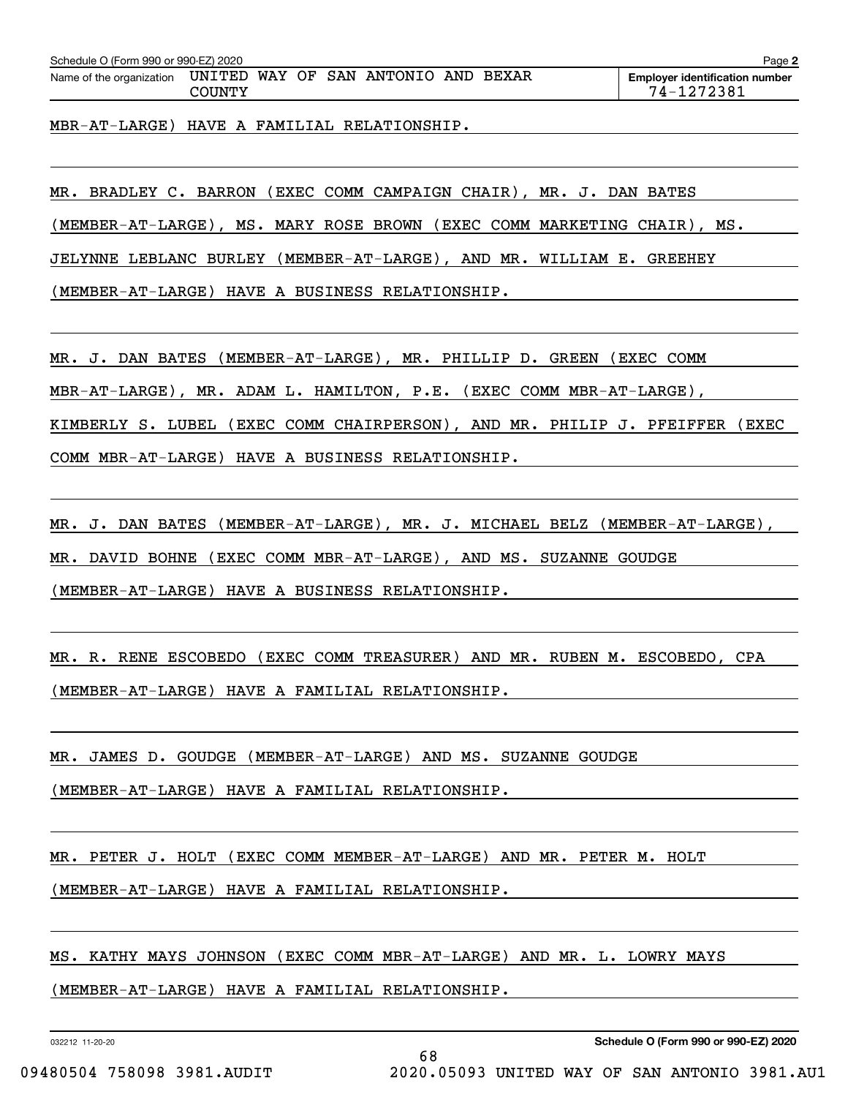| Schedule O (Form 990 or 990-EZ) 2020 |                  |  |                        |       | Page 2                                              |
|--------------------------------------|------------------|--|------------------------|-------|-----------------------------------------------------|
| Name of the organization             | UNITED<br>COUNTY |  | WAY OF SAN ANTONIO AND | BEXAR | <b>Employer identification number</b><br>74-1272381 |

MBR-AT-LARGE) HAVE A FAMILIAL RELATIONSHIP.

MR. BRADLEY C. BARRON (EXEC COMM CAMPAIGN CHAIR), MR. J. DAN BATES

(MEMBER-AT-LARGE), MS. MARY ROSE BROWN (EXEC COMM MARKETING CHAIR), MS.

JELYNNE LEBLANC BURLEY (MEMBER-AT-LARGE), AND MR. WILLIAM E. GREEHEY

(MEMBER-AT-LARGE) HAVE A BUSINESS RELATIONSHIP.

MR. J. DAN BATES (MEMBER-AT-LARGE), MR. PHILLIP D. GREEN (EXEC COMM

MBR-AT-LARGE), MR. ADAM L. HAMILTON, P.E. (EXEC COMM MBR-AT-LARGE),

KIMBERLY S. LUBEL (EXEC COMM CHAIRPERSON), AND MR. PHILIP J. PFEIFFER (EXEC

COMM MBR-AT-LARGE) HAVE A BUSINESS RELATIONSHIP.

MR. J. DAN BATES (MEMBER-AT-LARGE), MR. J. MICHAEL BELZ (MEMBER-AT-LARGE), MR. DAVID BOHNE (EXEC COMM MBR-AT-LARGE), AND MS. SUZANNE GOUDGE (MEMBER-AT-LARGE) HAVE A BUSINESS RELATIONSHIP.

MR. R. RENE ESCOBEDO (EXEC COMM TREASURER) AND MR. RUBEN M. ESCOBEDO, CPA (MEMBER-AT-LARGE) HAVE A FAMILIAL RELATIONSHIP.

MR. JAMES D. GOUDGE (MEMBER-AT-LARGE) AND MS. SUZANNE GOUDGE

(MEMBER-AT-LARGE) HAVE A FAMILIAL RELATIONSHIP.

MR. PETER J. HOLT (EXEC COMM MEMBER-AT-LARGE) AND MR. PETER M. HOLT

(MEMBER-AT-LARGE) HAVE A FAMILIAL RELATIONSHIP.

MS. KATHY MAYS JOHNSON (EXEC COMM MBR-AT-LARGE) AND MR. L. LOWRY MAYS

(MEMBER-AT-LARGE) HAVE A FAMILIAL RELATIONSHIP.

032212 11-20-20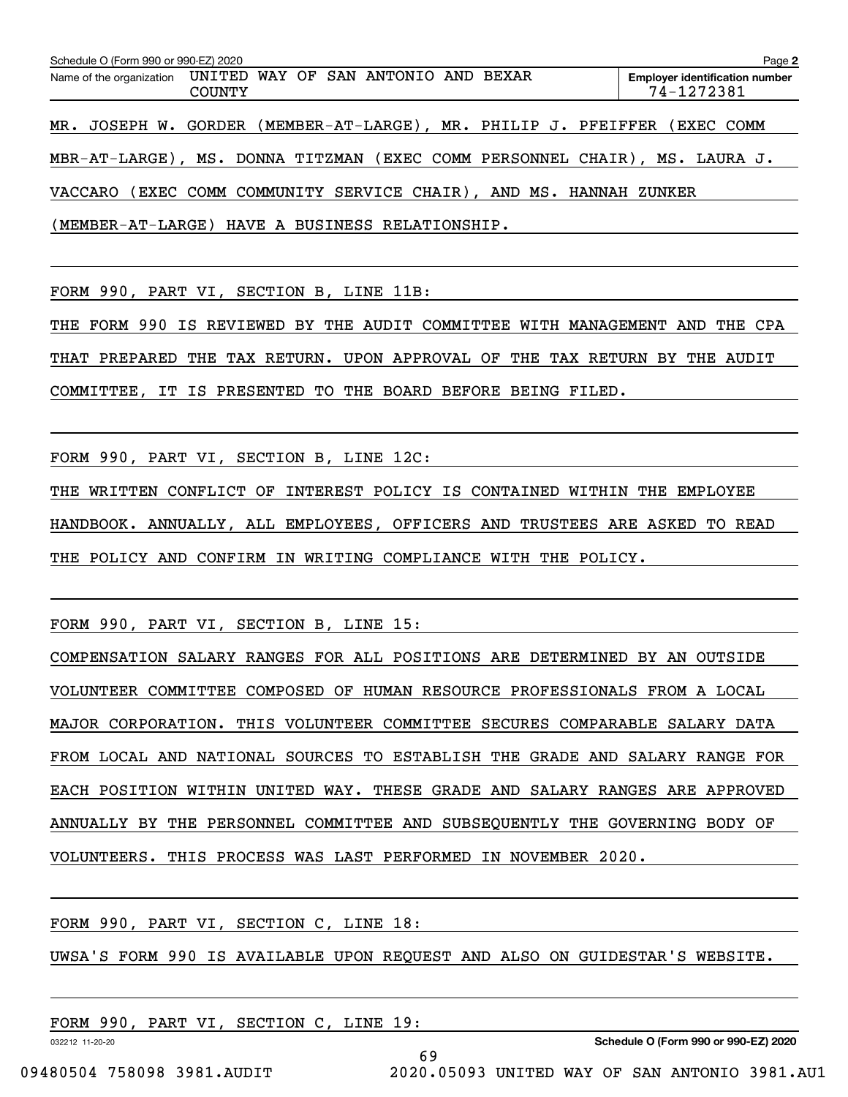| Schedule O (Form 990 or 990-EZ) 2020                         |               |  |                                                                    | Page 2                                                                     |
|--------------------------------------------------------------|---------------|--|--------------------------------------------------------------------|----------------------------------------------------------------------------|
| Name of the organization UNITED WAY OF SAN ANTONIO AND BEXAR | <b>COUNTY</b> |  |                                                                    | <b>Employer identification number</b><br>74-1272381                        |
|                                                              |               |  | MR. JOSEPH W. GORDER (MEMBER-AT-LARGE), MR. PHILIP J. PFEIFFER     | (EXEC COMM                                                                 |
|                                                              |               |  |                                                                    | MBR-AT-LARGE), MS. DONNA TITZMAN (EXEC COMM PERSONNEL CHAIR), MS. LAURA J. |
|                                                              |               |  | VACCARO (EXEC COMM COMMUNITY SERVICE CHAIR), AND MS. HANNAH ZUNKER |                                                                            |
| (MEMBER-AT-LARGE) HAVE A BUSINESS RELATIONSHIP.              |               |  |                                                                    |                                                                            |

FORM 990, PART VI, SECTION B, LINE 11B:

THE FORM 990 IS REVIEWED BY THE AUDIT COMMITTEE WITH MANAGEMENT AND THE CPA THAT PREPARED THE TAX RETURN. UPON APPROVAL OF THE TAX RETURN BY THE AUDIT COMMITTEE, IT IS PRESENTED TO THE BOARD BEFORE BEING FILED.

FORM 990, PART VI, SECTION B, LINE 12C:

THE WRITTEN CONFLICT OF INTEREST POLICY IS CONTAINED WITHIN THE EMPLOYEE HANDBOOK. ANNUALLY, ALL EMPLOYEES, OFFICERS AND TRUSTEES ARE ASKED TO READ THE POLICY AND CONFIRM IN WRITING COMPLIANCE WITH THE POLICY.

FORM 990, PART VI, SECTION B, LINE 15:

COMPENSATION SALARY RANGES FOR ALL POSITIONS ARE DETERMINED BY AN OUTSIDE VOLUNTEER COMMITTEE COMPOSED OF HUMAN RESOURCE PROFESSIONALS FROM A LOCAL MAJOR CORPORATION. THIS VOLUNTEER COMMITTEE SECURES COMPARABLE SALARY DATA FROM LOCAL AND NATIONAL SOURCES TO ESTABLISH THE GRADE AND SALARY RANGE FOR EACH POSITION WITHIN UNITED WAY. THESE GRADE AND SALARY RANGES ARE APPROVED ANNUALLY BY THE PERSONNEL COMMITTEE AND SUBSEQUENTLY THE GOVERNING BODY OF VOLUNTEERS. THIS PROCESS WAS LAST PERFORMED IN NOVEMBER 2020.

FORM 990, PART VI, SECTION C, LINE 18:

UWSA'S FORM 990 IS AVAILABLE UPON REQUEST AND ALSO ON GUIDESTAR'S WEBSITE.

69

FORM 990, PART VI, SECTION C, LINE 19:

032212 11-20-20

**Schedule O (Form 990 or 990-EZ) 2020**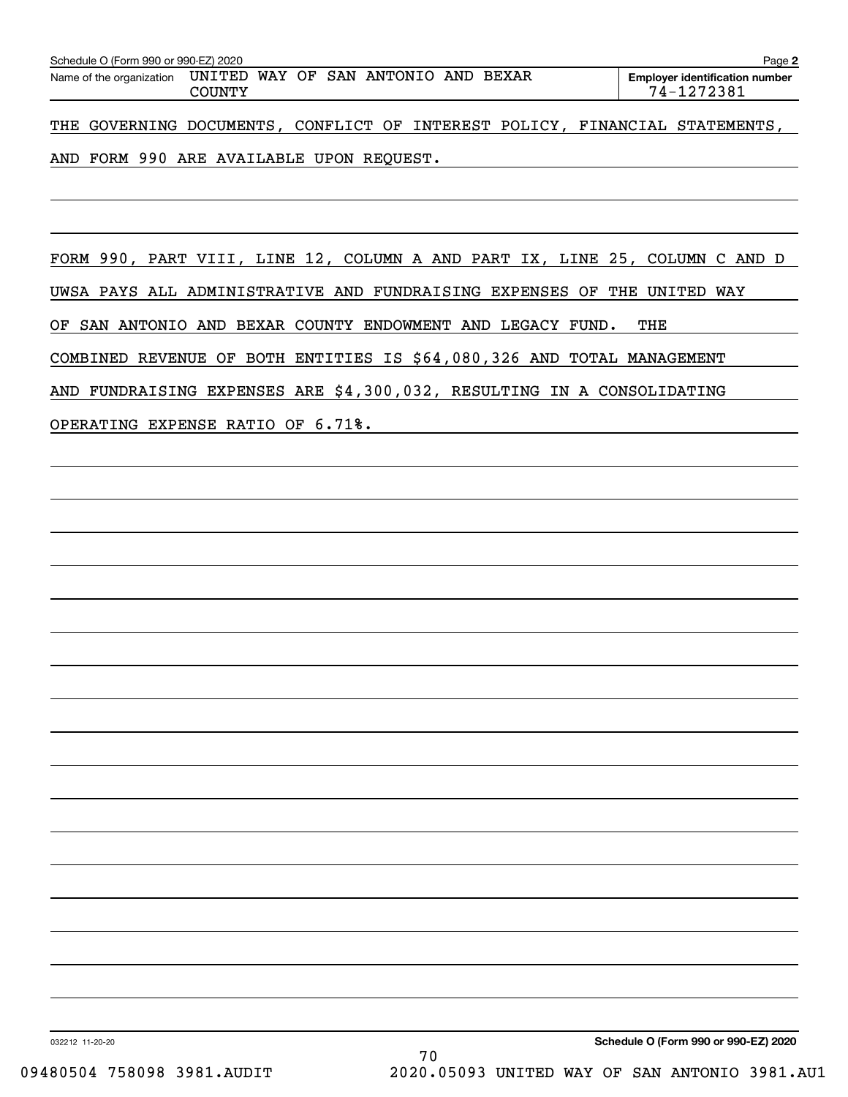| Schedule O (Form 990 or 990-EZ) 2020<br>Page 2 |        |                                                              |  |                                                                             |  |  |  |  |  |
|------------------------------------------------|--------|--------------------------------------------------------------|--|-----------------------------------------------------------------------------|--|--|--|--|--|
|                                                | COUNTY | Name of the organization UNITED WAY OF SAN ANTONIO AND BEXAR |  | <b>Employer identification number</b><br>74-1272381                         |  |  |  |  |  |
|                                                |        |                                                              |  | THE GOVERNING DOCUMENTS, CONFLICT OF INTEREST POLICY, FINANCIAL STATEMENTS, |  |  |  |  |  |

# AND FORM 990 ARE AVAILABLE UPON REQUEST.

FORM 990, PART VIII, LINE 12, COLUMN A AND PART IX, LINE 25, COLUMN C AND D UWSA PAYS ALL ADMINISTRATIVE AND FUNDRAISING EXPENSES OF THE UNITED WAY OF SAN ANTONIO AND BEXAR COUNTY ENDOWMENT AND LEGACY FUND. THE COMBINED REVENUE OF BOTH ENTITIES IS \$64,080,326 AND TOTAL MANAGEMENT AND FUNDRAISING EXPENSES ARE \$4,300,032, RESULTING IN A CONSOLIDATING OPERATING EXPENSE RATIO OF 6.71%.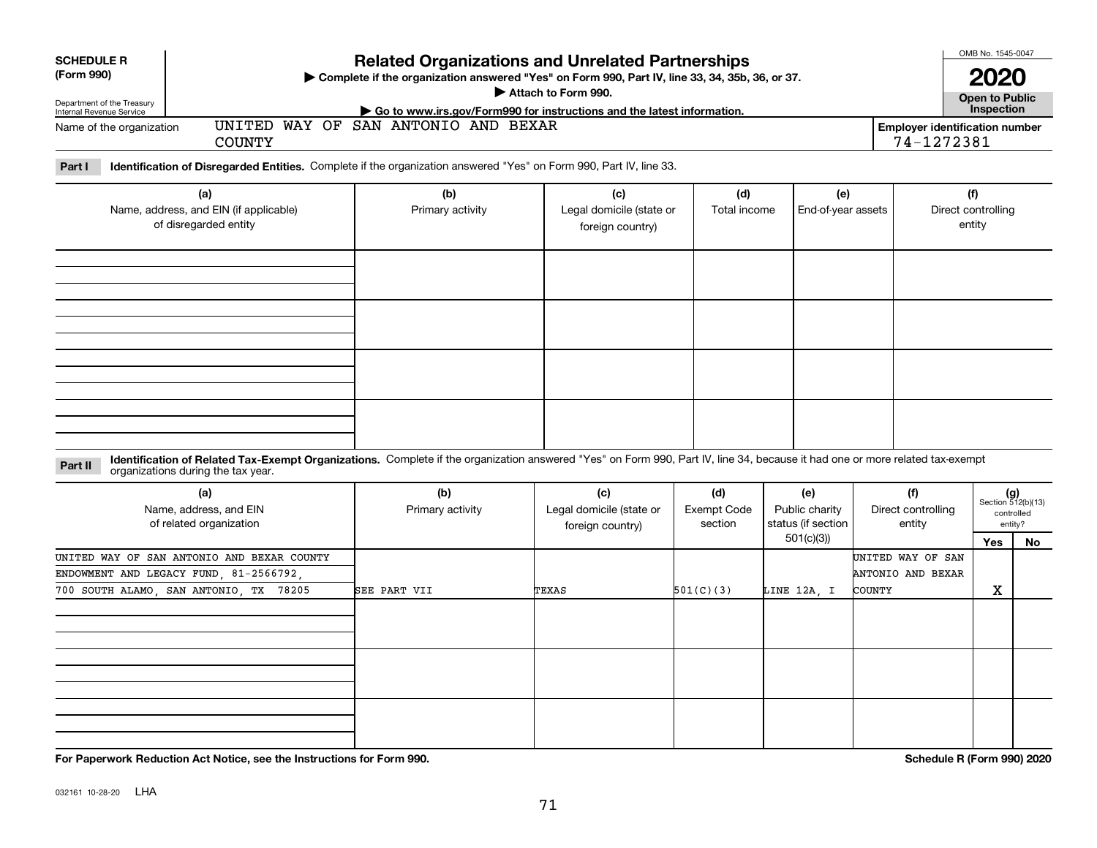| <b>SCHEDULE R</b><br>(Form 990)<br>Department of the Treasury<br>Internal Revenue Service<br>UNITED<br>Name of the organization<br><b>COUNTY</b>                                                                              | <b>Related Organizations and Unrelated Partnerships</b><br>> Complete if the organization answered "Yes" on Form 990, Part IV, line 33, 34, 35b, 36, or 37.<br>► Go to www.irs.gov/Form990 for instructions and the latest information.<br>WAY OF SAN ANTONIO AND BEXAR | Attach to Form 990.                                 |                                      |                                                          | <b>Employer identification number</b><br>74-1272381 | OMB No. 1545-0047<br>2020<br><b>Open to Public</b><br>Inspection |                             |
|-------------------------------------------------------------------------------------------------------------------------------------------------------------------------------------------------------------------------------|-------------------------------------------------------------------------------------------------------------------------------------------------------------------------------------------------------------------------------------------------------------------------|-----------------------------------------------------|--------------------------------------|----------------------------------------------------------|-----------------------------------------------------|------------------------------------------------------------------|-----------------------------|
| Identification of Disregarded Entities. Complete if the organization answered "Yes" on Form 990, Part IV, line 33.<br>Part I<br>(a)<br>Name, address, and EIN (if applicable)<br>of disregarded entity                        | (b)<br>Primary activity                                                                                                                                                                                                                                                 | (c)<br>Legal domicile (state or<br>foreign country) | (d)<br>Total income                  | (e)<br>End-of-year assets                                | Direct controlling                                  | (f)<br>entity                                                    |                             |
|                                                                                                                                                                                                                               |                                                                                                                                                                                                                                                                         |                                                     |                                      |                                                          |                                                     |                                                                  |                             |
|                                                                                                                                                                                                                               |                                                                                                                                                                                                                                                                         |                                                     |                                      |                                                          |                                                     |                                                                  |                             |
| Identification of Related Tax-Exempt Organizations. Complete if the organization answered "Yes" on Form 990, Part IV, line 34, because it had one or more related tax-exempt<br>Part II<br>organizations during the tax year. |                                                                                                                                                                                                                                                                         |                                                     |                                      |                                                          |                                                     |                                                                  |                             |
| (a)<br>Name, address, and EIN<br>of related organization                                                                                                                                                                      | (b)<br>Primary activity                                                                                                                                                                                                                                                 | (c)<br>Legal domicile (state or<br>foreign country) | (d)<br><b>Exempt Code</b><br>section | (e)<br>Public charity<br>status (if section<br>501(c)(3) | (f)<br>Direct controlling<br>entity                 | $(g)$<br>Section 512(b)(13)                                      | controlled<br>entity?<br>No |
| UNITED WAY OF SAN ANTONIO AND BEXAR COUNTY                                                                                                                                                                                    |                                                                                                                                                                                                                                                                         |                                                     |                                      |                                                          | UNITED WAY OF SAN                                   | Yes                                                              |                             |

| (a)<br>Name, address, and EIN<br>of related organization | (b)<br>Primary activity | (c)<br>Legal domicile (state or<br>foreign country) | (d)<br><b>Exempt Code</b><br>section | (e)<br>Public charity<br>status (if section | (f)<br>Direct controlling<br>entity | $(g)$<br>Section 512(b)(13)<br>controlled<br>entity? |    |
|----------------------------------------------------------|-------------------------|-----------------------------------------------------|--------------------------------------|---------------------------------------------|-------------------------------------|------------------------------------------------------|----|
|                                                          |                         |                                                     |                                      | 501(c)(3))                                  |                                     | Yes                                                  | No |
| UNITED WAY OF SAN ANTONIO AND BEXAR COUNTY               |                         |                                                     |                                      |                                             | UNITED WAY OF SAN                   |                                                      |    |
| ENDOWMENT AND LEGACY FUND, 81-2566792,                   |                         |                                                     |                                      |                                             | ANTONIO AND BEXAR                   |                                                      |    |
| 700 SOUTH ALAMO, SAN ANTONIO, TX 78205                   | SEE PART VII            | TEXAS                                               | 501(C)(3)                            | LINE 12A, I                                 | COUNTY                              | X                                                    |    |
|                                                          |                         |                                                     |                                      |                                             |                                     |                                                      |    |
|                                                          |                         |                                                     |                                      |                                             |                                     |                                                      |    |
|                                                          |                         |                                                     |                                      |                                             |                                     |                                                      |    |
|                                                          |                         |                                                     |                                      |                                             |                                     |                                                      |    |
|                                                          |                         |                                                     |                                      |                                             |                                     |                                                      |    |
|                                                          |                         |                                                     |                                      |                                             |                                     |                                                      |    |
|                                                          |                         |                                                     |                                      |                                             |                                     |                                                      |    |
|                                                          |                         |                                                     |                                      |                                             |                                     |                                                      |    |
|                                                          |                         |                                                     |                                      |                                             |                                     |                                                      |    |

**For Paperwork Reduction Act Notice, see the Instructions for Form 990. Schedule R (Form 990) 2020**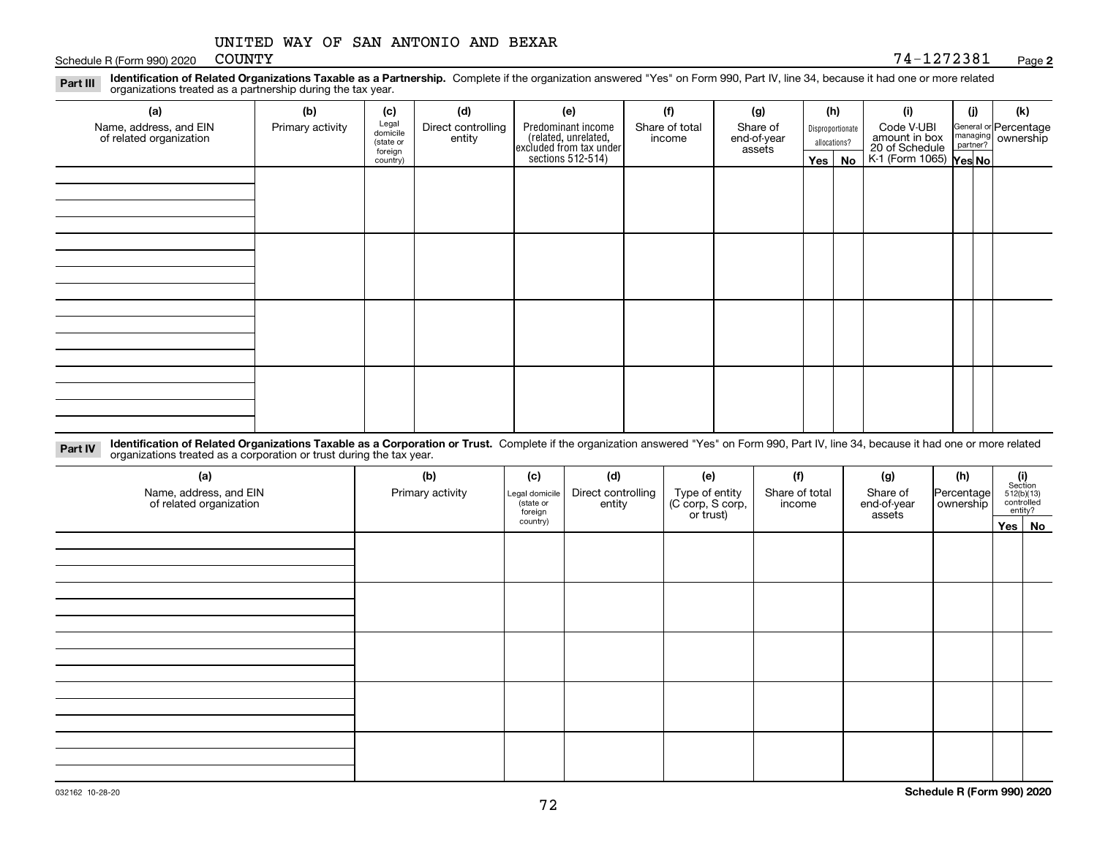Schedule R (Form 990) 2020 COUNTY

#### **2**COUNTY 74-1272381

**Identification of Related Organizations Taxable as a Partnership.** Complete if the organization answered "Yes" on Form 990, Part IV, line 34, because it had one or more related **Part III** organizations treated as a partnership during the tax year.

| (a)                                               | (b)              | (c)                  | (d)                          | (e)                                                                                       | (f)                      | (g)                               |                                  | (h) | (i)                                                                     | (j) | (k)                                                       |
|---------------------------------------------------|------------------|----------------------|------------------------------|-------------------------------------------------------------------------------------------|--------------------------|-----------------------------------|----------------------------------|-----|-------------------------------------------------------------------------|-----|-----------------------------------------------------------|
| Name, address, and EIN<br>of related organization | Primary activity | Legal<br>domicile    | Direct controlling<br>entity | Predominant income<br>related, unrelated,<br>excluded from tax under<br>sections 512-514) | Share of total<br>income | Share of<br>end-of-year<br>assets | Disproportionate<br>allocations? |     | Code V-UBI<br>amount in box<br>20 of Schedule<br>K-1 (Form 1065) Yes No |     | General or Percentage<br>managing<br>partner?<br>partner? |
|                                                   |                  | (state or<br>foreign |                              |                                                                                           |                          |                                   |                                  |     |                                                                         |     |                                                           |
|                                                   |                  | country)             |                              |                                                                                           |                          |                                   | Yes $ $                          | No  |                                                                         |     |                                                           |
|                                                   |                  |                      |                              |                                                                                           |                          |                                   |                                  |     |                                                                         |     |                                                           |
|                                                   |                  |                      |                              |                                                                                           |                          |                                   |                                  |     |                                                                         |     |                                                           |
|                                                   |                  |                      |                              |                                                                                           |                          |                                   |                                  |     |                                                                         |     |                                                           |
|                                                   |                  |                      |                              |                                                                                           |                          |                                   |                                  |     |                                                                         |     |                                                           |
|                                                   |                  |                      |                              |                                                                                           |                          |                                   |                                  |     |                                                                         |     |                                                           |
|                                                   |                  |                      |                              |                                                                                           |                          |                                   |                                  |     |                                                                         |     |                                                           |
|                                                   |                  |                      |                              |                                                                                           |                          |                                   |                                  |     |                                                                         |     |                                                           |
|                                                   |                  |                      |                              |                                                                                           |                          |                                   |                                  |     |                                                                         |     |                                                           |
|                                                   |                  |                      |                              |                                                                                           |                          |                                   |                                  |     |                                                                         |     |                                                           |
|                                                   |                  |                      |                              |                                                                                           |                          |                                   |                                  |     |                                                                         |     |                                                           |
|                                                   |                  |                      |                              |                                                                                           |                          |                                   |                                  |     |                                                                         |     |                                                           |
|                                                   |                  |                      |                              |                                                                                           |                          |                                   |                                  |     |                                                                         |     |                                                           |
|                                                   |                  |                      |                              |                                                                                           |                          |                                   |                                  |     |                                                                         |     |                                                           |
|                                                   |                  |                      |                              |                                                                                           |                          |                                   |                                  |     |                                                                         |     |                                                           |
|                                                   |                  |                      |                              |                                                                                           |                          |                                   |                                  |     |                                                                         |     |                                                           |
|                                                   |                  |                      |                              |                                                                                           |                          |                                   |                                  |     |                                                                         |     |                                                           |

**Identification of Related Organizations Taxable as a Corporation or Trust.** Complete if the organization answered "Yes" on Form 990, Part IV, line 34, because it had one or more related **Part IV** organizations treated as a corporation or trust during the tax year.

| (a)<br>Name, address, and EIN<br>of related organization | (b)<br>(c)<br>Primary activity<br>Legal domicile<br>(state or<br>foreign |          | (d)<br>Direct controlling<br>entity | (e)<br>Type of entity<br>(C corp, S corp,<br>or trust) |  | (g)<br>Share of<br>end-of-year<br>assets | (h)<br>Percentage<br>ownership | $\begin{array}{c} \textbf{(i)}\\ \text{Section}\\ 512 \text{(b)} \text{(13)}\\ \text{controlled}\\ \text{entity?} \end{array}$ |        |
|----------------------------------------------------------|--------------------------------------------------------------------------|----------|-------------------------------------|--------------------------------------------------------|--|------------------------------------------|--------------------------------|--------------------------------------------------------------------------------------------------------------------------------|--------|
|                                                          |                                                                          | country) |                                     |                                                        |  |                                          |                                |                                                                                                                                | Yes No |
|                                                          |                                                                          |          |                                     |                                                        |  |                                          |                                |                                                                                                                                |        |
|                                                          |                                                                          |          |                                     |                                                        |  |                                          |                                |                                                                                                                                |        |
|                                                          |                                                                          |          |                                     |                                                        |  |                                          |                                |                                                                                                                                |        |
|                                                          |                                                                          |          |                                     |                                                        |  |                                          |                                |                                                                                                                                |        |
|                                                          |                                                                          |          |                                     |                                                        |  |                                          |                                |                                                                                                                                |        |
|                                                          |                                                                          |          |                                     |                                                        |  |                                          |                                |                                                                                                                                |        |
|                                                          |                                                                          |          |                                     |                                                        |  |                                          |                                |                                                                                                                                |        |
|                                                          |                                                                          |          |                                     |                                                        |  |                                          |                                |                                                                                                                                |        |
|                                                          |                                                                          |          |                                     |                                                        |  |                                          |                                |                                                                                                                                |        |
|                                                          |                                                                          |          |                                     |                                                        |  |                                          |                                |                                                                                                                                |        |
|                                                          |                                                                          |          |                                     |                                                        |  |                                          |                                |                                                                                                                                |        |
|                                                          |                                                                          |          |                                     |                                                        |  |                                          |                                |                                                                                                                                |        |
|                                                          |                                                                          |          |                                     |                                                        |  |                                          |                                |                                                                                                                                |        |
|                                                          |                                                                          |          |                                     |                                                        |  |                                          |                                |                                                                                                                                |        |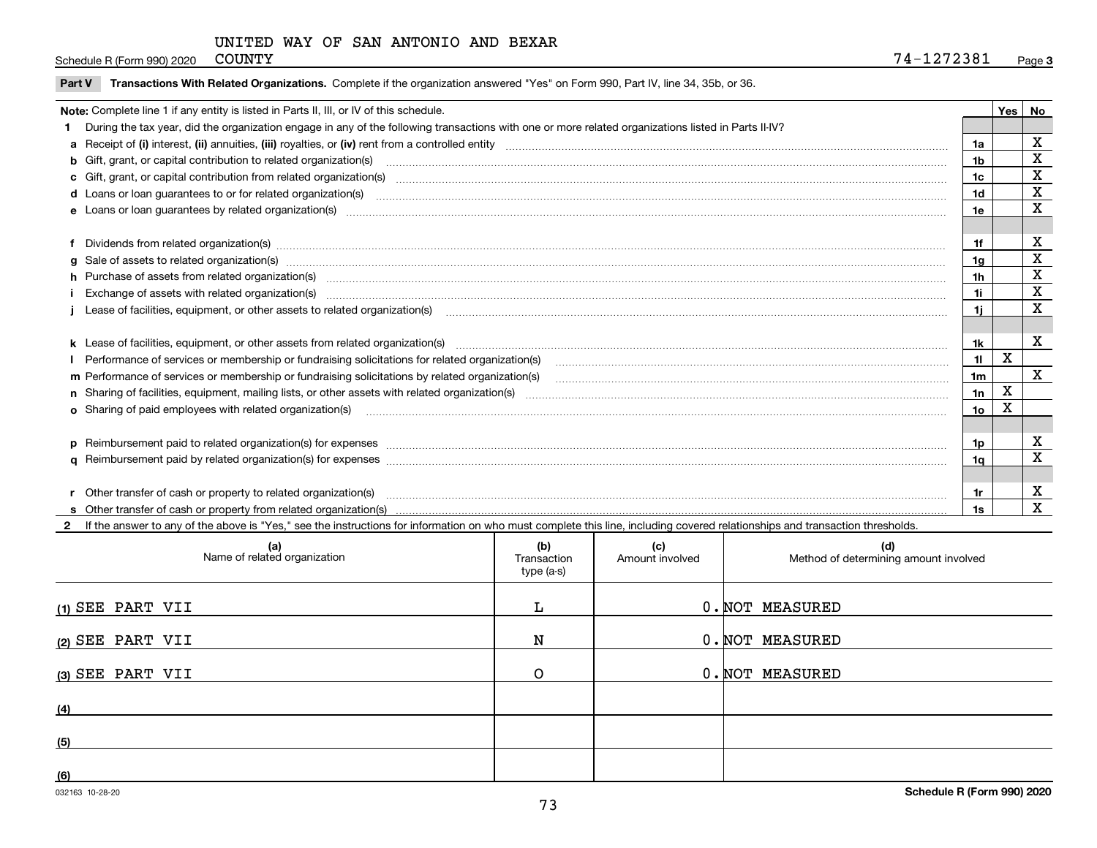## UNITED WAY OF SAN ANTONIO AND BEXAR

Schedule R (Form 990) 2020 COUNTY

|  | Part V Transactions With Related Organizations. Complete if the organization answered "Yes" on Form 990, Part IV, line 34, 35b, or 36. |  |  |
|--|----------------------------------------------------------------------------------------------------------------------------------------|--|--|
|--|----------------------------------------------------------------------------------------------------------------------------------------|--|--|

| Note: Complete line 1 if any entity is listed in Parts II, III, or IV of this schedule. |                                                                                                                                                                                                                                |                |   |                         |  |
|-----------------------------------------------------------------------------------------|--------------------------------------------------------------------------------------------------------------------------------------------------------------------------------------------------------------------------------|----------------|---|-------------------------|--|
|                                                                                         | During the tax year, did the organization engage in any of the following transactions with one or more related organizations listed in Parts II-IV?                                                                            |                |   |                         |  |
|                                                                                         |                                                                                                                                                                                                                                | 1a             |   | X                       |  |
|                                                                                         | b Gift, grant, or capital contribution to related organization(s) manufaction contracts and contribution to related organization(s)                                                                                            | 1b             |   | X                       |  |
|                                                                                         | c Gift, grant, or capital contribution from related organization(s) manufaction(s) and contribution from related organization(s) manufaction contribution from related organization(s) manufaction contribution from related o | 1c             |   | X                       |  |
|                                                                                         |                                                                                                                                                                                                                                | 1d             |   | X                       |  |
|                                                                                         | e Loans or loan guarantees by related organization(s) enconversements and construction of the construction of the constraint of the constraint of the constraint of the constraint of the constraint of the constraint of the  | 1e             |   | X                       |  |
|                                                                                         |                                                                                                                                                                                                                                |                |   |                         |  |
|                                                                                         | f Dividends from related organization(s) material contracts and contracts are contracted as a contract of the contract of the contract of the contract of the contract of the contract of the contract of the contract of the  | 1f             |   | X                       |  |
|                                                                                         | g Sale of assets to related organization(s) www.assettion.com/www.assettion.com/www.assettion.com/www.assettion.com/www.assettion.com/www.assettion.com/www.assettion.com/www.assettion.com/www.assettion.com/www.assettion.co | 1a             |   | $\overline{\mathbf{X}}$ |  |
|                                                                                         | h Purchase of assets from related organization(s) manufactured and content to content the content of assets from related organization(s)                                                                                       | 1 <sub>h</sub> |   | X                       |  |
|                                                                                         | i Exchange of assets with related organization(s) match contains and contain a substantial contains and contains a substantial contains and contains a substantial contains and contains a substantial contains and contains a | 1i             |   | X                       |  |
|                                                                                         | Lease of facilities, equipment, or other assets to related organization(s) [11] manufaction(singularam manufaction in the manufaction (singularam manufaction in the manufaction of facilities, equipment, or other assets to  | 1i.            |   | X                       |  |
|                                                                                         |                                                                                                                                                                                                                                |                |   |                         |  |
|                                                                                         | k Lease of facilities, equipment, or other assets from related organization(s) manufaction content and content to the assets from related organization(s) manufaction content and content and content and content and content  | 1k             |   | X                       |  |
|                                                                                         |                                                                                                                                                                                                                                | 11             | X |                         |  |
|                                                                                         | m Performance of services or membership or fundraising solicitations by related organization(s)                                                                                                                                | 1 <sub>m</sub> |   | $\mathbf{x}$            |  |
|                                                                                         |                                                                                                                                                                                                                                | 1n             | Х |                         |  |
|                                                                                         | o Sharing of paid employees with related organization(s) manufaction(since the manufacture of the manufacture of the manufacture of the manufacture of the manufacture of the manufacture of the manufacture of the manufactur | 1o             | Χ |                         |  |
|                                                                                         |                                                                                                                                                                                                                                |                |   |                         |  |
|                                                                                         | p Reimbursement paid to related organization(s) for expenses [1111] and the content of the content of the content of the content of the content of the content of the content of the content of the content of the content of  | 1p             |   | X                       |  |
|                                                                                         |                                                                                                                                                                                                                                | 1a             |   | X                       |  |
|                                                                                         |                                                                                                                                                                                                                                |                |   |                         |  |
|                                                                                         | r Other transfer of cash or property to related organization(s)                                                                                                                                                                | 1r             |   | х                       |  |
|                                                                                         |                                                                                                                                                                                                                                |                |   | X                       |  |

**2**If the answer to any of the above is "Yes," see the instructions for information on who must complete this line, including covered relationships and transaction thresholds.

| (a)<br>Name of related organization | (b)<br>Transaction<br>type (a-s) | (c)<br>Amount involved | (d)<br>Method of determining amount involved |
|-------------------------------------|----------------------------------|------------------------|----------------------------------------------|
| (1) SEE PART VII                    | L                                |                        | 0. NOT MEASURED                              |
| (2) SEE PART VII                    | N                                |                        | 0. NOT MEASURED                              |
| (3) SEE PART VII                    | $\Omega$                         |                        | 0. NOT MEASURED                              |
| (4)                                 |                                  |                        |                                              |
| (5)                                 |                                  |                        |                                              |
| (6)                                 |                                  |                        |                                              |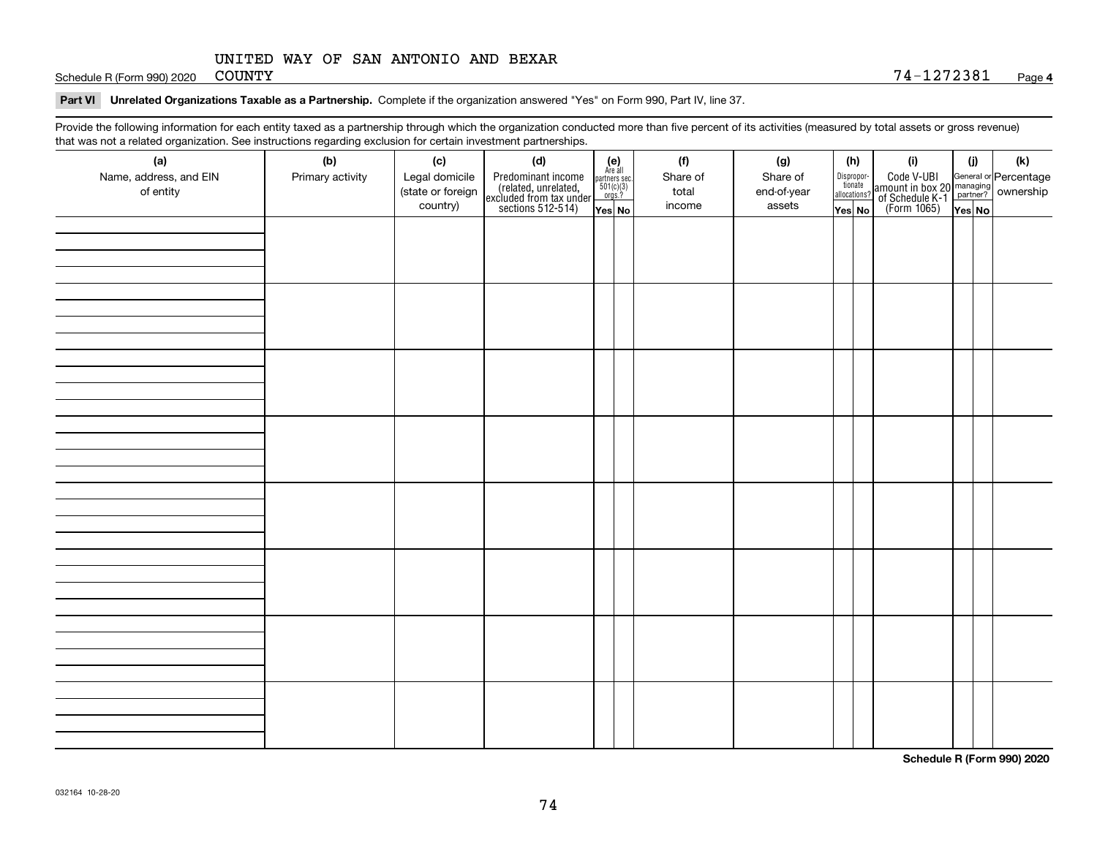## UNITED WAY OF SAN ANTONIO AND BEXAR

Schedule R (Form 990) 2020 COUNTY

## **Part VI Unrelated Organizations Taxable as a Partnership. Complete if the organization answered "Yes" on Form 990, Part IV, line 37.**

Provide the following information for each entity taxed as a partnership through which the organization conducted more than five percent of its activities (measured by total assets or gross revenue) that was not a related organization. See instructions regarding exclusion for certain investment partnerships.

| that was not a related erganization. See includitions regarding excludion for contain invectment partnerompe.<br>(a) | (b)              | (c)                           | (d)                                                                                        |                                                                                                                  |  | (f)             | (g)                   |  | (h)                              | (i)                                                                                          | (i) | (k) |
|----------------------------------------------------------------------------------------------------------------------|------------------|-------------------------------|--------------------------------------------------------------------------------------------|------------------------------------------------------------------------------------------------------------------|--|-----------------|-----------------------|--|----------------------------------|----------------------------------------------------------------------------------------------|-----|-----|
| Name, address, and EIN                                                                                               | Primary activity | Legal domicile                | Predominant income<br>(related, unrelated,<br>excluded from tax under<br>sections 512-514) | $\begin{array}{c} \textbf{(e)}\\ \text{Are all} \\ \text{partners sec.}\\ 501(c)(3)\\ \text{orgs.?} \end{array}$ |  | Share of        | Share of              |  | Disproportionate<br>allocations? | Code V-UBI<br>amount in box 20 managing<br>of Schedule K-1 partner?<br>(Form 1065)<br>ves No |     |     |
| of entity                                                                                                            |                  | (state or foreign<br>country) |                                                                                            |                                                                                                                  |  | total<br>income | end-of-year<br>assets |  |                                  |                                                                                              |     |     |
|                                                                                                                      |                  |                               |                                                                                            | Yes No                                                                                                           |  |                 |                       |  | Yes No                           |                                                                                              |     |     |
|                                                                                                                      |                  |                               |                                                                                            |                                                                                                                  |  |                 |                       |  |                                  |                                                                                              |     |     |
|                                                                                                                      |                  |                               |                                                                                            |                                                                                                                  |  |                 |                       |  |                                  |                                                                                              |     |     |
|                                                                                                                      |                  |                               |                                                                                            |                                                                                                                  |  |                 |                       |  |                                  |                                                                                              |     |     |
|                                                                                                                      |                  |                               |                                                                                            |                                                                                                                  |  |                 |                       |  |                                  |                                                                                              |     |     |
|                                                                                                                      |                  |                               |                                                                                            |                                                                                                                  |  |                 |                       |  |                                  |                                                                                              |     |     |
|                                                                                                                      |                  |                               |                                                                                            |                                                                                                                  |  |                 |                       |  |                                  |                                                                                              |     |     |
|                                                                                                                      |                  |                               |                                                                                            |                                                                                                                  |  |                 |                       |  |                                  |                                                                                              |     |     |
|                                                                                                                      |                  |                               |                                                                                            |                                                                                                                  |  |                 |                       |  |                                  |                                                                                              |     |     |
|                                                                                                                      |                  |                               |                                                                                            |                                                                                                                  |  |                 |                       |  |                                  |                                                                                              |     |     |
|                                                                                                                      |                  |                               |                                                                                            |                                                                                                                  |  |                 |                       |  |                                  |                                                                                              |     |     |
|                                                                                                                      |                  |                               |                                                                                            |                                                                                                                  |  |                 |                       |  |                                  |                                                                                              |     |     |
|                                                                                                                      |                  |                               |                                                                                            |                                                                                                                  |  |                 |                       |  |                                  |                                                                                              |     |     |
|                                                                                                                      |                  |                               |                                                                                            |                                                                                                                  |  |                 |                       |  |                                  |                                                                                              |     |     |
|                                                                                                                      |                  |                               |                                                                                            |                                                                                                                  |  |                 |                       |  |                                  |                                                                                              |     |     |
|                                                                                                                      |                  |                               |                                                                                            |                                                                                                                  |  |                 |                       |  |                                  |                                                                                              |     |     |
|                                                                                                                      |                  |                               |                                                                                            |                                                                                                                  |  |                 |                       |  |                                  |                                                                                              |     |     |
|                                                                                                                      |                  |                               |                                                                                            |                                                                                                                  |  |                 |                       |  |                                  |                                                                                              |     |     |
|                                                                                                                      |                  |                               |                                                                                            |                                                                                                                  |  |                 |                       |  |                                  |                                                                                              |     |     |
|                                                                                                                      |                  |                               |                                                                                            |                                                                                                                  |  |                 |                       |  |                                  |                                                                                              |     |     |
|                                                                                                                      |                  |                               |                                                                                            |                                                                                                                  |  |                 |                       |  |                                  |                                                                                              |     |     |
|                                                                                                                      |                  |                               |                                                                                            |                                                                                                                  |  |                 |                       |  |                                  |                                                                                              |     |     |
|                                                                                                                      |                  |                               |                                                                                            |                                                                                                                  |  |                 |                       |  |                                  |                                                                                              |     |     |
|                                                                                                                      |                  |                               |                                                                                            |                                                                                                                  |  |                 |                       |  |                                  |                                                                                              |     |     |
|                                                                                                                      |                  |                               |                                                                                            |                                                                                                                  |  |                 |                       |  |                                  |                                                                                              |     |     |
|                                                                                                                      |                  |                               |                                                                                            |                                                                                                                  |  |                 |                       |  |                                  |                                                                                              |     |     |
|                                                                                                                      |                  |                               |                                                                                            |                                                                                                                  |  |                 |                       |  |                                  |                                                                                              |     |     |
|                                                                                                                      |                  |                               |                                                                                            |                                                                                                                  |  |                 |                       |  |                                  |                                                                                              |     |     |

**Schedule R (Form 990) 2020**